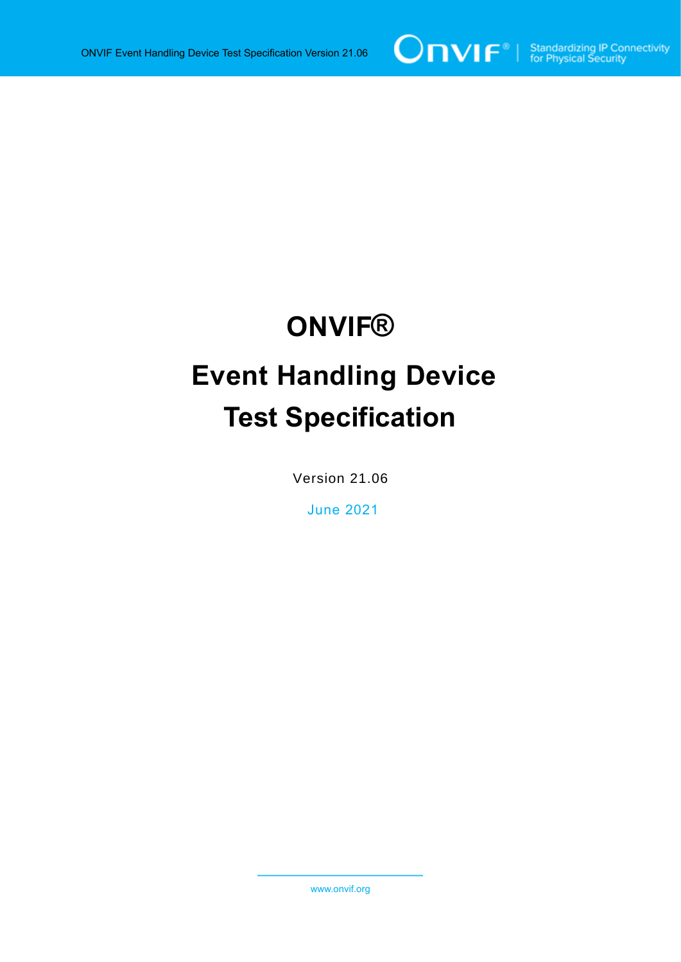

# **ONVIF® Event Handling Device Test Specification**

Version 21.06

June 2021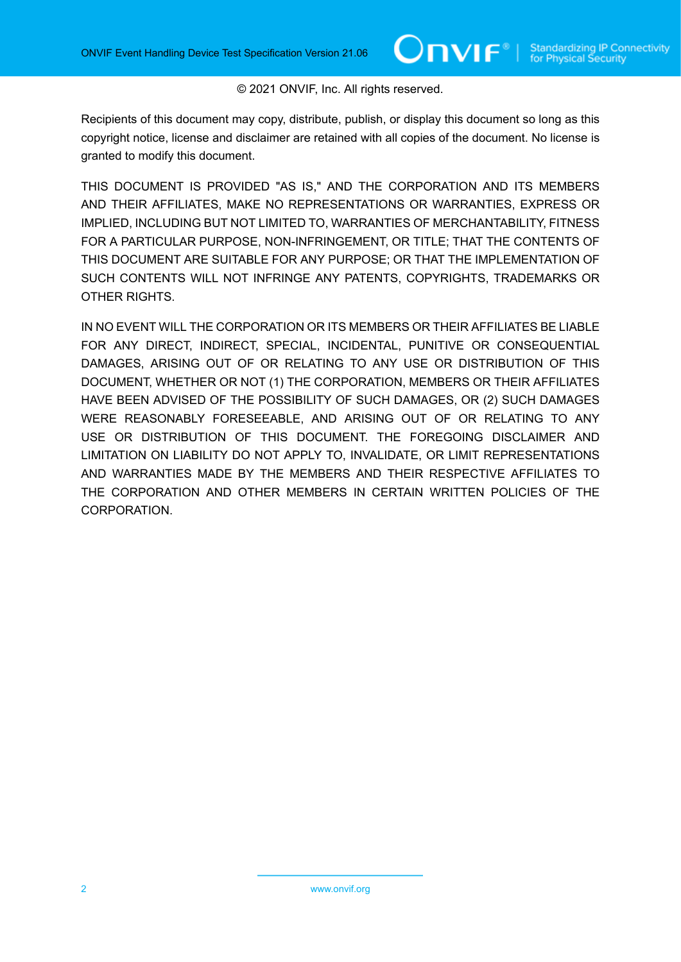#### © 2021 ONVIF, Inc. All rights reserved.

Recipients of this document may copy, distribute, publish, or display this document so long as this copyright notice, license and disclaimer are retained with all copies of the document. No license is granted to modify this document.

THIS DOCUMENT IS PROVIDED "AS IS," AND THE CORPORATION AND ITS MEMBERS AND THEIR AFFILIATES, MAKE NO REPRESENTATIONS OR WARRANTIES, EXPRESS OR IMPLIED, INCLUDING BUT NOT LIMITED TO, WARRANTIES OF MERCHANTABILITY, FITNESS FOR A PARTICULAR PURPOSE, NON-INFRINGEMENT, OR TITLE; THAT THE CONTENTS OF THIS DOCUMENT ARE SUITABLE FOR ANY PURPOSE; OR THAT THE IMPLEMENTATION OF SUCH CONTENTS WILL NOT INFRINGE ANY PATENTS, COPYRIGHTS, TRADEMARKS OR OTHER RIGHTS.

IN NO EVENT WILL THE CORPORATION OR ITS MEMBERS OR THEIR AFFILIATES BE LIABLE FOR ANY DIRECT, INDIRECT, SPECIAL, INCIDENTAL, PUNITIVE OR CONSEQUENTIAL DAMAGES, ARISING OUT OF OR RELATING TO ANY USE OR DISTRIBUTION OF THIS DOCUMENT, WHETHER OR NOT (1) THE CORPORATION, MEMBERS OR THEIR AFFILIATES HAVE BEEN ADVISED OF THE POSSIBILITY OF SUCH DAMAGES, OR (2) SUCH DAMAGES WERE REASONABLY FORESEEABLE, AND ARISING OUT OF OR RELATING TO ANY USE OR DISTRIBUTION OF THIS DOCUMENT. THE FOREGOING DISCLAIMER AND LIMITATION ON LIABILITY DO NOT APPLY TO, INVALIDATE, OR LIMIT REPRESENTATIONS AND WARRANTIES MADE BY THE MEMBERS AND THEIR RESPECTIVE AFFILIATES TO THE CORPORATION AND OTHER MEMBERS IN CERTAIN WRITTEN POLICIES OF THE CORPORATION.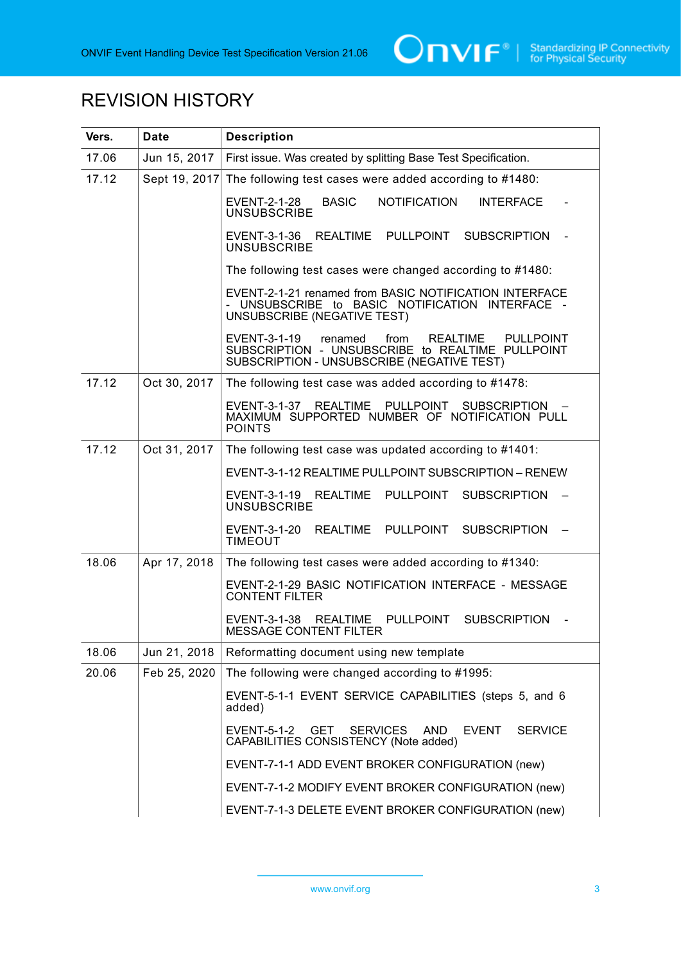

# REVISION HISTORY

| Vers. | <b>Date</b>   | <b>Description</b>                                                                                                                                                       |
|-------|---------------|--------------------------------------------------------------------------------------------------------------------------------------------------------------------------|
| 17.06 | Jun 15, 2017  | First issue. Was created by splitting Base Test Specification.                                                                                                           |
| 17.12 | Sept 19, 2017 | The following test cases were added according to #1480:                                                                                                                  |
|       |               | <b>BASIC</b><br><b>NOTIFICATION</b><br><b>INTERFACE</b><br><b>EVENT-2-1-28</b><br><b>UNSUBSCRIBE</b>                                                                     |
|       |               | EVENT-3-1-36 REALTIME PULLPOINT SUBSCRIPTION<br><b>UNSUBSCRIBE</b>                                                                                                       |
|       |               | The following test cases were changed according to #1480:                                                                                                                |
|       |               | EVENT-2-1-21 renamed from BASIC NOTIFICATION INTERFACE<br>UNSUBSCRIBE to BASIC NOTIFICATION INTERFACE -<br>UNSUBSCRIBE (NEGATIVE TEST)                                   |
|       |               | EVENT-3-1-19<br>renamed<br>from<br><b>REALTIME</b><br><b>PULLPOINT</b><br>SUBSCRIPTION - UNSUBSCRIBE to REALTIME PULLPOINT<br>SUBSCRIPTION - UNSUBSCRIBE (NEGATIVE TEST) |
| 17.12 | Oct 30, 2017  | The following test case was added according to #1478:                                                                                                                    |
|       |               | <b>REALTIME</b><br>PULLPOINT<br><b>SUBSCRIPTION</b><br>EVENT-3-1-37<br>MAXIMUM SUPPORTED NUMBER OF NOTIFICATION PULL<br><b>POINTS</b>                                    |
| 17.12 | Oct 31, 2017  | The following test case was updated according to #1401:                                                                                                                  |
|       |               | EVENT-3-1-12 REALTIME PULLPOINT SUBSCRIPTION - RENEW                                                                                                                     |
|       |               | EVENT-3-1-19<br><b>REALTIME</b><br>PULLPOINT<br><b>SUBSCRIPTION</b><br><b>UNSUBSCRIBE</b>                                                                                |
|       |               | EVENT-3-1-20<br><b>REALTIME</b><br>PULLPOINT<br><b>SUBSCRIPTION</b><br><b>TIMEOUT</b>                                                                                    |
| 18.06 | Apr 17, 2018  | The following test cases were added according to #1340:                                                                                                                  |
|       |               | EVENT-2-1-29 BASIC NOTIFICATION INTERFACE - MESSAGE<br><b>CONTENT FILTER</b>                                                                                             |
|       |               | PULLPOINT<br><b>SUBSCRIPTION</b><br>EVENT-3-1-38<br><b>REALTIME</b><br><b>MESSAGE CONTENT FILTER</b>                                                                     |
| 18.06 | Jun 21, 2018  | Reformatting document using new template                                                                                                                                 |
| 20.06 | Feb 25, 2020  | The following were changed according to #1995:                                                                                                                           |
|       |               | EVENT-5-1-1 EVENT SERVICE CAPABILITIES (steps 5, and 6<br>added)                                                                                                         |
|       |               | <b>GET</b><br><b>SERVICES</b><br><b>SERVICE</b><br>EVENT-5-1-2<br>AND.<br><b>EVENT</b><br>CAPABILITIES CONSISTENCY (Note added)                                          |
|       |               | EVENT-7-1-1 ADD EVENT BROKER CONFIGURATION (new)                                                                                                                         |
|       |               | EVENT-7-1-2 MODIFY EVENT BROKER CONFIGURATION (new)                                                                                                                      |
|       |               | EVENT-7-1-3 DELETE EVENT BROKER CONFIGURATION (new)                                                                                                                      |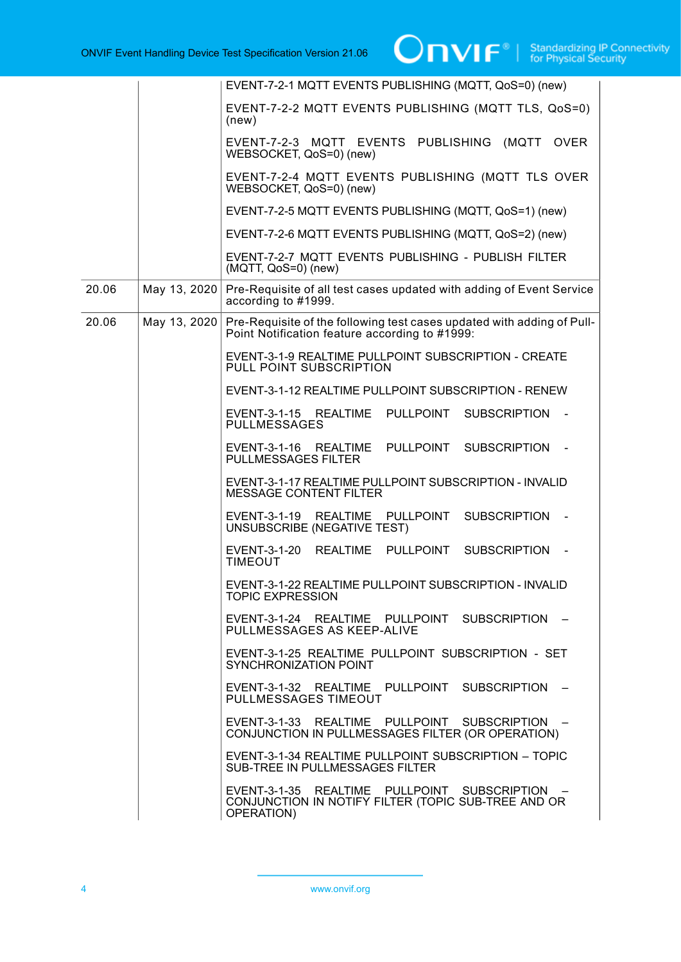|       |              | EVENT-7-2-1 MQTT EVENTS PUBLISHING (MQTT, QoS=0) (new)                                                                   |
|-------|--------------|--------------------------------------------------------------------------------------------------------------------------|
|       |              | EVENT-7-2-2 MQTT EVENTS PUBLISHING (MQTT TLS, QoS=0)<br>(new)                                                            |
|       |              | EVENT-7-2-3 MQTT EVENTS PUBLISHING (MQTT<br><b>OVER</b><br>WEBSOCKET, QoS=0) (new)                                       |
|       |              | EVENT-7-2-4 MQTT EVENTS PUBLISHING (MQTT TLS OVER<br>WEBSOCKET, QoS=0) (new)                                             |
|       |              | EVENT-7-2-5 MQTT EVENTS PUBLISHING (MQTT, QoS=1) (new)                                                                   |
|       |              | EVENT-7-2-6 MQTT EVENTS PUBLISHING (MQTT, QoS=2) (new)                                                                   |
|       |              | EVENT-7-2-7 MQTT EVENTS PUBLISHING - PUBLISH FILTER<br>(MQTT, QoS=0) (new)                                               |
| 20.06 | May 13, 2020 | Pre-Requisite of all test cases updated with adding of Event Service<br>according to #1999.                              |
| 20.06 | May 13, 2020 | Pre-Requisite of the following test cases updated with adding of Pull-<br>Point Notification feature according to #1999: |
|       |              | EVENT-3-1-9 REALTIME PULLPOINT SUBSCRIPTION - CREATE<br>PULL POINT SUBSCRIPTION                                          |
|       |              | EVENT-3-1-12 REALTIME PULLPOINT SUBSCRIPTION - RENEW                                                                     |
|       |              | EVENT-3-1-15 REALTIME<br>PULLPOINT<br><b>SUBSCRIPTION</b><br><b>PULLMESSAGES</b>                                         |
|       |              | <b>SUBSCRIPTION</b><br>EVENT-3-1-16 REALTIME<br>PULLPOINT<br>$\sim$<br><b>PULLMESSAGES FILTER</b>                        |
|       |              | EVENT-3-1-17 REALTIME PULLPOINT SUBSCRIPTION - INVALID<br><b>MESSAGE CONTENT FILTER</b>                                  |
|       |              | SUBSCRIPTION -<br>EVENT-3-1-19 REALTIME<br>PULLPOINT<br>UNSUBSCRIBE (NEGATIVE TEST)                                      |
|       |              | REALTIME PULLPOINT<br>EVENT-3-1-20<br><b>SUBSCRIPTION</b><br><b>TIMEOUT</b>                                              |
|       |              | EVENT-3-1-22 REALTIME PULLPOINT SUBSCRIPTION - INVALID<br><b>TOPIC EXPRESSION</b>                                        |
|       |              | EVENT-3-1-24 REALTIME PULLPOINT SUBSCRIPTION -<br>PULLMESSAGES AS KEEP-ALIVE                                             |
|       |              | EVENT-3-1-25 REALTIME PULLPOINT SUBSCRIPTION - SET<br><b>SYNCHRONIZATION POINT</b>                                       |
|       |              | EVENT-3-1-32 REALTIME PULLPOINT SUBSCRIPTION -<br>PULLMESSAGES TIMEOUT                                                   |
|       |              | EVENT-3-1-33 REALTIME PULLPOINT SUBSCRIPTION -<br>CONJUNCTION IN PULLMESSAGES FILTER (OR OPERATION)                      |
|       |              | EVENT-3-1-34 REALTIME PULLPOINT SUBSCRIPTION - TOPIC<br>SUB-TREE IN PULLMESSAGES FILTER                                  |
|       |              | EVENT-3-1-35 REALTIME PULLPOINT SUBSCRIPTION -<br>CONJUNCTION IN NOTIFY FILTER (TOPIC SUB-TREE AND OR<br>OPERATION)      |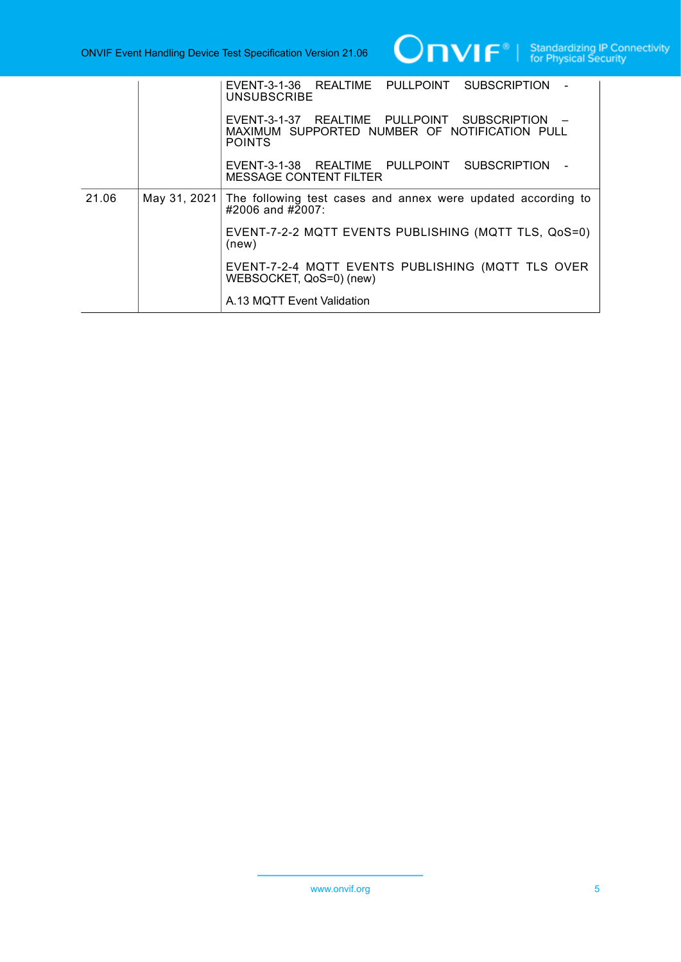

|       |              | EVENT-3-1-36 REALTIME PULLPOINT SUBSCRIPTION -<br><b>UNSUBSCRIBE</b>                                             |
|-------|--------------|------------------------------------------------------------------------------------------------------------------|
|       |              | EVENT-3-1-37 REALTIME PULLPOINT SUBSCRIPTION -<br>MAXIMUM SUPPORTED NUMBER OF NOTIFICATION PULL<br><b>POINTS</b> |
|       |              | EVENT-3-1-38 REALTIME PULLPOINT SUBSCRIPTION -<br><b>MESSAGE CONTENT FILTER</b>                                  |
| 21.06 | May 31, 2021 | The following test cases and annex were updated according to<br>$\#2006$ and $\#2007$ :                          |
|       |              | EVENT-7-2-2 MQTT EVENTS PUBLISHING (MQTT TLS, QoS=0)<br>(new)                                                    |
|       |              | EVENT-7-2-4 MQTT EVENTS PUBLISHING (MQTT TLS OVER<br>WEBSOCKET, QoS=0) (new)                                     |
|       |              | A.13 MQTT Event Validation                                                                                       |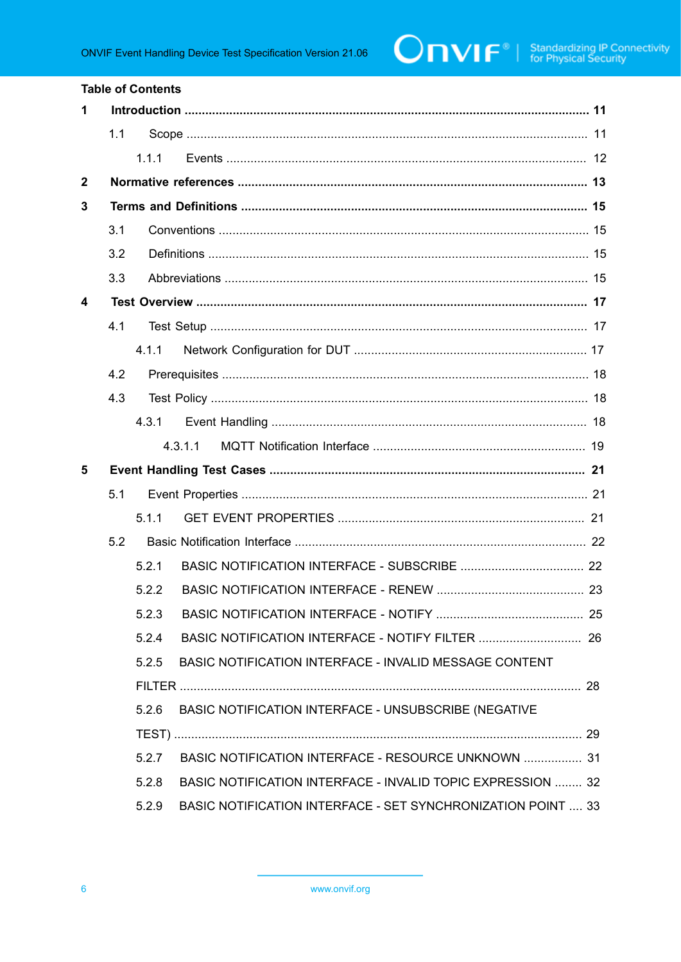| <b>Table of Contents</b> |     |       |                                                                     |  |
|--------------------------|-----|-------|---------------------------------------------------------------------|--|
| 1                        |     |       |                                                                     |  |
|                          | 1.1 |       |                                                                     |  |
|                          |     | 1.1.1 |                                                                     |  |
| $\mathbf{2}$             |     |       |                                                                     |  |
| 3                        |     |       |                                                                     |  |
|                          | 3.1 |       |                                                                     |  |
|                          | 3.2 |       |                                                                     |  |
|                          | 3.3 |       |                                                                     |  |
| 4                        |     |       |                                                                     |  |
|                          | 4.1 |       |                                                                     |  |
|                          |     | 4.1.1 |                                                                     |  |
|                          | 4.2 |       |                                                                     |  |
|                          | 4.3 |       |                                                                     |  |
|                          |     | 4.3.1 |                                                                     |  |
|                          |     |       | 4.3.1.1                                                             |  |
| 5                        |     |       |                                                                     |  |
|                          | 5.1 |       |                                                                     |  |
|                          |     | 5.1.1 |                                                                     |  |
|                          | 5.2 |       |                                                                     |  |
|                          |     | 521   |                                                                     |  |
|                          |     |       |                                                                     |  |
|                          |     | 5.2.3 |                                                                     |  |
|                          |     | 5.2.4 |                                                                     |  |
|                          |     | 5.2.5 | BASIC NOTIFICATION INTERFACE - INVALID MESSAGE CONTENT              |  |
|                          |     |       |                                                                     |  |
|                          |     | 5.2.6 | BASIC NOTIFICATION INTERFACE - UNSUBSCRIBE (NEGATIVE                |  |
|                          |     |       |                                                                     |  |
|                          |     | 5.2.7 | BASIC NOTIFICATION INTERFACE - RESOURCE UNKNOWN  31                 |  |
|                          |     | 5.2.8 | BASIC NOTIFICATION INTERFACE - INVALID TOPIC EXPRESSION  32         |  |
|                          |     | 5.2.9 | <b>BASIC NOTIFICATION INTERFACE - SET SYNCHRONIZATION POINT  33</b> |  |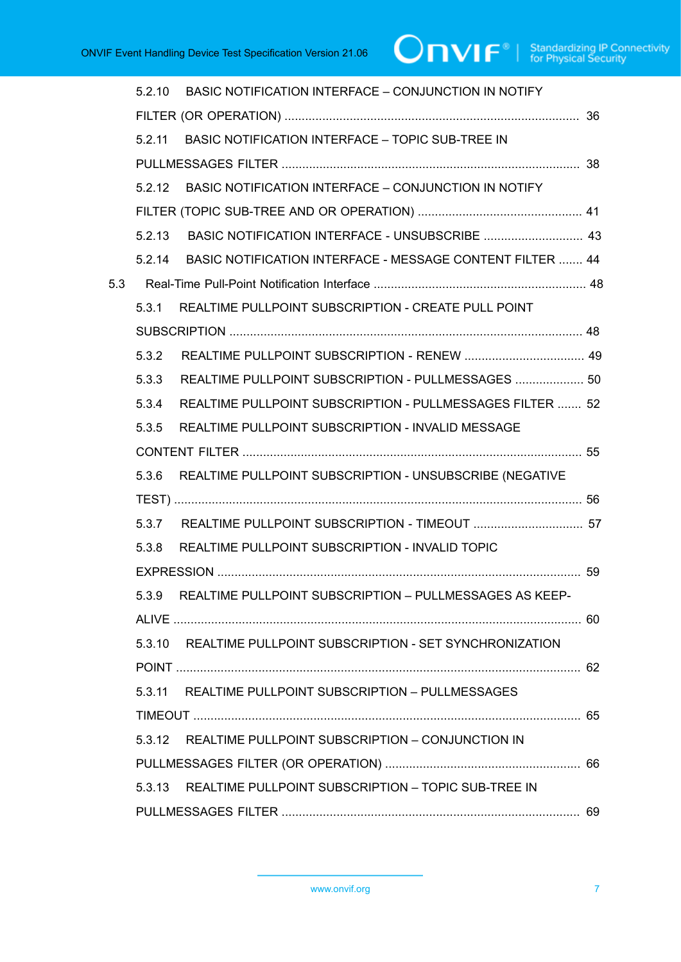|     |        | 5.2.10 BASIC NOTIFICATION INTERFACE - CONJUNCTION IN NOTIFY      |  |
|-----|--------|------------------------------------------------------------------|--|
|     |        |                                                                  |  |
|     | 5211   | <b>BASIC NOTIFICATION INTERFACE - TOPIC SUB-TREE IN</b>          |  |
|     |        |                                                                  |  |
|     | 5.2.12 | BASIC NOTIFICATION INTERFACE - CONJUNCTION IN NOTIFY             |  |
|     |        |                                                                  |  |
|     | 5.2.13 |                                                                  |  |
|     | 5.2.14 | <b>BASIC NOTIFICATION INTERFACE - MESSAGE CONTENT FILTER  44</b> |  |
| 5.3 |        |                                                                  |  |
|     | 5.3.1  | REALTIME PULLPOINT SUBSCRIPTION - CREATE PULL POINT              |  |
|     |        |                                                                  |  |
|     | 5.3.2  |                                                                  |  |
|     | 5.3.3  | REALTIME PULLPOINT SUBSCRIPTION - PULLMESSAGES  50               |  |
|     | 5.3.4  | REALTIME PULLPOINT SUBSCRIPTION - PULLMESSAGES FILTER  52        |  |
|     | 5.3.5  | REALTIME PULLPOINT SUBSCRIPTION - INVALID MESSAGE                |  |
|     |        |                                                                  |  |
|     | 5.3.6  | REALTIME PULLPOINT SUBSCRIPTION - UNSUBSCRIBE (NEGATIVE          |  |
|     |        |                                                                  |  |
|     |        | 5.3.7 REALTIME PULLPOINT SUBSCRIPTION - TIMEOUT  57              |  |
|     | 5.3.8  | REALTIME PULLPOINT SUBSCRIPTION - INVALID TOPIC                  |  |
|     |        |                                                                  |  |
|     |        | 5.3.9 REALTIME PULLPOINT SUBSCRIPTION - PULLMESSAGES AS KEEP-    |  |
|     |        |                                                                  |  |
|     |        | 5.3.10 REALTIME PULLPOINT SUBSCRIPTION - SET SYNCHRONIZATION     |  |
|     |        |                                                                  |  |
|     | 5.3.11 | REALTIME PULLPOINT SUBSCRIPTION - PULLMESSAGES                   |  |
|     |        |                                                                  |  |
|     |        | 5.3.12 REALTIME PULLPOINT SUBSCRIPTION - CONJUNCTION IN          |  |
|     |        |                                                                  |  |
|     | 5.3.13 | REALTIME PULLPOINT SUBSCRIPTION - TOPIC SUB-TREE IN              |  |
|     |        |                                                                  |  |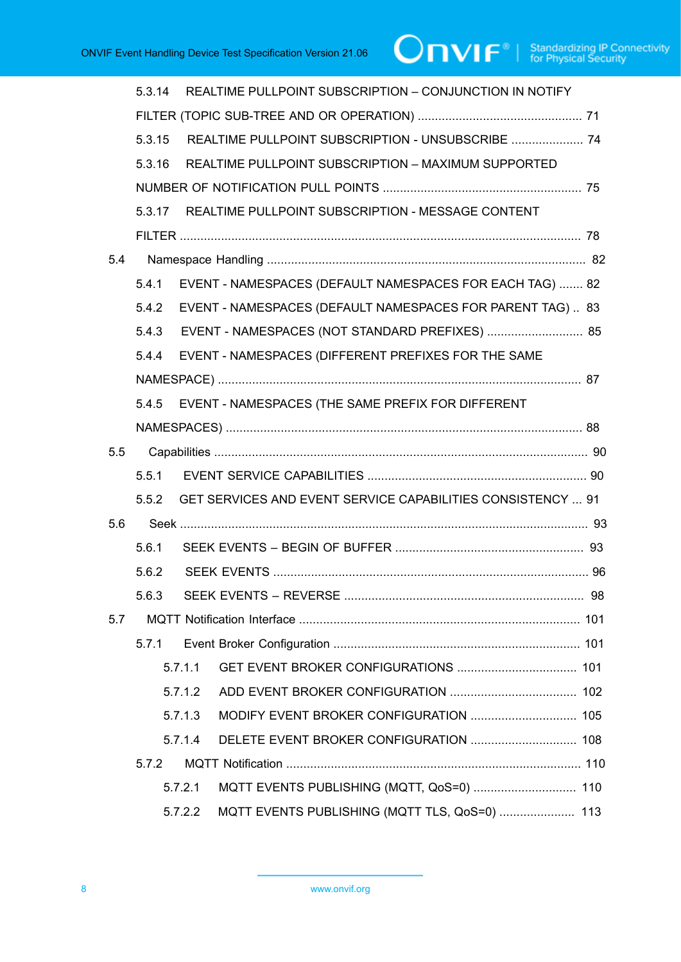|     | 5.3.14 |         | REALTIME PULLPOINT SUBSCRIPTION - CONJUNCTION IN NOTIFY            |  |
|-----|--------|---------|--------------------------------------------------------------------|--|
|     |        |         |                                                                    |  |
|     | 5.3.15 |         | REALTIME PULLPOINT SUBSCRIPTION - UNSUBSCRIBE  74                  |  |
|     | 5.3.16 |         | REALTIME PULLPOINT SUBSCRIPTION - MAXIMUM SUPPORTED                |  |
|     |        |         |                                                                    |  |
|     | 5.3.17 |         | REALTIME PULLPOINT SUBSCRIPTION - MESSAGE CONTENT                  |  |
|     |        |         |                                                                    |  |
| 5.4 |        |         |                                                                    |  |
|     | 5.4.1  |         | EVENT - NAMESPACES (DEFAULT NAMESPACES FOR EACH TAG)  82           |  |
|     | 5.4.2  |         | EVENT - NAMESPACES (DEFAULT NAMESPACES FOR PARENT TAG) 83          |  |
|     |        |         | 5.4.3 EVENT - NAMESPACES (NOT STANDARD PREFIXES)  85               |  |
|     | 5.4.4  |         | EVENT - NAMESPACES (DIFFERENT PREFIXES FOR THE SAME                |  |
|     |        |         |                                                                    |  |
|     | 5.4.5  |         | EVENT - NAMESPACES (THE SAME PREFIX FOR DIFFERENT                  |  |
|     |        |         |                                                                    |  |
| 5.5 |        |         |                                                                    |  |
|     | 5.5.1  |         |                                                                    |  |
|     | 5.5.2  |         | <b>GET SERVICES AND EVENT SERVICE CAPABILITIES CONSISTENCY  91</b> |  |
| 5.6 |        |         |                                                                    |  |
|     | 5.6.1  |         |                                                                    |  |
|     | 5.6.2  |         |                                                                    |  |
|     | 5.6.3  |         |                                                                    |  |
| 5.7 |        |         |                                                                    |  |
|     | 5.7.1  |         |                                                                    |  |
|     |        | 5.7.1.1 |                                                                    |  |
|     |        | 5.7.1.2 |                                                                    |  |
|     |        | 5.7.1.3 |                                                                    |  |
|     |        | 5.7.1.4 |                                                                    |  |
|     | 5.7.2  |         |                                                                    |  |
|     |        | 5.7.2.1 | MQTT EVENTS PUBLISHING (MQTT, QoS=0)  110                          |  |
|     |        | 5.7.2.2 | MQTT EVENTS PUBLISHING (MQTT TLS, QoS=0)  113                      |  |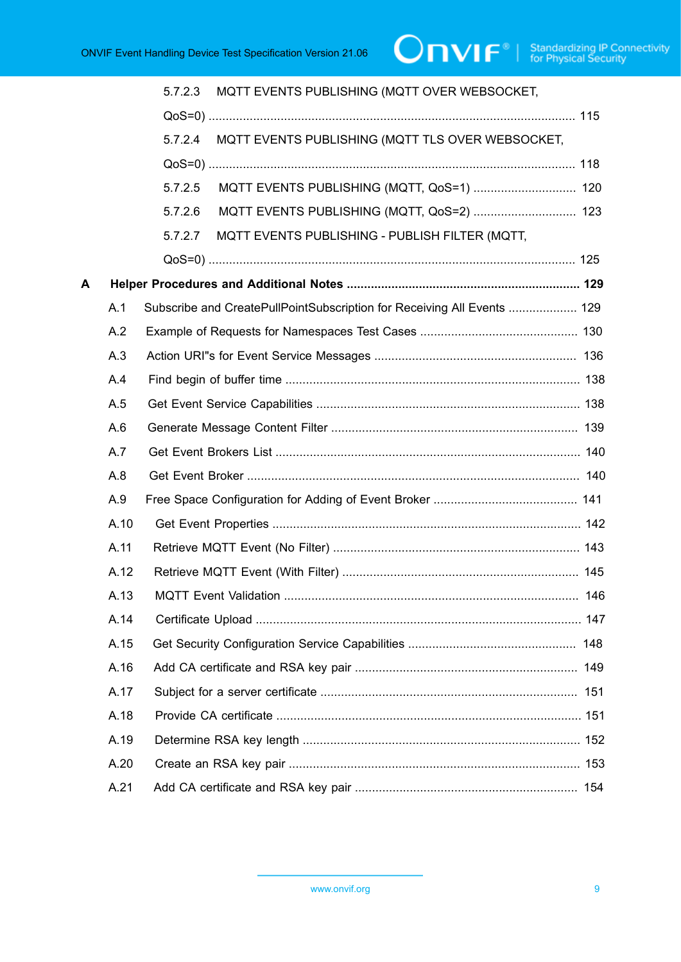|   |      | MQTT EVENTS PUBLISHING (MQTT OVER WEBSOCKET,<br>5.7.2.3                 |  |
|---|------|-------------------------------------------------------------------------|--|
|   |      |                                                                         |  |
|   |      | 5.7.2.4<br>MQTT EVENTS PUBLISHING (MQTT TLS OVER WEBSOCKET,             |  |
|   |      |                                                                         |  |
|   |      | MQTT EVENTS PUBLISHING (MQTT, QoS=1)  120<br>5.7.2.5                    |  |
|   |      | 5.7.2.6<br>MQTT EVENTS PUBLISHING (MQTT, QoS=2)  123                    |  |
|   |      | 5.7.2.7<br>MQTT EVENTS PUBLISHING - PUBLISH FILTER (MQTT,               |  |
|   |      |                                                                         |  |
| A |      |                                                                         |  |
|   | A.1  | Subscribe and CreatePullPointSubscription for Receiving All Events  129 |  |
|   | A.2  |                                                                         |  |
|   | A.3  |                                                                         |  |
|   | A.4  |                                                                         |  |
|   | A.5  |                                                                         |  |
|   | A.6  |                                                                         |  |
|   | A.7  |                                                                         |  |
|   | A.8  |                                                                         |  |
|   | A.9  |                                                                         |  |
|   | A.10 |                                                                         |  |
|   | A.11 |                                                                         |  |
|   | A.12 |                                                                         |  |
|   | A.13 |                                                                         |  |
|   | A.14 |                                                                         |  |
|   | A.15 |                                                                         |  |
|   | A.16 |                                                                         |  |
|   | A.17 |                                                                         |  |
|   | A.18 |                                                                         |  |
|   | A.19 |                                                                         |  |
|   | A.20 |                                                                         |  |
|   | A.21 |                                                                         |  |
|   |      |                                                                         |  |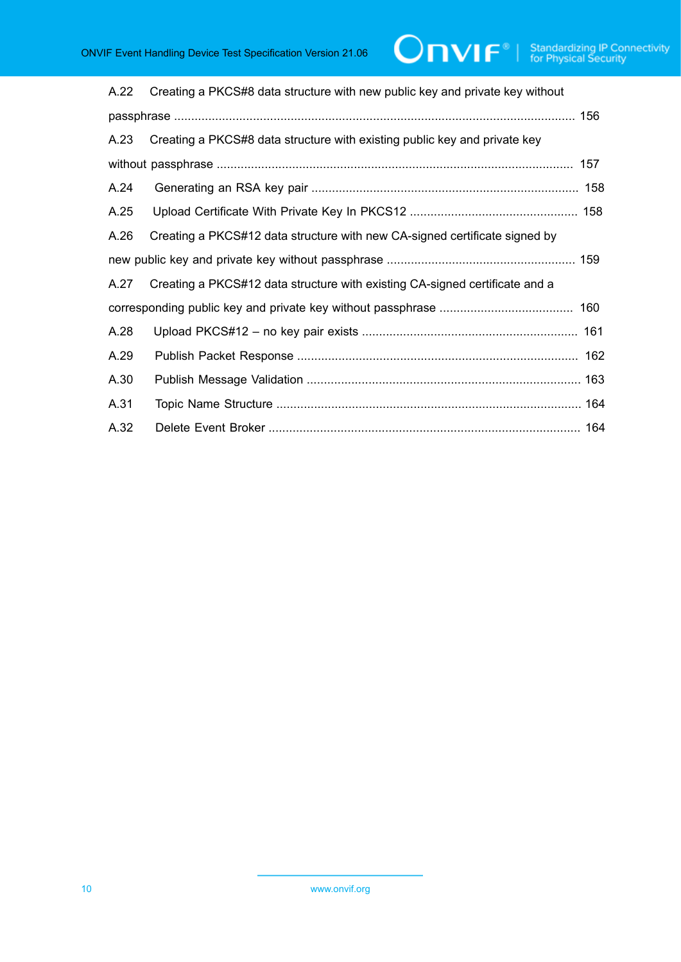| A.22 | Creating a PKCS#8 data structure with new public key and private key without |  |
|------|------------------------------------------------------------------------------|--|
|      |                                                                              |  |
| A.23 | Creating a PKCS#8 data structure with existing public key and private key    |  |
|      |                                                                              |  |
| A.24 |                                                                              |  |
| A.25 |                                                                              |  |
| A.26 | Creating a PKCS#12 data structure with new CA-signed certificate signed by   |  |
|      |                                                                              |  |
| A.27 | Creating a PKCS#12 data structure with existing CA-signed certificate and a  |  |
|      |                                                                              |  |
| A.28 |                                                                              |  |
| A.29 |                                                                              |  |
| A.30 |                                                                              |  |
| A.31 |                                                                              |  |
| A.32 |                                                                              |  |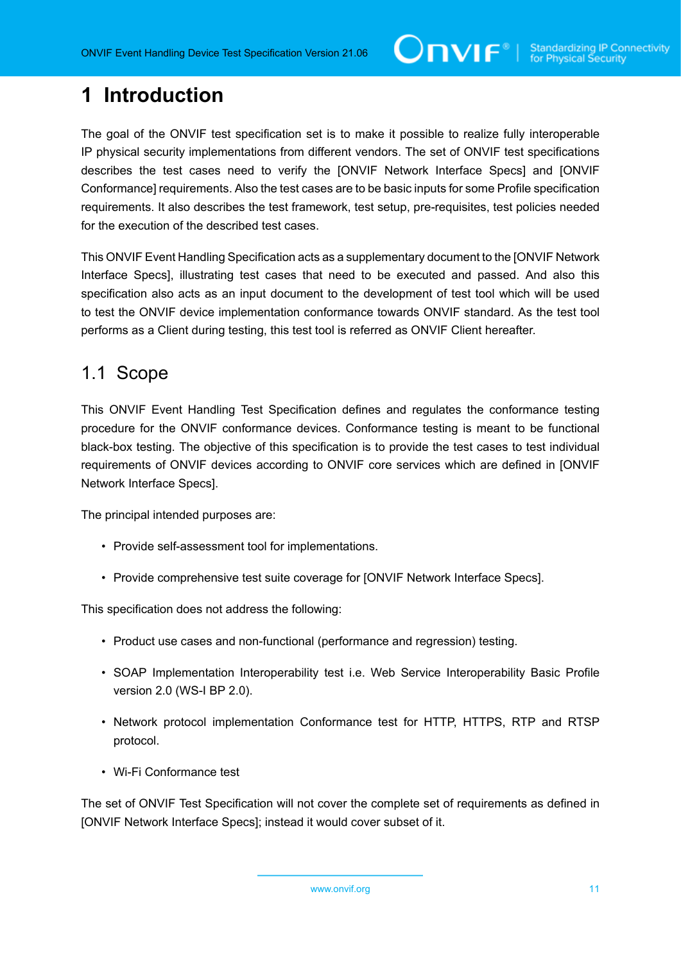# <span id="page-10-0"></span>**1 Introduction**

The goal of the ONVIF test specification set is to make it possible to realize fully interoperable IP physical security implementations from different vendors. The set of ONVIF test specifications describes the test cases need to verify the [ONVIF Network Interface Specs] and [ONVIF Conformance] requirements. Also the test cases are to be basic inputs for some Profile specification requirements. It also describes the test framework, test setup, pre-requisites, test policies needed for the execution of the described test cases.

This ONVIF Event Handling Specification acts as a supplementary document to the [ONVIF Network Interface Specs], illustrating test cases that need to be executed and passed. And also this specification also acts as an input document to the development of test tool which will be used to test the ONVIF device implementation conformance towards ONVIF standard. As the test tool performs as a Client during testing, this test tool is referred as ONVIF Client hereafter.

### <span id="page-10-1"></span>1.1 Scope

This ONVIF Event Handling Test Specification defines and regulates the conformance testing procedure for the ONVIF conformance devices. Conformance testing is meant to be functional black-box testing. The objective of this specification is to provide the test cases to test individual requirements of ONVIF devices according to ONVIF core services which are defined in [ONVIF Network Interface Specs].

The principal intended purposes are:

- Provide self-assessment tool for implementations.
- Provide comprehensive test suite coverage for [ONVIF Network Interface Specs].

This specification does not address the following:

- Product use cases and non-functional (performance and regression) testing.
- SOAP Implementation Interoperability test i.e. Web Service Interoperability Basic Profile version 2.0 (WS-I BP 2.0).
- Network protocol implementation Conformance test for HTTP, HTTPS, RTP and RTSP protocol.
- Wi-Fi Conformance test

The set of ONVIF Test Specification will not cover the complete set of requirements as defined in [ONVIF Network Interface Specs]; instead it would cover subset of it.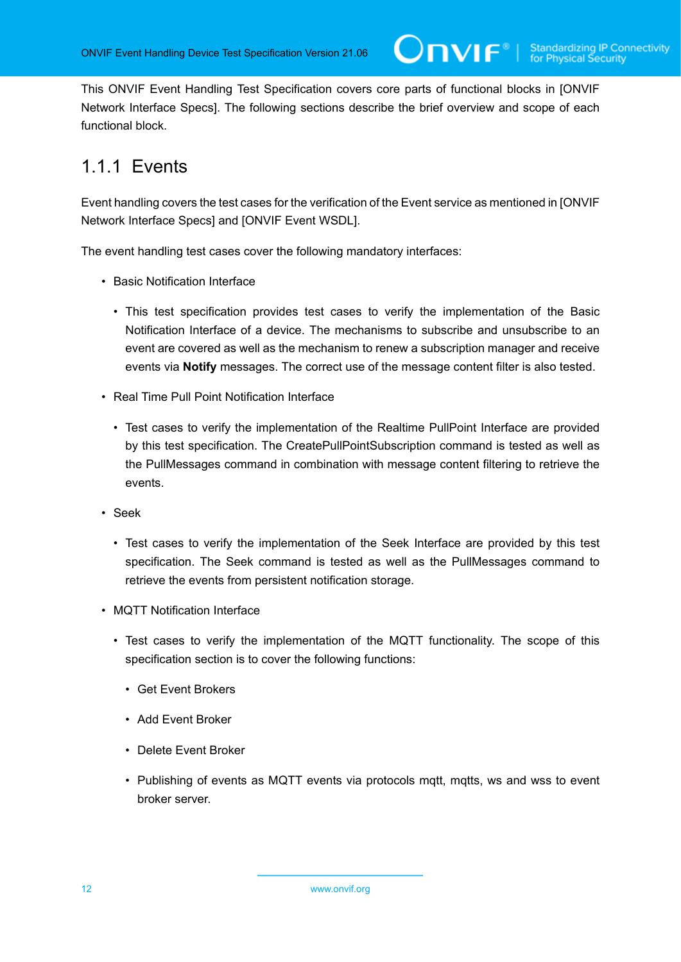This ONVIF Event Handling Test Specification covers core parts of functional blocks in [ONVIF Network Interface Specs]. The following sections describe the brief overview and scope of each functional block.

# <span id="page-11-0"></span>1.1.1 Events

Event handling covers the test cases for the verification of the Event service as mentioned in [ONVIF Network Interface Specs] and [ONVIF Event WSDL].

The event handling test cases cover the following mandatory interfaces:

- Basic Notification Interface
	- This test specification provides test cases to verify the implementation of the Basic Notification Interface of a device. The mechanisms to subscribe and unsubscribe to an event are covered as well as the mechanism to renew a subscription manager and receive events via **Notify** messages. The correct use of the message content filter is also tested.
- Real Time Pull Point Notification Interface
	- Test cases to verify the implementation of the Realtime PullPoint Interface are provided by this test specification. The CreatePullPointSubscription command is tested as well as the PullMessages command in combination with message content filtering to retrieve the events.
- Seek
	- Test cases to verify the implementation of the Seek Interface are provided by this test specification. The Seek command is tested as well as the PullMessages command to retrieve the events from persistent notification storage.
- MQTT Notification Interface
	- Test cases to verify the implementation of the MQTT functionality. The scope of this specification section is to cover the following functions:
		- Get Event Brokers
		- Add Event Broker
		- Delete Event Broker
		- Publishing of events as MQTT events via protocols mqtt, mqtts, ws and wss to event broker server.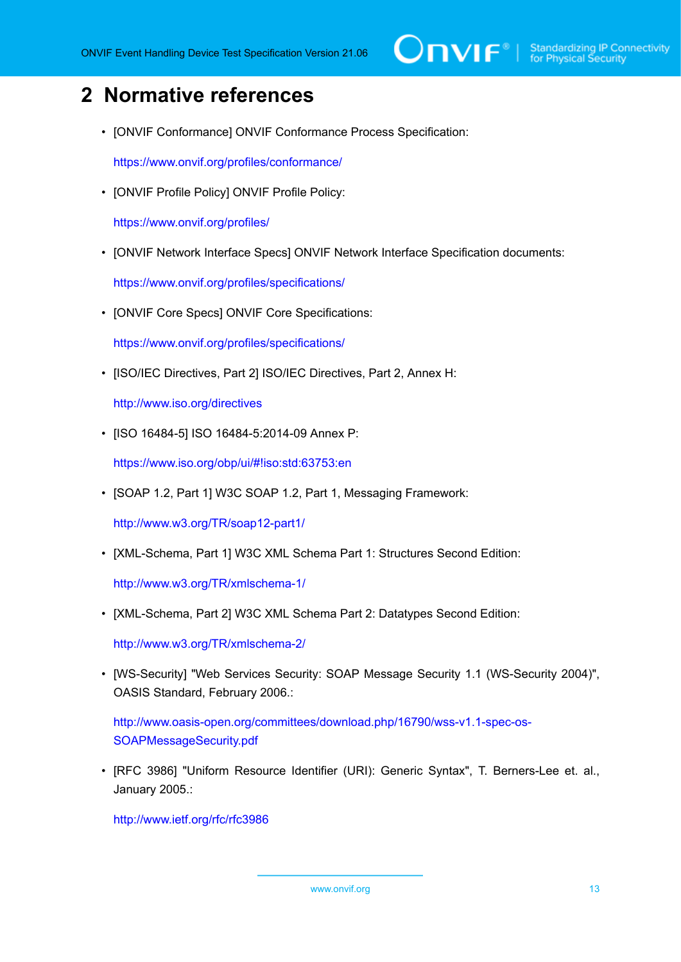# <span id="page-12-0"></span>**2 Normative references**

• [ONVIF Conformance] ONVIF Conformance Process Specification:

<https://www.onvif.org/profiles/conformance/>

• [ONVIF Profile Policy] ONVIF Profile Policy:

<https://www.onvif.org/profiles/>

• [ONVIF Network Interface Specs] ONVIF Network Interface Specification documents:

<https://www.onvif.org/profiles/specifications/>

• [ONVIF Core Specs] ONVIF Core Specifications:

<https://www.onvif.org/profiles/specifications/>

• [ISO/IEC Directives, Part 2] ISO/IEC Directives, Part 2, Annex H:

<http://www.iso.org/directives>

• [ISO 16484-5] ISO 16484-5:2014-09 Annex P:

<https://www.iso.org/obp/ui/#!iso:std:63753:en>

• [SOAP 1.2, Part 1] W3C SOAP 1.2, Part 1, Messaging Framework:

<http://www.w3.org/TR/soap12-part1/>

• [XML-Schema, Part 1] W3C XML Schema Part 1: Structures Second Edition:

<http://www.w3.org/TR/xmlschema-1/>

• [XML-Schema, Part 2] W3C XML Schema Part 2: Datatypes Second Edition:

<http://www.w3.org/TR/xmlschema-2/>

• [WS-Security] "Web Services Security: SOAP Message Security 1.1 (WS-Security 2004)", OASIS Standard, February 2006.:

[http://www.oasis-open.org/committees/download.php/16790/wss-v1.1-spec-os-](http://www.oasis-open.org/committees/download.php/16790/wss-v1.1-spec-os-SOAPMessageSecurity.pdf)[SOAPMessageSecurity.pdf](http://www.oasis-open.org/committees/download.php/16790/wss-v1.1-spec-os-SOAPMessageSecurity.pdf)

• [RFC 3986] "Uniform Resource Identifier (URI): Generic Syntax", T. Berners-Lee et. al., January 2005.:

<http://www.ietf.org/rfc/rfc3986>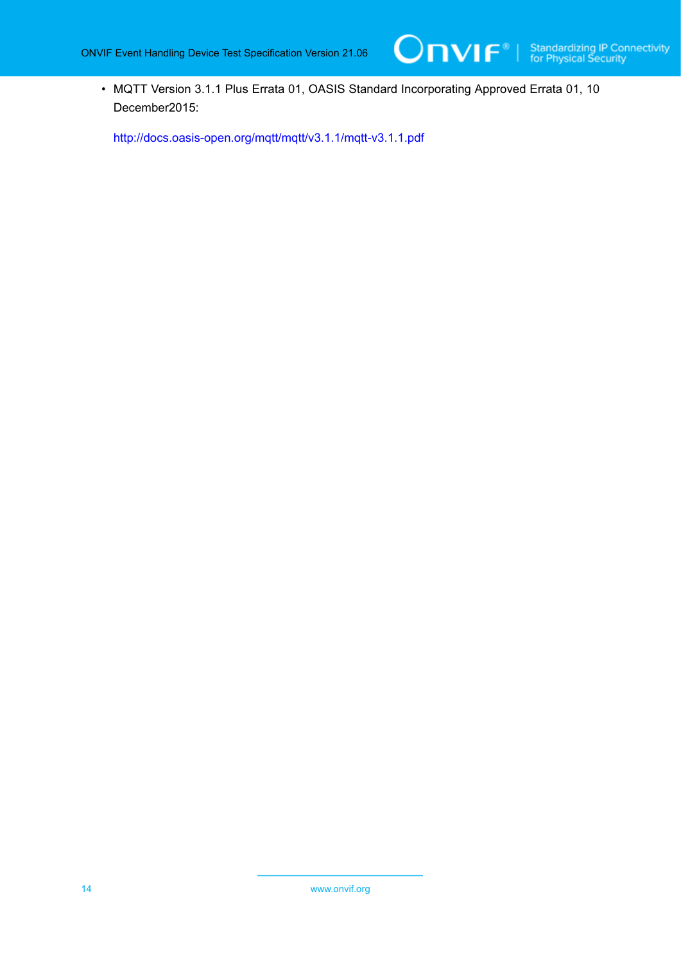• MQTT Version 3.1.1 Plus Errata 01, OASIS Standard Incorporating Approved Errata 01, 10 December2015:

<http://docs.oasis-open.org/mqtt/mqtt/v3.1.1/mqtt-v3.1.1.pdf>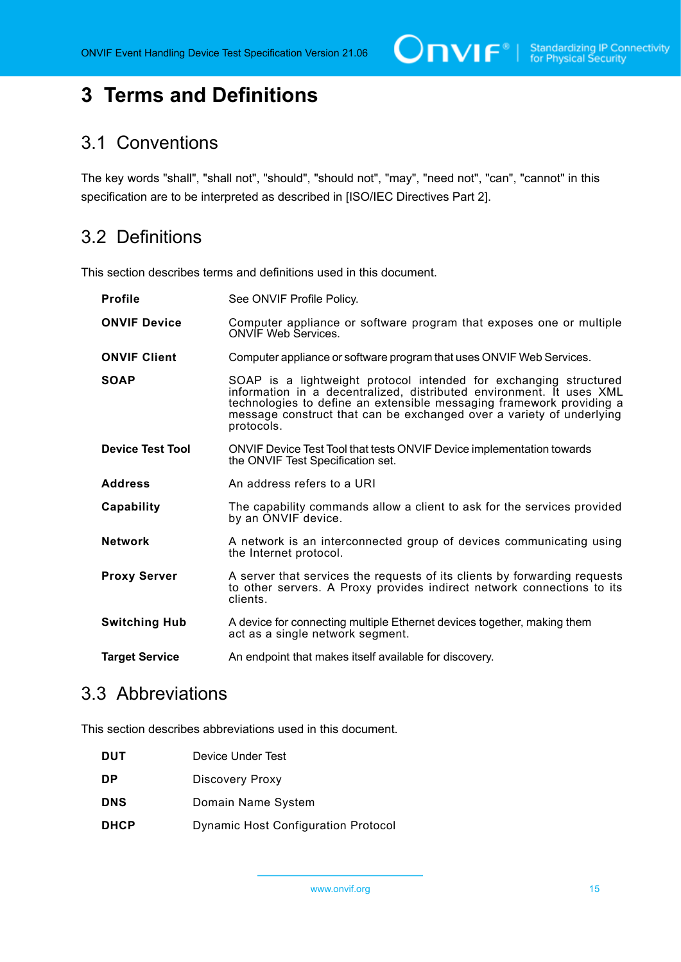$\bigcirc$   $\bigcap$   $\bigvee$   $\bigcap$   $\bigcirc$   $\bigcirc$   $\bigcirc$  Standardizing IP Connectivity

# <span id="page-14-0"></span>**3 Terms and Definitions**

### <span id="page-14-1"></span>3.1 Conventions

The key words "shall", "shall not", "should", "should not", "may", "need not", "can", "cannot" in this specification are to be interpreted as described in [ISO/IEC Directives Part 2].

# <span id="page-14-2"></span>3.2 Definitions

This section describes terms and definitions used in this document.

| <b>Profile</b>          | See ONVIF Profile Policy.                                                                                                                                                                                                                                                                               |
|-------------------------|---------------------------------------------------------------------------------------------------------------------------------------------------------------------------------------------------------------------------------------------------------------------------------------------------------|
| <b>ONVIF Device</b>     | Computer appliance or software program that exposes one or multiple<br><b>ONVIF Web Services.</b>                                                                                                                                                                                                       |
| <b>ONVIF Client</b>     | Computer appliance or software program that uses ONVIF Web Services.                                                                                                                                                                                                                                    |
| <b>SOAP</b>             | SOAP is a lightweight protocol intended for exchanging structured<br>information in a decentralized, distributed environment. It uses XML<br>technologies to define an extensible messaging framework providing a<br>message construct that can be exchanged over a variety of underlying<br>protocols. |
| <b>Device Test Tool</b> | ONVIF Device Test Tool that tests ONVIF Device implementation towards<br>the ONVIF Test Specification set.                                                                                                                                                                                              |
| <b>Address</b>          | An address refers to a URI                                                                                                                                                                                                                                                                              |
| Capability              | The capability commands allow a client to ask for the services provided<br>by an ONVIF device.                                                                                                                                                                                                          |
| <b>Network</b>          | A network is an interconnected group of devices communicating using<br>the Internet protocol.                                                                                                                                                                                                           |
| <b>Proxy Server</b>     | A server that services the requests of its clients by forwarding requests<br>to other servers. A Proxy provides indirect network connections to its<br>clients.                                                                                                                                         |
| <b>Switching Hub</b>    | A device for connecting multiple Ethernet devices together, making them<br>act as a single network segment.                                                                                                                                                                                             |
| <b>Target Service</b>   | An endpoint that makes itself available for discovery.                                                                                                                                                                                                                                                  |

### <span id="page-14-3"></span>3.3 Abbreviations

This section describes abbreviations used in this document.

| <b>DUT</b>  | Device Under Test                          |
|-------------|--------------------------------------------|
| <b>DP</b>   | <b>Discovery Proxy</b>                     |
| <b>DNS</b>  | Domain Name System                         |
| <b>DHCP</b> | <b>Dynamic Host Configuration Protocol</b> |
|             |                                            |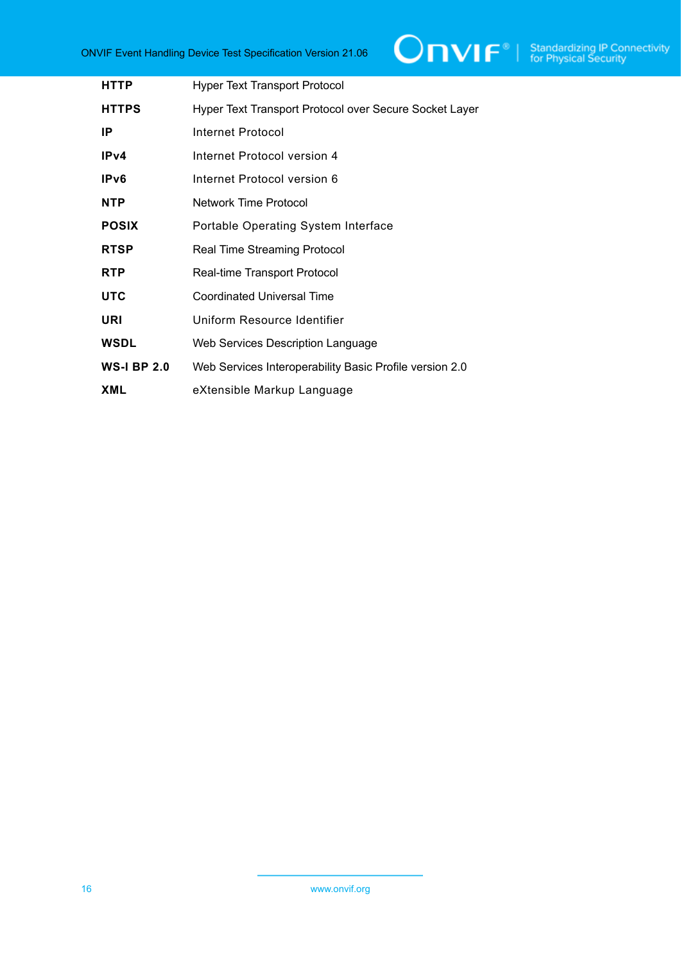

| <b>HTTP</b>        | <b>Hyper Text Transport Protocol</b>                    |
|--------------------|---------------------------------------------------------|
| <b>HTTPS</b>       | Hyper Text Transport Protocol over Secure Socket Layer  |
| ΙP                 | Internet Protocol                                       |
| IPv4               | Internet Protocol version 4                             |
| IP <sub>v</sub> 6  | Internet Protocol version 6                             |
| <b>NTP</b>         | Network Time Protocol                                   |
| <b>POSIX</b>       | Portable Operating System Interface                     |
| <b>RTSP</b>        | <b>Real Time Streaming Protocol</b>                     |
| <b>RTP</b>         | Real-time Transport Protocol                            |
| <b>UTC</b>         | <b>Coordinated Universal Time</b>                       |
| URI                | Uniform Resource Identifier                             |
| <b>WSDL</b>        | Web Services Description Language                       |
| <b>WS-I BP 2.0</b> | Web Services Interoperability Basic Profile version 2.0 |
| XML                | eXtensible Markup Language                              |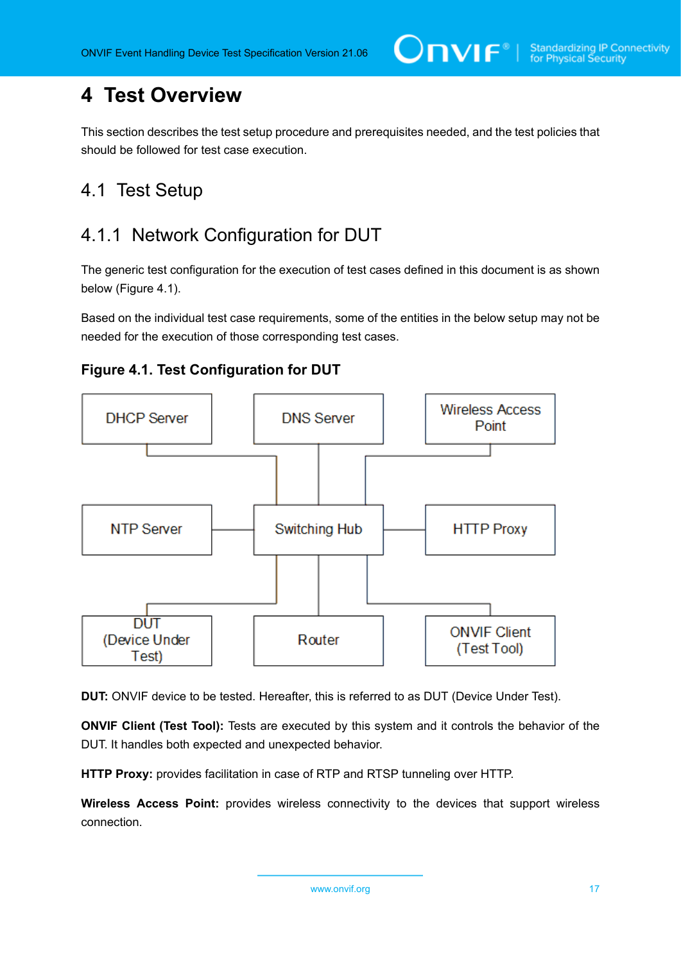# <span id="page-16-0"></span>**4 Test Overview**

This section describes the test setup procedure and prerequisites needed, and the test policies that should be followed for test case execution.

# <span id="page-16-1"></span>4.1 Test Setup

# <span id="page-16-2"></span>4.1.1 Network Configuration for DUT

The generic test configuration for the execution of test cases defined in this document is as shown below (Figure 4.1).

Based on the individual test case requirements, some of the entities in the below setup may not be needed for the execution of those corresponding test cases.





**DUT:** ONVIF device to be tested. Hereafter, this is referred to as DUT (Device Under Test).

**ONVIF Client (Test Tool):** Tests are executed by this system and it controls the behavior of the DUT. It handles both expected and unexpected behavior.

**HTTP Proxy:** provides facilitation in case of RTP and RTSP tunneling over HTTP.

**Wireless Access Point:** provides wireless connectivity to the devices that support wireless connection.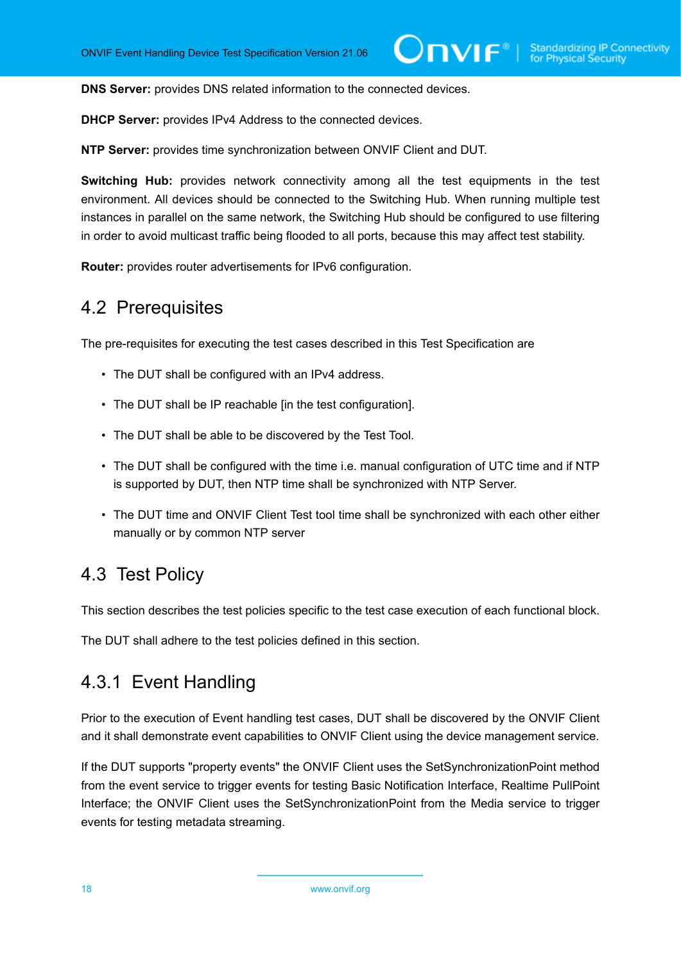**DNS Server:** provides DNS related information to the connected devices.

**DHCP Server:** provides IPv4 Address to the connected devices.

**NTP Server:** provides time synchronization between ONVIF Client and DUT.

**Switching Hub:** provides network connectivity among all the test equipments in the test environment. All devices should be connected to the Switching Hub. When running multiple test instances in parallel on the same network, the Switching Hub should be configured to use filtering in order to avoid multicast traffic being flooded to all ports, because this may affect test stability.

<span id="page-17-0"></span>**Router:** provides router advertisements for IPv6 configuration.

### 4.2 Prerequisites

The pre-requisites for executing the test cases described in this Test Specification are

- The DUT shall be configured with an IPv4 address.
- The DUT shall be IP reachable [in the test configuration].
- The DUT shall be able to be discovered by the Test Tool.
- The DUT shall be configured with the time i.e. manual configuration of UTC time and if NTP is supported by DUT, then NTP time shall be synchronized with NTP Server.
- The DUT time and ONVIF Client Test tool time shall be synchronized with each other either manually or by common NTP server

### <span id="page-17-1"></span>4.3 Test Policy

This section describes the test policies specific to the test case execution of each functional block.

<span id="page-17-2"></span>The DUT shall adhere to the test policies defined in this section.

### 4.3.1 Event Handling

Prior to the execution of Event handling test cases, DUT shall be discovered by the ONVIF Client and it shall demonstrate event capabilities to ONVIF Client using the device management service.

If the DUT supports "property events" the ONVIF Client uses the SetSynchronizationPoint method from the event service to trigger events for testing Basic Notification Interface, Realtime PullPoint Interface; the ONVIF Client uses the SetSynchronizationPoint from the Media service to trigger events for testing metadata streaming.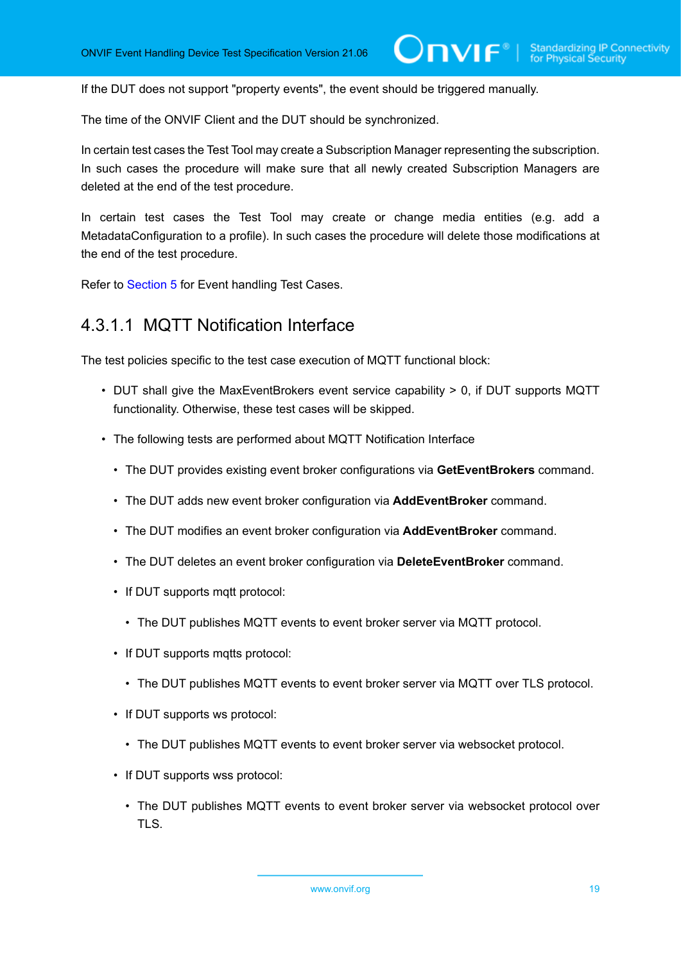$\mathsf{D}\mathbf{n}\mathsf{V}$ lf $^\circ$ l

If the DUT does not support "property events", the event should be triggered manually.

The time of the ONVIF Client and the DUT should be synchronized.

In certain test cases the Test Tool may create a Subscription Manager representing the subscription. In such cases the procedure will make sure that all newly created Subscription Managers are deleted at the end of the test procedure.

In certain test cases the Test Tool may create or change media entities (e.g. add a MetadataConfiguration to a profile). In such cases the procedure will delete those modifications at the end of the test procedure.

<span id="page-18-0"></span>Refer to [Section 5](#page-20-0) for Event handling Test Cases.

### 4.3.1.1 MQTT Notification Interface

The test policies specific to the test case execution of MQTT functional block:

- DUT shall give the MaxEventBrokers event service capability > 0, if DUT supports MQTT functionality. Otherwise, these test cases will be skipped.
- The following tests are performed about MQTT Notification Interface
	- The DUT provides existing event broker configurations via **GetEventBrokers** command.
	- The DUT adds new event broker configuration via **AddEventBroker** command.
	- The DUT modifies an event broker configuration via **AddEventBroker** command.
	- The DUT deletes an event broker configuration via **DeleteEventBroker** command.
	- If DUT supports mqtt protocol:
		- The DUT publishes MQTT events to event broker server via MQTT protocol.
	- If DUT supports mqtts protocol:
		- The DUT publishes MQTT events to event broker server via MQTT over TLS protocol.
	- If DUT supports ws protocol:
		- The DUT publishes MQTT events to event broker server via websocket protocol.
	- If DUT supports wss protocol:
		- The DUT publishes MQTT events to event broker server via websocket protocol over TLS.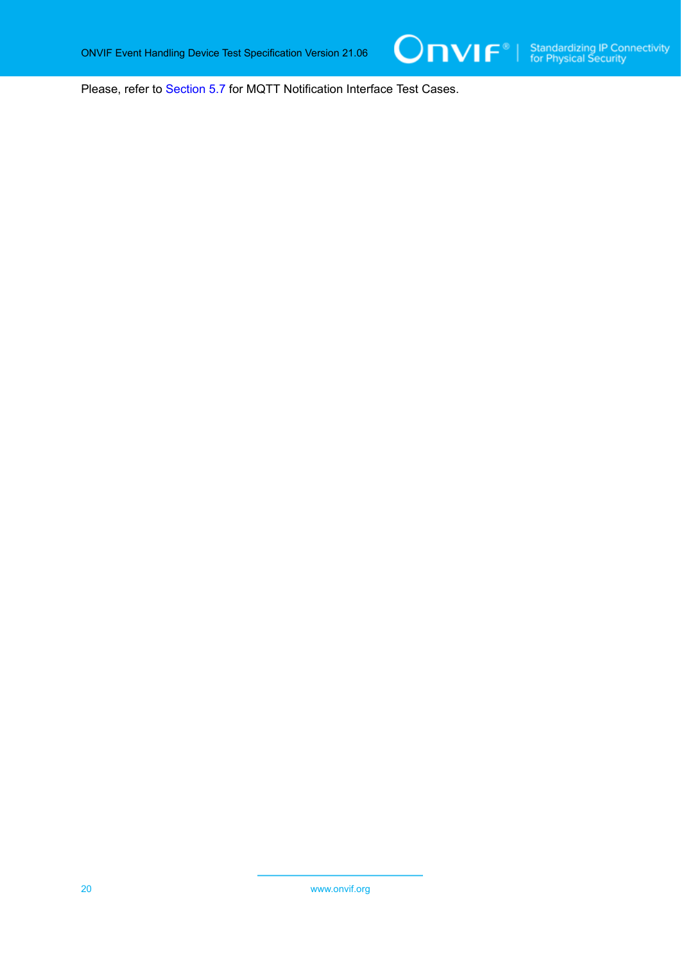Please, refer to [Section 5.7](#page-100-0) for MQTT Notification Interface Test Cases.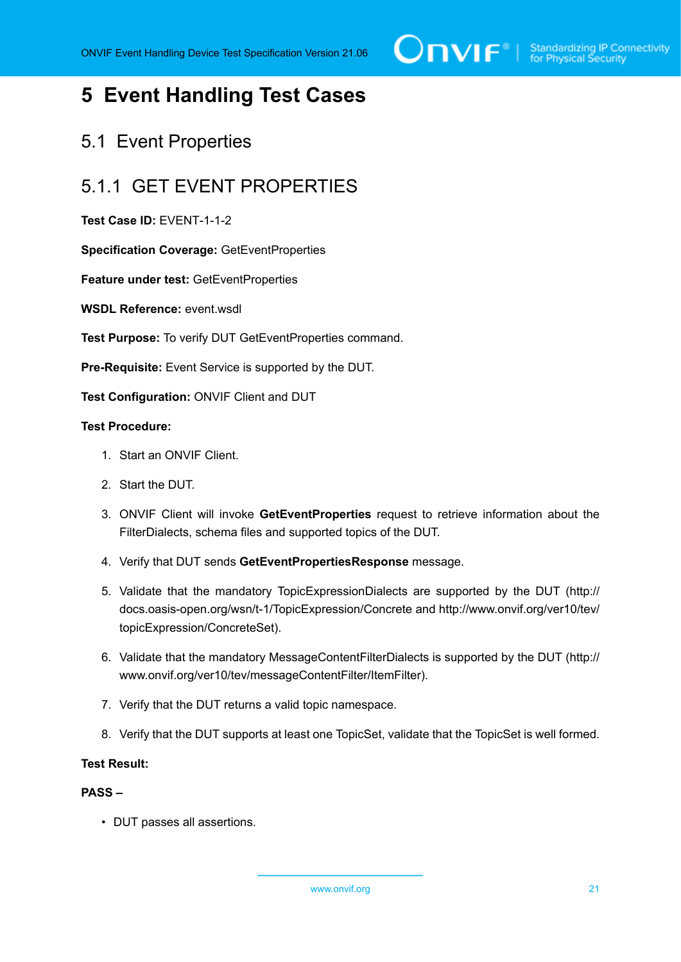

# <span id="page-20-0"></span>**5 Event Handling Test Cases**

### <span id="page-20-1"></span>5.1 Event Properties

# <span id="page-20-2"></span>5.1.1 GET EVENT PROPERTIES

**Test Case ID:** EVENT-1-1-2

**Specification Coverage:** GetEventProperties

**Feature under test:** GetEventProperties

WSDL Reference: event wsdl

**Test Purpose:** To verify DUT GetEventProperties command.

**Pre-Requisite:** Event Service is supported by the DUT.

**Test Configuration:** ONVIF Client and DUT

#### **Test Procedure:**

- 1. Start an ONVIF Client.
- 2. Start the DUT.
- 3. ONVIF Client will invoke **GetEventProperties** request to retrieve information about the FilterDialects, schema files and supported topics of the DUT.
- 4. Verify that DUT sends **GetEventPropertiesResponse** message.
- 5. Validate that the mandatory TopicExpressionDialects are supported by the DUT (http:// docs.oasis-open.org/wsn/t-1/TopicExpression/Concrete and http://www.onvif.org/ver10/tev/ topicExpression/ConcreteSet).
- 6. Validate that the mandatory MessageContentFilterDialects is supported by the DUT (http:// www.onvif.org/ver10/tev/messageContentFilter/ItemFilter).
- 7. Verify that the DUT returns a valid topic namespace.
- 8. Verify that the DUT supports at least one TopicSet, validate that the TopicSet is well formed.

#### **Test Result:**

#### **PASS –**

• DUT passes all assertions.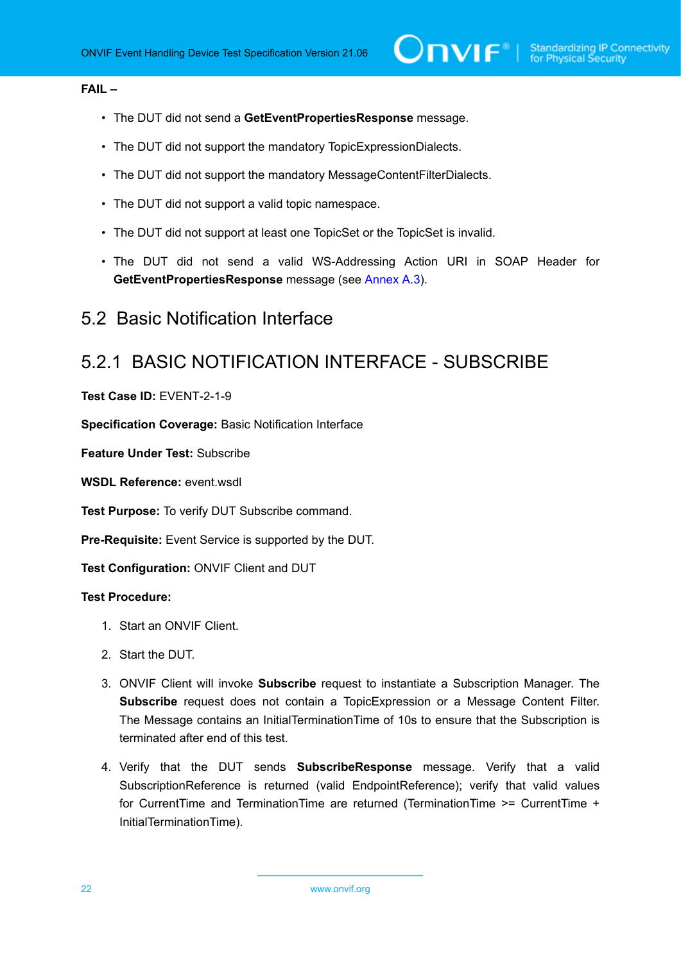#### **FAIL –**

- The DUT did not send a **GetEventPropertiesResponse** message.
- The DUT did not support the mandatory TopicExpressionDialects.
- The DUT did not support the mandatory MessageContentFilterDialects.
- The DUT did not support a valid topic namespace.
- The DUT did not support at least one TopicSet or the TopicSet is invalid.
- The DUT did not send a valid WS-Addressing Action URI in SOAP Header for **GetEventPropertiesResponse** message (see [Annex A.3](#page-135-0)).

### <span id="page-21-0"></span>5.2 Basic Notification Interface

# <span id="page-21-1"></span>5.2.1 BASIC NOTIFICATION INTERFACE - SUBSCRIBE

**Test Case ID:** EVENT-2-1-9

**Specification Coverage:** Basic Notification Interface

**Feature Under Test:** Subscribe

**WSDL Reference:** event wsdl

**Test Purpose:** To verify DUT Subscribe command.

**Pre-Requisite:** Event Service is supported by the DUT.

**Test Configuration:** ONVIF Client and DUT

#### **Test Procedure:**

- 1. Start an ONVIF Client.
- 2. Start the DUT.
- 3. ONVIF Client will invoke **Subscribe** request to instantiate a Subscription Manager. The **Subscribe** request does not contain a TopicExpression or a Message Content Filter. The Message contains an InitialTerminationTime of 10s to ensure that the Subscription is terminated after end of this test.
- 4. Verify that the DUT sends **SubscribeResponse** message. Verify that a valid SubscriptionReference is returned (valid EndpointReference); verify that valid values for CurrentTime and TerminationTime are returned (TerminationTime >= CurrentTime + InitialTerminationTime).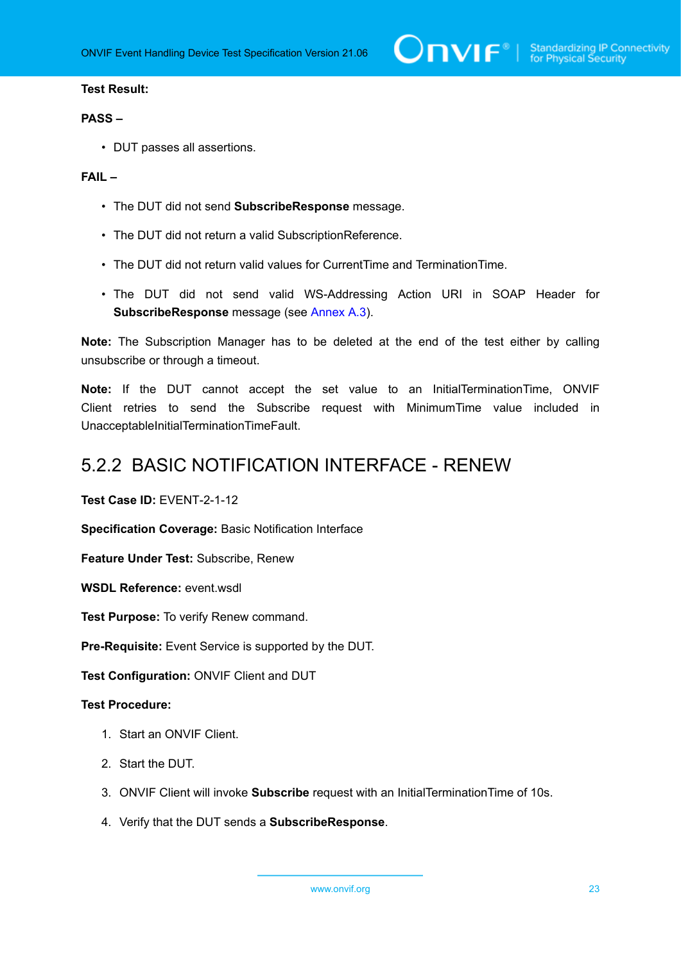#### **Test Result:**

#### **PASS –**

• DUT passes all assertions.

#### **FAIL –**

- The DUT did not send **SubscribeResponse** message.
- The DUT did not return a valid SubscriptionReference.
- The DUT did not return valid values for CurrentTime and TerminationTime.
- The DUT did not send valid WS-Addressing Action URI in SOAP Header for **SubscribeResponse** message (see [Annex A.3](#page-135-0)).

**Note:** The Subscription Manager has to be deleted at the end of the test either by calling unsubscribe or through a timeout.

**Note:** If the DUT cannot accept the set value to an InitialTerminationTime, ONVIF Client retries to send the Subscribe request with MinimumTime value included in UnacceptableInitialTerminationTimeFault.

### <span id="page-22-0"></span>5.2.2 BASIC NOTIFICATION INTERFACE - RENEW

**Test Case ID:** EVENT-2-1-12

**Specification Coverage:** Basic Notification Interface

**Feature Under Test:** Subscribe, Renew

**WSDL Reference:** event wsdl.

**Test Purpose:** To verify Renew command.

**Pre-Requisite:** Event Service is supported by the DUT.

**Test Configuration:** ONVIF Client and DUT

#### **Test Procedure:**

- 1. Start an ONVIF Client.
- 2. Start the DUT.
- 3. ONVIF Client will invoke **Subscribe** request with an InitialTerminationTime of 10s.
- 4. Verify that the DUT sends a **SubscribeResponse**.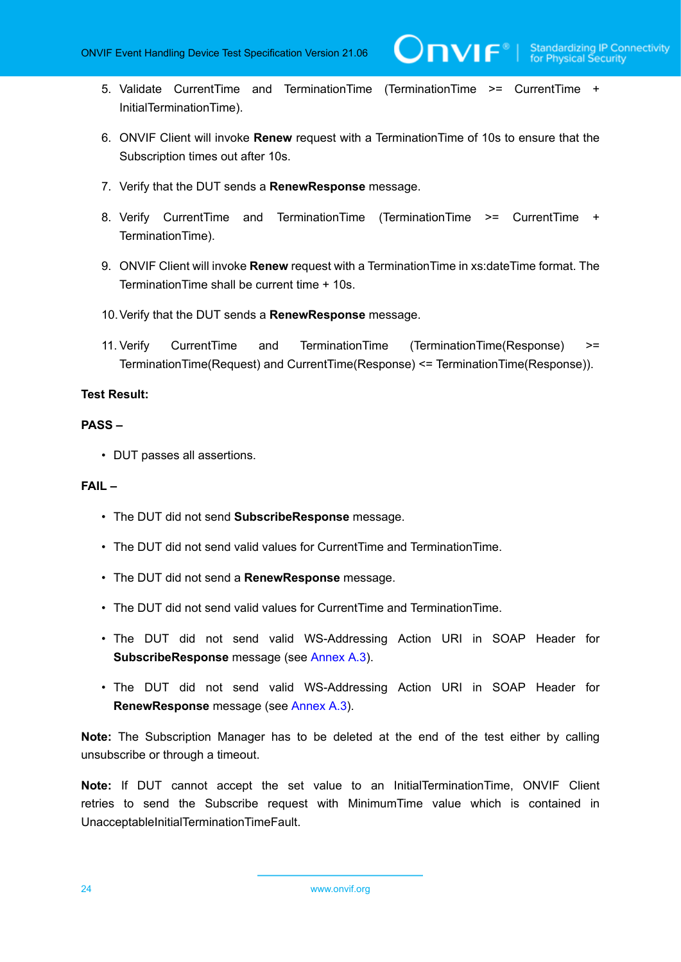- 5. Validate CurrentTime and TerminationTime (TerminationTime >= CurrentTime + InitialTerminationTime).
- 6. ONVIF Client will invoke **Renew** request with a TerminationTime of 10s to ensure that the Subscription times out after 10s.
- 7. Verify that the DUT sends a **RenewResponse** message.
- 8. Verify CurrentTime and TerminationTime (TerminationTime >= CurrentTime + TerminationTime).
- 9. ONVIF Client will invoke **Renew** request with a TerminationTime in xs:dateTime format. The TerminationTime shall be current time + 10s.
- 10.Verify that the DUT sends a **RenewResponse** message.
- 11. Verify CurrentTime and TerminationTime (TerminationTime(Response) >= TerminationTime(Request) and CurrentTime(Response) <= TerminationTime(Response)).

#### **Test Result:**

#### **PASS –**

• DUT passes all assertions.

#### **FAIL –**

- The DUT did not send **SubscribeResponse** message.
- The DUT did not send valid values for CurrentTime and TerminationTime.
- The DUT did not send a **RenewResponse** message.
- The DUT did not send valid values for CurrentTime and TerminationTime.
- The DUT did not send valid WS-Addressing Action URI in SOAP Header for **SubscribeResponse** message (see [Annex A.3](#page-135-0)).
- The DUT did not send valid WS-Addressing Action URI in SOAP Header for **RenewResponse** message (see [Annex A.3](#page-135-0)).

**Note:** The Subscription Manager has to be deleted at the end of the test either by calling unsubscribe or through a timeout.

**Note:** If DUT cannot accept the set value to an InitialTerminationTime, ONVIF Client retries to send the Subscribe request with MinimumTime value which is contained in UnacceptableInitialTerminationTimeFault.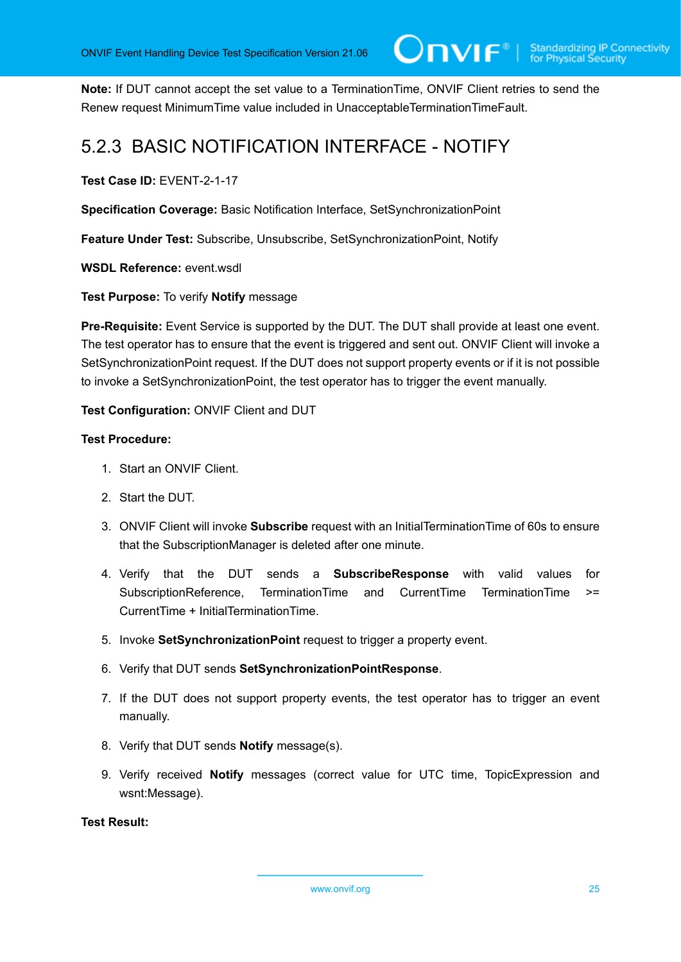**Note:** If DUT cannot accept the set value to a TerminationTime, ONVIF Client retries to send the Renew request MinimumTime value included in UnacceptableTerminationTimeFault.

# <span id="page-24-0"></span>5.2.3 BASIC NOTIFICATION INTERFACE - NOTIFY

**Test Case ID:** EVENT-2-1-17

**Specification Coverage:** Basic Notification Interface, SetSynchronizationPoint

**Feature Under Test:** Subscribe, Unsubscribe, SetSynchronizationPoint, Notify

**WSDL Reference:** event.wsdl

**Test Purpose:** To verify **Notify** message

**Pre-Requisite:** Event Service is supported by the DUT. The DUT shall provide at least one event. The test operator has to ensure that the event is triggered and sent out. ONVIF Client will invoke a SetSynchronizationPoint request. If the DUT does not support property events or if it is not possible to invoke a SetSynchronizationPoint, the test operator has to trigger the event manually.

**Test Configuration:** ONVIF Client and DUT

#### **Test Procedure:**

- 1. Start an ONVIF Client.
- 2. Start the DUT.
- 3. ONVIF Client will invoke **Subscribe** request with an InitialTerminationTime of 60s to ensure that the SubscriptionManager is deleted after one minute.
- 4. Verify that the DUT sends a **SubscribeResponse** with valid values for SubscriptionReference, TerminationTime and CurrentTime TerminationTime >= CurrentTime + InitialTerminationTime.
- 5. Invoke **SetSynchronizationPoint** request to trigger a property event.
- 6. Verify that DUT sends **SetSynchronizationPointResponse**.
- 7. If the DUT does not support property events, the test operator has to trigger an event manually.
- 8. Verify that DUT sends **Notify** message(s).
- 9. Verify received **Notify** messages (correct value for UTC time, TopicExpression and wsnt:Message).

#### **Test Result:**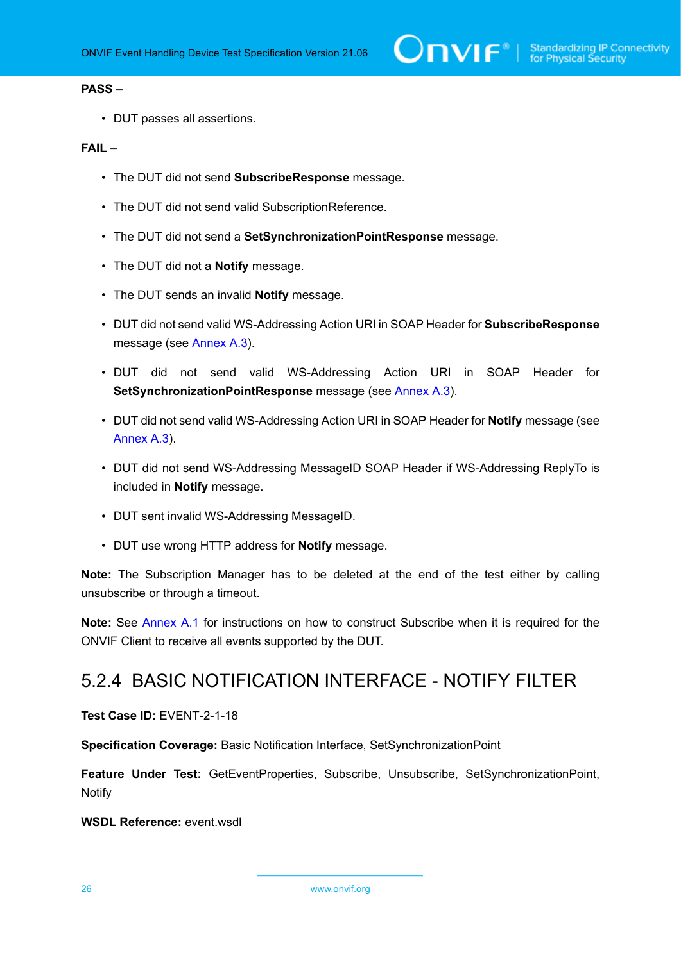#### **PASS –**

• DUT passes all assertions.

#### **FAIL –**

- The DUT did not send **SubscribeResponse** message.
- The DUT did not send valid SubscriptionReference.
- The DUT did not send a **SetSynchronizationPointResponse** message.
- The DUT did not a **Notify** message.
- The DUT sends an invalid **Notify** message.
- DUT did not send valid WS-Addressing Action URI in SOAP Header for **SubscribeResponse** message (see [Annex A.3](#page-135-0)).
- DUT did not send valid WS-Addressing Action URI in SOAP Header for **SetSynchronizationPointResponse** message (see [Annex A.3\)](#page-135-0).
- DUT did not send valid WS-Addressing Action URI in SOAP Header for **Notify** message (see [Annex A.3\)](#page-135-0).
- DUT did not send WS-Addressing MessageID SOAP Header if WS-Addressing ReplyTo is included in **Notify** message.
- DUT sent invalid WS-Addressing MessageID.
- DUT use wrong HTTP address for **Notify** message.

**Note:** The Subscription Manager has to be deleted at the end of the test either by calling unsubscribe or through a timeout.

**Note:** See [Annex A.1](#page-128-1) for instructions on how to construct Subscribe when it is required for the ONVIF Client to receive all events supported by the DUT.

### <span id="page-25-0"></span>5.2.4 BASIC NOTIFICATION INTERFACE - NOTIFY FILTER

**Test Case ID:** EVENT-2-1-18

**Specification Coverage:** Basic Notification Interface, SetSynchronizationPoint

**Feature Under Test:** GetEventProperties, Subscribe, Unsubscribe, SetSynchronizationPoint, Notify

**WSDL Reference:** event.wsdl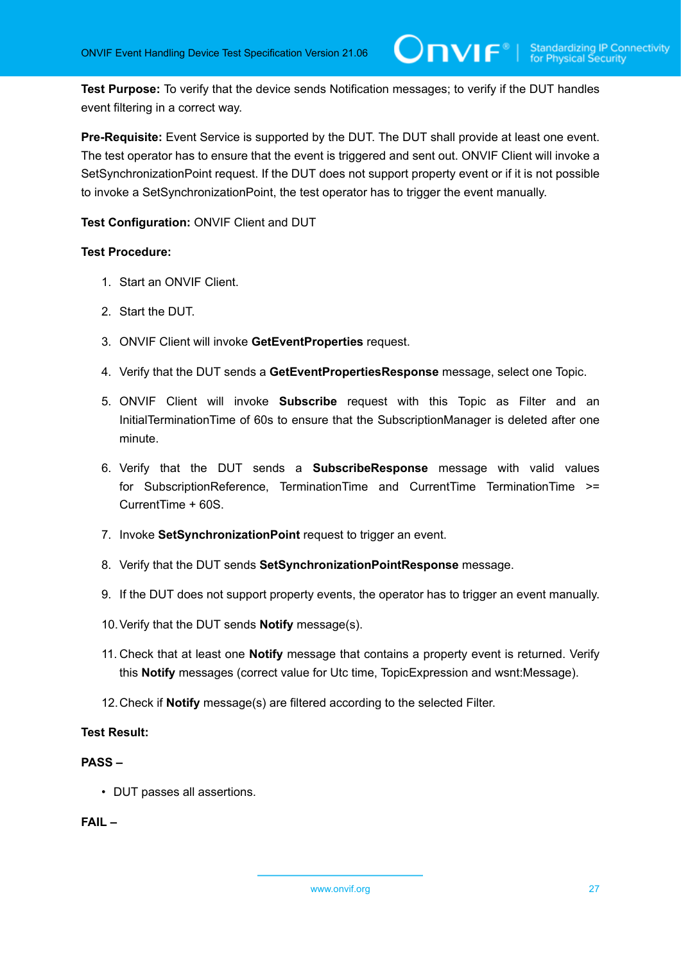**Test Purpose:** To verify that the device sends Notification messages; to verify if the DUT handles event filtering in a correct way.

**Pre-Requisite:** Event Service is supported by the DUT. The DUT shall provide at least one event. The test operator has to ensure that the event is triggered and sent out. ONVIF Client will invoke a SetSynchronizationPoint request. If the DUT does not support property event or if it is not possible to invoke a SetSynchronizationPoint, the test operator has to trigger the event manually.

**Test Configuration:** ONVIF Client and DUT

#### **Test Procedure:**

- 1. Start an ONVIF Client.
- 2. Start the DUT.
- 3. ONVIF Client will invoke **GetEventProperties** request.
- 4. Verify that the DUT sends a **GetEventPropertiesResponse** message, select one Topic.
- 5. ONVIF Client will invoke **Subscribe** request with this Topic as Filter and an InitialTerminationTime of 60s to ensure that the SubscriptionManager is deleted after one minute.
- 6. Verify that the DUT sends a **SubscribeResponse** message with valid values for SubscriptionReference, TerminationTime and CurrentTime TerminationTime >= CurrentTime + 60S.
- 7. Invoke **SetSynchronizationPoint** request to trigger an event.
- 8. Verify that the DUT sends **SetSynchronizationPointResponse** message.
- 9. If the DUT does not support property events, the operator has to trigger an event manually.
- 10.Verify that the DUT sends **Notify** message(s).
- 11. Check that at least one **Notify** message that contains a property event is returned. Verify this **Notify** messages (correct value for Utc time, TopicExpression and wsnt:Message).
- 12.Check if **Notify** message(s) are filtered according to the selected Filter.

#### **Test Result:**

#### **PASS –**

• DUT passes all assertions.

#### **FAIL –**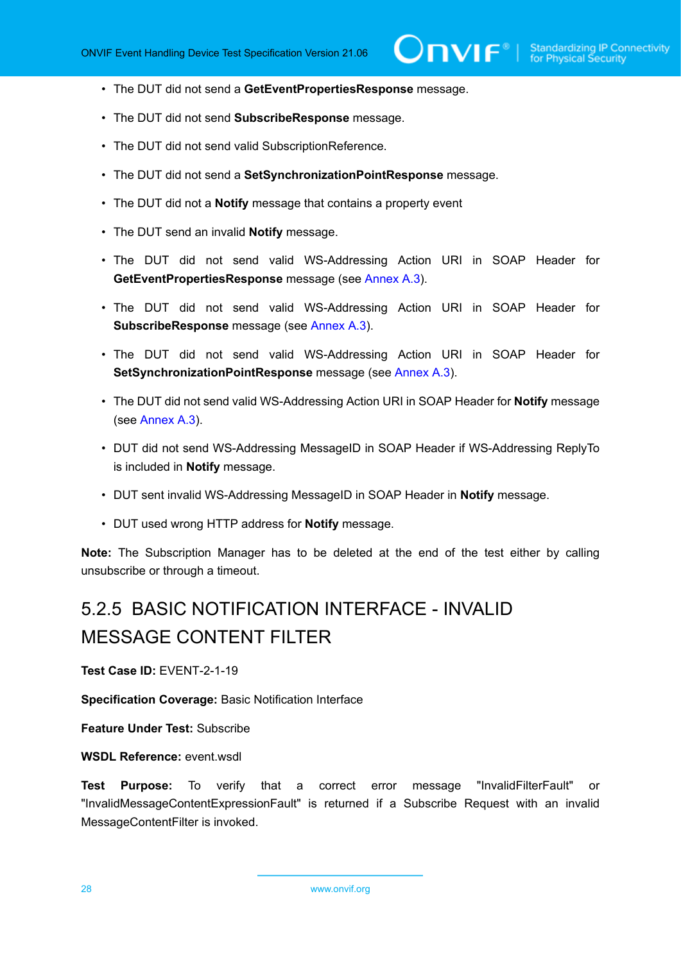- The DUT did not send a **GetEventPropertiesResponse** message.
- The DUT did not send **SubscribeResponse** message.
- The DUT did not send valid SubscriptionReference.
- The DUT did not send a **SetSynchronizationPointResponse** message.
- The DUT did not a **Notify** message that contains a property event
- The DUT send an invalid **Notify** message.
- The DUT did not send valid WS-Addressing Action URI in SOAP Header for **GetEventPropertiesResponse** message (see [Annex A.3](#page-135-0)).
- The DUT did not send valid WS-Addressing Action URI in SOAP Header for **SubscribeResponse** message (see [Annex A.3](#page-135-0)).
- The DUT did not send valid WS-Addressing Action URI in SOAP Header for **SetSynchronizationPointResponse** message (see [Annex A.3\)](#page-135-0).
- The DUT did not send valid WS-Addressing Action URI in SOAP Header for **Notify** message (see [Annex A.3\)](#page-135-0).
- DUT did not send WS-Addressing MessageID in SOAP Header if WS-Addressing ReplyTo is included in **Notify** message.
- DUT sent invalid WS-Addressing MessageID in SOAP Header in **Notify** message.
- DUT used wrong HTTP address for **Notify** message.

**Note:** The Subscription Manager has to be deleted at the end of the test either by calling unsubscribe or through a timeout.

# <span id="page-27-0"></span>5.2.5 BASIC NOTIFICATION INTERFACE - INVALID MESSAGE CONTENT FILTER

**Test Case ID:** EVENT-2-1-19

**Specification Coverage:** Basic Notification Interface

**Feature Under Test:** Subscribe

**WSDL Reference:** event.wsdl

**Test Purpose:** To verify that a correct error message "InvalidFilterFault" or "InvalidMessageContentExpressionFault" is returned if a Subscribe Request with an invalid MessageContentFilter is invoked.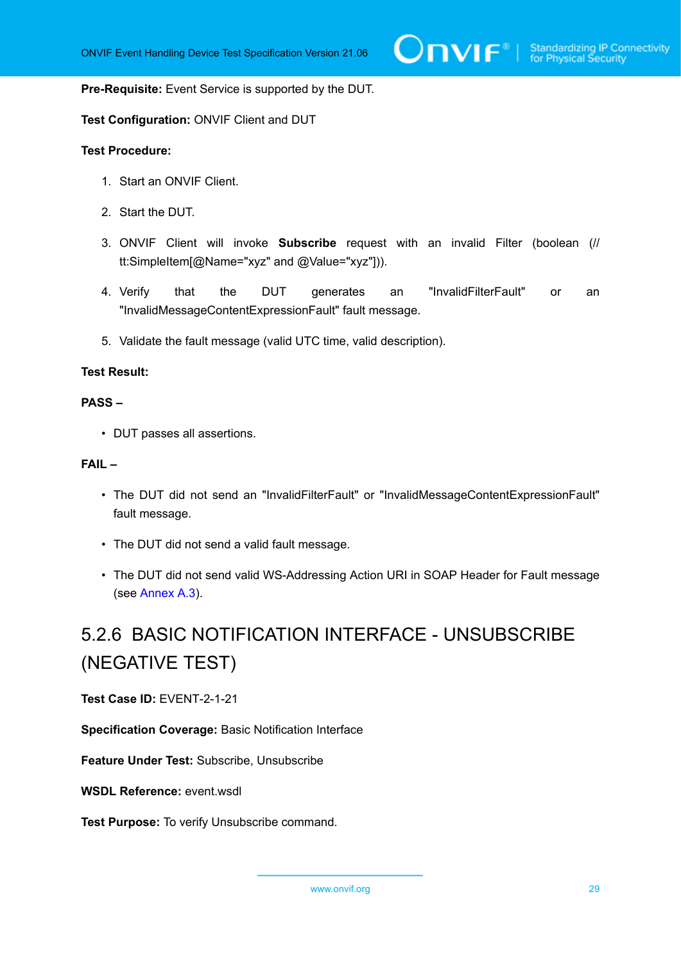#### **Pre-Requisite:** Event Service is supported by the DUT.

#### **Test Configuration:** ONVIF Client and DUT

#### **Test Procedure:**

- 1. Start an ONVIF Client.
- 2. Start the DUT.
- 3. ONVIF Client will invoke **Subscribe** request with an invalid Filter (boolean (// tt:SimpleItem[@Name="xyz" and @Value="xyz"])).
- 4. Verify that the DUT generates an "InvalidFilterFault" or an "InvalidMessageContentExpressionFault" fault message.
- 5. Validate the fault message (valid UTC time, valid description).

#### **Test Result:**

#### **PASS –**

• DUT passes all assertions.

#### **FAIL –**

- The DUT did not send an "InvalidFilterFault" or "InvalidMessageContentExpressionFault" fault message.
- The DUT did not send a valid fault message.
- The DUT did not send valid WS-Addressing Action URI in SOAP Header for Fault message (see [Annex A.3\)](#page-135-0).

# <span id="page-28-0"></span>5.2.6 BASIC NOTIFICATION INTERFACE - UNSUBSCRIBE (NEGATIVE TEST)

**Test Case ID:** EVENT-2-1-21

**Specification Coverage:** Basic Notification Interface

**Feature Under Test:** Subscribe, Unsubscribe

**WSDL Reference:** event.wsdl

**Test Purpose:** To verify Unsubscribe command.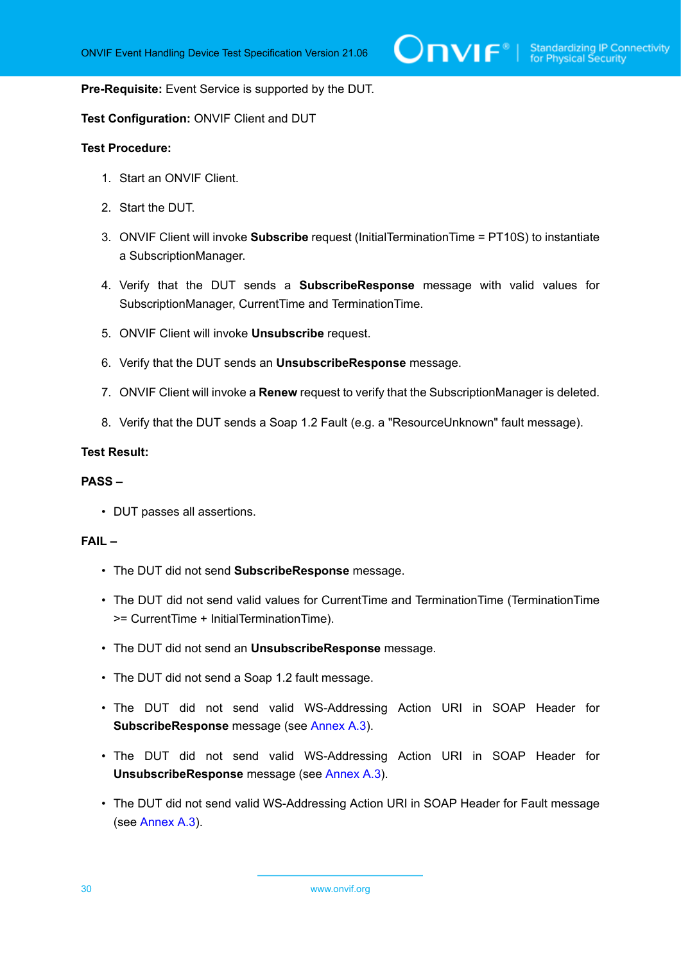#### **Pre-Requisite:** Event Service is supported by the DUT.

#### **Test Configuration:** ONVIF Client and DUT

#### **Test Procedure:**

- 1. Start an ONVIF Client.
- 2. Start the DUT.
- 3. ONVIF Client will invoke **Subscribe** request (InitialTerminationTime = PT10S) to instantiate a SubscriptionManager.
- 4. Verify that the DUT sends a **SubscribeResponse** message with valid values for SubscriptionManager, CurrentTime and TerminationTime.
- 5. ONVIF Client will invoke **Unsubscribe** request.
- 6. Verify that the DUT sends an **UnsubscribeResponse** message.
- 7. ONVIF Client will invoke a **Renew** request to verify that the SubscriptionManager is deleted.
- 8. Verify that the DUT sends a Soap 1.2 Fault (e.g. a "ResourceUnknown" fault message).

#### **Test Result:**

#### **PASS –**

• DUT passes all assertions.

#### **FAIL –**

- The DUT did not send **SubscribeResponse** message.
- The DUT did not send valid values for CurrentTime and TerminationTime (TerminationTime >= CurrentTime + InitialTerminationTime).
- The DUT did not send an **UnsubscribeResponse** message.
- The DUT did not send a Soap 1.2 fault message.
- The DUT did not send valid WS-Addressing Action URI in SOAP Header for **SubscribeResponse** message (see [Annex A.3](#page-135-0)).
- The DUT did not send valid WS-Addressing Action URI in SOAP Header for **UnsubscribeResponse** message (see [Annex A.3](#page-135-0)).
- The DUT did not send valid WS-Addressing Action URI in SOAP Header for Fault message (see [Annex A.3\)](#page-135-0).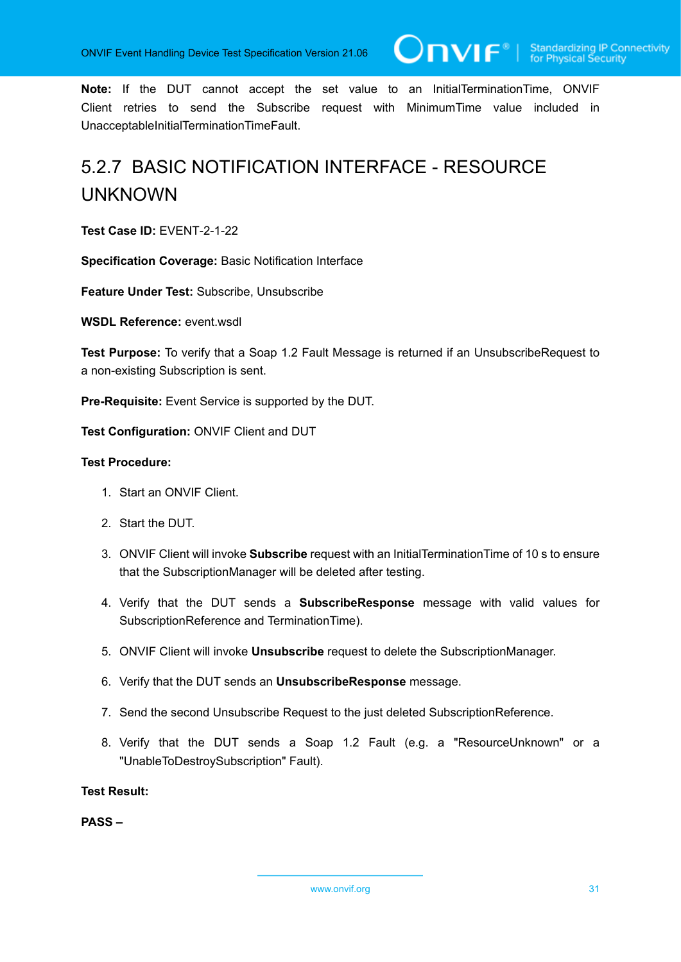**Note:** If the DUT cannot accept the set value to an InitialTerminationTime, ONVIF Client retries to send the Subscribe request with MinimumTime value included in UnacceptableInitialTerminationTimeFault.

# <span id="page-30-0"></span>5.2.7 BASIC NOTIFICATION INTERFACE - RESOURCE UNKNOWN

**Test Case ID:** EVENT-2-1-22

**Specification Coverage:** Basic Notification Interface

**Feature Under Test:** Subscribe, Unsubscribe

**WSDL Reference:** event wsdl

**Test Purpose:** To verify that a Soap 1.2 Fault Message is returned if an UnsubscribeRequest to a non-existing Subscription is sent.

**Pre-Requisite:** Event Service is supported by the DUT.

**Test Configuration:** ONVIF Client and DUT

#### **Test Procedure:**

- 1. Start an ONVIF Client.
- 2. Start the DUT.
- 3. ONVIF Client will invoke **Subscribe** request with an InitialTerminationTime of 10 s to ensure that the SubscriptionManager will be deleted after testing.
- 4. Verify that the DUT sends a **SubscribeResponse** message with valid values for SubscriptionReference and TerminationTime).
- 5. ONVIF Client will invoke **Unsubscribe** request to delete the SubscriptionManager.
- 6. Verify that the DUT sends an **UnsubscribeResponse** message.
- 7. Send the second Unsubscribe Request to the just deleted SubscriptionReference.
- 8. Verify that the DUT sends a Soap 1.2 Fault (e.g. a "ResourceUnknown" or a "UnableToDestroySubscription" Fault).

**Test Result:**

**PASS –**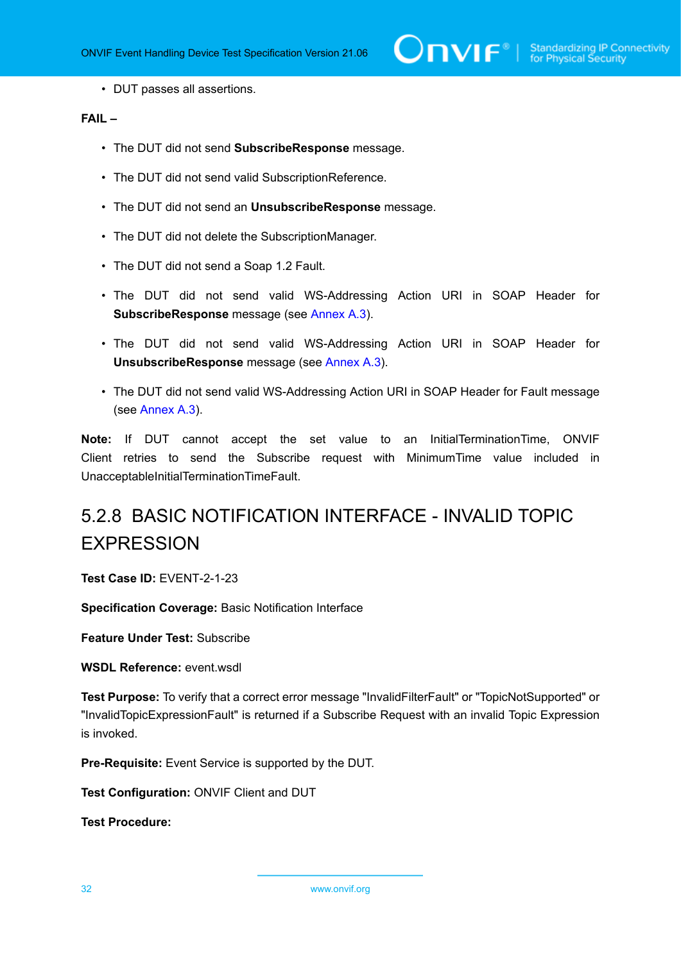• DUT passes all assertions.

#### **FAIL –**

- The DUT did not send **SubscribeResponse** message.
- The DUT did not send valid SubscriptionReference.
- The DUT did not send an **UnsubscribeResponse** message.
- The DUT did not delete the SubscriptionManager.
- The DUT did not send a Soap 1.2 Fault.
- The DUT did not send valid WS-Addressing Action URI in SOAP Header for **SubscribeResponse** message (see [Annex A.3](#page-135-0)).
- The DUT did not send valid WS-Addressing Action URI in SOAP Header for **UnsubscribeResponse** message (see [Annex A.3](#page-135-0)).
- The DUT did not send valid WS-Addressing Action URI in SOAP Header for Fault message (see [Annex A.3\)](#page-135-0).

**Note:** If DUT cannot accept the set value to an InitialTerminationTime, ONVIF Client retries to send the Subscribe request with MinimumTime value included in UnacceptableInitialTerminationTimeFault.

# <span id="page-31-0"></span>5.2.8 BASIC NOTIFICATION INTERFACE - INVALID TOPIC **EXPRESSION**

**Test Case ID:** EVENT-2-1-23

**Specification Coverage:** Basic Notification Interface

**Feature Under Test:** Subscribe

**WSDL Reference:** event.wsdl

**Test Purpose:** To verify that a correct error message "InvalidFilterFault" or "TopicNotSupported" or "InvalidTopicExpressionFault" is returned if a Subscribe Request with an invalid Topic Expression is invoked.

**Pre-Requisite:** Event Service is supported by the DUT.

**Test Configuration:** ONVIF Client and DUT

**Test Procedure:**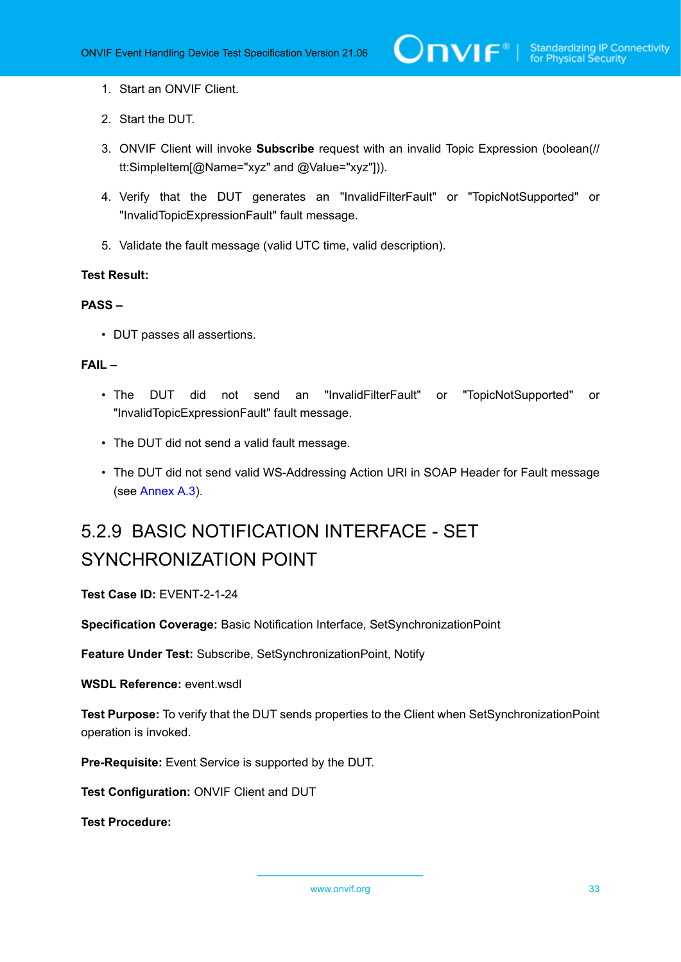- 1. Start an ONVIF Client.
- 2. Start the DUT.
- 3. ONVIF Client will invoke **Subscribe** request with an invalid Topic Expression (boolean(// tt:SimpleItem[@Name="xyz" and @Value="xyz"])).
- 4. Verify that the DUT generates an "InvalidFilterFault" or "TopicNotSupported" or "InvalidTopicExpressionFault" fault message.
- 5. Validate the fault message (valid UTC time, valid description).

#### **Test Result:**

#### **PASS –**

• DUT passes all assertions.

#### **FAIL –**

- The DUT did not send an "InvalidFilterFault" or "TopicNotSupported" or "InvalidTopicExpressionFault" fault message.
- The DUT did not send a valid fault message.
- The DUT did not send valid WS-Addressing Action URI in SOAP Header for Fault message (see [Annex A.3\)](#page-135-0).

# <span id="page-32-0"></span>5.2.9 BASIC NOTIFICATION INTERFACE - SET SYNCHRONIZATION POINT

**Test Case ID:** EVENT-2-1-24

**Specification Coverage:** Basic Notification Interface, SetSynchronizationPoint

**Feature Under Test:** Subscribe, SetSynchronizationPoint, Notify

**WSDL Reference:** event.wsdl

**Test Purpose:** To verify that the DUT sends properties to the Client when SetSynchronizationPoint operation is invoked.

**Pre-Requisite:** Event Service is supported by the DUT.

**Test Configuration:** ONVIF Client and DUT

**Test Procedure:**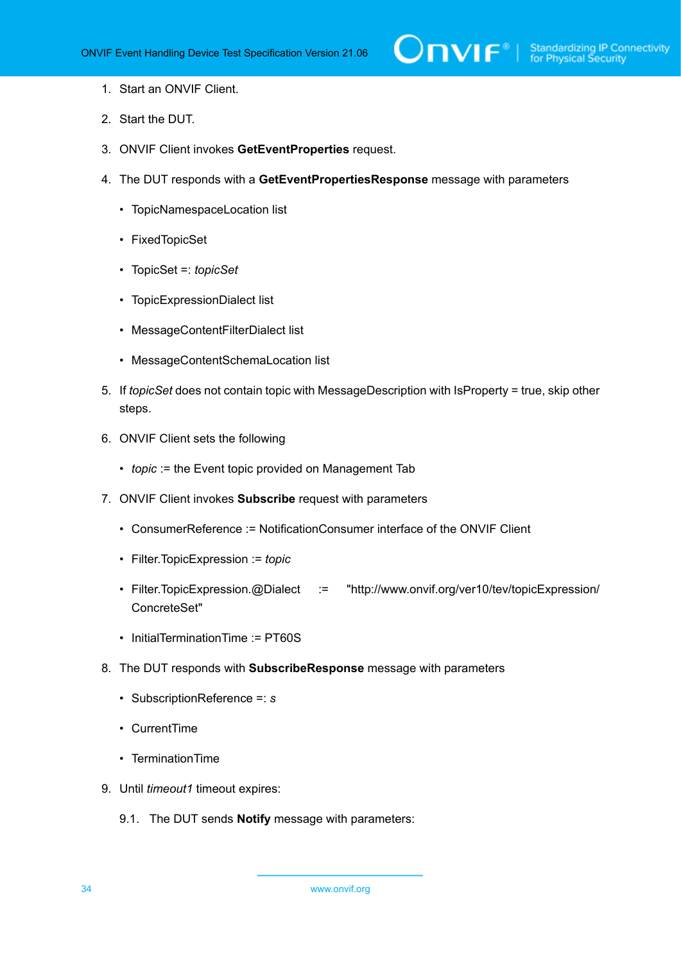- 1. Start an ONVIF Client.
- 2. Start the DUT.
- 3. ONVIF Client invokes **GetEventProperties** request.
- 4. The DUT responds with a **GetEventPropertiesResponse** message with parameters
	- TopicNamespaceLocation list
	- FixedTopicSet
	- TopicSet =: *topicSet*
	- TopicExpressionDialect list
	- MessageContentFilterDialect list
	- MessageContentSchemaLocation list
- 5. If *topicSet* does not contain topic with MessageDescription with IsProperty = true, skip other steps.
- 6. ONVIF Client sets the following
	- *topic* := the Event topic provided on Management Tab
- 7. ONVIF Client invokes **Subscribe** request with parameters
	- ConsumerReference := NotificationConsumer interface of the ONVIF Client
	- Filter.TopicExpression := *topic*
	- Filter.TopicExpression.@Dialect := "http://www.onvif.org/ver10/tev/topicExpression/ ConcreteSet"
	- InitialTerminationTime := PT60S
- 8. The DUT responds with **SubscribeResponse** message with parameters
	- SubscriptionReference =: *s*
	- CurrentTime
	- TerminationTime
- <span id="page-33-0"></span>9. Until *timeout1* timeout expires:
	- 9.1. The DUT sends **Notify** message with parameters: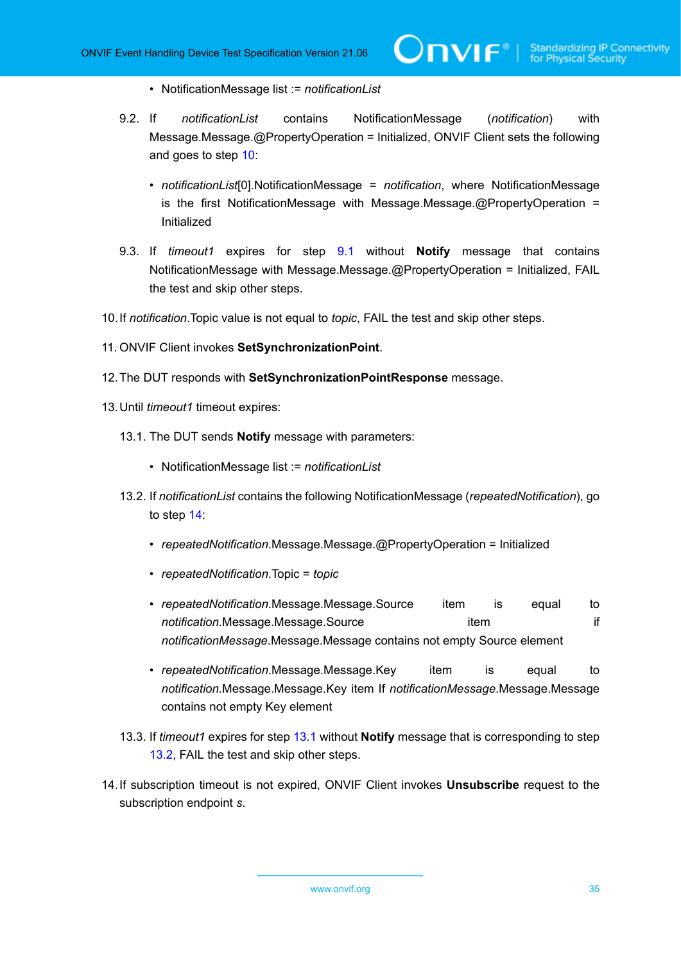- NotificationMessage list := *notificationList*
- 9.2. If *notificationList* contains NotificationMessage (*notification*) with Message.Message.@PropertyOperation = Initialized, ONVIF Client sets the following and goes to step [10:](#page-34-0)
	- *notificationList*[0].NotificationMessage = *notification*, where NotificationMessage is the first NotificationMessage with Message.Message.@PropertyOperation = Initialized

 $\mathsf{D}\mathbf{n}\mathsf{V}$ lf $^\circ$ l

- 9.3. If *timeout1* expires for step [9.1](#page-33-0) without **Notify** message that contains NotificationMessage with Message.Message.@PropertyOperation = Initialized, FAIL the test and skip other steps.
- <span id="page-34-0"></span>10.If *notification*.Topic value is not equal to *topic*, FAIL the test and skip other steps.
- 11. ONVIF Client invokes **SetSynchronizationPoint**.
- 12.The DUT responds with **SetSynchronizationPointResponse** message.
- <span id="page-34-3"></span><span id="page-34-2"></span>13.Until *timeout1* timeout expires:
	- 13.1. The DUT sends **Notify** message with parameters:
		- NotificationMessage list := *notificationList*
	- 13.2. If *notificationList* contains the following NotificationMessage (*repeatedNotification*), go to step [14:](#page-34-1)
		- *repeatedNotification*.Message.Message.@PropertyOperation = Initialized
		- *repeatedNotification*.Topic = *topic*
		- *repeatedNotification*.Message.Message.Source item is equal to **notification**.Message.Message.Source item item item if *notificationMessage*.Message.Message contains not empty Source element
		- *repeatedNotification*.Message.Message.Key item is equal to *notification*.Message.Message.Key item If *notificationMessage*.Message.Message contains not empty Key element
	- 13.3. If *timeout1* expires for step [13.1](#page-34-2) without **Notify** message that is corresponding to step [13.2](#page-34-3), FAIL the test and skip other steps.
- <span id="page-34-1"></span>14.If subscription timeout is not expired, ONVIF Client invokes **Unsubscribe** request to the subscription endpoint *s*.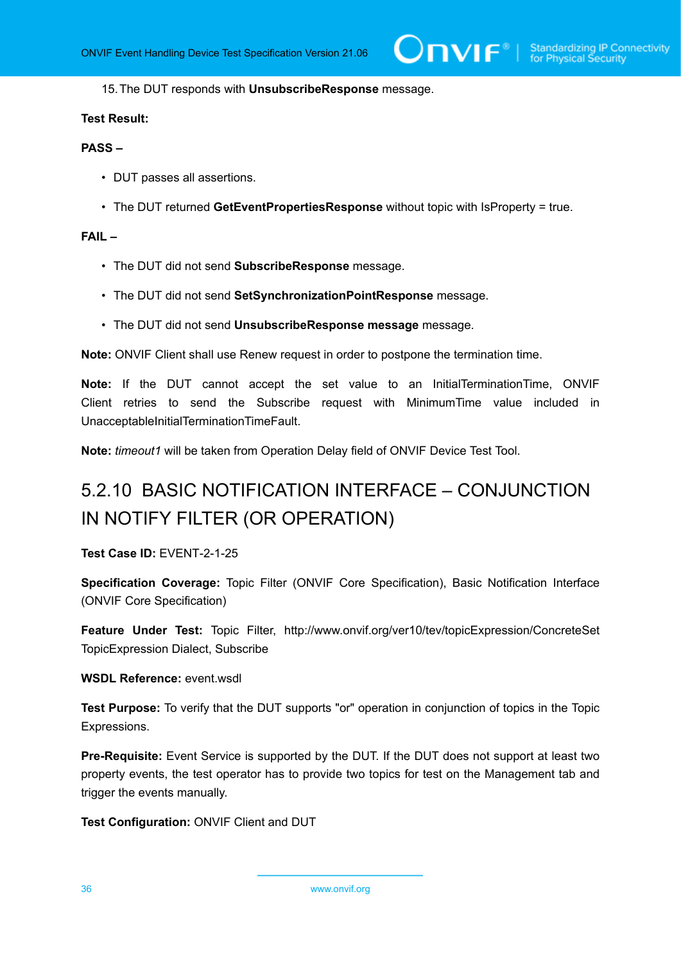15.The DUT responds with **UnsubscribeResponse** message.

#### **Test Result:**

#### **PASS –**

- DUT passes all assertions.
- The DUT returned **GetEventPropertiesResponse** without topic with IsProperty = true.

#### **FAIL –**

- The DUT did not send **SubscribeResponse** message.
- The DUT did not send **SetSynchronizationPointResponse** message.
- The DUT did not send **UnsubscribeResponse message** message.

**Note:** ONVIF Client shall use Renew request in order to postpone the termination time.

**Note:** If the DUT cannot accept the set value to an InitialTerminationTime, ONVIF Client retries to send the Subscribe request with MinimumTime value included in UnacceptableInitialTerminationTimeFault.

<span id="page-35-0"></span>**Note:** *timeout1* will be taken from Operation Delay field of ONVIF Device Test Tool.

# 5.2.10 BASIC NOTIFICATION INTERFACE – CONJUNCTION IN NOTIFY FILTER (OR OPERATION)

#### **Test Case ID:** EVENT-2-1-25

**Specification Coverage:** Topic Filter (ONVIF Core Specification), Basic Notification Interface (ONVIF Core Specification)

**Feature Under Test:** Topic Filter, http://www.onvif.org/ver10/tev/topicExpression/ConcreteSet TopicExpression Dialect, Subscribe

#### **WSDL Reference:** event.wsdl

**Test Purpose:** To verify that the DUT supports "or" operation in conjunction of topics in the Topic Expressions.

**Pre-Requisite:** Event Service is supported by the DUT. If the DUT does not support at least two property events, the test operator has to provide two topics for test on the Management tab and trigger the events manually.

**Test Configuration:** ONVIF Client and DUT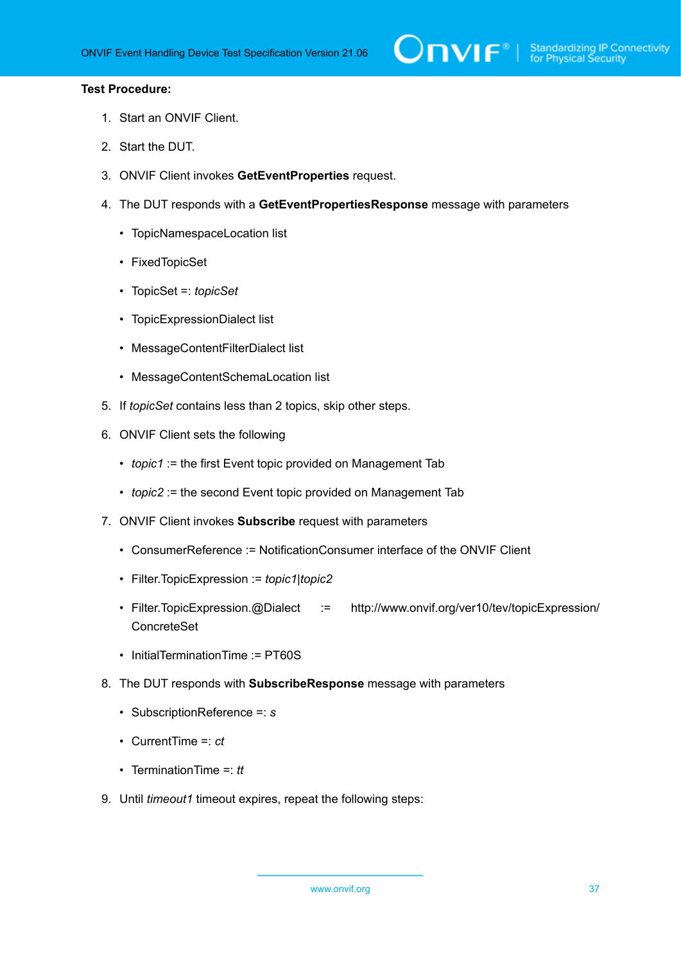- 1. Start an ONVIF Client.
- 2. Start the DUT.
- 3. ONVIF Client invokes **GetEventProperties** request.
- 4. The DUT responds with a **GetEventPropertiesResponse** message with parameters
	- TopicNamespaceLocation list
	- FixedTopicSet
	- TopicSet =: *topicSet*
	- TopicExpressionDialect list
	- MessageContentFilterDialect list
	- MessageContentSchemaLocation list
- 5. If *topicSet* contains less than 2 topics, skip other steps.
- 6. ONVIF Client sets the following
	- *topic1* := the first Event topic provided on Management Tab
	- *topic2* := the second Event topic provided on Management Tab
- 7. ONVIF Client invokes **Subscribe** request with parameters
	- ConsumerReference := NotificationConsumer interface of the ONVIF Client
	- Filter.TopicExpression := *topic1*|*topic2*
	- Filter.TopicExpression.@Dialect := http://www.onvif.org/ver10/tev/topicExpression/ ConcreteSet
	- InitialTerminationTime := PT60S
- 8. The DUT responds with **SubscribeResponse** message with parameters
	- SubscriptionReference =: *s*
	- CurrentTime =: *ct*
	- TerminationTime =: *tt*
- <span id="page-36-0"></span>9. Until *timeout1* timeout expires, repeat the following steps: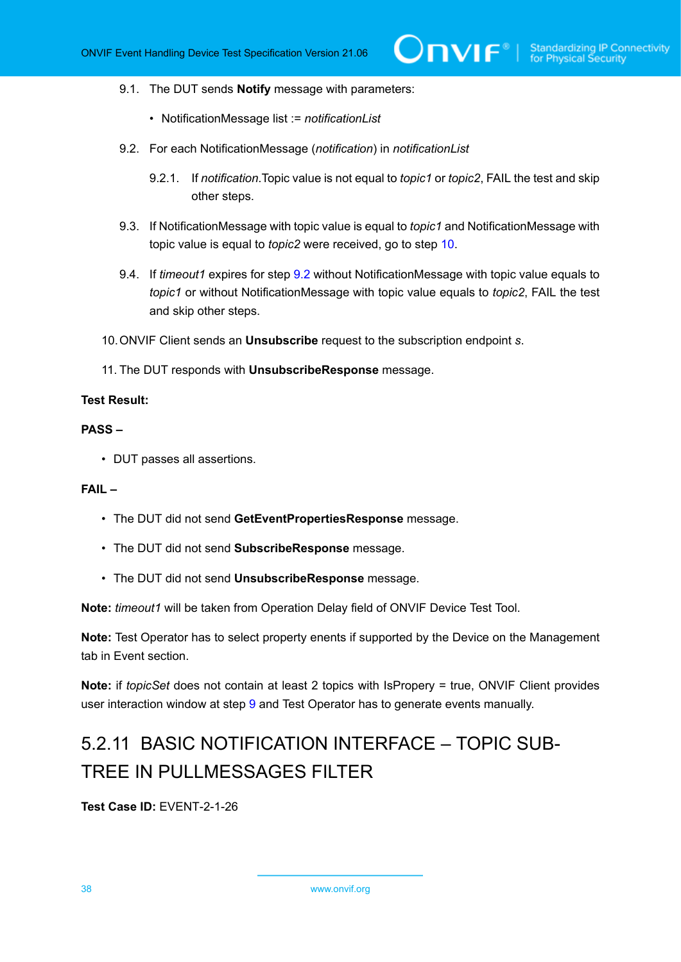#### 9.1. The DUT sends **Notify** message with parameters:

- NotificationMessage list := *notificationList*
- <span id="page-37-1"></span>9.2. For each NotificationMessage (*notification*) in *notificationList*
	- 9.2.1. If *notification*.Topic value is not equal to *topic1* or *topic2*, FAIL the test and skip other steps.
- 9.3. If NotificationMessage with topic value is equal to *topic1* and NotificationMessage with topic value is equal to *topic2* were received, go to step [10](#page-37-0).
- 9.4. If *timeout1* expires for step [9.2](#page-37-1) without NotificationMessage with topic value equals to *topic1* or without NotificationMessage with topic value equals to *topic2*, FAIL the test and skip other steps.
- <span id="page-37-0"></span>10.ONVIF Client sends an **Unsubscribe** request to the subscription endpoint *s*.
- 11. The DUT responds with **UnsubscribeResponse** message.

# **Test Result:**

# **PASS –**

• DUT passes all assertions.

#### **FAIL –**

- The DUT did not send **GetEventPropertiesResponse** message.
- The DUT did not send **SubscribeResponse** message.
- The DUT did not send **UnsubscribeResponse** message.

**Note:** *timeout1* will be taken from Operation Delay field of ONVIF Device Test Tool.

**Note:** Test Operator has to select property enents if supported by the Device on the Management tab in Event section.

**Note:** if *topicSet* does not contain at least 2 topics with IsPropery = true, ONVIF Client provides user interaction window at step [9](#page-36-0) and Test Operator has to generate events manually.

# 5.2.11 BASIC NOTIFICATION INTERFACE – TOPIC SUB-TREE IN PULLMESSAGES FILTER

**Test Case ID:** EVENT-2-1-26

38 www.onvif.org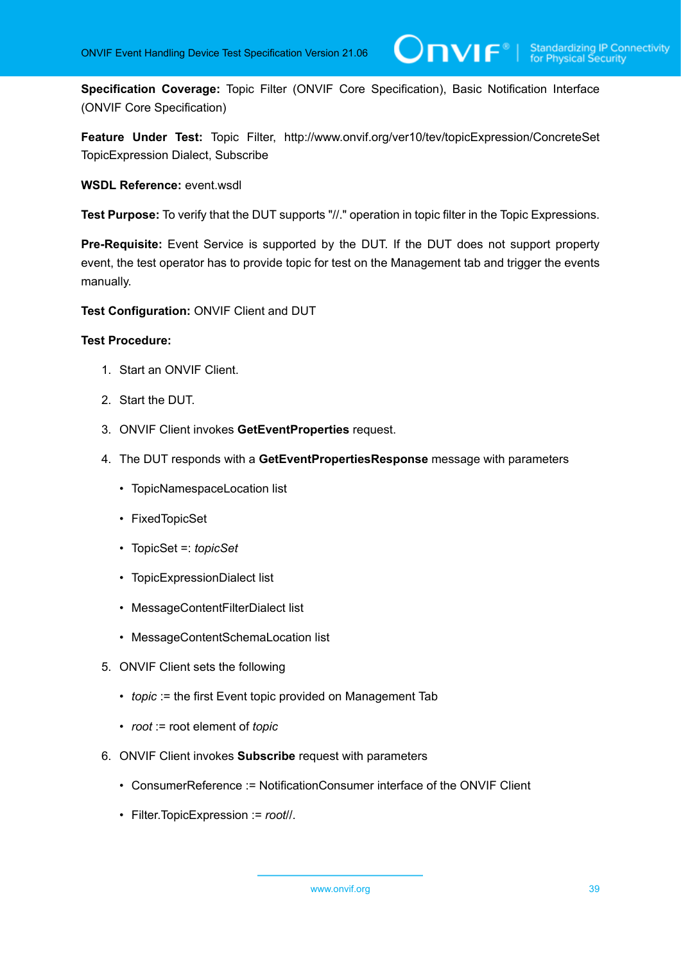**Specification Coverage:** Topic Filter (ONVIF Core Specification), Basic Notification Interface (ONVIF Core Specification)

**Feature Under Test:** Topic Filter, http://www.onvif.org/ver10/tev/topicExpression/ConcreteSet TopicExpression Dialect, Subscribe

**WSDL Reference:** event.wsdl

**Test Purpose:** To verify that the DUT supports "//." operation in topic filter in the Topic Expressions.

**Pre-Requisite:** Event Service is supported by the DUT. If the DUT does not support property event, the test operator has to provide topic for test on the Management tab and trigger the events manually.

**Test Configuration:** ONVIF Client and DUT

- 1. Start an ONVIF Client.
- 2. Start the DUT.
- 3. ONVIF Client invokes **GetEventProperties** request.
- 4. The DUT responds with a **GetEventPropertiesResponse** message with parameters
	- TopicNamespaceLocation list
	- FixedTopicSet
	- TopicSet =: *topicSet*
	- TopicExpressionDialect list
	- MessageContentFilterDialect list
	- MessageContentSchemaLocation list
- 5. ONVIF Client sets the following
	- *topic* := the first Event topic provided on Management Tab
	- *root* := root element of *topic*
- 6. ONVIF Client invokes **Subscribe** request with parameters
	- ConsumerReference := NotificationConsumer interface of the ONVIF Client
	- Filter.TopicExpression := *root*//.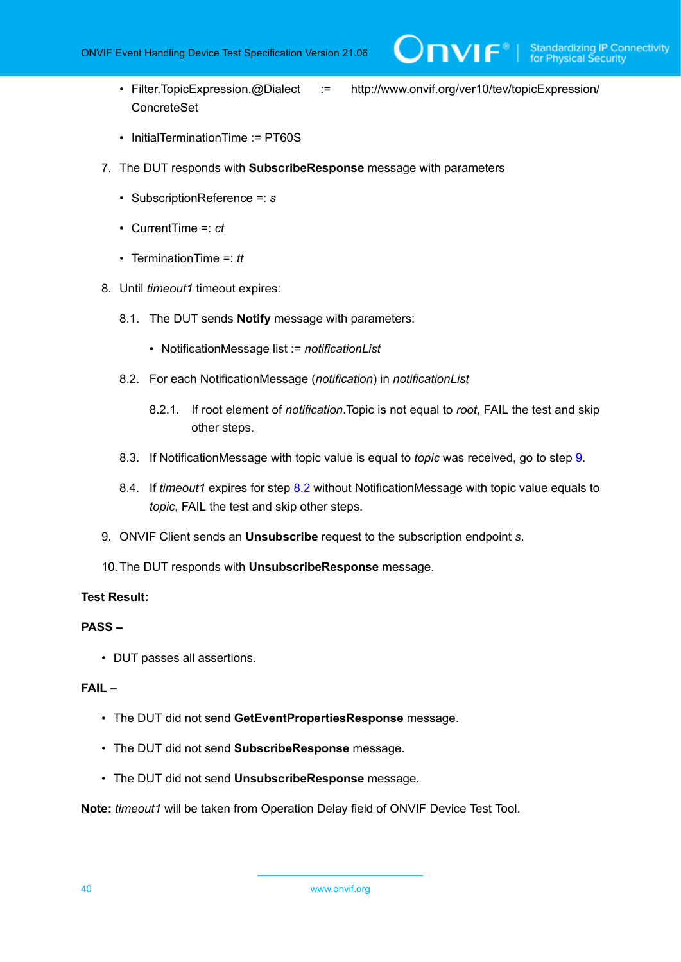ConcreteSet

- Filter.TopicExpression.@Dialect := http://www.onvif.org/ver10/tev/topicExpression/
- InitialTerminationTime := PT60S
- 7. The DUT responds with **SubscribeResponse** message with parameters
	- SubscriptionReference =: *s*
	- CurrentTime =: *ct*
	- TerminationTime =: *tt*
- <span id="page-39-1"></span>8. Until *timeout1* timeout expires:
	- 8.1. The DUT sends **Notify** message with parameters:
		- NotificationMessage list := *notificationList*
	- 8.2. For each NotificationMessage (*notification*) in *notificationList*
		- 8.2.1. If root element of *notification*.Topic is not equal to *root*, FAIL the test and skip other steps.
	- 8.3. If NotificationMessage with topic value is equal to *topic* was received, go to step [9](#page-39-0).
	- 8.4. If *timeout1* expires for step [8.2](#page-39-1) without NotificationMessage with topic value equals to *topic*, FAIL the test and skip other steps.
- <span id="page-39-0"></span>9. ONVIF Client sends an **Unsubscribe** request to the subscription endpoint *s*.
- 10.The DUT responds with **UnsubscribeResponse** message.

#### **Test Result:**

### **PASS –**

• DUT passes all assertions.

#### **FAIL –**

- The DUT did not send **GetEventPropertiesResponse** message.
- The DUT did not send **SubscribeResponse** message.
- The DUT did not send **UnsubscribeResponse** message.

**Note:** *timeout1* will be taken from Operation Delay field of ONVIF Device Test Tool.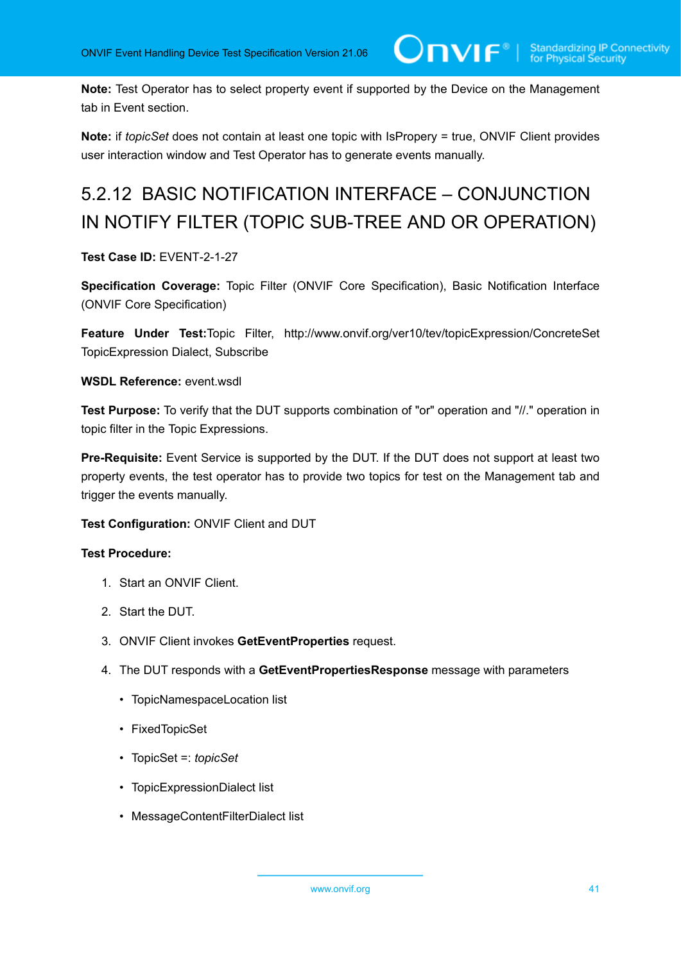**Note:** Test Operator has to select property event if supported by the Device on the Management tab in Event section.

**Note:** if *topicSet* does not contain at least one topic with IsPropery = true, ONVIF Client provides user interaction window and Test Operator has to generate events manually.

# 5.2.12 BASIC NOTIFICATION INTERFACE – CONJUNCTION IN NOTIFY FILTER (TOPIC SUB-TREE AND OR OPERATION)

# **Test Case ID:** EVENT-2-1-27

**Specification Coverage:** Topic Filter (ONVIF Core Specification), Basic Notification Interface (ONVIF Core Specification)

**Feature Under Test:**Topic Filter, http://www.onvif.org/ver10/tev/topicExpression/ConcreteSet TopicExpression Dialect, Subscribe

# **WSDL Reference:** event.wsdl

**Test Purpose:** To verify that the DUT supports combination of "or" operation and "//." operation in topic filter in the Topic Expressions.

**Pre-Requisite:** Event Service is supported by the DUT. If the DUT does not support at least two property events, the test operator has to provide two topics for test on the Management tab and trigger the events manually.

# **Test Configuration:** ONVIF Client and DUT

- 1. Start an ONVIF Client.
- 2. Start the DUT.
- 3. ONVIF Client invokes **GetEventProperties** request.
- 4. The DUT responds with a **GetEventPropertiesResponse** message with parameters
	- TopicNamespaceLocation list
	- FixedTopicSet
	- TopicSet =: *topicSet*
	- TopicExpressionDialect list
	- MessageContentFilterDialect list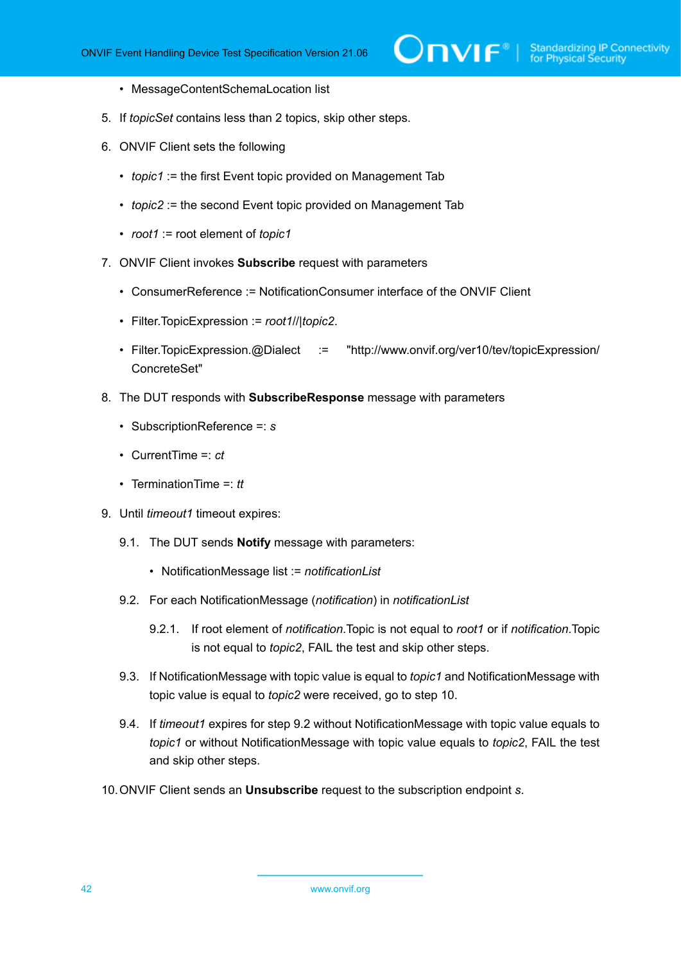- MessageContentSchemaLocation list
- 5. If *topicSet* contains less than 2 topics, skip other steps.
- 6. ONVIF Client sets the following
	- *topic1* := the first Event topic provided on Management Tab
	- *topic2* := the second Event topic provided on Management Tab
	- *root1* := root element of *topic1*
- 7. ONVIF Client invokes **Subscribe** request with parameters
	- ConsumerReference := NotificationConsumer interface of the ONVIF Client
	- Filter.TopicExpression := *root1*//|*topic2*.
	- Filter.TopicExpression.@Dialect := "http://www.onvif.org/ver10/tev/topicExpression/ ConcreteSet"
- 8. The DUT responds with **SubscribeResponse** message with parameters
	- SubscriptionReference =: *s*
	- CurrentTime =: *ct*
	- TerminationTime =: *tt*
- 9. Until *timeout1* timeout expires:
	- 9.1. The DUT sends **Notify** message with parameters:
		- NotificationMessage list := *notificationList*
	- 9.2. For each NotificationMessage (*notification*) in *notificationList*
		- 9.2.1. If root element of *notification*.Topic is not equal to *root1* or if *notification*.Topic is not equal to *topic2*, FAIL the test and skip other steps.
	- 9.3. If NotificationMessage with topic value is equal to *topic1* and NotificationMessage with topic value is equal to *topic2* were received, go to step 10.
	- 9.4. If *timeout1* expires for step 9.2 without NotificationMessage with topic value equals to *topic1* or without NotificationMessage with topic value equals to *topic2*, FAIL the test and skip other steps.
- 10.ONVIF Client sends an **Unsubscribe** request to the subscription endpoint *s*.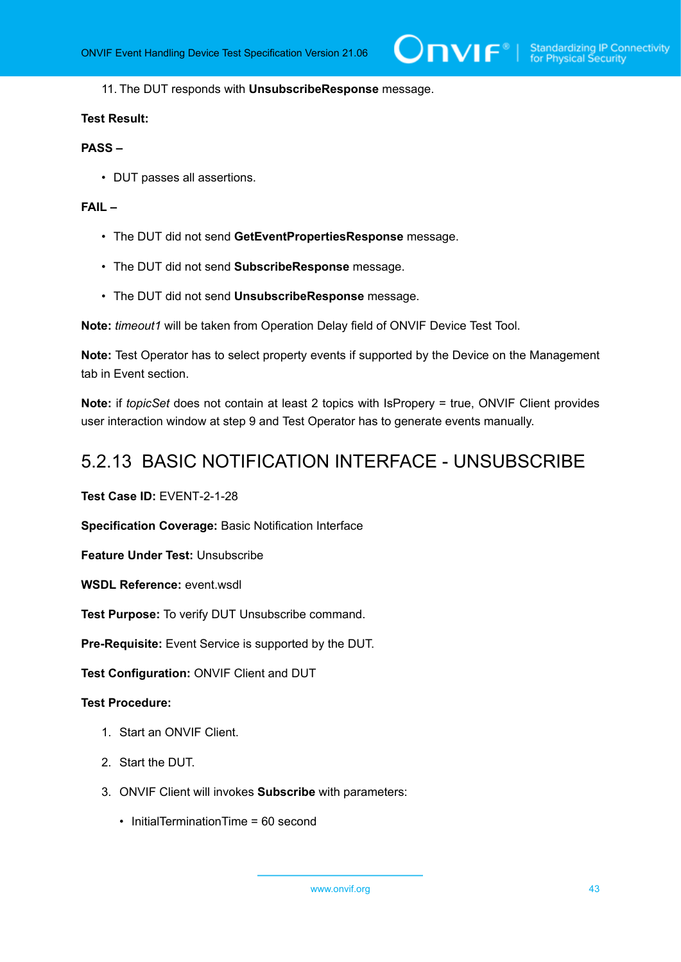#### 11. The DUT responds with **UnsubscribeResponse** message.

#### **Test Result:**

# **PASS –**

• DUT passes all assertions.

# **FAIL –**

- The DUT did not send **GetEventPropertiesResponse** message.
- The DUT did not send **SubscribeResponse** message.
- The DUT did not send **UnsubscribeResponse** message.

**Note:** *timeout1* will be taken from Operation Delay field of ONVIF Device Test Tool.

**Note:** Test Operator has to select property events if supported by the Device on the Management tab in Event section.

**Note:** if *topicSet* does not contain at least 2 topics with IsPropery = true, ONVIF Client provides user interaction window at step 9 and Test Operator has to generate events manually.

# 5.2.13 BASIC NOTIFICATION INTERFACE - UNSUBSCRIBE

**Test Case ID:** EVENT-2-1-28

**Specification Coverage:** Basic Notification Interface

**Feature Under Test:** Unsubscribe

**WSDL Reference:** event.wsdl

**Test Purpose:** To verify DUT Unsubscribe command.

**Pre-Requisite:** Event Service is supported by the DUT.

**Test Configuration:** ONVIF Client and DUT

- 1. Start an ONVIF Client.
- 2. Start the DUT.
- 3. ONVIF Client will invokes **Subscribe** with parameters:
	- InitialTerminationTime = 60 second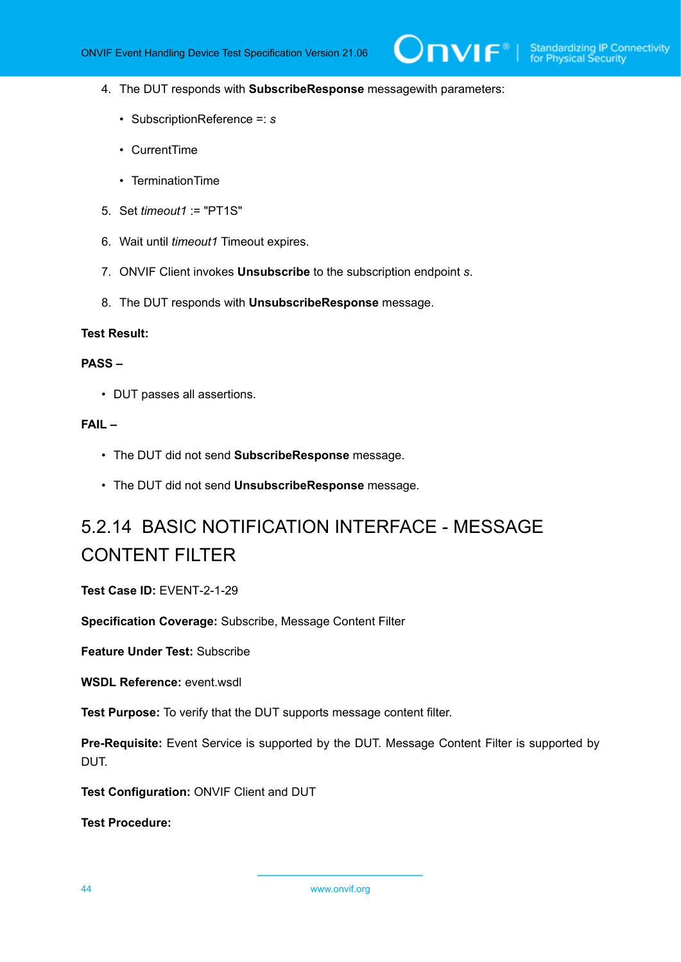- 4. The DUT responds with **SubscribeResponse** messagewith parameters:
	- SubscriptionReference =: *s*
	- CurrentTime
	- TerminationTime
- 5. Set *timeout1* := "PT1S"
- 6. Wait until *timeout1* Timeout expires.
- 7. ONVIF Client invokes **Unsubscribe** to the subscription endpoint *s*.
- 8. The DUT responds with **UnsubscribeResponse** message.

#### **Test Result:**

#### **PASS –**

• DUT passes all assertions.

#### **FAIL –**

- The DUT did not send **SubscribeResponse** message.
- The DUT did not send **UnsubscribeResponse** message.

# 5.2.14 BASIC NOTIFICATION INTERFACE - MESSAGE CONTENT FILTER

**Test Case ID:** EVENT-2-1-29

**Specification Coverage:** Subscribe, Message Content Filter

**Feature Under Test:** Subscribe

**WSDL Reference:** event.wsdl

**Test Purpose:** To verify that the DUT supports message content filter.

**Pre-Requisite:** Event Service is supported by the DUT. Message Content Filter is supported by DUT.

**Test Configuration:** ONVIF Client and DUT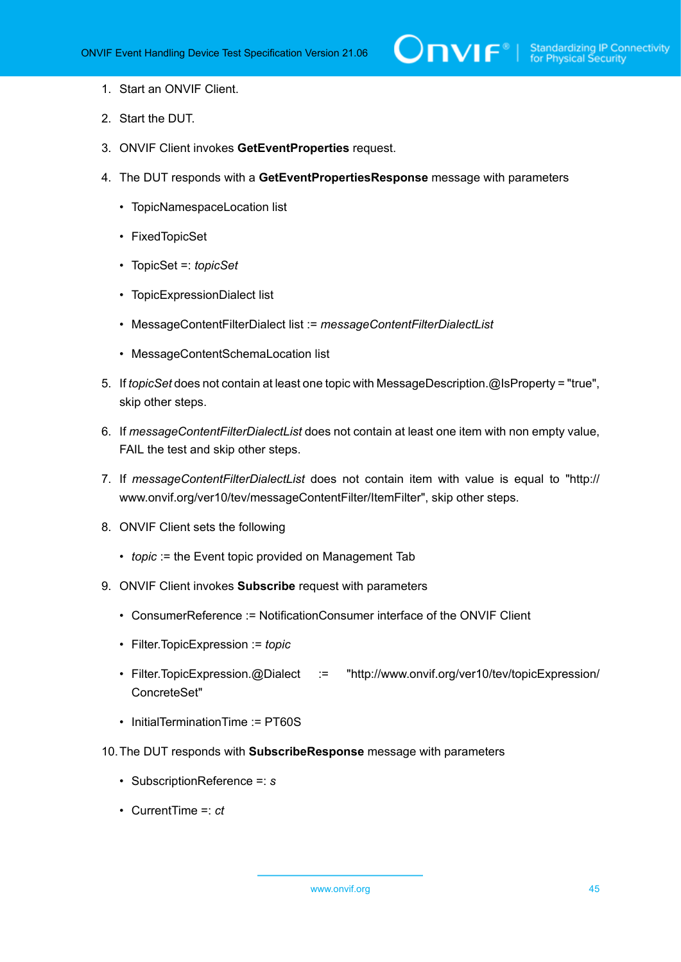- 1. Start an ONVIF Client.
- 2. Start the DUT.
- 3. ONVIF Client invokes **GetEventProperties** request.
- 4. The DUT responds with a **GetEventPropertiesResponse** message with parameters
	- TopicNamespaceLocation list
	- FixedTopicSet
	- TopicSet =: *topicSet*
	- TopicExpressionDialect list
	- MessageContentFilterDialect list := *messageContentFilterDialectList*
	- MessageContentSchemaLocation list
- 5. If *topicSet* does not contain at least one topic with MessageDescription.@IsProperty = "true", skip other steps.
- 6. If *messageContentFilterDialectList* does not contain at least one item with non empty value, FAIL the test and skip other steps.
- 7. If *messageContentFilterDialectList* does not contain item with value is equal to "http:// www.onvif.org/ver10/tev/messageContentFilter/ItemFilter", skip other steps.
- 8. ONVIF Client sets the following
	- *topic* := the Event topic provided on Management Tab
- 9. ONVIF Client invokes **Subscribe** request with parameters
	- ConsumerReference := NotificationConsumer interface of the ONVIF Client
	- Filter.TopicExpression := *topic*
	- Filter.TopicExpression.@Dialect := "http://www.onvif.org/ver10/tev/topicExpression/ ConcreteSet"
	- InitialTerminationTime := PT60S
- 10.The DUT responds with **SubscribeResponse** message with parameters
	- SubscriptionReference =: *s*
	- CurrentTime =: *ct*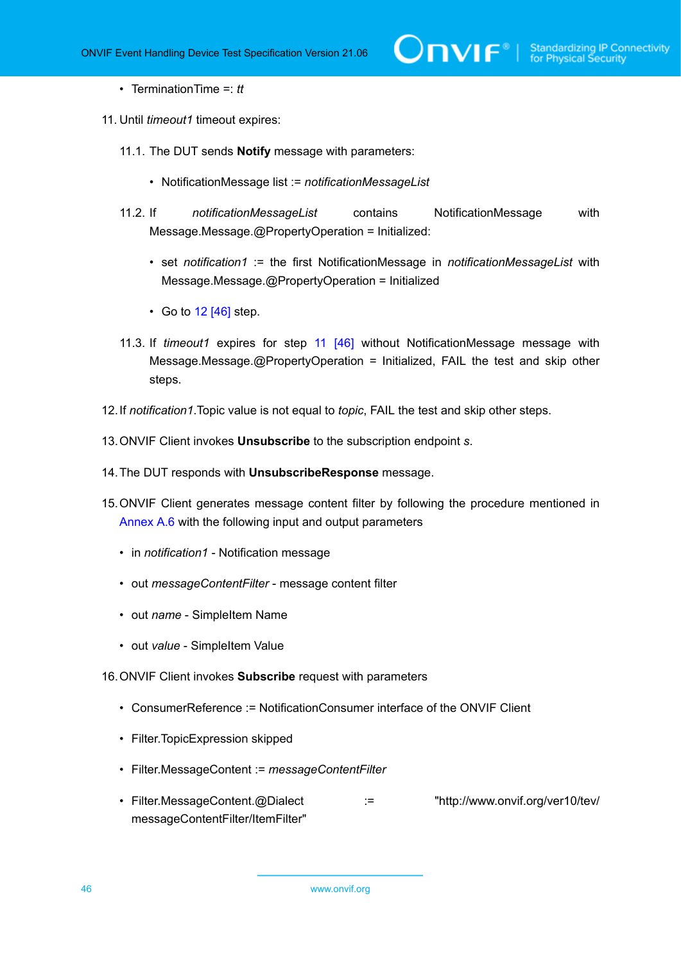#### • TerminationTime =: *tt*

- <span id="page-45-1"></span>11. Until *timeout1* timeout expires:
	- 11.1. The DUT sends **Notify** message with parameters:
		- NotificationMessage list := *notificationMessageList*
	- 11.2. If *notificationMessageList* contains NotificationMessage with Message.Message.@PropertyOperation = Initialized:
		- set *notification1* := the first NotificationMessage in *notificationMessageList* with Message.Message.@PropertyOperation = Initialized
		- Go to [12 \[46\]](#page-45-0) step.
	- 11.3. If *timeout1* expires for step [11 \[46\]](#page-45-1) without NotificationMessage message with Message.Message.@PropertyOperation = Initialized, FAIL the test and skip other steps.
- <span id="page-45-0"></span>12.If *notification1*.Topic value is not equal to *topic*, FAIL the test and skip other steps.
- 13.ONVIF Client invokes **Unsubscribe** to the subscription endpoint *s*.
- 14.The DUT responds with **UnsubscribeResponse** message.
- 15.ONVIF Client generates message content filter by following the procedure mentioned in [Annex A.6](#page-138-0) with the following input and output parameters
	- in *notification1* Notification message
	- out *messageContentFilter* message content filter
	- out *name* SimpleItem Name
	- out *value* SimpleItem Value
- 16.ONVIF Client invokes **Subscribe** request with parameters
	- ConsumerReference := NotificationConsumer interface of the ONVIF Client
	- Filter.TopicExpression skipped
	- Filter.MessageContent := *messageContentFilter*
	- Filter.MessageContent.@Dialect :: = "http://www.onvif.org/ver10/tev/ messageContentFilter/ItemFilter"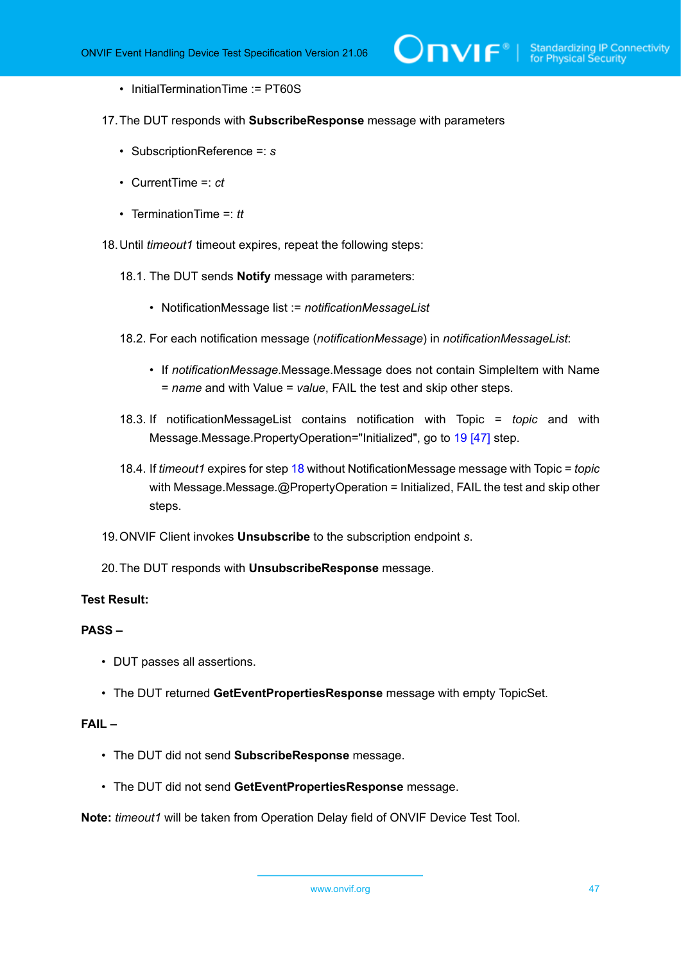- InitialTerminationTime := PT60S
- 17.The DUT responds with **SubscribeResponse** message with parameters
	- SubscriptionReference =: *s*
	- CurrentTime =: *ct*
	- TerminationTime =: *tt*

<span id="page-46-1"></span>18.Until *timeout1* timeout expires, repeat the following steps:

- 18.1. The DUT sends **Notify** message with parameters:
	- NotificationMessage list := *notificationMessageList*
- 18.2. For each notification message (*notificationMessage*) in *notificationMessageList*:
	- If *notificationMessage*.Message.Message does not contain SimpleItem with Name = *name* and with Value = *value*, FAIL the test and skip other steps.
- 18.3. If notificationMessageList contains notification with Topic = *topic* and with Message.Message.PropertyOperation="Initialized", go to [19 \[47\]](#page-46-0) step.
- 18.4. If *timeout1* expires for step [18](#page-46-1) without NotificationMessage message with Topic = *topic* with Message.Message.@PropertyOperation = Initialized, FAIL the test and skip other steps.
- <span id="page-46-0"></span>19.ONVIF Client invokes **Unsubscribe** to the subscription endpoint *s*.
- 20.The DUT responds with **UnsubscribeResponse** message.

# **Test Result:**

#### **PASS –**

- DUT passes all assertions.
- The DUT returned **GetEventPropertiesResponse** message with empty TopicSet.

### **FAIL –**

- The DUT did not send **SubscribeResponse** message.
- The DUT did not send **GetEventPropertiesResponse** message.

**Note:** *timeout1* will be taken from Operation Delay field of ONVIF Device Test Tool.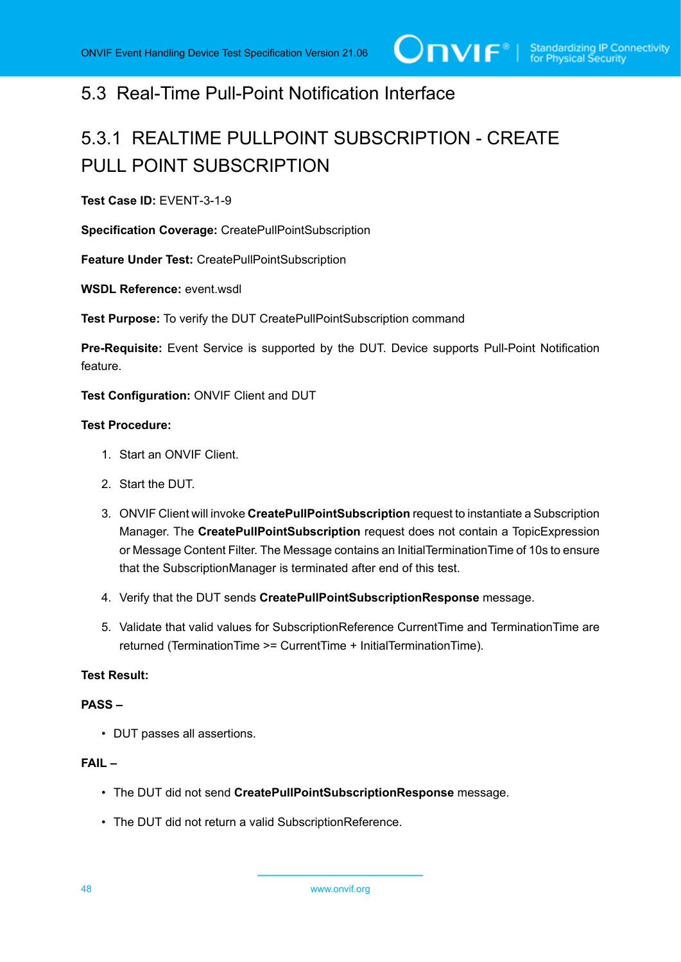# 5.3 Real-Time Pull-Point Notification Interface

# 5.3.1 REALTIME PULLPOINT SUBSCRIPTION - CREATE PULL POINT SUBSCRIPTION

**Test Case ID:** EVENT-3-1-9

**Specification Coverage:** CreatePullPointSubscription

**Feature Under Test:** CreatePullPointSubscription

**WSDL Reference:** event.wsdl

**Test Purpose:** To verify the DUT CreatePullPointSubscription command

**Pre-Requisite:** Event Service is supported by the DUT. Device supports Pull-Point Notification feature.

**Test Configuration:** ONVIF Client and DUT

#### **Test Procedure:**

- 1. Start an ONVIF Client.
- 2. Start the DUT.
- 3. ONVIF Client will invoke **CreatePullPointSubscription** request to instantiate a Subscription Manager. The **CreatePullPointSubscription** request does not contain a TopicExpression or Message Content Filter. The Message contains an InitialTerminationTime of 10s to ensure that the SubscriptionManager is terminated after end of this test.
- 4. Verify that the DUT sends **CreatePullPointSubscriptionResponse** message.
- 5. Validate that valid values for SubscriptionReference CurrentTime and TerminationTime are returned (TerminationTime >= CurrentTime + InitialTerminationTime).

# **Test Result:**

#### **PASS –**

• DUT passes all assertions.

# **FAIL –**

- The DUT did not send **CreatePullPointSubscriptionResponse** message.
- The DUT did not return a valid SubscriptionReference.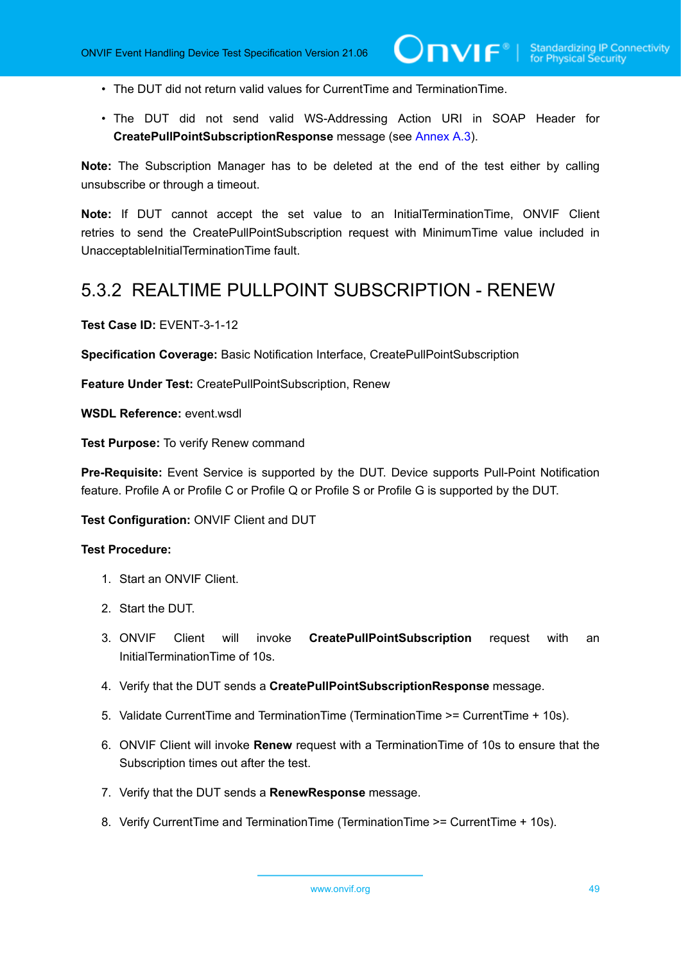- The DUT did not return valid values for CurrentTime and TerminationTime.
- The DUT did not send valid WS-Addressing Action URI in SOAP Header for **CreatePullPointSubscriptionResponse** message (see [Annex A.3\)](#page-135-0).

**Note:** The Subscription Manager has to be deleted at the end of the test either by calling unsubscribe or through a timeout.

**Note:** If DUT cannot accept the set value to an InitialTerminationTime, ONVIF Client retries to send the CreatePullPointSubscription request with MinimumTime value included in UnacceptableInitialTerminationTime fault.

# 5.3.2 REALTIME PULLPOINT SUBSCRIPTION - RENEW

**Test Case ID:** EVENT-3-1-12

**Specification Coverage:** Basic Notification Interface, CreatePullPointSubscription

**Feature Under Test:** CreatePullPointSubscription, Renew

**WSDL Reference:** event.wsdl

**Test Purpose:** To verify Renew command

**Pre-Requisite:** Event Service is supported by the DUT. Device supports Pull-Point Notification feature. Profile A or Profile C or Profile Q or Profile S or Profile G is supported by the DUT.

**Test Configuration:** ONVIF Client and DUT

- 1. Start an ONVIF Client.
- 2. Start the DUT.
- 3. ONVIF Client will invoke **CreatePullPointSubscription** request with an InitialTerminationTime of 10s.
- 4. Verify that the DUT sends a **CreatePullPointSubscriptionResponse** message.
- 5. Validate CurrentTime and TerminationTime (TerminationTime >= CurrentTime + 10s).
- 6. ONVIF Client will invoke **Renew** request with a TerminationTime of 10s to ensure that the Subscription times out after the test.
- 7. Verify that the DUT sends a **RenewResponse** message.
- 8. Verify CurrentTime and TerminationTime (TerminationTime >= CurrentTime + 10s).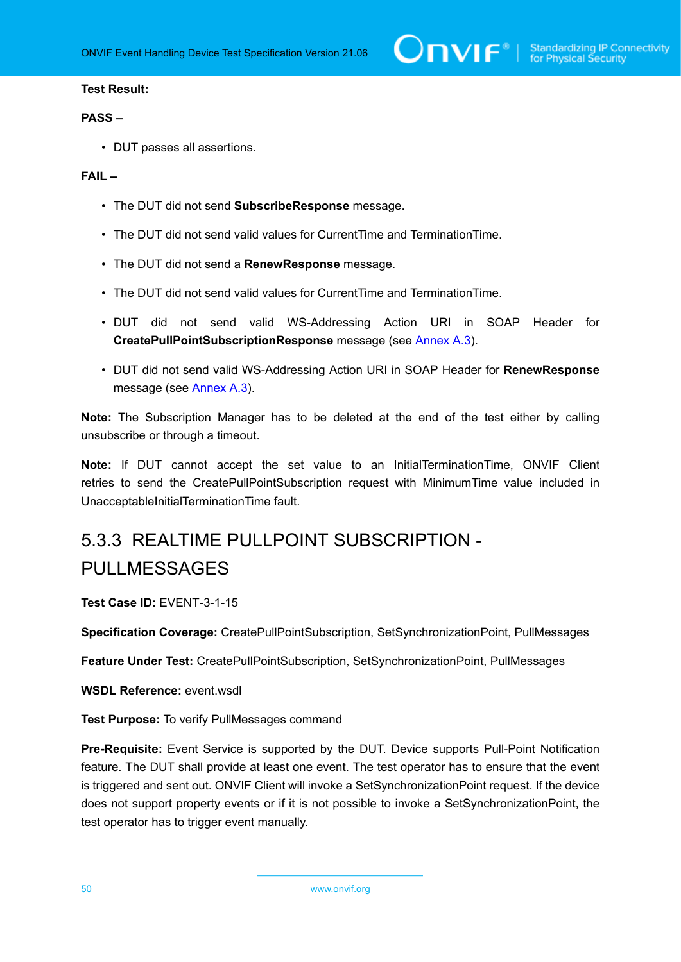# **Test Result:**

#### **PASS –**

• DUT passes all assertions.

# **FAIL –**

- The DUT did not send **SubscribeResponse** message.
- The DUT did not send valid values for CurrentTime and TerminationTime.
- The DUT did not send a **RenewResponse** message.
- The DUT did not send valid values for CurrentTime and TerminationTime.
- DUT did not send valid WS-Addressing Action URI in SOAP Header for **CreatePullPointSubscriptionResponse** message (see [Annex A.3\)](#page-135-0).
- DUT did not send valid WS-Addressing Action URI in SOAP Header for **RenewResponse** message (see [Annex A.3](#page-135-0)).

**Note:** The Subscription Manager has to be deleted at the end of the test either by calling unsubscribe or through a timeout.

**Note:** If DUT cannot accept the set value to an InitialTerminationTime, ONVIF Client retries to send the CreatePullPointSubscription request with MinimumTime value included in UnacceptableInitialTerminationTime fault.

# 5.3.3 REALTIME PULLPOINT SUBSCRIPTION - PULLMESSAGES

**Test Case ID:** EVENT-3-1-15

**Specification Coverage:** CreatePullPointSubscription, SetSynchronizationPoint, PullMessages

**Feature Under Test:** CreatePullPointSubscription, SetSynchronizationPoint, PullMessages

**WSDL Reference:** event wsdl.

**Test Purpose:** To verify PullMessages command

**Pre-Requisite:** Event Service is supported by the DUT. Device supports Pull-Point Notification feature. The DUT shall provide at least one event. The test operator has to ensure that the event is triggered and sent out. ONVIF Client will invoke a SetSynchronizationPoint request. If the device does not support property events or if it is not possible to invoke a SetSynchronizationPoint, the test operator has to trigger event manually.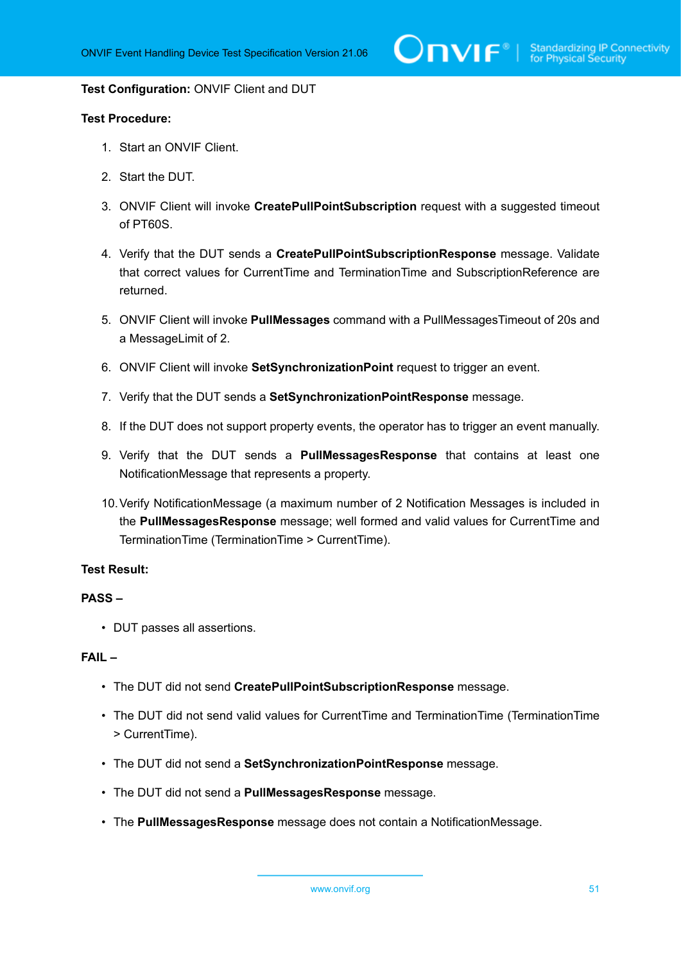#### **Test Configuration:** ONVIF Client and DUT

### **Test Procedure:**

- 1. Start an ONVIF Client.
- 2. Start the DUT.
- 3. ONVIF Client will invoke **CreatePullPointSubscription** request with a suggested timeout of PT60S.
- 4. Verify that the DUT sends a **CreatePullPointSubscriptionResponse** message. Validate that correct values for CurrentTime and TerminationTime and SubscriptionReference are returned.
- 5. ONVIF Client will invoke **PullMessages** command with a PullMessagesTimeout of 20s and a MessageLimit of 2.
- 6. ONVIF Client will invoke **SetSynchronizationPoint** request to trigger an event.
- 7. Verify that the DUT sends a **SetSynchronizationPointResponse** message.
- 8. If the DUT does not support property events, the operator has to trigger an event manually.
- 9. Verify that the DUT sends a **PullMessagesResponse** that contains at least one NotificationMessage that represents a property.
- 10.Verify NotificationMessage (a maximum number of 2 Notification Messages is included in the **PullMessagesResponse** message; well formed and valid values for CurrentTime and TerminationTime (TerminationTime > CurrentTime).

### **Test Result:**

# **PASS –**

• DUT passes all assertions.

# **FAIL –**

- The DUT did not send **CreatePullPointSubscriptionResponse** message.
- The DUT did not send valid values for CurrentTime and TerminationTime (TerminationTime > CurrentTime).
- The DUT did not send a **SetSynchronizationPointResponse** message.
- The DUT did not send a **PullMessagesResponse** message.
- The **PullMessagesResponse** message does not contain a NotificationMessage.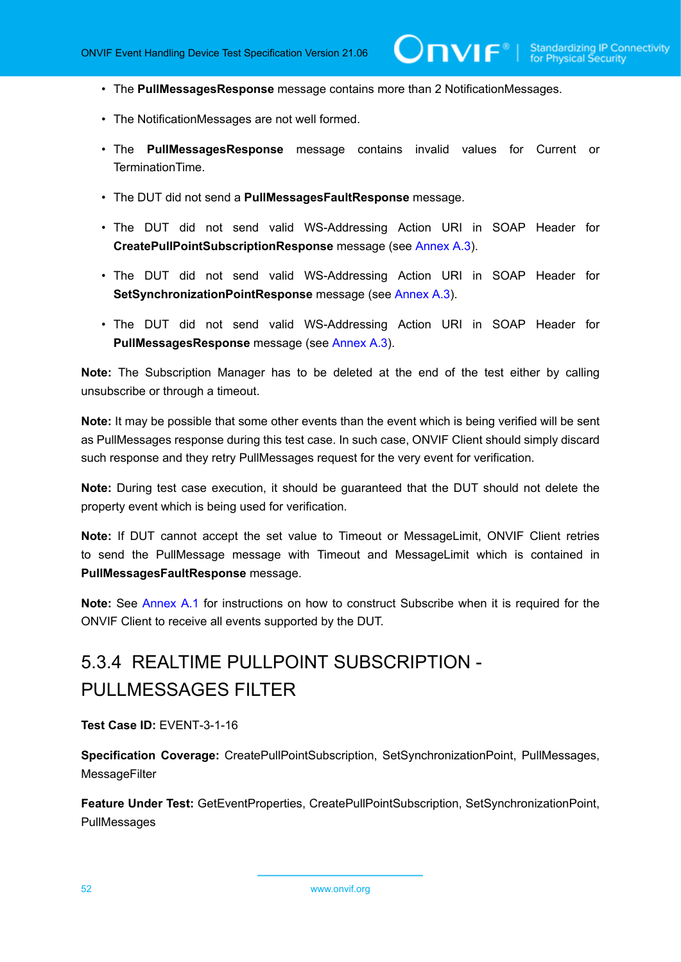- The **PullMessagesResponse** message contains more than 2 NotificationMessages.
- The NotificationMessages are not well formed.
- The **PullMessagesResponse** message contains invalid values for Current or TerminationTime.
- The DUT did not send a **PullMessagesFaultResponse** message.
- The DUT did not send valid WS-Addressing Action URI in SOAP Header for **CreatePullPointSubscriptionResponse** message (see [Annex A.3\)](#page-135-0).
- The DUT did not send valid WS-Addressing Action URI in SOAP Header for **SetSynchronizationPointResponse** message (see [Annex A.3\)](#page-135-0).
- The DUT did not send valid WS-Addressing Action URI in SOAP Header for **PullMessagesResponse** message (see [Annex A.3\)](#page-135-0).

**Note:** The Subscription Manager has to be deleted at the end of the test either by calling unsubscribe or through a timeout.

**Note:** It may be possible that some other events than the event which is being verified will be sent as PullMessages response during this test case. In such case, ONVIF Client should simply discard such response and they retry PullMessages request for the very event for verification.

**Note:** During test case execution, it should be guaranteed that the DUT should not delete the property event which is being used for verification.

**Note:** If DUT cannot accept the set value to Timeout or MessageLimit, ONVIF Client retries to send the PullMessage message with Timeout and MessageLimit which is contained in **PullMessagesFaultResponse** message.

**Note:** See [Annex A.1](#page-128-0) for instructions on how to construct Subscribe when it is required for the ONVIF Client to receive all events supported by the DUT.

# 5.3.4 REALTIME PULLPOINT SUBSCRIPTION - PULLMESSAGES FILTER

**Test Case ID:** EVENT-3-1-16

**Specification Coverage:** CreatePullPointSubscription, SetSynchronizationPoint, PullMessages, **MessageFilter** 

**Feature Under Test:** GetEventProperties, CreatePullPointSubscription, SetSynchronizationPoint, PullMessages

52 www.onvif.org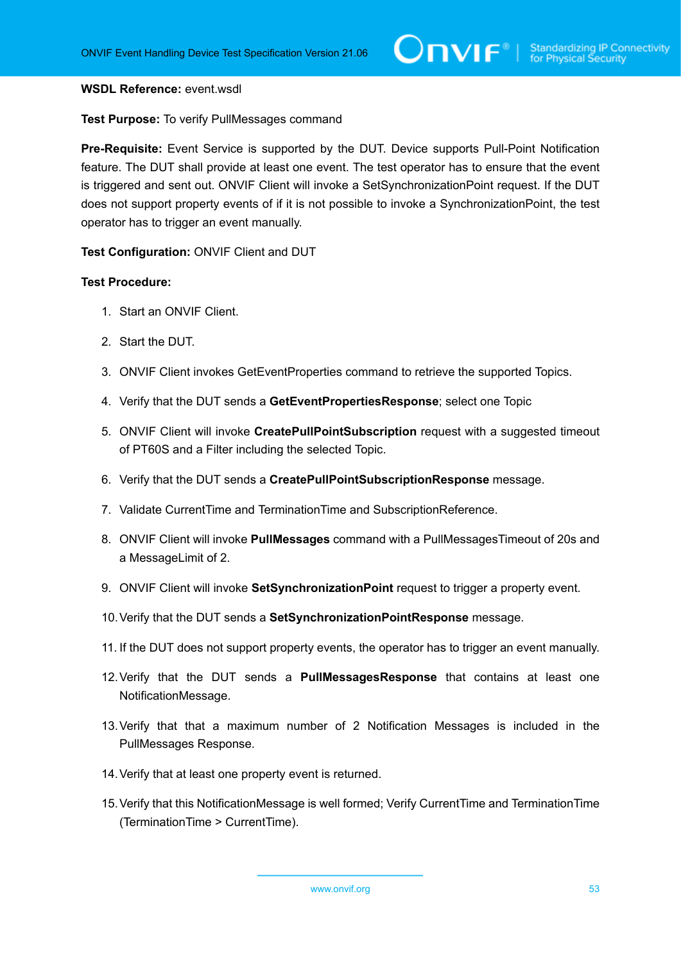#### **WSDL Reference:** event.wsdl

#### **Test Purpose:** To verify PullMessages command

**Pre-Requisite:** Event Service is supported by the DUT. Device supports Pull-Point Notification feature. The DUT shall provide at least one event. The test operator has to ensure that the event is triggered and sent out. ONVIF Client will invoke a SetSynchronizationPoint request. If the DUT does not support property events of if it is not possible to invoke a SynchronizationPoint, the test operator has to trigger an event manually.

**Test Configuration:** ONVIF Client and DUT

- 1. Start an ONVIF Client.
- 2. Start the DUT.
- 3. ONVIF Client invokes GetEventProperties command to retrieve the supported Topics.
- 4. Verify that the DUT sends a **GetEventPropertiesResponse**; select one Topic
- 5. ONVIF Client will invoke **CreatePullPointSubscription** request with a suggested timeout of PT60S and a Filter including the selected Topic.
- 6. Verify that the DUT sends a **CreatePullPointSubscriptionResponse** message.
- 7. Validate CurrentTime and TerminationTime and SubscriptionReference.
- 8. ONVIF Client will invoke **PullMessages** command with a PullMessagesTimeout of 20s and a MessageLimit of 2.
- 9. ONVIF Client will invoke **SetSynchronizationPoint** request to trigger a property event.
- 10.Verify that the DUT sends a **SetSynchronizationPointResponse** message.
- 11. If the DUT does not support property events, the operator has to trigger an event manually.
- 12.Verify that the DUT sends a **PullMessagesResponse** that contains at least one NotificationMessage.
- 13.Verify that that a maximum number of 2 Notification Messages is included in the PullMessages Response.
- 14.Verify that at least one property event is returned.
- 15.Verify that this NotificationMessage is well formed; Verify CurrentTime and TerminationTime (TerminationTime > CurrentTime).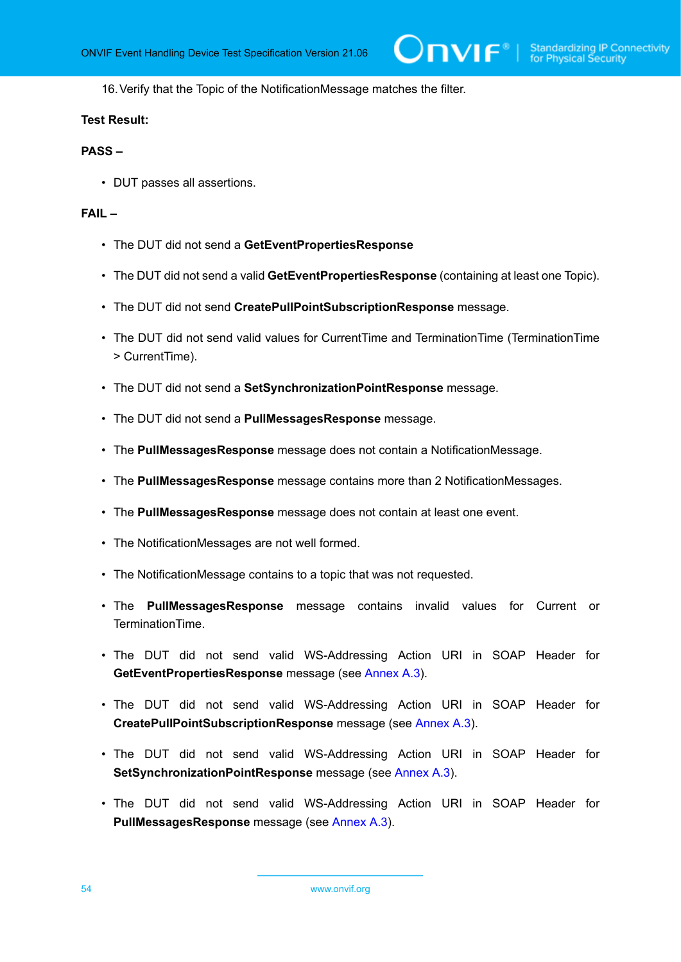16.Verify that the Topic of the NotificationMessage matches the filter.

#### **Test Result:**

#### **PASS –**

• DUT passes all assertions.

# **FAIL –**

- The DUT did not send a **GetEventPropertiesResponse**
- The DUT did not send a valid **GetEventPropertiesResponse** (containing at least one Topic).
- The DUT did not send **CreatePullPointSubscriptionResponse** message.
- The DUT did not send valid values for CurrentTime and TerminationTime (TerminationTime > CurrentTime).
- The DUT did not send a **SetSynchronizationPointResponse** message.
- The DUT did not send a **PullMessagesResponse** message.
- The **PullMessagesResponse** message does not contain a NotificationMessage.
- The **PullMessagesResponse** message contains more than 2 NotificationMessages.
- The **PullMessagesResponse** message does not contain at least one event.
- The NotificationMessages are not well formed.
- The NotificationMessage contains to a topic that was not requested.
- The **PullMessagesResponse** message contains invalid values for Current or TerminationTime.
- The DUT did not send valid WS-Addressing Action URI in SOAP Header for **GetEventPropertiesResponse** message (see [Annex A.3](#page-135-0)).
- The DUT did not send valid WS-Addressing Action URI in SOAP Header for **CreatePullPointSubscriptionResponse** message (see [Annex A.3\)](#page-135-0).
- The DUT did not send valid WS-Addressing Action URI in SOAP Header for **SetSynchronizationPointResponse** message (see [Annex A.3\)](#page-135-0).
- The DUT did not send valid WS-Addressing Action URI in SOAP Header for **PullMessagesResponse** message (see [Annex A.3\)](#page-135-0).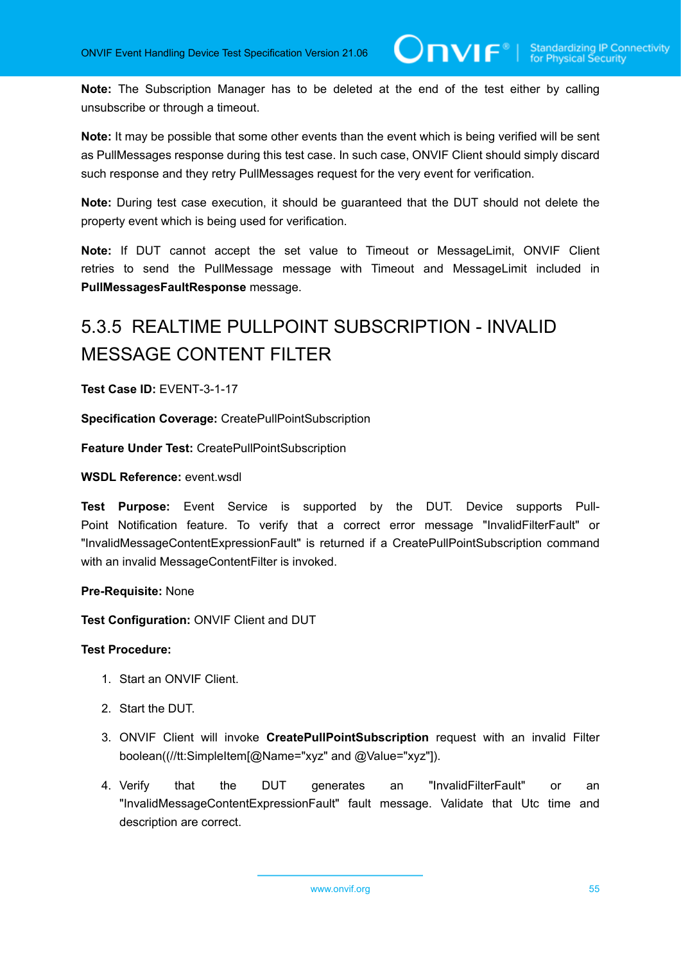**Note:** The Subscription Manager has to be deleted at the end of the test either by calling unsubscribe or through a timeout.

**Note:** It may be possible that some other events than the event which is being verified will be sent as PullMessages response during this test case. In such case, ONVIF Client should simply discard such response and they retry PullMessages request for the very event for verification.

**Note:** During test case execution, it should be guaranteed that the DUT should not delete the property event which is being used for verification.

**Note:** If DUT cannot accept the set value to Timeout or MessageLimit, ONVIF Client retries to send the PullMessage message with Timeout and MessageLimit included in **PullMessagesFaultResponse** message.

# 5.3.5 REALTIME PULLPOINT SUBSCRIPTION - INVALID MESSAGE CONTENT FILTER

**Test Case ID:** EVENT-3-1-17

**Specification Coverage:** CreatePullPointSubscription

**Feature Under Test:** CreatePullPointSubscription

#### **WSDL Reference:** event.wsdl

**Test Purpose:** Event Service is supported by the DUT. Device supports Pull-Point Notification feature. To verify that a correct error message "InvalidFilterFault" or "InvalidMessageContentExpressionFault" is returned if a CreatePullPointSubscription command with an invalid MessageContentFilter is invoked.

#### **Pre-Requisite:** None

**Test Configuration:** ONVIF Client and DUT

- 1. Start an ONVIF Client.
- 2. Start the DUT.
- 3. ONVIF Client will invoke **CreatePullPointSubscription** request with an invalid Filter boolean((//tt:SimpleItem[@Name="xyz" and @Value="xyz"]).
- 4. Verify that the DUT generates an "InvalidFilterFault" or an "InvalidMessageContentExpressionFault" fault message. Validate that Utc time and description are correct.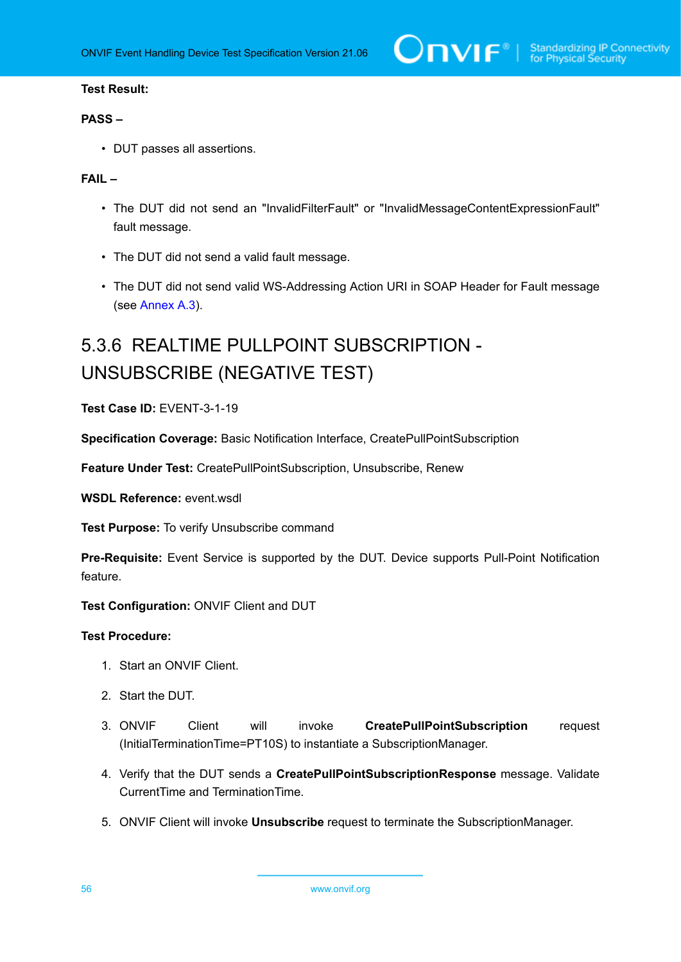# **Test Result:**

# **PASS –**

• DUT passes all assertions.

# **FAIL –**

- The DUT did not send an "InvalidFilterFault" or "InvalidMessageContentExpressionFault" fault message.
- The DUT did not send a valid fault message.
- The DUT did not send valid WS-Addressing Action URI in SOAP Header for Fault message (see [Annex A.3\)](#page-135-0).

# 5.3.6 REALTIME PULLPOINT SUBSCRIPTION - UNSUBSCRIBE (NEGATIVE TEST)

**Test Case ID:** EVENT-3-1-19

**Specification Coverage:** Basic Notification Interface, CreatePullPointSubscription

**Feature Under Test:** CreatePullPointSubscription, Unsubscribe, Renew

**WSDL Reference:** event.wsdl

**Test Purpose:** To verify Unsubscribe command

**Pre-Requisite:** Event Service is supported by the DUT. Device supports Pull-Point Notification feature.

**Test Configuration:** ONVIF Client and DUT

- 1. Start an ONVIF Client.
- 2. Start the DUT.
- 3. ONVIF Client will invoke **CreatePullPointSubscription** request (InitialTerminationTime=PT10S) to instantiate a SubscriptionManager.
- 4. Verify that the DUT sends a **CreatePullPointSubscriptionResponse** message. Validate CurrentTime and TerminationTime.
- 5. ONVIF Client will invoke **Unsubscribe** request to terminate the SubscriptionManager.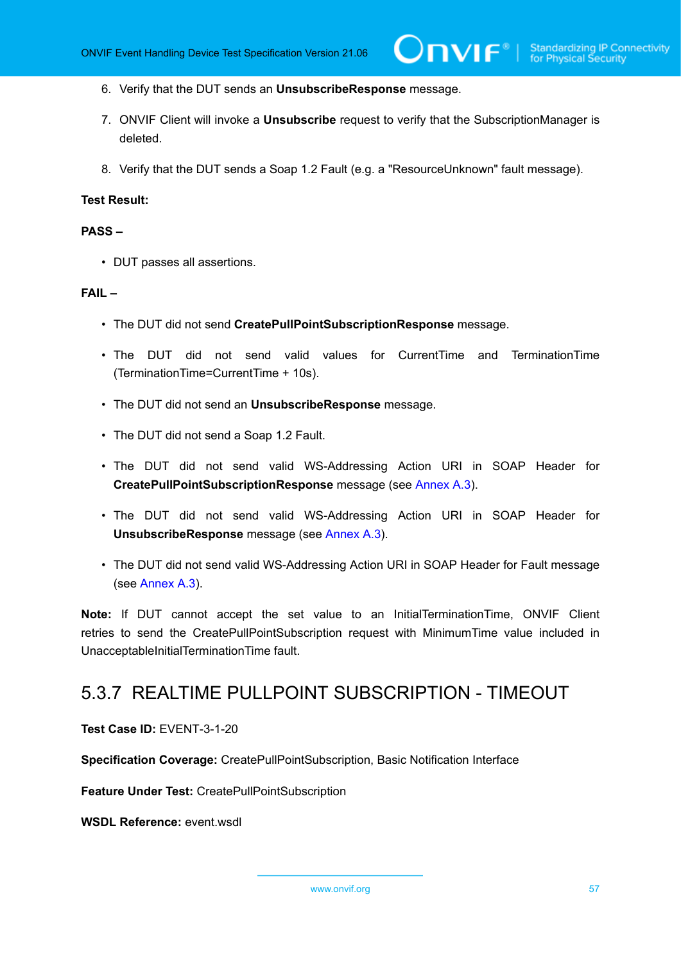- 6. Verify that the DUT sends an **UnsubscribeResponse** message.
- 7. ONVIF Client will invoke a **Unsubscribe** request to verify that the SubscriptionManager is deleted.
- 8. Verify that the DUT sends a Soap 1.2 Fault (e.g. a "ResourceUnknown" fault message).

#### **Test Result:**

#### **PASS –**

• DUT passes all assertions.

#### **FAIL –**

- The DUT did not send **CreatePullPointSubscriptionResponse** message.
- The DUT did not send valid values for CurrentTime and TerminationTime (TerminationTime=CurrentTime + 10s).
- The DUT did not send an **UnsubscribeResponse** message.
- The DUT did not send a Soap 1.2 Fault.
- The DUT did not send valid WS-Addressing Action URI in SOAP Header for **CreatePullPointSubscriptionResponse** message (see [Annex A.3\)](#page-135-0).
- The DUT did not send valid WS-Addressing Action URI in SOAP Header for **UnsubscribeResponse** message (see [Annex A.3](#page-135-0)).
- The DUT did not send valid WS-Addressing Action URI in SOAP Header for Fault message (see [Annex A.3\)](#page-135-0).

**Note:** If DUT cannot accept the set value to an InitialTerminationTime, ONVIF Client retries to send the CreatePullPointSubscription request with MinimumTime value included in UnacceptableInitialTerminationTime fault.

# 5.3.7 REALTIME PULLPOINT SUBSCRIPTION - TIMEOUT

**Test Case ID:** EVENT-3-1-20

**Specification Coverage:** CreatePullPointSubscription, Basic Notification Interface

**Feature Under Test:** CreatePullPointSubscription

**WSDL Reference:** event.wsdl

www.onvif.org 57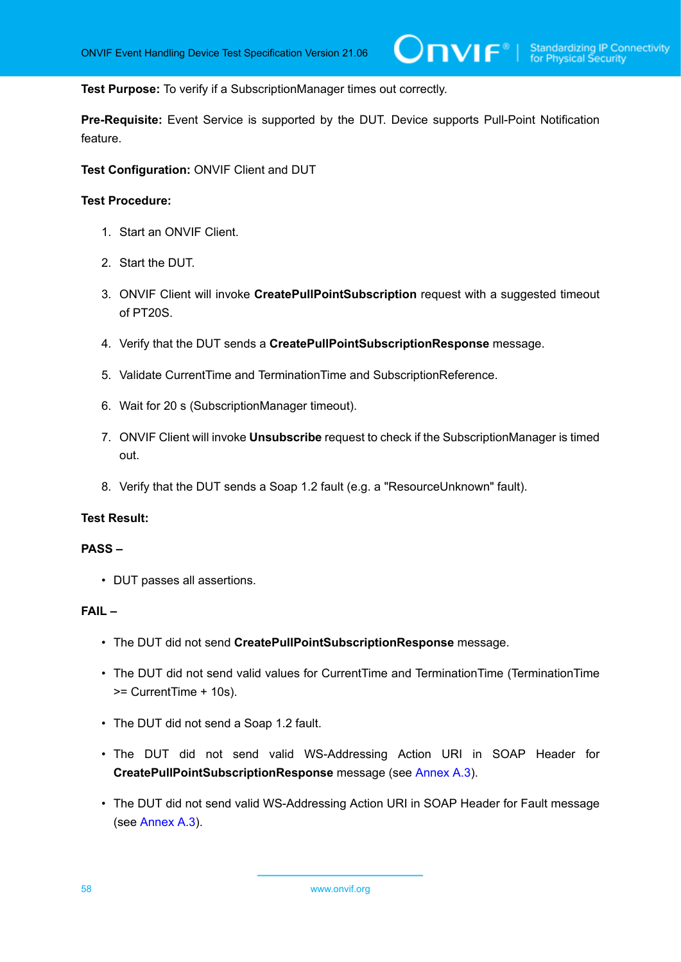**Test Purpose:** To verify if a SubscriptionManager times out correctly.

**Pre-Requisite:** Event Service is supported by the DUT. Device supports Pull-Point Notification feature.

**Test Configuration:** ONVIF Client and DUT

#### **Test Procedure:**

- 1. Start an ONVIF Client.
- 2. Start the DUT.
- 3. ONVIF Client will invoke **CreatePullPointSubscription** request with a suggested timeout of PT20S.
- 4. Verify that the DUT sends a **CreatePullPointSubscriptionResponse** message.
- 5. Validate CurrentTime and TerminationTime and SubscriptionReference.
- 6. Wait for 20 s (SubscriptionManager timeout).
- 7. ONVIF Client will invoke **Unsubscribe** request to check if the SubscriptionManager is timed out.
- 8. Verify that the DUT sends a Soap 1.2 fault (e.g. a "ResourceUnknown" fault).

# **Test Result:**

### **PASS –**

• DUT passes all assertions.

#### **FAIL –**

- The DUT did not send **CreatePullPointSubscriptionResponse** message.
- The DUT did not send valid values for CurrentTime and TerminationTime (TerminationTime >= CurrentTime + 10s).
- The DUT did not send a Soap 1.2 fault.
- The DUT did not send valid WS-Addressing Action URI in SOAP Header for **CreatePullPointSubscriptionResponse** message (see [Annex A.3\)](#page-135-0).
- The DUT did not send valid WS-Addressing Action URI in SOAP Header for Fault message (see [Annex A.3\)](#page-135-0).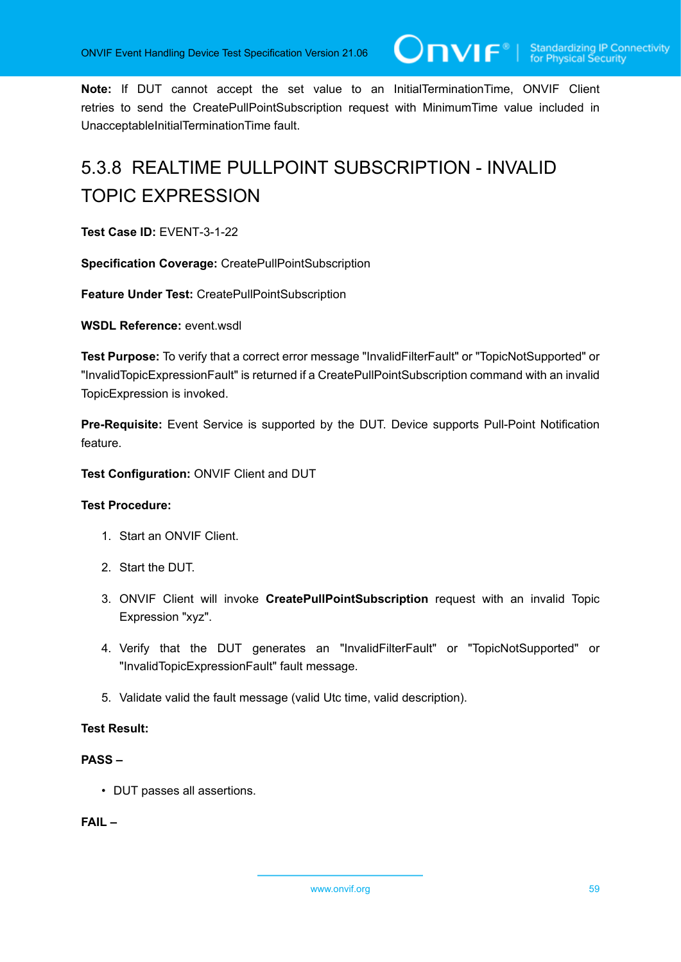**Note:** If DUT cannot accept the set value to an InitialTerminationTime, ONVIF Client retries to send the CreatePullPointSubscription request with MinimumTime value included in UnacceptableInitialTerminationTime fault.

# 5.3.8 REALTIME PULLPOINT SUBSCRIPTION - INVALID TOPIC EXPRESSION

**Test Case ID:** EVENT-3-1-22

**Specification Coverage:** CreatePullPointSubscription

**Feature Under Test:** CreatePullPointSubscription

**WSDL Reference:** event.wsdl

**Test Purpose:** To verify that a correct error message "InvalidFilterFault" or "TopicNotSupported" or "InvalidTopicExpressionFault" is returned if a CreatePullPointSubscription command with an invalid TopicExpression is invoked.

**Pre-Requisite:** Event Service is supported by the DUT. Device supports Pull-Point Notification feature.

**Test Configuration:** ONVIF Client and DUT

# **Test Procedure:**

- 1. Start an ONVIF Client.
- 2. Start the DUT.
- 3. ONVIF Client will invoke **CreatePullPointSubscription** request with an invalid Topic Expression "xyz".
- 4. Verify that the DUT generates an "InvalidFilterFault" or "TopicNotSupported" or "InvalidTopicExpressionFault" fault message.
- 5. Validate valid the fault message (valid Utc time, valid description).

# **Test Result:**

# **PASS –**

• DUT passes all assertions.

**FAIL –**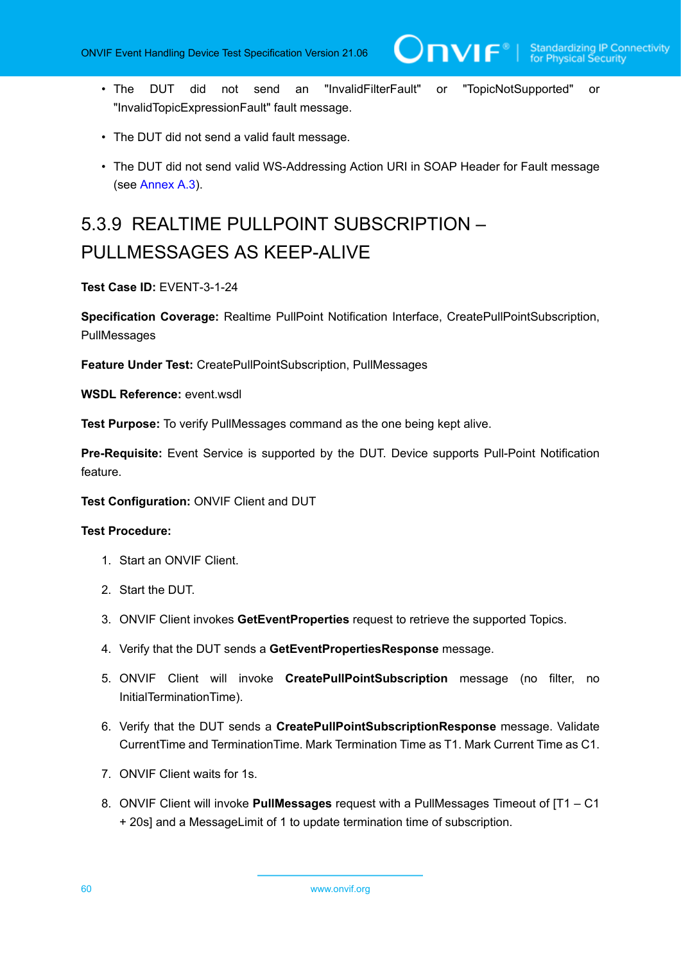- The DUT did not send an "InvalidFilterFault" or "TopicNotSupported" or "InvalidTopicExpressionFault" fault message.
- The DUT did not send a valid fault message.
- The DUT did not send valid WS-Addressing Action URI in SOAP Header for Fault message (see [Annex A.3\)](#page-135-0).

# 5.3.9 REALTIME PULLPOINT SUBSCRIPTION – PULLMESSAGES AS KEEP-ALIVE

**Test Case ID:** EVENT-3-1-24

**Specification Coverage:** Realtime PullPoint Notification Interface, CreatePullPointSubscription, PullMessages

**Feature Under Test:** CreatePullPointSubscription, PullMessages

**WSDL Reference:** event.wsdl

**Test Purpose:** To verify PullMessages command as the one being kept alive.

**Pre-Requisite:** Event Service is supported by the DUT. Device supports Pull-Point Notification feature.

**Test Configuration:** ONVIF Client and DUT

- 1. Start an ONVIF Client.
- 2. Start the DUT.
- 3. ONVIF Client invokes **GetEventProperties** request to retrieve the supported Topics.
- 4. Verify that the DUT sends a **GetEventPropertiesResponse** message.
- 5. ONVIF Client will invoke **CreatePullPointSubscription** message (no filter, no InitialTerminationTime).
- <span id="page-59-0"></span>6. Verify that the DUT sends a **CreatePullPointSubscriptionResponse** message. Validate CurrentTime and TerminationTime. Mark Termination Time as T1. Mark Current Time as C1.
- 7. ONVIF Client waits for 1s.
- <span id="page-59-1"></span>8. ONVIF Client will invoke **PullMessages** request with a PullMessages Timeout of [T1 – C1 + 20s] and a MessageLimit of 1 to update termination time of subscription.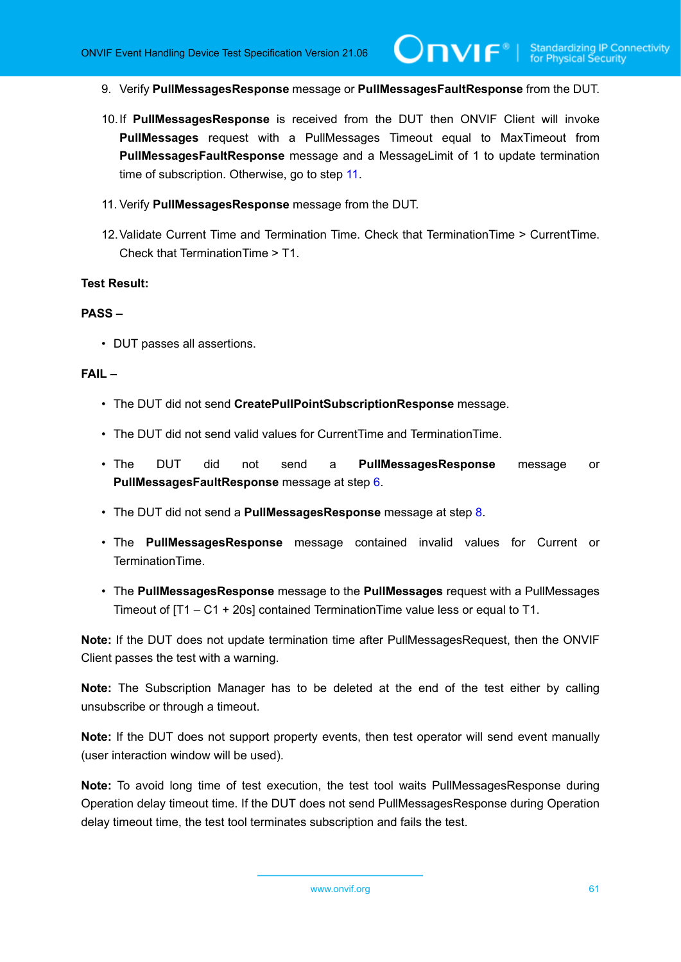- 9. Verify **PullMessagesResponse** message or **PullMessagesFaultResponse** from the DUT.
- 10.If **PullMessagesResponse** is received from the DUT then ONVIF Client will invoke **PullMessages** request with a PullMessages Timeout equal to MaxTimeout from **PullMessagesFaultResponse** message and a MessageLimit of 1 to update termination time of subscription. Otherwise, go to step [11.](#page-60-0)
- <span id="page-60-0"></span>11. Verify **PullMessagesResponse** message from the DUT.
- 12.Validate Current Time and Termination Time. Check that TerminationTime > CurrentTime. Check that TerminationTime > T1.

#### **Test Result:**

#### **PASS –**

• DUT passes all assertions.

# **FAIL –**

- The DUT did not send **CreatePullPointSubscriptionResponse** message.
- The DUT did not send valid values for CurrentTime and TerminationTime.
- The DUT did not send a **PullMessagesResponse** message or **PullMessagesFaultResponse** message at step [6](#page-59-0).
- The DUT did not send a **PullMessagesResponse** message at step [8.](#page-59-1)
- The **PullMessagesResponse** message contained invalid values for Current or TerminationTime.
- The **PullMessagesResponse** message to the **PullMessages** request with a PullMessages Timeout of [T1 – C1 + 20s] contained TerminationTime value less or equal to T1.

**Note:** If the DUT does not update termination time after PullMessagesRequest, then the ONVIF Client passes the test with a warning.

**Note:** The Subscription Manager has to be deleted at the end of the test either by calling unsubscribe or through a timeout.

**Note:** If the DUT does not support property events, then test operator will send event manually (user interaction window will be used).

**Note:** To avoid long time of test execution, the test tool waits PullMessagesResponse during Operation delay timeout time. If the DUT does not send PullMessagesResponse during Operation delay timeout time, the test tool terminates subscription and fails the test.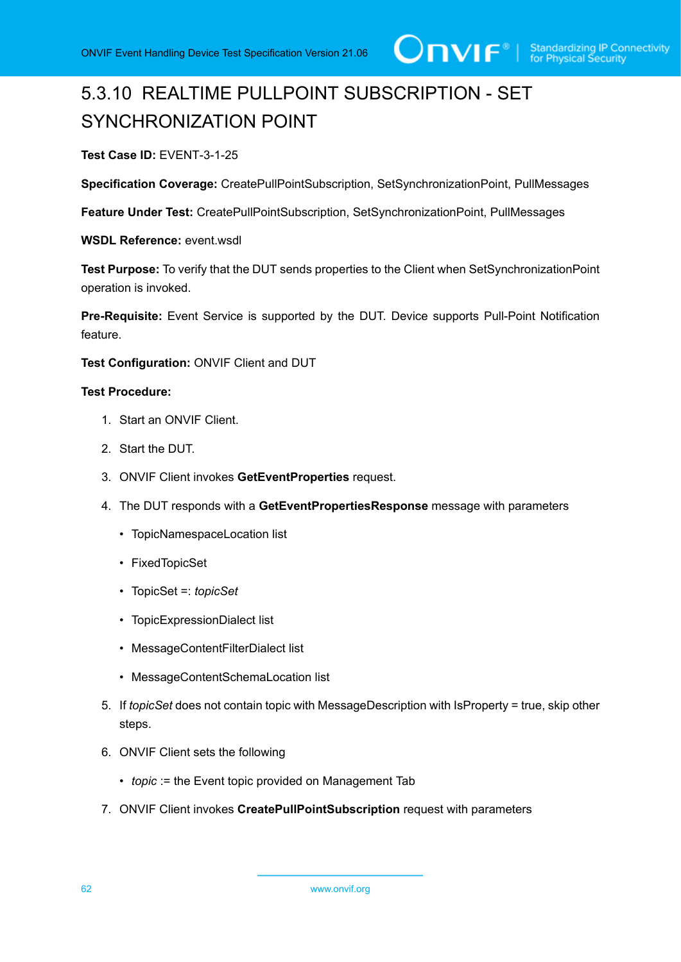# 5.3.10 REALTIME PULLPOINT SUBSCRIPTION - SET SYNCHRONIZATION POINT

**Test Case ID:** EVENT-3-1-25

**Specification Coverage:** CreatePullPointSubscription, SetSynchronizationPoint, PullMessages

**Feature Under Test:** CreatePullPointSubscription, SetSynchronizationPoint, PullMessages

**WSDL Reference:** event.wsdl

**Test Purpose:** To verify that the DUT sends properties to the Client when SetSynchronizationPoint operation is invoked.

**Pre-Requisite:** Event Service is supported by the DUT. Device supports Pull-Point Notification feature.

**Test Configuration:** ONVIF Client and DUT

- 1. Start an ONVIF Client.
- 2. Start the DUT.
- 3. ONVIF Client invokes **GetEventProperties** request.
- 4. The DUT responds with a **GetEventPropertiesResponse** message with parameters
	- TopicNamespaceLocation list
	- FixedTopicSet
	- TopicSet =: *topicSet*
	- TopicExpressionDialect list
	- MessageContentFilterDialect list
	- MessageContentSchemaLocation list
- 5. If *topicSet* does not contain topic with MessageDescription with IsProperty = true, skip other steps.
- 6. ONVIF Client sets the following
	- *topic* := the Event topic provided on Management Tab
- 7. ONVIF Client invokes **CreatePullPointSubscription** request with parameters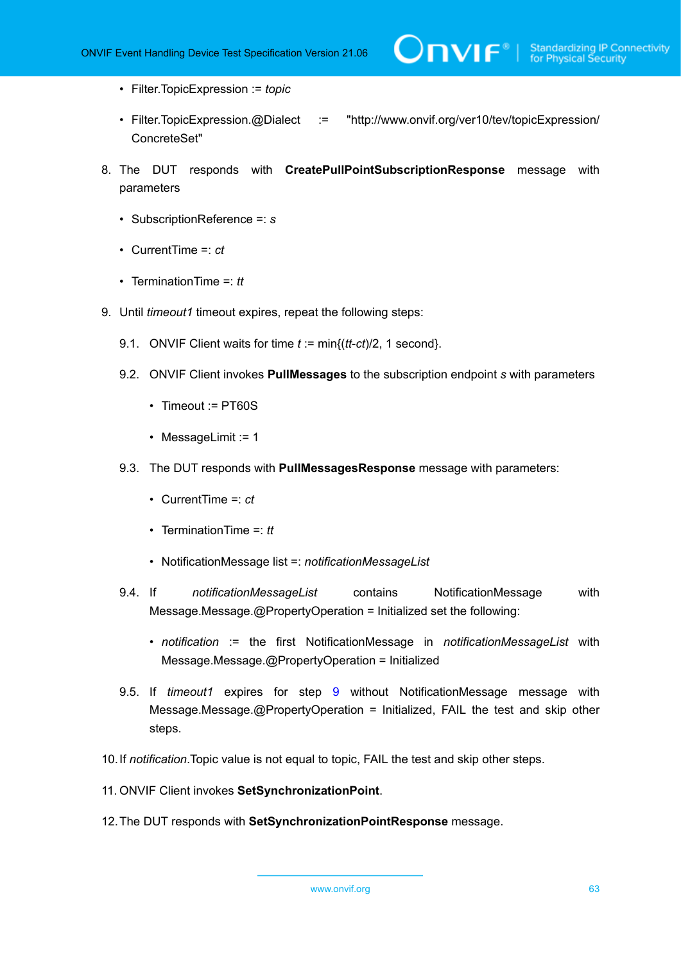- Filter.TopicExpression := *topic*
- Filter.TopicExpression.@Dialect := "http://www.onvif.org/ver10/tev/topicExpression/ ConcreteSet"
- 8. The DUT responds with **CreatePullPointSubscriptionResponse** message with parameters
	- SubscriptionReference =: *s*
	- CurrentTime =: *ct*
	- TerminationTime =: *tt*
- <span id="page-62-0"></span>9. Until *timeout1* timeout expires, repeat the following steps:
	- 9.1. ONVIF Client waits for time *t* := min{(*tt*-*ct*)/2, 1 second}.
	- 9.2. ONVIF Client invokes **PullMessages** to the subscription endpoint *s* with parameters
		- Timeout := PT60S
		- MessageLimit := 1
	- 9.3. The DUT responds with **PullMessagesResponse** message with parameters:
		- CurrentTime =: *ct*
		- TerminationTime =: *tt*
		- NotificationMessage list =: *notificationMessageList*
	- 9.4. If *notificationMessageList* contains NotificationMessage with Message.Message.@PropertyOperation = Initialized set the following:
		- *notification* := the first NotificationMessage in *notificationMessageList* with Message.Message.@PropertyOperation = Initialized
	- 9.5. If *timeout1* expires for step [9](#page-62-0) without NotificationMessage message with Message.Message.@PropertyOperation = Initialized, FAIL the test and skip other steps.
- 10.If *notification*.Topic value is not equal to topic, FAIL the test and skip other steps.
- 11. ONVIF Client invokes **SetSynchronizationPoint**.
- 12.The DUT responds with **SetSynchronizationPointResponse** message.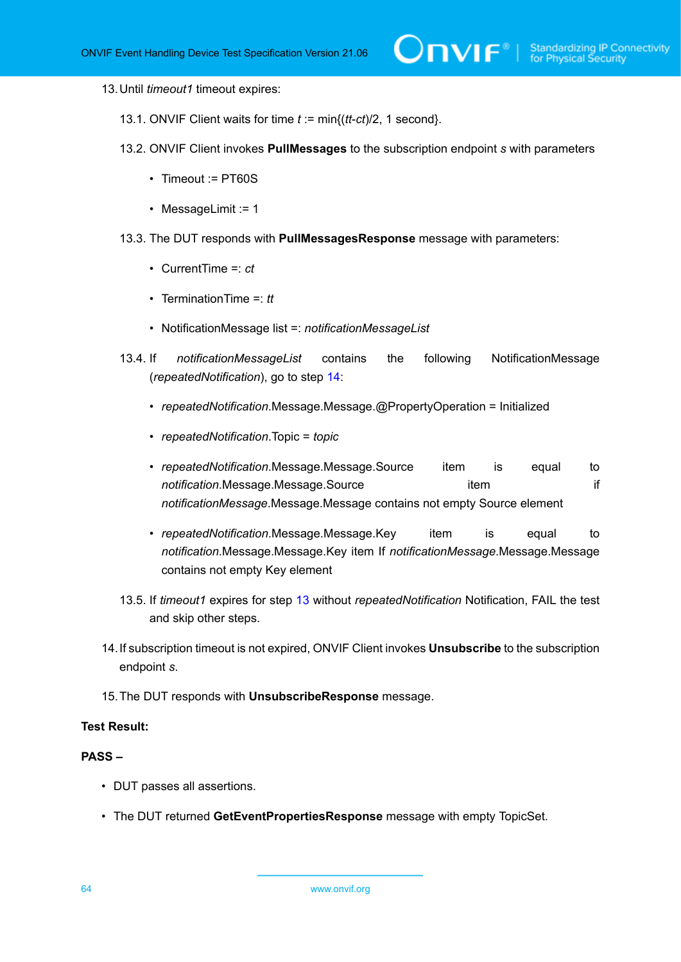#### <span id="page-63-1"></span>13.Until *timeout1* timeout expires:

- 13.1. ONVIF Client waits for time *t* := min{(*tt*-*ct*)/2, 1 second}.
- 13.2. ONVIF Client invokes **PullMessages** to the subscription endpoint *s* with parameters
	- Timeout := PT60S
	- MessageLimit := 1
- 13.3. The DUT responds with **PullMessagesResponse** message with parameters:
	- CurrentTime =: *ct*
	- TerminationTime =: *tt*
	- NotificationMessage list =: *notificationMessageList*
- 13.4. If *notificationMessageList* contains the following NotificationMessage (*repeatedNotification*), go to step [14:](#page-63-0)
	- *repeatedNotification*.Message.Message.@PropertyOperation = Initialized
	- *repeatedNotification*.Topic = *topic*
	- *repeatedNotification*.Message.Message.Source item is equal to **notification**.Message.Message.Source item item if *notificationMessage*.Message.Message contains not empty Source element
	- *repeatedNotification*.Message.Message.Key item is equal to *notification*.Message.Message.Key item If *notificationMessage*.Message.Message contains not empty Key element
- 13.5. If *timeout1* expires for step [13](#page-63-1) without *repeatedNotification* Notification, FAIL the test and skip other steps.
- <span id="page-63-0"></span>14.If subscription timeout is not expired, ONVIF Client invokes **Unsubscribe** to the subscription endpoint *s*.
- 15.The DUT responds with **UnsubscribeResponse** message.

# **Test Result:**

#### **PASS –**

- DUT passes all assertions.
- The DUT returned **GetEventPropertiesResponse** message with empty TopicSet.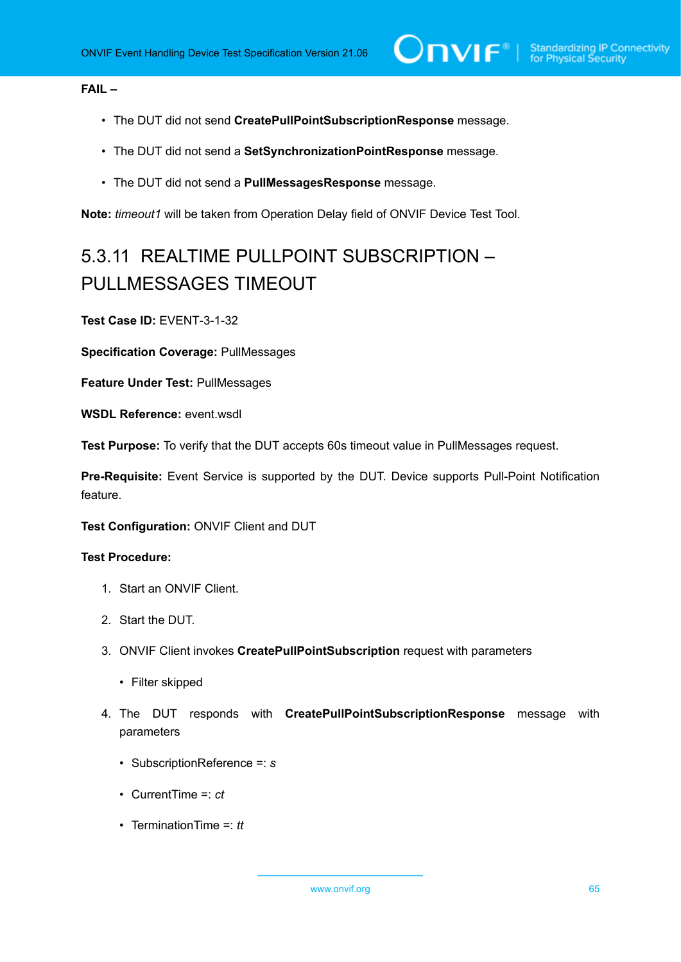# **FAIL –**

- The DUT did not send **CreatePullPointSubscriptionResponse** message.
- The DUT did not send a **SetSynchronizationPointResponse** message.
- The DUT did not send a **PullMessagesResponse** message.

**Note:** *timeout1* will be taken from Operation Delay field of ONVIF Device Test Tool.

# 5.3.11 REALTIME PULLPOINT SUBSCRIPTION – PULLMESSAGES TIMEOUT

**Test Case ID:** EVENT-3-1-32

**Specification Coverage:** PullMessages

**Feature Under Test:** PullMessages

**WSDL Reference:** event.wsdl

**Test Purpose:** To verify that the DUT accepts 60s timeout value in PullMessages request.

**Pre-Requisite:** Event Service is supported by the DUT. Device supports Pull-Point Notification feature.

**Test Configuration:** ONVIF Client and DUT

- 1. Start an ONVIF Client.
- 2. Start the DUT.
- 3. ONVIF Client invokes **CreatePullPointSubscription** request with parameters
	- Filter skipped
- 4. The DUT responds with **CreatePullPointSubscriptionResponse** message with parameters
	- SubscriptionReference =: *s*
	- CurrentTime =: *ct*
	- TerminationTime =: *tt*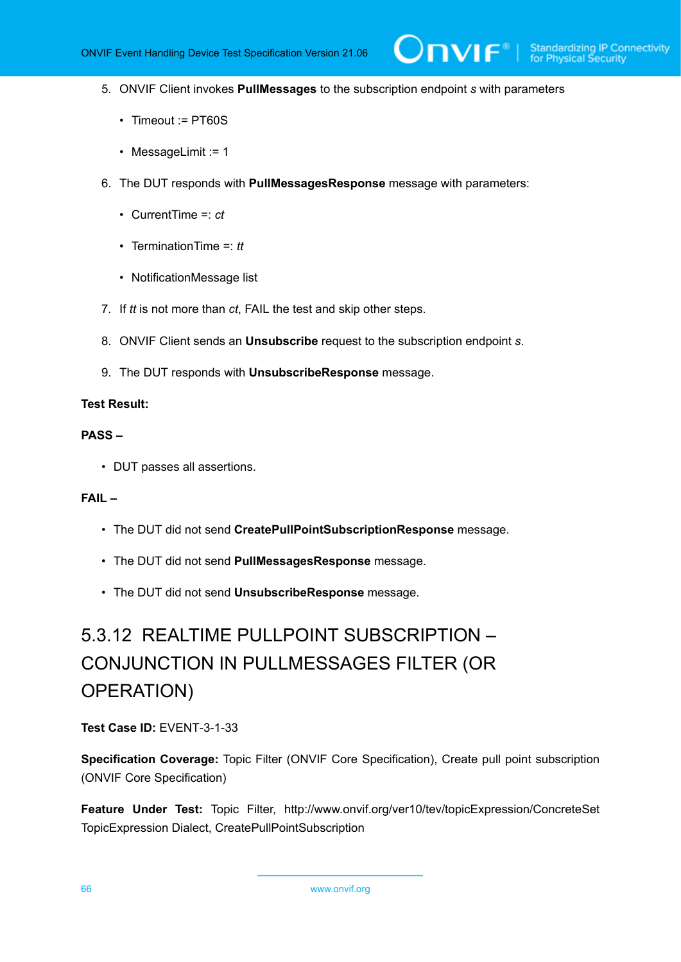$\mathsf{J}\mathsf{IVIF}^*$  i

- 5. ONVIF Client invokes **PullMessages** to the subscription endpoint *s* with parameters
	- Timeout := PT60S
	- MessageLimit := 1
- 6. The DUT responds with **PullMessagesResponse** message with parameters:
	- CurrentTime =: *ct*
	- TerminationTime =: *tt*
	- NotificationMessage list
- 7. If *tt* is not more than *ct*, FAIL the test and skip other steps.
- 8. ONVIF Client sends an **Unsubscribe** request to the subscription endpoint *s*.
- 9. The DUT responds with **UnsubscribeResponse** message.

#### **Test Result:**

#### **PASS –**

• DUT passes all assertions.

# **FAIL –**

- The DUT did not send **CreatePullPointSubscriptionResponse** message.
- The DUT did not send **PullMessagesResponse** message.
- The DUT did not send **UnsubscribeResponse** message.

# 5.3.12 REALTIME PULLPOINT SUBSCRIPTION – CONJUNCTION IN PULLMESSAGES FILTER (OR OPERATION)

# **Test Case ID:** EVENT-3-1-33

**Specification Coverage:** Topic Filter (ONVIF Core Specification), Create pull point subscription (ONVIF Core Specification)

**Feature Under Test:** Topic Filter, http://www.onvif.org/ver10/tev/topicExpression/ConcreteSet TopicExpression Dialect, CreatePullPointSubscription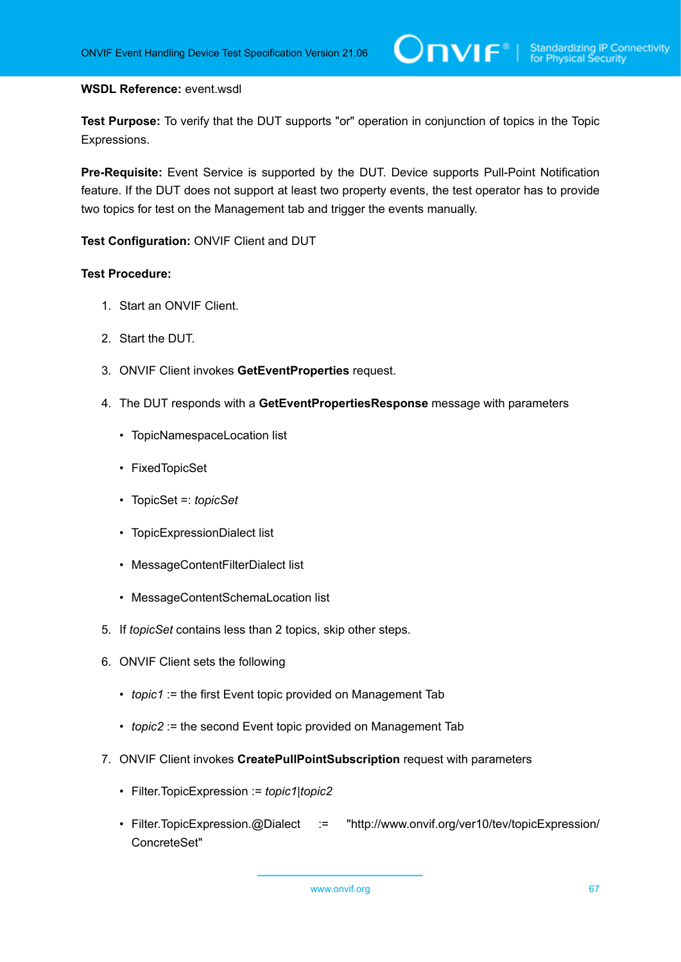#### **WSDL Reference:** event.wsdl

**Test Purpose:** To verify that the DUT supports "or" operation in conjunction of topics in the Topic Expressions.

**Pre-Requisite:** Event Service is supported by the DUT. Device supports Pull-Point Notification feature. If the DUT does not support at least two property events, the test operator has to provide two topics for test on the Management tab and trigger the events manually.

**Test Configuration:** ONVIF Client and DUT

- 1. Start an ONVIF Client.
- 2. Start the DUT.
- 3. ONVIF Client invokes **GetEventProperties** request.
- 4. The DUT responds with a **GetEventPropertiesResponse** message with parameters
	- TopicNamespaceLocation list
	- FixedTopicSet
	- TopicSet =: *topicSet*
	- TopicExpressionDialect list
	- MessageContentFilterDialect list
	- MessageContentSchemaLocation list
- 5. If *topicSet* contains less than 2 topics, skip other steps.
- 6. ONVIF Client sets the following
	- *topic1* := the first Event topic provided on Management Tab
	- *topic2* := the second Event topic provided on Management Tab
- 7. ONVIF Client invokes **CreatePullPointSubscription** request with parameters
	- Filter.TopicExpression := *topic1*|*topic2*
	- Filter.TopicExpression.@Dialect := "http://www.onvif.org/ver10/tev/topicExpression/ ConcreteSet"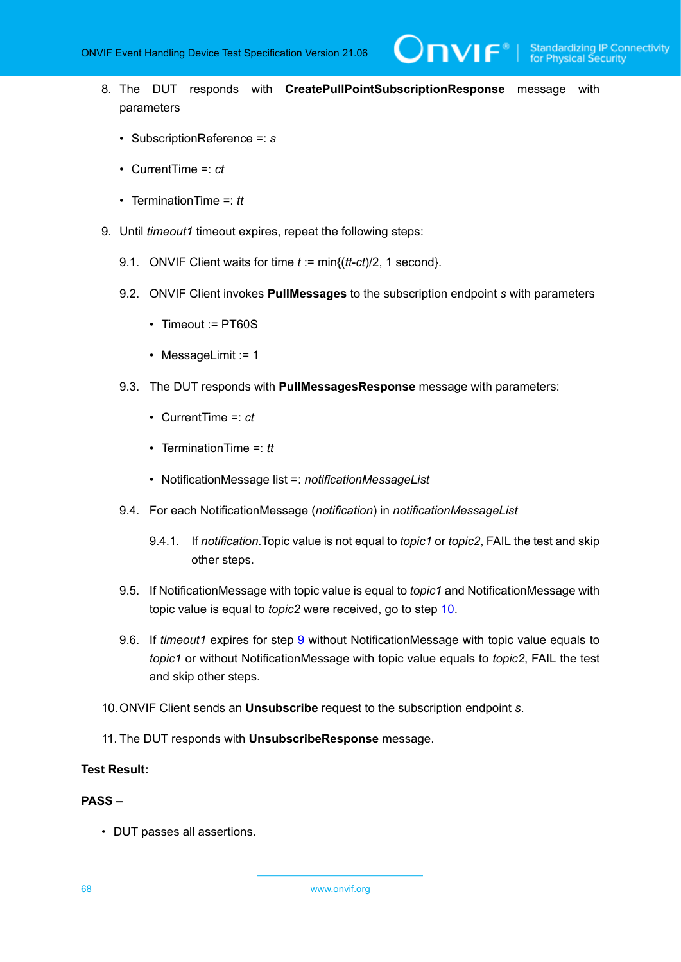$\mathbf{VIF}^*$ 

- 8. The DUT responds with **CreatePullPointSubscriptionResponse** message with parameters
	- SubscriptionReference =: *s*
	- CurrentTime =: *ct*
	- TerminationTime =: *tt*
- <span id="page-67-1"></span>9. Until *timeout1* timeout expires, repeat the following steps:
	- 9.1. ONVIF Client waits for time *t* := min{(*tt*-*ct*)/2, 1 second}.
	- 9.2. ONVIF Client invokes **PullMessages** to the subscription endpoint *s* with parameters
		- Timeout := PT60S
		- MessageLimit := 1
	- 9.3. The DUT responds with **PullMessagesResponse** message with parameters:
		- CurrentTime =: *ct*
		- TerminationTime =: *tt*
		- NotificationMessage list =: *notificationMessageList*
	- 9.4. For each NotificationMessage (*notification*) in *notificationMessageList*
		- 9.4.1. If *notification*.Topic value is not equal to *topic1* or *topic2*, FAIL the test and skip other steps.
	- 9.5. If NotificationMessage with topic value is equal to *topic1* and NotificationMessage with topic value is equal to *topic2* were received, go to step [10](#page-67-0).
	- 9.6. If *timeout1* expires for step [9](#page-67-1) without NotificationMessage with topic value equals to *topic1* or without NotificationMessage with topic value equals to *topic2*, FAIL the test and skip other steps.
- <span id="page-67-0"></span>10.ONVIF Client sends an **Unsubscribe** request to the subscription endpoint *s*.
- 11. The DUT responds with **UnsubscribeResponse** message.

# **Test Result:**

# **PASS –**

• DUT passes all assertions.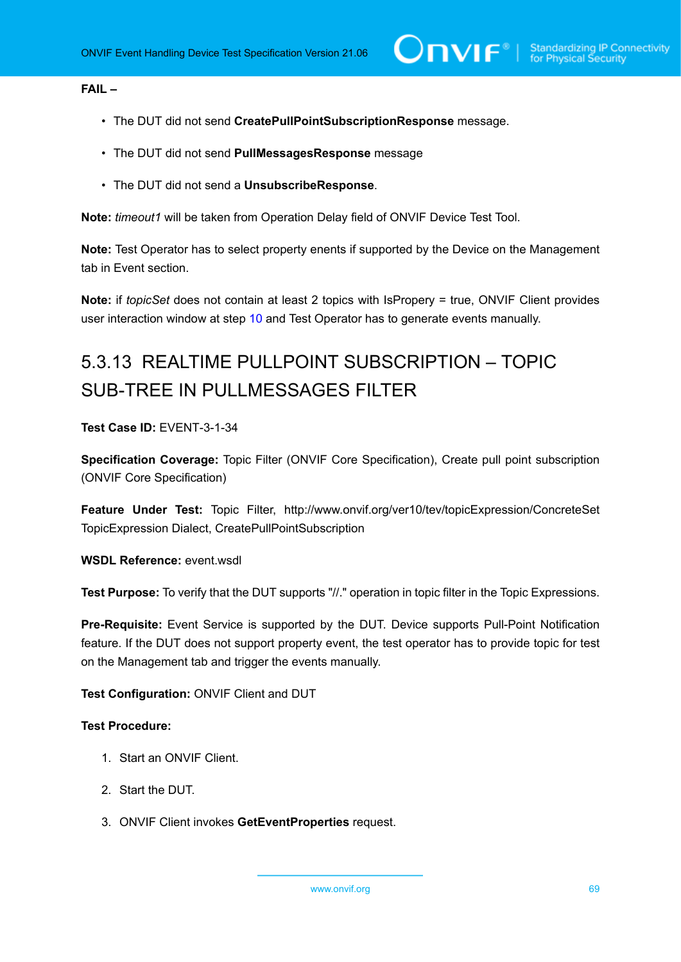### **FAIL –**

- The DUT did not send **CreatePullPointSubscriptionResponse** message.
- The DUT did not send **PullMessagesResponse** message
- The DUT did not send a **UnsubscribeResponse**.

**Note:** *timeout1* will be taken from Operation Delay field of ONVIF Device Test Tool.

**Note:** Test Operator has to select property enents if supported by the Device on the Management tab in Event section.

**Note:** if *topicSet* does not contain at least 2 topics with IsPropery = true, ONVIF Client provides user interaction window at step [10](#page-67-0) and Test Operator has to generate events manually.

# 5.3.13 REALTIME PULLPOINT SUBSCRIPTION – TOPIC SUB-TREE IN PULLMESSAGES FILTER

# **Test Case ID:** EVENT-3-1-34

**Specification Coverage:** Topic Filter (ONVIF Core Specification), Create pull point subscription (ONVIF Core Specification)

**Feature Under Test:** Topic Filter, http://www.onvif.org/ver10/tev/topicExpression/ConcreteSet TopicExpression Dialect, CreatePullPointSubscription

# **WSDL Reference:** event.wsdl

**Test Purpose:** To verify that the DUT supports "//." operation in topic filter in the Topic Expressions.

**Pre-Requisite:** Event Service is supported by the DUT. Device supports Pull-Point Notification feature. If the DUT does not support property event, the test operator has to provide topic for test on the Management tab and trigger the events manually.

# **Test Configuration:** ONVIF Client and DUT

- 1. Start an ONVIF Client.
- 2. Start the DUT.
- 3. ONVIF Client invokes **GetEventProperties** request.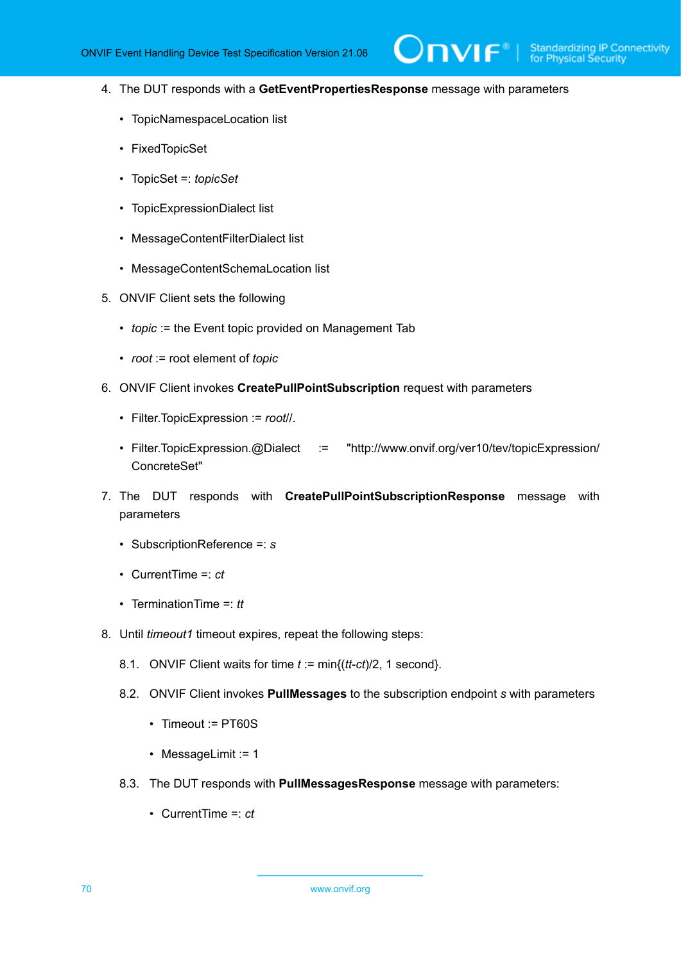**TVIF**®

- 4. The DUT responds with a **GetEventPropertiesResponse** message with parameters
	- TopicNamespaceLocation list
	- FixedTopicSet
	- TopicSet =: *topicSet*
	- TopicExpressionDialect list
	- MessageContentFilterDialect list
	- MessageContentSchemaLocation list
- 5. ONVIF Client sets the following
	- *topic* := the Event topic provided on Management Tab
	- *root* := root element of *topic*
- 6. ONVIF Client invokes **CreatePullPointSubscription** request with parameters
	- Filter.TopicExpression := *root*//.
	- Filter.TopicExpression.@Dialect := "http://www.onvif.org/ver10/tev/topicExpression/ ConcreteSet"
- 7. The DUT responds with **CreatePullPointSubscriptionResponse** message with parameters
	- SubscriptionReference =: *s*
	- CurrentTime =: *ct*
	- TerminationTime =: *tt*
- <span id="page-69-0"></span>8. Until *timeout1* timeout expires, repeat the following steps:
	- 8.1. ONVIF Client waits for time *t* := min{(*tt*-*ct*)/2, 1 second}.
	- 8.2. ONVIF Client invokes **PullMessages** to the subscription endpoint *s* with parameters
		- Timeout := PT60S
		- MessageLimit := 1
	- 8.3. The DUT responds with **PullMessagesResponse** message with parameters:
		- CurrentTime =: *ct*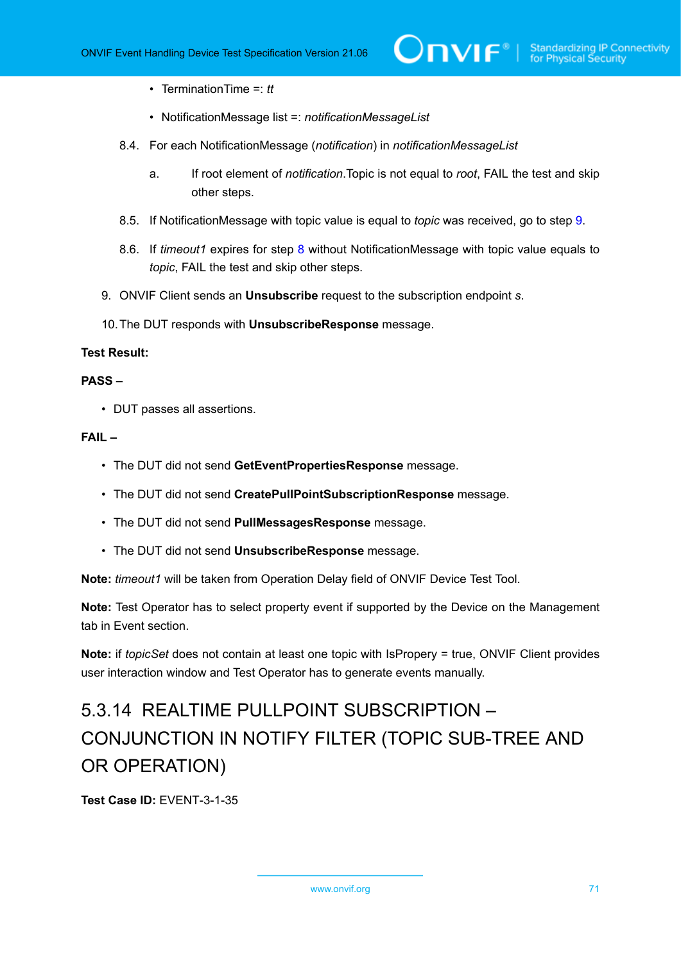- TerminationTime =: *tt*
- NotificationMessage list =: *notificationMessageList*
- 8.4. For each NotificationMessage (*notification*) in *notificationMessageList*
	- a. If root element of *notification*.Topic is not equal to *root*, FAIL the test and skip other steps.
- 8.5. If NotificationMessage with topic value is equal to *topic* was received, go to step [9](#page-70-0).
- 8.6. If *timeout1* expires for step [8](#page-69-0) without NotificationMessage with topic value equals to *topic*, FAIL the test and skip other steps.
- <span id="page-70-0"></span>9. ONVIF Client sends an **Unsubscribe** request to the subscription endpoint *s*.
- 10.The DUT responds with **UnsubscribeResponse** message.

#### **Test Result:**

#### **PASS –**

• DUT passes all assertions.

### **FAIL –**

- The DUT did not send **GetEventPropertiesResponse** message.
- The DUT did not send **CreatePullPointSubscriptionResponse** message.
- The DUT did not send **PullMessagesResponse** message.
- The DUT did not send **UnsubscribeResponse** message.

**Note:** *timeout1* will be taken from Operation Delay field of ONVIF Device Test Tool.

**Note:** Test Operator has to select property event if supported by the Device on the Management tab in Event section.

**Note:** if *topicSet* does not contain at least one topic with IsPropery = true, ONVIF Client provides user interaction window and Test Operator has to generate events manually.

# 5.3.14 REALTIME PULLPOINT SUBSCRIPTION – CONJUNCTION IN NOTIFY FILTER (TOPIC SUB-TREE AND OR OPERATION)

**Test Case ID:** EVENT-3-1-35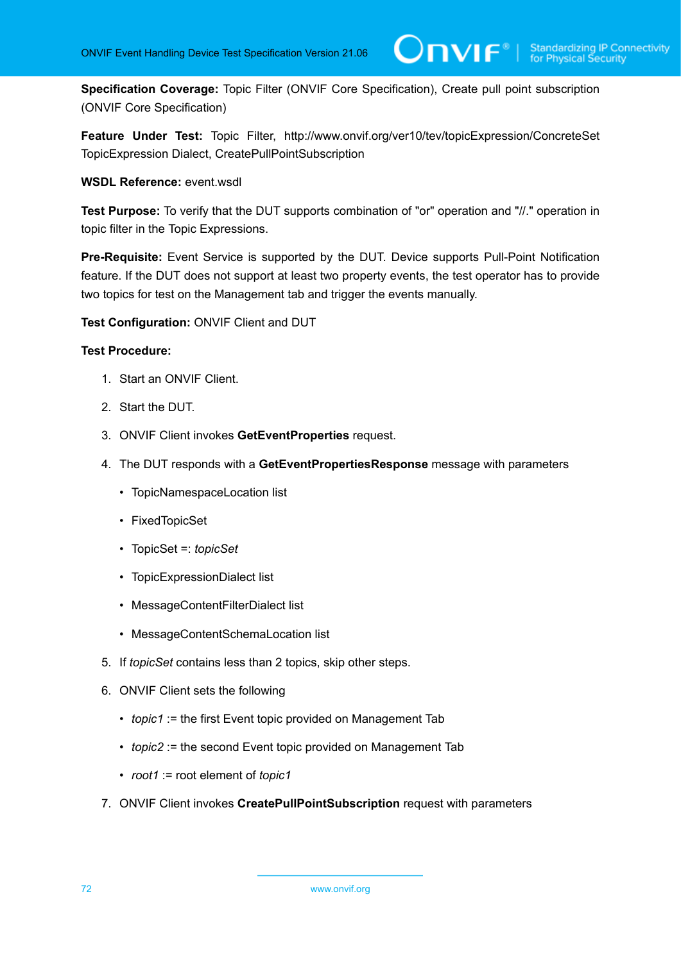**Specification Coverage:** Topic Filter (ONVIF Core Specification), Create pull point subscription (ONVIF Core Specification)

**Feature Under Test:** Topic Filter, http://www.onvif.org/ver10/tev/topicExpression/ConcreteSet TopicExpression Dialect, CreatePullPointSubscription

#### **WSDL Reference:** event.wsdl

**Test Purpose:** To verify that the DUT supports combination of "or" operation and "//." operation in topic filter in the Topic Expressions.

**Pre-Requisite:** Event Service is supported by the DUT. Device supports Pull-Point Notification feature. If the DUT does not support at least two property events, the test operator has to provide two topics for test on the Management tab and trigger the events manually.

#### **Test Configuration:** ONVIF Client and DUT

- 1. Start an ONVIF Client.
- 2. Start the DUT.
- 3. ONVIF Client invokes **GetEventProperties** request.
- 4. The DUT responds with a **GetEventPropertiesResponse** message with parameters
	- TopicNamespaceLocation list
	- FixedTopicSet
	- TopicSet =: *topicSet*
	- TopicExpressionDialect list
	- MessageContentFilterDialect list
	- MessageContentSchemaLocation list
- 5. If *topicSet* contains less than 2 topics, skip other steps.
- 6. ONVIF Client sets the following
	- *topic1* := the first Event topic provided on Management Tab
	- *topic2* := the second Event topic provided on Management Tab
	- *root1* := root element of *topic1*
- 7. ONVIF Client invokes **CreatePullPointSubscription** request with parameters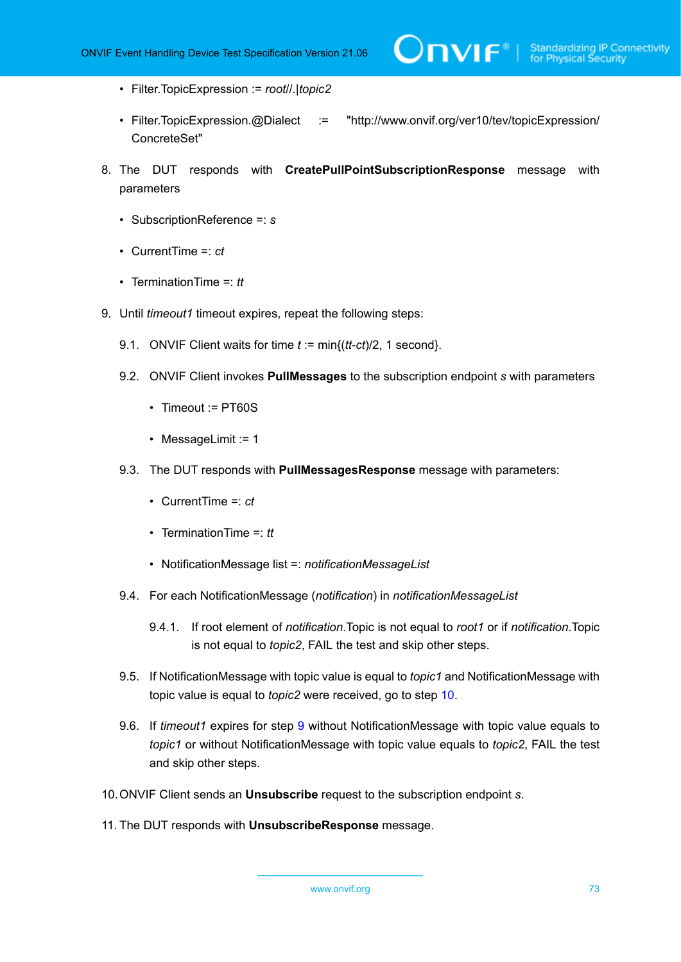- Filter.TopicExpression := *root*//.|*topic2*
- Filter.TopicExpression.@Dialect := "http://www.onvif.org/ver10/tev/topicExpression/ ConcreteSet"
- 8. The DUT responds with **CreatePullPointSubscriptionResponse** message with parameters
	- SubscriptionReference =: *s*
	- CurrentTime =: *ct*
	- TerminationTime =: *tt*
- <span id="page-72-1"></span>9. Until *timeout1* timeout expires, repeat the following steps:
	- 9.1. ONVIF Client waits for time *t* := min{(*tt*-*ct*)/2, 1 second}.
	- 9.2. ONVIF Client invokes **PullMessages** to the subscription endpoint *s* with parameters
		- Timeout := PT60S
		- MessageLimit := 1
	- 9.3. The DUT responds with **PullMessagesResponse** message with parameters:
		- CurrentTime =: *ct*
		- TerminationTime =: *tt*
		- NotificationMessage list =: *notificationMessageList*
	- 9.4. For each NotificationMessage (*notification*) in *notificationMessageList*
		- 9.4.1. If root element of *notification*.Topic is not equal to *root1* or if *notification*.Topic is not equal to *topic2*, FAIL the test and skip other steps.
	- 9.5. If NotificationMessage with topic value is equal to *topic1* and NotificationMessage with topic value is equal to *topic2* were received, go to step [10](#page-72-0).
	- 9.6. If *timeout1* expires for step [9](#page-72-1) without NotificationMessage with topic value equals to *topic1* or without NotificationMessage with topic value equals to *topic2*, FAIL the test and skip other steps.
- <span id="page-72-0"></span>10.ONVIF Client sends an **Unsubscribe** request to the subscription endpoint *s*.
- 11. The DUT responds with **UnsubscribeResponse** message.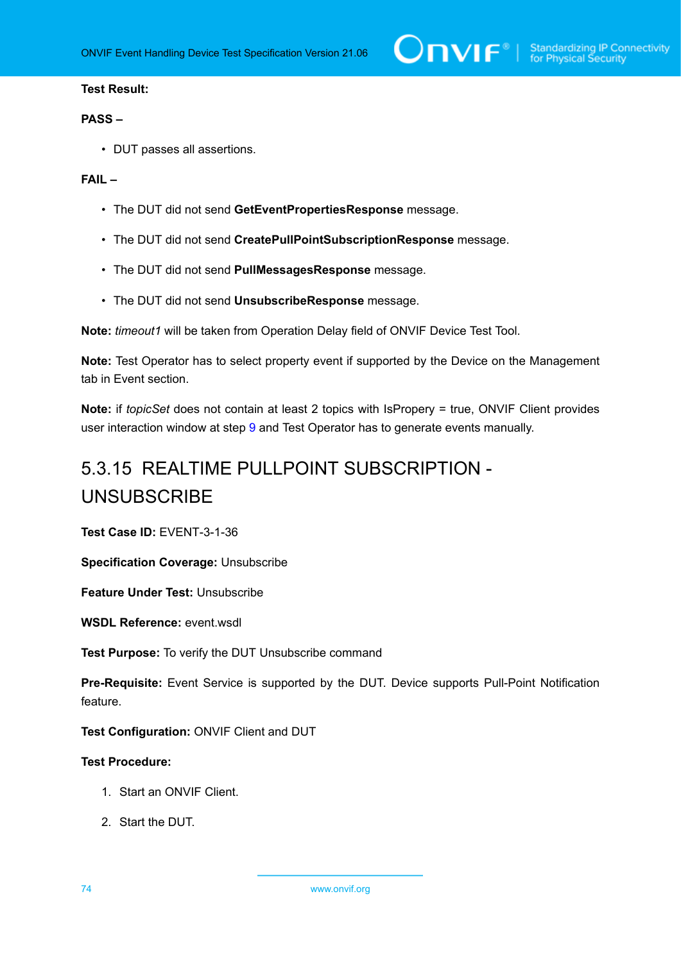#### **PASS –**

• DUT passes all assertions.

## **FAIL –**

- The DUT did not send **GetEventPropertiesResponse** message.
- The DUT did not send **CreatePullPointSubscriptionResponse** message.
- The DUT did not send **PullMessagesResponse** message.
- The DUT did not send **UnsubscribeResponse** message.

**Note:** *timeout1* will be taken from Operation Delay field of ONVIF Device Test Tool.

**Note:** Test Operator has to select property event if supported by the Device on the Management tab in Event section.

**Note:** if *topicSet* does not contain at least 2 topics with IsPropery = true, ONVIF Client provides user interaction window at step [9](#page-72-1) and Test Operator has to generate events manually.

# 5.3.15 REALTIME PULLPOINT SUBSCRIPTION - UNSUBSCRIBE

**Test Case ID:** EVENT-3-1-36

**Specification Coverage:** Unsubscribe

**Feature Under Test:** Unsubscribe

**WSDL Reference:** event.wsdl

**Test Purpose:** To verify the DUT Unsubscribe command

**Pre-Requisite:** Event Service is supported by the DUT. Device supports Pull-Point Notification feature.

**Test Configuration:** ONVIF Client and DUT

- 1. Start an ONVIF Client.
- 2. Start the DUT.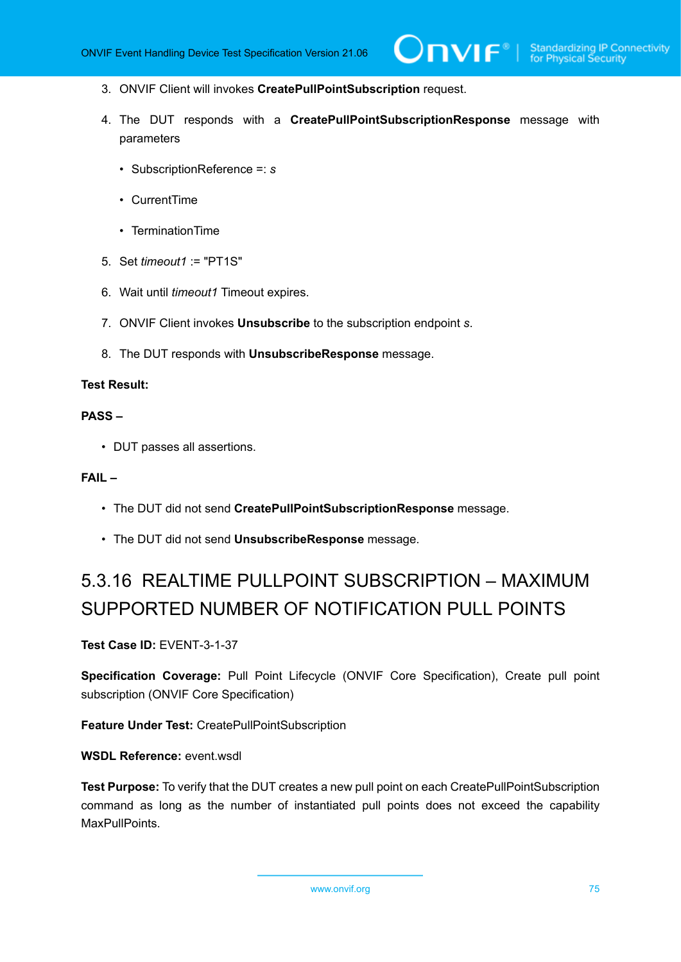- 3. ONVIF Client will invokes **CreatePullPointSubscription** request.
- 4. The DUT responds with a **CreatePullPointSubscriptionResponse** message with parameters
	- SubscriptionReference =: *s*
	- CurrentTime
	- TerminationTime
- 5. Set *timeout1* := "PT1S"
- 6. Wait until *timeout1* Timeout expires.
- 7. ONVIF Client invokes **Unsubscribe** to the subscription endpoint *s*.
- 8. The DUT responds with **UnsubscribeResponse** message.

### **PASS –**

• DUT passes all assertions.

### **FAIL –**

- The DUT did not send **CreatePullPointSubscriptionResponse** message.
- The DUT did not send **UnsubscribeResponse** message.

# 5.3.16 REALTIME PULLPOINT SUBSCRIPTION – MAXIMUM SUPPORTED NUMBER OF NOTIFICATION PULL POINTS

**Test Case ID:** EVENT-3-1-37

**Specification Coverage:** Pull Point Lifecycle (ONVIF Core Specification), Create pull point subscription (ONVIF Core Specification)

**Feature Under Test:** CreatePullPointSubscription

**WSDL Reference:** event.wsdl

**Test Purpose:** To verify that the DUT creates a new pull point on each CreatePullPointSubscription command as long as the number of instantiated pull points does not exceed the capability MaxPullPoints.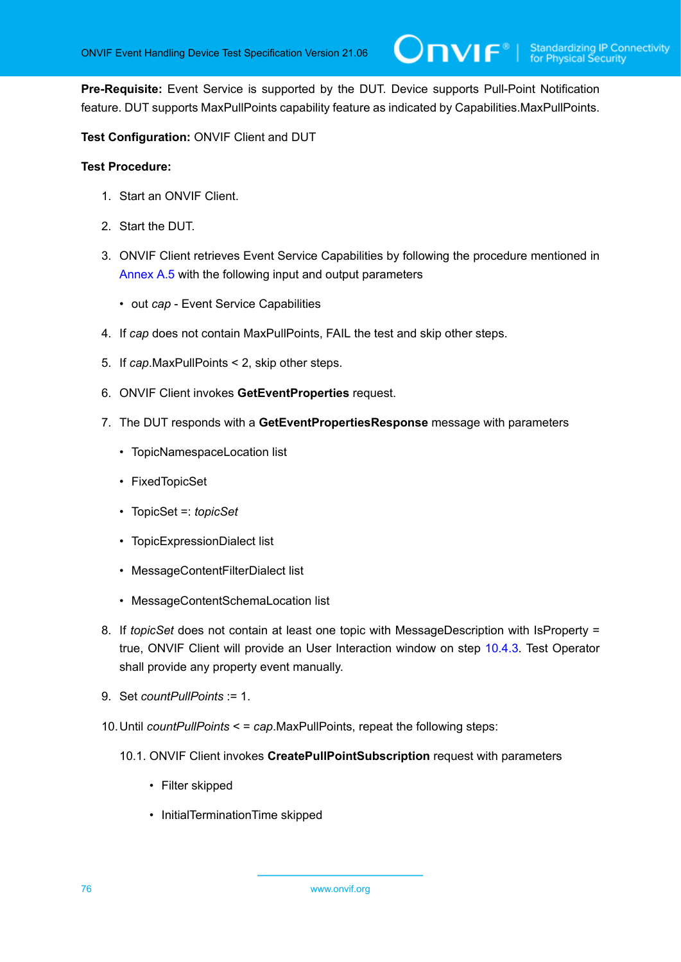**Pre-Requisite:** Event Service is supported by the DUT. Device supports Pull-Point Notification feature. DUT supports MaxPullPoints capability feature as indicated by Capabilities.MaxPullPoints.

# **Test Configuration:** ONVIF Client and DUT

- 1. Start an ONVIF Client.
- 2. Start the DUT.
- 3. ONVIF Client retrieves Event Service Capabilities by following the procedure mentioned in [Annex A.5](#page-137-0) with the following input and output parameters
	- out *cap* Event Service Capabilities
- 4. If *cap* does not contain MaxPullPoints, FAIL the test and skip other steps.
- 5. If *cap*.MaxPullPoints < 2, skip other steps.
- 6. ONVIF Client invokes **GetEventProperties** request.
- 7. The DUT responds with a **GetEventPropertiesResponse** message with parameters
	- TopicNamespaceLocation list
	- FixedTopicSet
	- TopicSet =: *topicSet*
	- TopicExpressionDialect list
	- MessageContentFilterDialect list
	- MessageContentSchemaLocation list
- 8. If *topicSet* does not contain at least one topic with MessageDescription with IsProperty = true, ONVIF Client will provide an User Interaction window on step [10.4.3](#page-76-0). Test Operator shall provide any property event manually.
- 9. Set *countPullPoints* := 1.
- <span id="page-75-0"></span>10.Until *countPullPoints* < = *cap*.MaxPullPoints, repeat the following steps:
	- 10.1. ONVIF Client invokes **CreatePullPointSubscription** request with parameters
		- Filter skipped
		- InitialTerminationTime skipped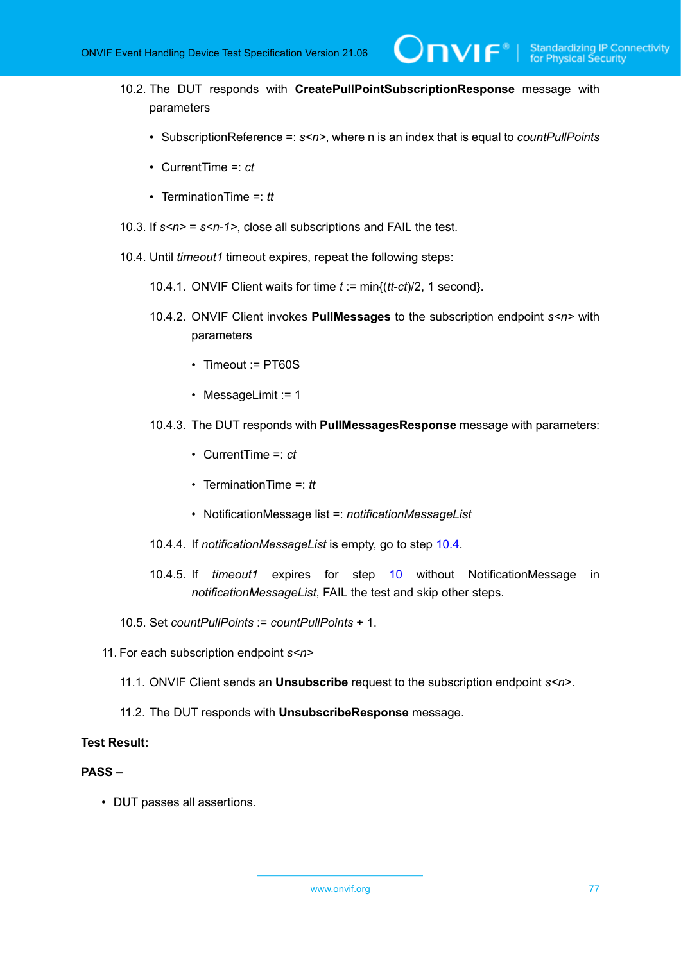- 10.2. The DUT responds with **CreatePullPointSubscriptionResponse** message with parameters
	- SubscriptionReference =: *s<n>*, where n is an index that is equal to *countPullPoints*

 $\mathsf{D}\mathbf{N}\mathsf{I}\mathsf{F}^\ast$  .

- CurrentTime =: *ct*
- TerminationTime =: *tt*
- 10.3. If *s<n>* = *s<n-1>*, close all subscriptions and FAIL the test.
- <span id="page-76-1"></span><span id="page-76-0"></span>10.4. Until *timeout1* timeout expires, repeat the following steps:
	- 10.4.1. ONVIF Client waits for time *t* := min{(*tt*-*ct*)/2, 1 second}.
	- 10.4.2. ONVIF Client invokes **PullMessages** to the subscription endpoint *s<n>* with parameters
		- Timeout := PT60S
		- MessageLimit := 1
	- 10.4.3. The DUT responds with **PullMessagesResponse** message with parameters:
		- CurrentTime =: *ct*
		- TerminationTime =: *tt*
		- NotificationMessage list =: *notificationMessageList*
	- 10.4.4. If *notificationMessageList* is empty, go to step [10.4.](#page-76-1)
	- 10.4.5. If *timeout1* expires for step [10](#page-75-0) without NotificationMessage in *notificationMessageList*, FAIL the test and skip other steps.
- 10.5. Set *countPullPoints* := *countPullPoints* + 1.
- 11. For each subscription endpoint *s<n>*
	- 11.1. ONVIF Client sends an **Unsubscribe** request to the subscription endpoint *s<n>*.
	- 11.2. The DUT responds with **UnsubscribeResponse** message.

## **Test Result:**

#### **PASS –**

• DUT passes all assertions.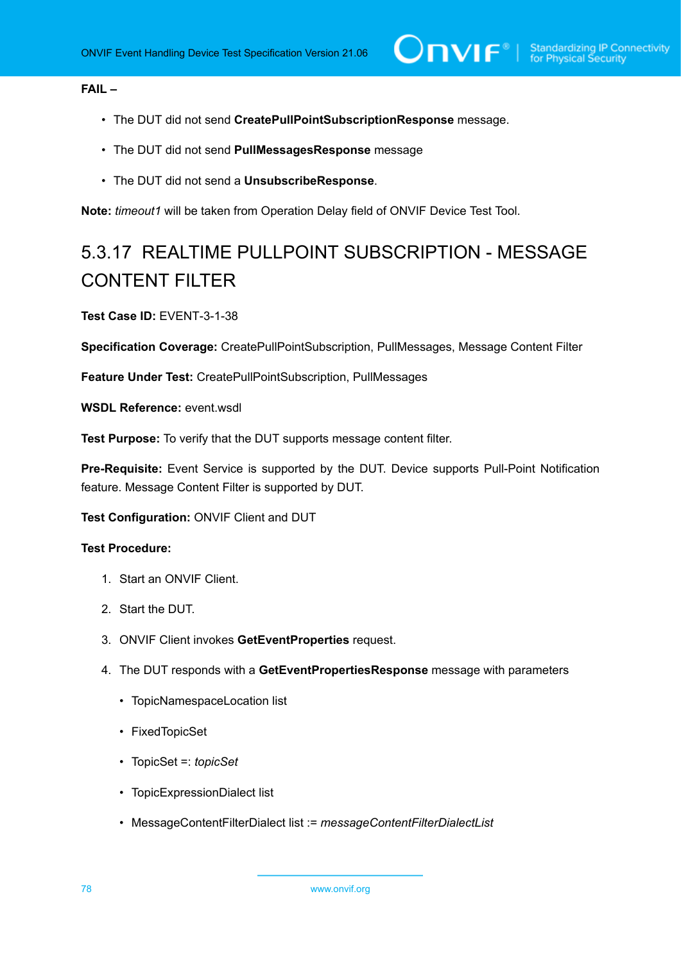# **FAIL –**

- The DUT did not send **CreatePullPointSubscriptionResponse** message.
- The DUT did not send **PullMessagesResponse** message
- The DUT did not send a **UnsubscribeResponse**.

**Note:** *timeout1* will be taken from Operation Delay field of ONVIF Device Test Tool.

# 5.3.17 REALTIME PULLPOINT SUBSCRIPTION - MESSAGE CONTENT FILTER

**Test Case ID:** EVENT-3-1-38

**Specification Coverage:** CreatePullPointSubscription, PullMessages, Message Content Filter

**Feature Under Test:** CreatePullPointSubscription, PullMessages

**WSDL Reference:** event.wsdl

**Test Purpose:** To verify that the DUT supports message content filter.

**Pre-Requisite:** Event Service is supported by the DUT. Device supports Pull-Point Notification feature. Message Content Filter is supported by DUT.

**Test Configuration:** ONVIF Client and DUT

- 1. Start an ONVIF Client.
- 2. Start the DUT.
- 3. ONVIF Client invokes **GetEventProperties** request.
- 4. The DUT responds with a **GetEventPropertiesResponse** message with parameters
	- TopicNamespaceLocation list
	- FixedTopicSet
	- TopicSet =: *topicSet*
	- TopicExpressionDialect list
	- MessageContentFilterDialect list := *messageContentFilterDialectList*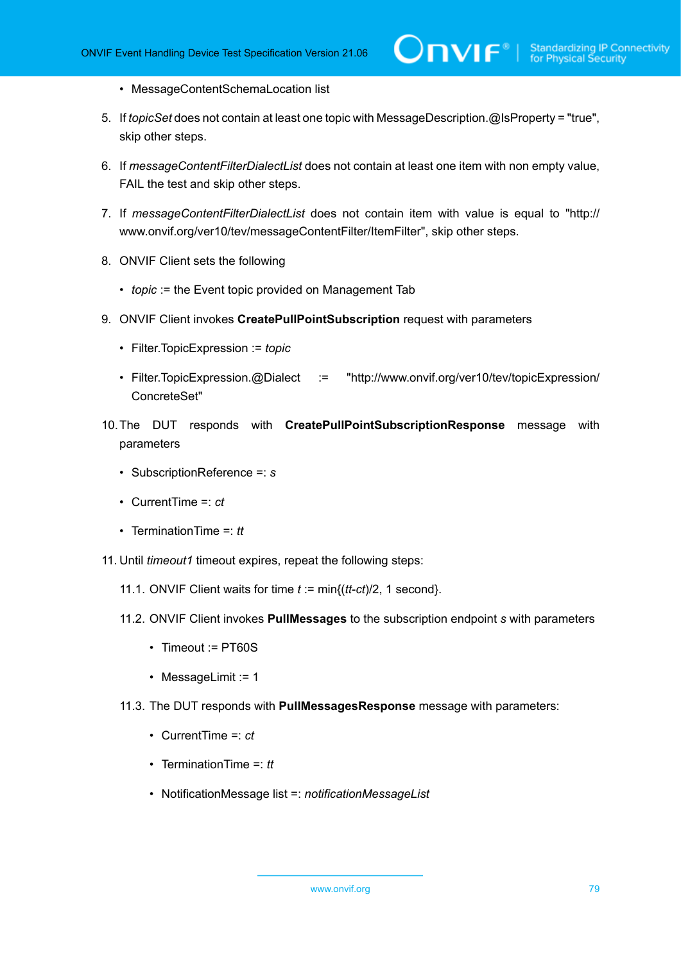- MessageContentSchemaLocation list
- 5. If *topicSet* does not contain at least one topic with MessageDescription.@IsProperty = "true", skip other steps.
- 6. If *messageContentFilterDialectList* does not contain at least one item with non empty value, FAIL the test and skip other steps.
- 7. If *messageContentFilterDialectList* does not contain item with value is equal to "http:// www.onvif.org/ver10/tev/messageContentFilter/ItemFilter", skip other steps.
- 8. ONVIF Client sets the following
	- *topic* := the Event topic provided on Management Tab
- 9. ONVIF Client invokes **CreatePullPointSubscription** request with parameters
	- Filter.TopicExpression := *topic*
	- Filter.TopicExpression.@Dialect := "http://www.onvif.org/ver10/tev/topicExpression/ ConcreteSet"
- 10.The DUT responds with **CreatePullPointSubscriptionResponse** message with parameters
	- SubscriptionReference =: *s*
	- CurrentTime =: *ct*
	- TerminationTime =: *tt*
- <span id="page-78-0"></span>11. Until *timeout1* timeout expires, repeat the following steps:
	- 11.1. ONVIF Client waits for time *t* := min{(*tt*-*ct*)/2, 1 second}.
	- 11.2. ONVIF Client invokes **PullMessages** to the subscription endpoint *s* with parameters
		- Timeout := PT60S
		- MessageLimit := 1
	- 11.3. The DUT responds with **PullMessagesResponse** message with parameters:
		- CurrentTime =: *ct*
		- TerminationTime =: *tt*
		- NotificationMessage list =: *notificationMessageList*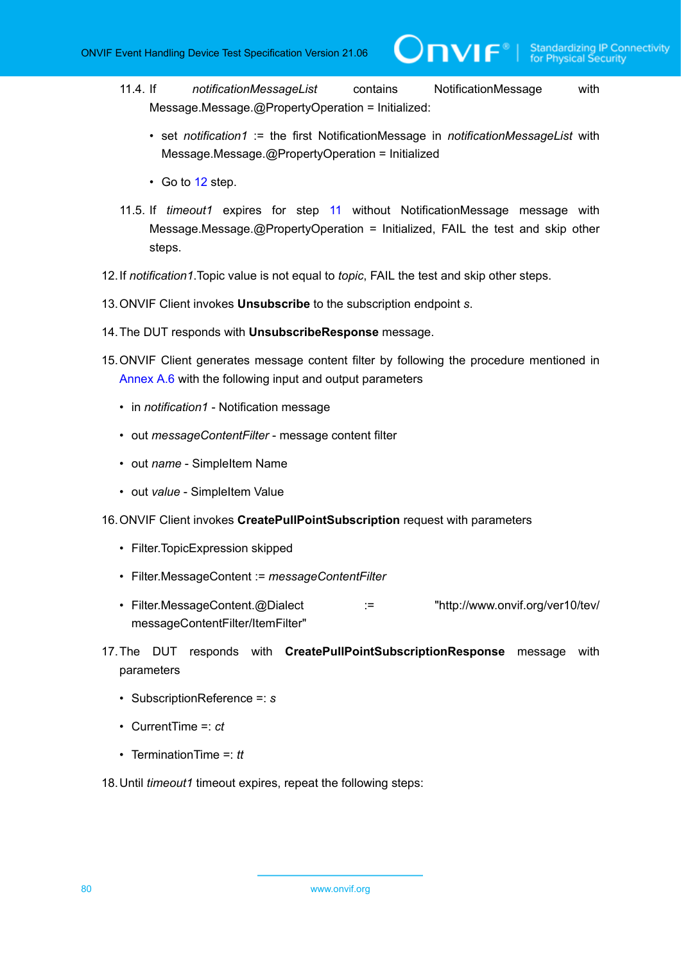- 11.4. If *notificationMessageList* contains NotificationMessage with Message.Message.@PropertyOperation = Initialized:
	- set *notification1* := the first NotificationMessage in *notificationMessageList* with Message.Message.@PropertyOperation = Initialized
	- Go to [12](#page-79-0) step.
- 11.5. If *timeout1* expires for step [11](#page-78-0) without NotificationMessage message with Message.Message.@PropertyOperation = Initialized, FAIL the test and skip other steps.
- <span id="page-79-0"></span>12.If *notification1*.Topic value is not equal to *topic*, FAIL the test and skip other steps.
- 13.ONVIF Client invokes **Unsubscribe** to the subscription endpoint *s*.
- 14.The DUT responds with **UnsubscribeResponse** message.
- 15.ONVIF Client generates message content filter by following the procedure mentioned in [Annex A.6](#page-138-0) with the following input and output parameters
	- in *notification1* Notification message
	- out *messageContentFilter* message content filter
	- out *name* SimpleItem Name
	- out *value* SimpleItem Value
- 16.ONVIF Client invokes **CreatePullPointSubscription** request with parameters
	- Filter.TopicExpression skipped
	- Filter.MessageContent := *messageContentFilter*
	- Filter.MessageContent.@Dialect := "http://www.onvif.org/ver10/tev/ messageContentFilter/ItemFilter"
- 17.The DUT responds with **CreatePullPointSubscriptionResponse** message with parameters
	- SubscriptionReference =: *s*
	- CurrentTime =: *ct*
	- TerminationTime =: *tt*

<span id="page-79-1"></span>18.Until *timeout1* timeout expires, repeat the following steps: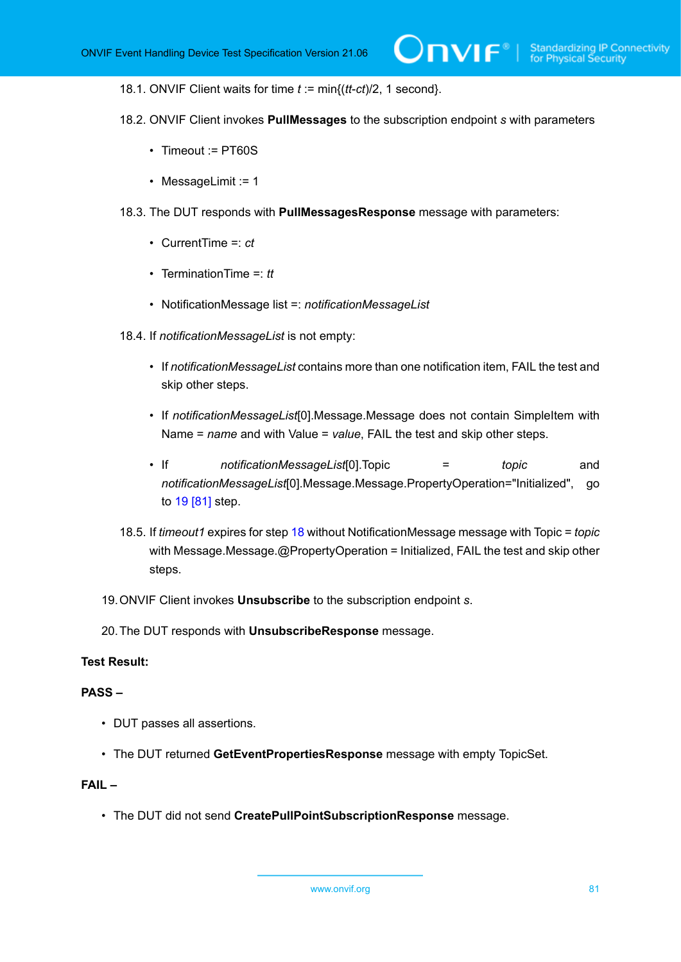18.1. ONVIF Client waits for time *t* := min{(*tt*-*ct*)/2, 1 second}.

- 18.2. ONVIF Client invokes **PullMessages** to the subscription endpoint *s* with parameters
	- Timeout := PT60S
	- MessageLimit := 1
- 18.3. The DUT responds with **PullMessagesResponse** message with parameters:
	- CurrentTime =: *ct*
	- TerminationTime =: *tt*
	- NotificationMessage list =: *notificationMessageList*
- 18.4. If *notificationMessageList* is not empty:
	- If *notificationMessageList* contains more than one notification item, FAIL the test and skip other steps.
	- If *notificationMessageList*[0].Message.Message does not contain SimpleItem with Name = *name* and with Value = *value*, FAIL the test and skip other steps.
	- If *notificationMessageList*[0].Topic = *topic* and *notificationMessageList*[0].Message.Message.PropertyOperation="Initialized", go to [19 \[81\]](#page-80-0) step.
- 18.5. If *timeout1* expires for step [18](#page-79-1) without NotificationMessage message with Topic = *topic* with Message.Message.@PropertyOperation = Initialized, FAIL the test and skip other steps.
- <span id="page-80-0"></span>19.ONVIF Client invokes **Unsubscribe** to the subscription endpoint *s*.
- 20.The DUT responds with **UnsubscribeResponse** message.

#### **Test Result:**

#### **PASS –**

- DUT passes all assertions.
- The DUT returned **GetEventPropertiesResponse** message with empty TopicSet.

# **FAIL –**

• The DUT did not send **CreatePullPointSubscriptionResponse** message.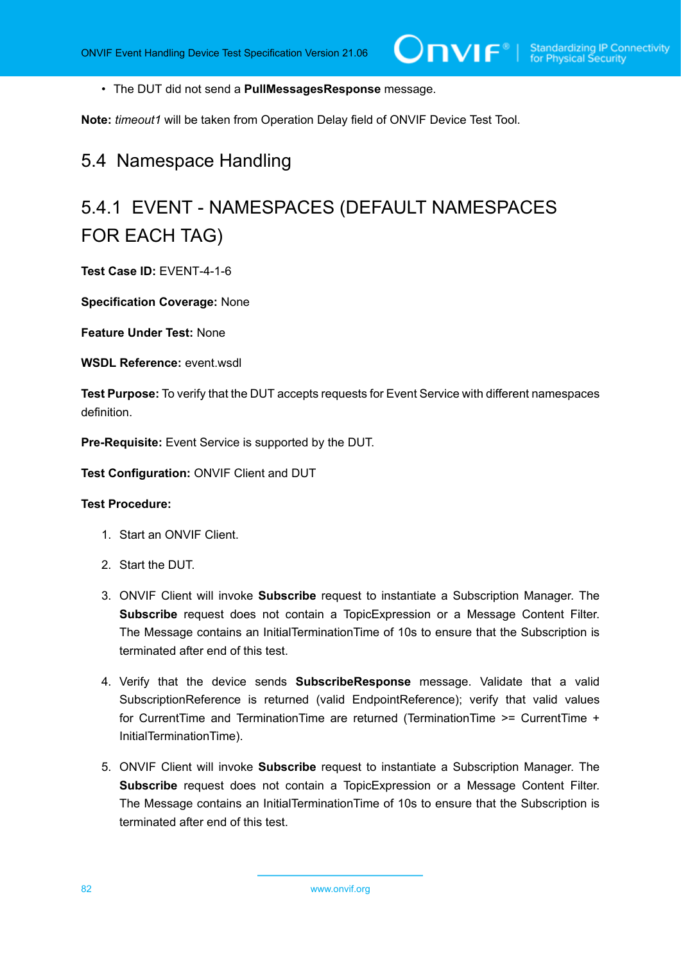• The DUT did not send a **PullMessagesResponse** message.

**Note:** *timeout1* will be taken from Operation Delay field of ONVIF Device Test Tool.

# 5.4 Namespace Handling

# 5.4.1 EVENT - NAMESPACES (DEFAULT NAMESPACES FOR EACH TAG)

**Test Case ID:** EVENT-4-1-6

**Specification Coverage:** None

**Feature Under Test:** None

**WSDL Reference:** event wsdl.

**Test Purpose:** To verify that the DUT accepts requests for Event Service with different namespaces definition.

**Pre-Requisite:** Event Service is supported by the DUT.

**Test Configuration:** ONVIF Client and DUT

- 1. Start an ONVIF Client.
- 2. Start the DUT.
- 3. ONVIF Client will invoke **Subscribe** request to instantiate a Subscription Manager. The **Subscribe** request does not contain a TopicExpression or a Message Content Filter. The Message contains an InitialTerminationTime of 10s to ensure that the Subscription is terminated after end of this test.
- 4. Verify that the device sends **SubscribeResponse** message. Validate that a valid SubscriptionReference is returned (valid EndpointReference); verify that valid values for CurrentTime and TerminationTime are returned (TerminationTime >= CurrentTime + InitialTerminationTime).
- 5. ONVIF Client will invoke **Subscribe** request to instantiate a Subscription Manager. The **Subscribe** request does not contain a TopicExpression or a Message Content Filter. The Message contains an InitialTerminationTime of 10s to ensure that the Subscription is terminated after end of this test.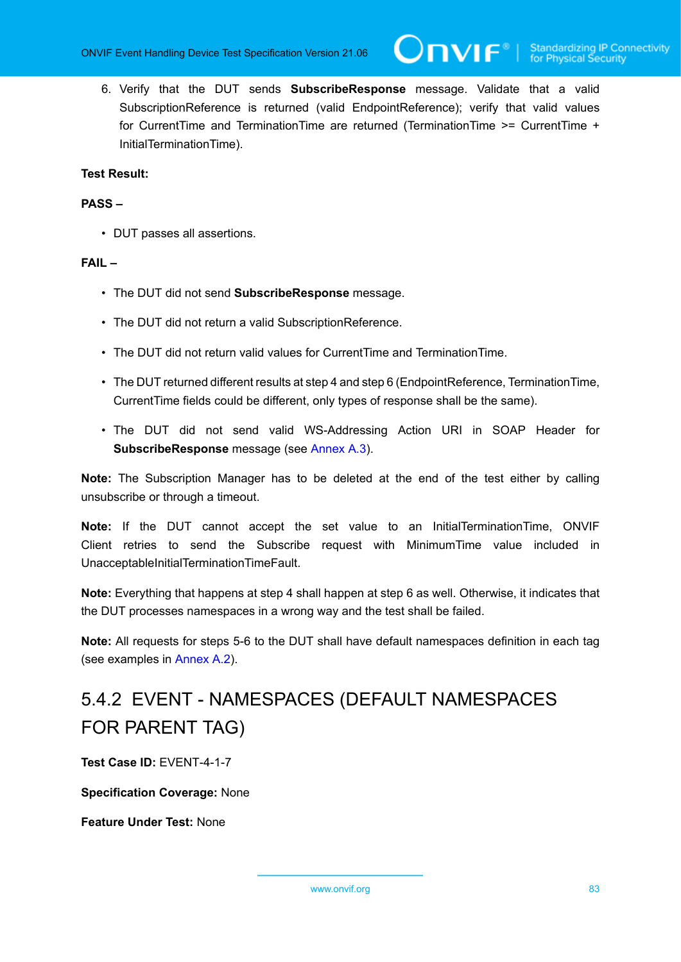6. Verify that the DUT sends **SubscribeResponse** message. Validate that a valid SubscriptionReference is returned (valid EndpointReference); verify that valid values for CurrentTime and TerminationTime are returned (TerminationTime >= CurrentTime + InitialTerminationTime).

## **Test Result:**

#### **PASS –**

• DUT passes all assertions.

#### **FAIL –**

- The DUT did not send **SubscribeResponse** message.
- The DUT did not return a valid SubscriptionReference.
- The DUT did not return valid values for CurrentTime and TerminationTime.
- The DUT returned different results at step 4 and step 6 (EndpointReference, TerminationTime, CurrentTime fields could be different, only types of response shall be the same).
- The DUT did not send valid WS-Addressing Action URI in SOAP Header for **SubscribeResponse** message (see [Annex A.3](#page-135-0)).

**Note:** The Subscription Manager has to be deleted at the end of the test either by calling unsubscribe or through a timeout.

**Note:** If the DUT cannot accept the set value to an InitialTerminationTime, ONVIF Client retries to send the Subscribe request with MinimumTime value included in UnacceptableInitialTerminationTimeFault.

**Note:** Everything that happens at step 4 shall happen at step 6 as well. Otherwise, it indicates that the DUT processes namespaces in a wrong way and the test shall be failed.

**Note:** All requests for steps 5-6 to the DUT shall have default namespaces definition in each tag (see examples in [Annex A.2\)](#page-129-0).

# 5.4.2 EVENT - NAMESPACES (DEFAULT NAMESPACES FOR PARENT TAG)

**Test Case ID:** EVENT-4-1-7

**Specification Coverage:** None

**Feature Under Test:** None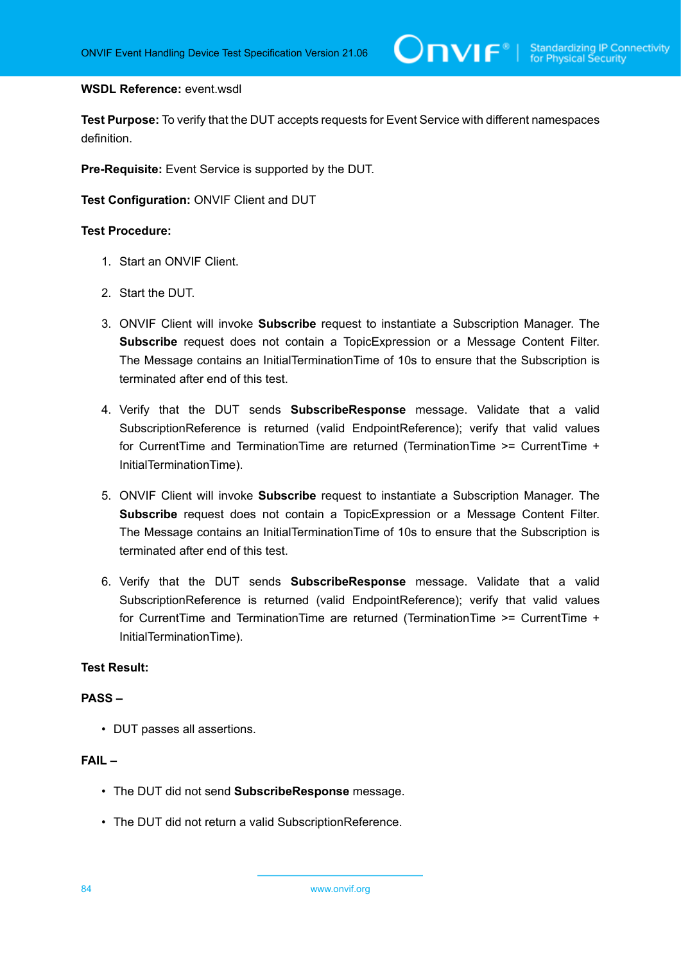#### **WSDL Reference:** event.wsdl

**Test Purpose:** To verify that the DUT accepts requests for Event Service with different namespaces definition.

**Pre-Requisite:** Event Service is supported by the DUT.

**Test Configuration:** ONVIF Client and DUT

#### **Test Procedure:**

- 1. Start an ONVIF Client.
- 2. Start the DUT.
- 3. ONVIF Client will invoke **Subscribe** request to instantiate a Subscription Manager. The **Subscribe** request does not contain a TopicExpression or a Message Content Filter. The Message contains an InitialTerminationTime of 10s to ensure that the Subscription is terminated after end of this test.
- 4. Verify that the DUT sends **SubscribeResponse** message. Validate that a valid SubscriptionReference is returned (valid EndpointReference); verify that valid values for CurrentTime and TerminationTime are returned (TerminationTime >= CurrentTime + InitialTerminationTime).
- 5. ONVIF Client will invoke **Subscribe** request to instantiate a Subscription Manager. The **Subscribe** request does not contain a TopicExpression or a Message Content Filter. The Message contains an InitialTerminationTime of 10s to ensure that the Subscription is terminated after end of this test.
- 6. Verify that the DUT sends **SubscribeResponse** message. Validate that a valid SubscriptionReference is returned (valid EndpointReference); verify that valid values for CurrentTime and TerminationTime are returned (TerminationTime >= CurrentTime + InitialTerminationTime).

# **Test Result:**

### **PASS –**

• DUT passes all assertions.

# **FAIL –**

- The DUT did not send **SubscribeResponse** message.
- The DUT did not return a valid SubscriptionReference.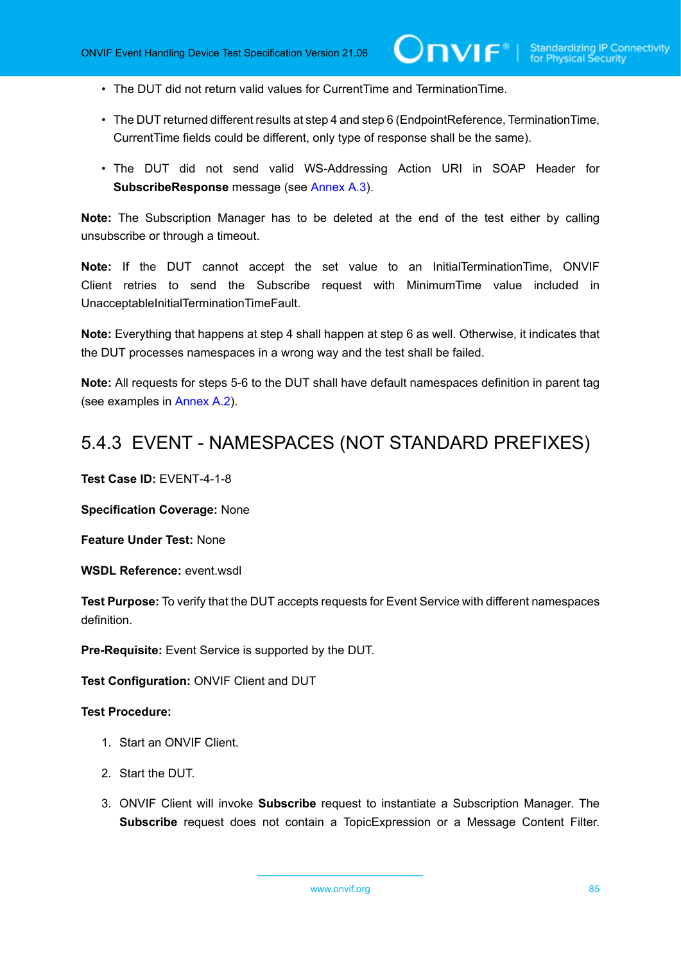- The DUT did not return valid values for CurrentTime and TerminationTime.
- The DUT returned different results at step 4 and step 6 (EndpointReference, TerminationTime, CurrentTime fields could be different, only type of response shall be the same).
- The DUT did not send valid WS-Addressing Action URI in SOAP Header for **SubscribeResponse** message (see [Annex A.3](#page-135-0)).

**Note:** The Subscription Manager has to be deleted at the end of the test either by calling unsubscribe or through a timeout.

**Note:** If the DUT cannot accept the set value to an InitialTerminationTime, ONVIF Client retries to send the Subscribe request with MinimumTime value included in UnacceptableInitialTerminationTimeFault.

**Note:** Everything that happens at step 4 shall happen at step 6 as well. Otherwise, it indicates that the DUT processes namespaces in a wrong way and the test shall be failed.

**Note:** All requests for steps 5-6 to the DUT shall have default namespaces definition in parent tag (see examples in [Annex A.2\)](#page-129-0).

# 5.4.3 EVENT - NAMESPACES (NOT STANDARD PREFIXES)

**Test Case ID:** EVENT-4-1-8

**Specification Coverage:** None

**Feature Under Test:** None

**WSDL Reference:** event.wsdl

**Test Purpose:** To verify that the DUT accepts requests for Event Service with different namespaces definition.

**Pre-Requisite:** Event Service is supported by the DUT.

**Test Configuration:** ONVIF Client and DUT

#### **Test Procedure:**

- 1. Start an ONVIF Client.
- 2. Start the DUT.
- 3. ONVIF Client will invoke **Subscribe** request to instantiate a Subscription Manager. The **Subscribe** request does not contain a TopicExpression or a Message Content Filter.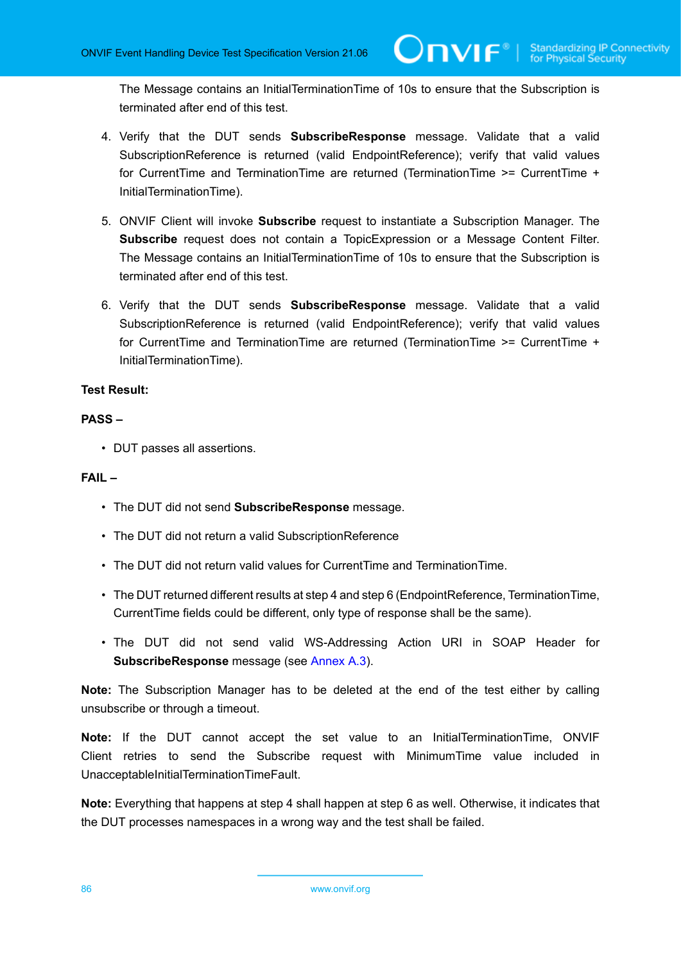The Message contains an InitialTerminationTime of 10s to ensure that the Subscription is terminated after end of this test.

- 4. Verify that the DUT sends **SubscribeResponse** message. Validate that a valid SubscriptionReference is returned (valid EndpointReference); verify that valid values for CurrentTime and TerminationTime are returned (TerminationTime >= CurrentTime + InitialTerminationTime).
- 5. ONVIF Client will invoke **Subscribe** request to instantiate a Subscription Manager. The **Subscribe** request does not contain a TopicExpression or a Message Content Filter. The Message contains an InitialTerminationTime of 10s to ensure that the Subscription is terminated after end of this test.
- 6. Verify that the DUT sends **SubscribeResponse** message. Validate that a valid SubscriptionReference is returned (valid EndpointReference); verify that valid values for CurrentTime and TerminationTime are returned (TerminationTime >= CurrentTime + InitialTerminationTime).

# **Test Result:**

# **PASS –**

• DUT passes all assertions.

#### **FAIL –**

- The DUT did not send **SubscribeResponse** message.
- The DUT did not return a valid SubscriptionReference
- The DUT did not return valid values for CurrentTime and TerminationTime.
- The DUT returned different results at step 4 and step 6 (EndpointReference, TerminationTime, CurrentTime fields could be different, only type of response shall be the same).
- The DUT did not send valid WS-Addressing Action URI in SOAP Header for **SubscribeResponse** message (see [Annex A.3](#page-135-0)).

**Note:** The Subscription Manager has to be deleted at the end of the test either by calling unsubscribe or through a timeout.

**Note:** If the DUT cannot accept the set value to an InitialTerminationTime, ONVIF Client retries to send the Subscribe request with MinimumTime value included in UnacceptableInitialTerminationTimeFault.

**Note:** Everything that happens at step 4 shall happen at step 6 as well. Otherwise, it indicates that the DUT processes namespaces in a wrong way and the test shall be failed.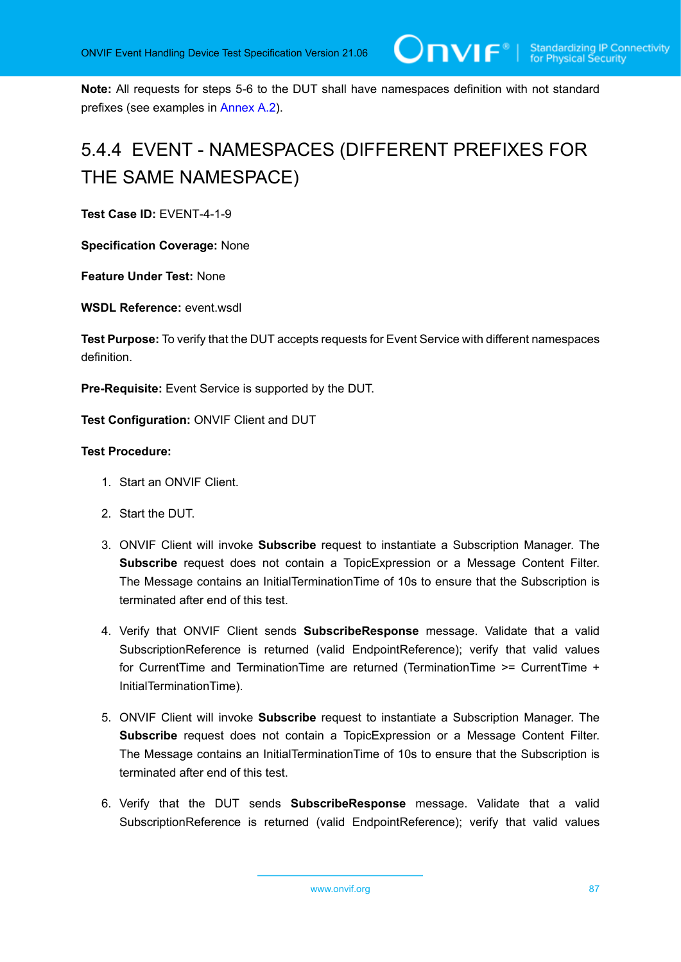**Note:** All requests for steps 5-6 to the DUT shall have namespaces definition with not standard prefixes (see examples in [Annex A.2](#page-129-0)).

# 5.4.4 EVENT - NAMESPACES (DIFFERENT PREFIXES FOR THE SAME NAMESPACE)

**Test Case ID:** EVENT-4-1-9

**Specification Coverage:** None

**Feature Under Test:** None

**WSDL Reference:** event.wsdl

**Test Purpose:** To verify that the DUT accepts requests for Event Service with different namespaces definition.

**Pre-Requisite:** Event Service is supported by the DUT.

**Test Configuration:** ONVIF Client and DUT

- 1. Start an ONVIF Client.
- 2. Start the DUT.
- 3. ONVIF Client will invoke **Subscribe** request to instantiate a Subscription Manager. The **Subscribe** request does not contain a TopicExpression or a Message Content Filter. The Message contains an InitialTerminationTime of 10s to ensure that the Subscription is terminated after end of this test.
- 4. Verify that ONVIF Client sends **SubscribeResponse** message. Validate that a valid SubscriptionReference is returned (valid EndpointReference); verify that valid values for CurrentTime and TerminationTime are returned (TerminationTime >= CurrentTime + InitialTerminationTime).
- 5. ONVIF Client will invoke **Subscribe** request to instantiate a Subscription Manager. The **Subscribe** request does not contain a TopicExpression or a Message Content Filter. The Message contains an InitialTerminationTime of 10s to ensure that the Subscription is terminated after end of this test.
- 6. Verify that the DUT sends **SubscribeResponse** message. Validate that a valid SubscriptionReference is returned (valid EndpointReference); verify that valid values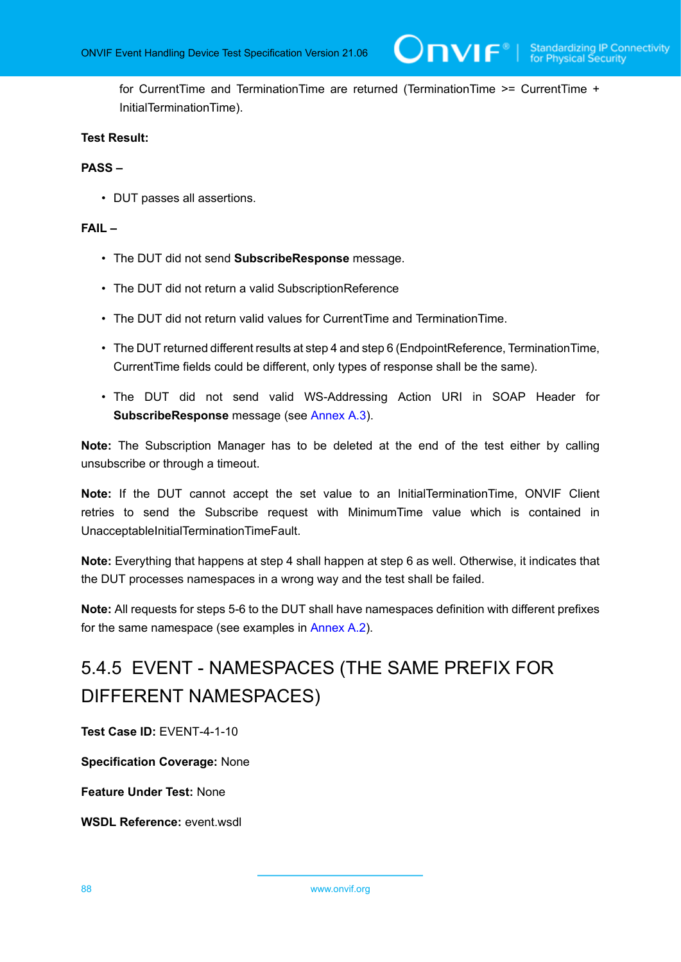for CurrentTime and TerminationTime are returned (TerminationTime >= CurrentTime + InitialTerminationTime).

## **Test Result:**

#### **PASS –**

• DUT passes all assertions.

### **FAIL –**

- The DUT did not send **SubscribeResponse** message.
- The DUT did not return a valid SubscriptionReference
- The DUT did not return valid values for CurrentTime and TerminationTime.
- The DUT returned different results at step 4 and step 6 (EndpointReference, TerminationTime, CurrentTime fields could be different, only types of response shall be the same).
- The DUT did not send valid WS-Addressing Action URI in SOAP Header for **SubscribeResponse** message (see [Annex A.3](#page-135-0)).

**Note:** The Subscription Manager has to be deleted at the end of the test either by calling unsubscribe or through a timeout.

**Note:** If the DUT cannot accept the set value to an InitialTerminationTime, ONVIF Client retries to send the Subscribe request with MinimumTime value which is contained in UnacceptableInitialTerminationTimeFault.

**Note:** Everything that happens at step 4 shall happen at step 6 as well. Otherwise, it indicates that the DUT processes namespaces in a wrong way and the test shall be failed.

**Note:** All requests for steps 5-6 to the DUT shall have namespaces definition with different prefixes for the same namespace (see examples in [Annex A.2\)](#page-129-0).

# 5.4.5 EVENT - NAMESPACES (THE SAME PREFIX FOR DIFFERENT NAMESPACES)

**Test Case ID:** EVENT-4-1-10

**Specification Coverage:** None

**Feature Under Test:** None

**WSDL Reference:** event.wsdl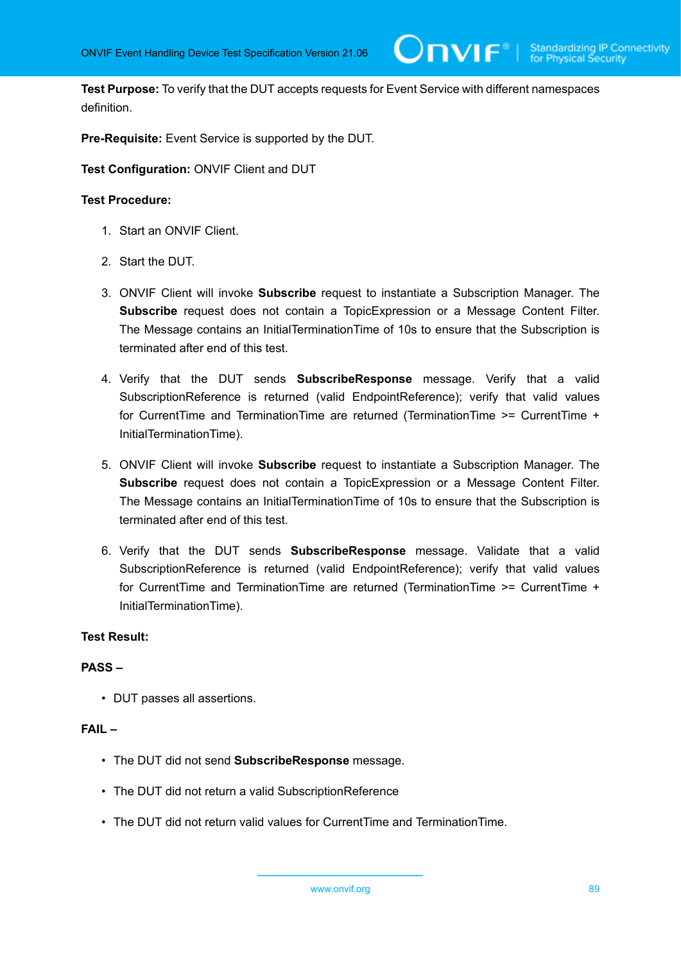**Test Purpose:** To verify that the DUT accepts requests for Event Service with different namespaces definition.

**Pre-Requisite:** Event Service is supported by the DUT.

**Test Configuration:** ONVIF Client and DUT

#### **Test Procedure:**

- 1. Start an ONVIF Client.
- 2. Start the DUT.
- 3. ONVIF Client will invoke **Subscribe** request to instantiate a Subscription Manager. The **Subscribe** request does not contain a TopicExpression or a Message Content Filter. The Message contains an InitialTerminationTime of 10s to ensure that the Subscription is terminated after end of this test.
- 4. Verify that the DUT sends **SubscribeResponse** message. Verify that a valid SubscriptionReference is returned (valid EndpointReference); verify that valid values for CurrentTime and TerminationTime are returned (TerminationTime >= CurrentTime + InitialTerminationTime).
- 5. ONVIF Client will invoke **Subscribe** request to instantiate a Subscription Manager. The **Subscribe** request does not contain a TopicExpression or a Message Content Filter. The Message contains an InitialTerminationTime of 10s to ensure that the Subscription is terminated after end of this test.
- 6. Verify that the DUT sends **SubscribeResponse** message. Validate that a valid SubscriptionReference is returned (valid EndpointReference); verify that valid values for CurrentTime and TerminationTime are returned (TerminationTime >= CurrentTime + InitialTerminationTime).

## **Test Result:**

#### **PASS –**

• DUT passes all assertions.

# **FAIL –**

- The DUT did not send **SubscribeResponse** message.
- The DUT did not return a valid SubscriptionReference
- The DUT did not return valid values for CurrentTime and TerminationTime.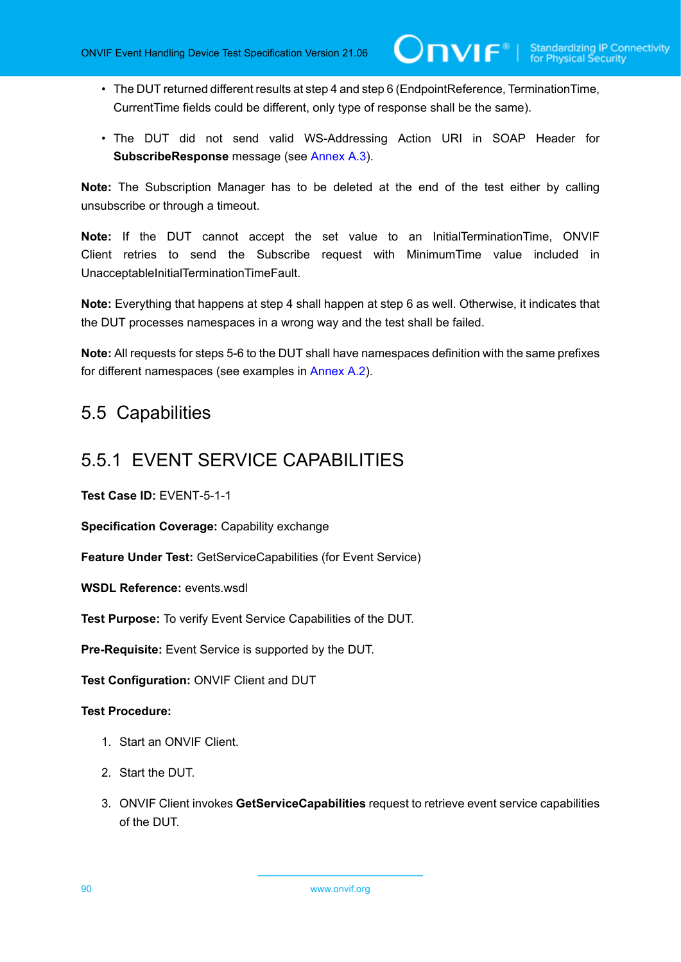- The DUT returned different results at step 4 and step 6 (EndpointReference, TerminationTime, CurrentTime fields could be different, only type of response shall be the same).
- The DUT did not send valid WS-Addressing Action URI in SOAP Header for **SubscribeResponse** message (see [Annex A.3](#page-135-0)).

**Note:** The Subscription Manager has to be deleted at the end of the test either by calling unsubscribe or through a timeout.

**Note:** If the DUT cannot accept the set value to an InitialTerminationTime, ONVIF Client retries to send the Subscribe request with MinimumTime value included in UnacceptableInitialTerminationTimeFault.

**Note:** Everything that happens at step 4 shall happen at step 6 as well. Otherwise, it indicates that the DUT processes namespaces in a wrong way and the test shall be failed.

**Note:** All requests for steps 5-6 to the DUT shall have namespaces definition with the same prefixes for different namespaces (see examples in [Annex A.2\)](#page-129-0).

# 5.5 Capabilities

# 5.5.1 EVENT SERVICE CAPABILITIES

**Test Case ID:** EVENT-5-1-1

**Specification Coverage:** Capability exchange

**Feature Under Test:** GetServiceCapabilities (for Event Service)

**WSDL Reference:** events.wsdl

**Test Purpose:** To verify Event Service Capabilities of the DUT.

**Pre-Requisite:** Event Service is supported by the DUT.

**Test Configuration:** ONVIF Client and DUT

- 1. Start an ONVIF Client.
- 2. Start the DUT.
- 3. ONVIF Client invokes **GetServiceCapabilities** request to retrieve event service capabilities of the DUT.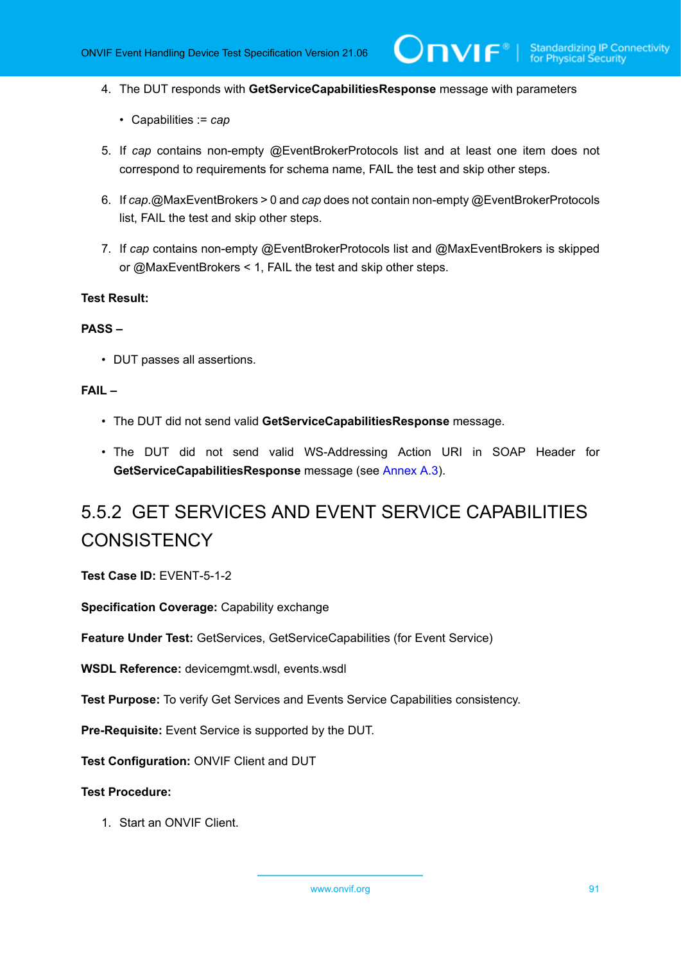- 4. The DUT responds with **GetServiceCapabilitiesResponse** message with parameters
	- Capabilities := *cap*
- 5. If *cap* contains non-empty @EventBrokerProtocols list and at least one item does not correspond to requirements for schema name, FAIL the test and skip other steps.
- 6. If *cap*.@MaxEventBrokers > 0 and *cap* does not contain non-empty @EventBrokerProtocols list, FAIL the test and skip other steps.
- 7. If *cap* contains non-empty @EventBrokerProtocols list and @MaxEventBrokers is skipped or @MaxEventBrokers < 1, FAIL the test and skip other steps.

#### **PASS –**

• DUT passes all assertions.

#### **FAIL –**

- The DUT did not send valid **GetServiceCapabilitiesResponse** message.
- The DUT did not send valid WS-Addressing Action URI in SOAP Header for **GetServiceCapabilitiesResponse** message (see [Annex A.3](#page-135-0)).

# 5.5.2 GET SERVICES AND EVENT SERVICE CAPABILITIES **CONSISTENCY**

**Test Case ID:** EVENT-5-1-2

**Specification Coverage:** Capability exchange

**Feature Under Test:** GetServices, GetServiceCapabilities (for Event Service)

**WSDL Reference:** devicemgmt.wsdl, events.wsdl

**Test Purpose:** To verify Get Services and Events Service Capabilities consistency.

**Pre-Requisite:** Event Service is supported by the DUT.

**Test Configuration:** ONVIF Client and DUT

#### **Test Procedure:**

1. Start an ONVIF Client.

www.onvif.org 31 and 32 and 32 and 32 and 32 and 32 and 32 and 33 and 34 and 35 and 36 and 36 and 37 and 37 and 37 and 37 and 37 and 37 and 37 and 37 and 37 and 37 and 37 and 37 and 37 and 37 and 37 and 37 and 37 and 37 an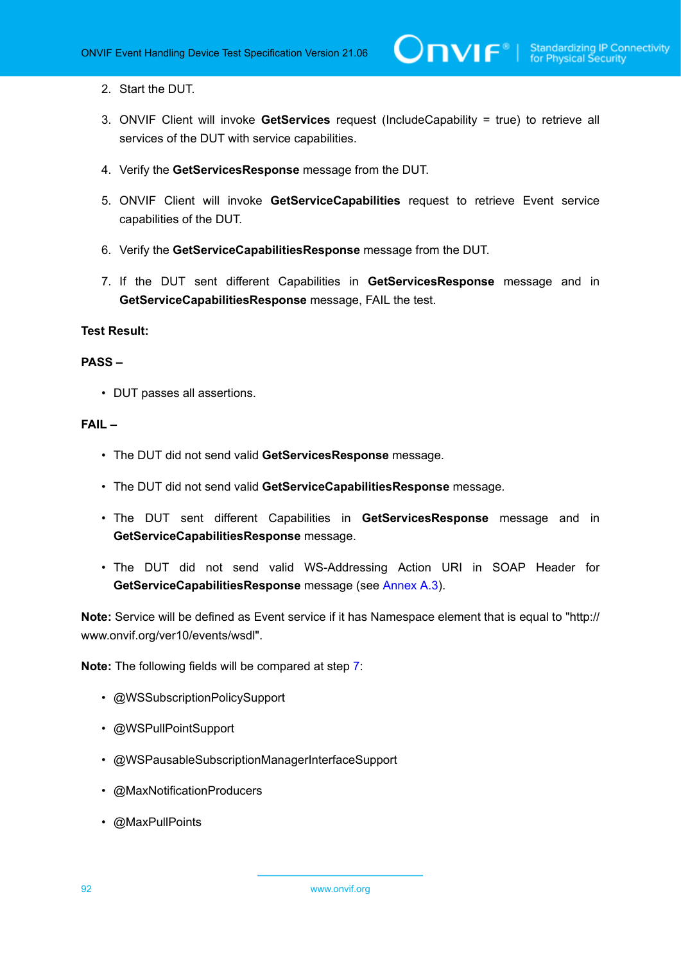- 2. Start the DUT.
- 3. ONVIF Client will invoke **GetServices** request (IncludeCapability = true) to retrieve all services of the DUT with service capabilities.
- 4. Verify the **GetServicesResponse** message from the DUT.
- 5. ONVIF Client will invoke **GetServiceCapabilities** request to retrieve Event service capabilities of the DUT.
- 6. Verify the **GetServiceCapabilitiesResponse** message from the DUT.
- <span id="page-91-0"></span>7. If the DUT sent different Capabilities in **GetServicesResponse** message and in **GetServiceCapabilitiesResponse** message, FAIL the test.

### **PASS –**

• DUT passes all assertions.

# **FAIL –**

- The DUT did not send valid **GetServicesResponse** message.
- The DUT did not send valid **GetServiceCapabilitiesResponse** message.
- The DUT sent different Capabilities in **GetServicesResponse** message and in **GetServiceCapabilitiesResponse** message.
- The DUT did not send valid WS-Addressing Action URI in SOAP Header for **GetServiceCapabilitiesResponse** message (see [Annex A.3](#page-135-0)).

**Note:** Service will be defined as Event service if it has Namespace element that is equal to "http:// www.onvif.org/ver10/events/wsdl".

**Note:** The following fields will be compared at step [7:](#page-91-0)

- @WSSubscriptionPolicySupport
- @WSPullPointSupport
- @WSPausableSubscriptionManagerInterfaceSupport
- @MaxNotificationProducers
- @MaxPullPoints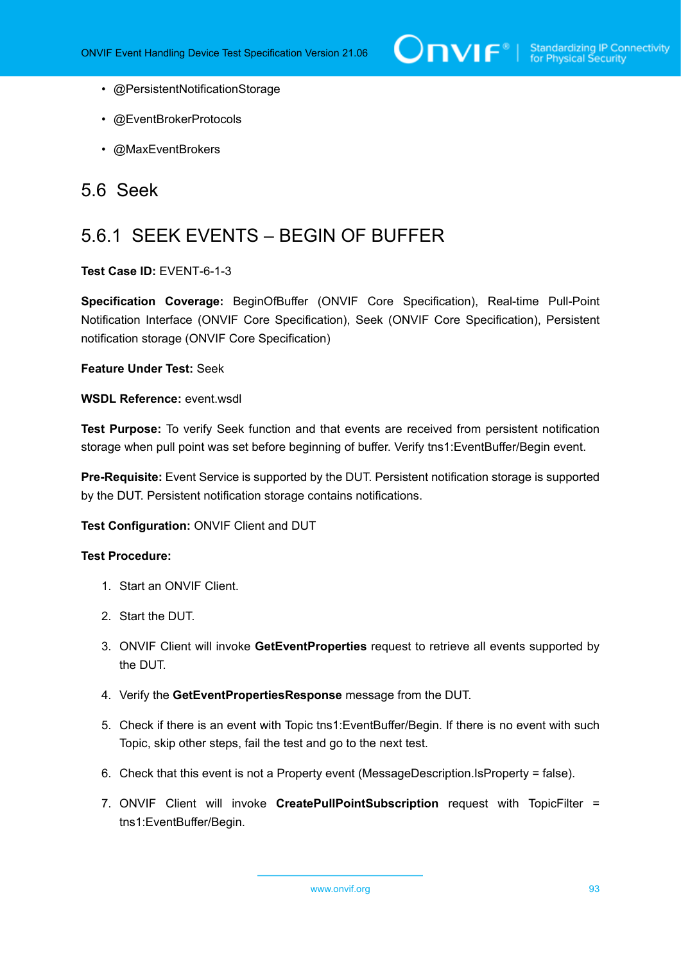- @PersistentNotificationStorage
- @EventBrokerProtocols
- @MaxEventBrokers

# 5.6 Seek

# 5.6.1 SEEK EVENTS – BEGIN OF BUFFER

# **Test Case ID:** EVENT-6-1-3

**Specification Coverage:** BeginOfBuffer (ONVIF Core Specification), Real-time Pull-Point Notification Interface (ONVIF Core Specification), Seek (ONVIF Core Specification), Persistent notification storage (ONVIF Core Specification)

**Feature Under Test:** Seek

# WSDL Reference: event wsdl

**Test Purpose:** To verify Seek function and that events are received from persistent notification storage when pull point was set before beginning of buffer. Verify tns1:EventBuffer/Begin event.

**Pre-Requisite:** Event Service is supported by the DUT. Persistent notification storage is supported by the DUT. Persistent notification storage contains notifications.

**Test Configuration:** ONVIF Client and DUT

- 1. Start an ONVIF Client.
- 2. Start the DUT.
- 3. ONVIF Client will invoke **GetEventProperties** request to retrieve all events supported by the DUT.
- 4. Verify the **GetEventPropertiesResponse** message from the DUT.
- 5. Check if there is an event with Topic tns1:EventBuffer/Begin. If there is no event with such Topic, skip other steps, fail the test and go to the next test.
- 6. Check that this event is not a Property event (MessageDescription.IsProperty = false).
- 7. ONVIF Client will invoke **CreatePullPointSubscription** request with TopicFilter = tns1:EventBuffer/Begin.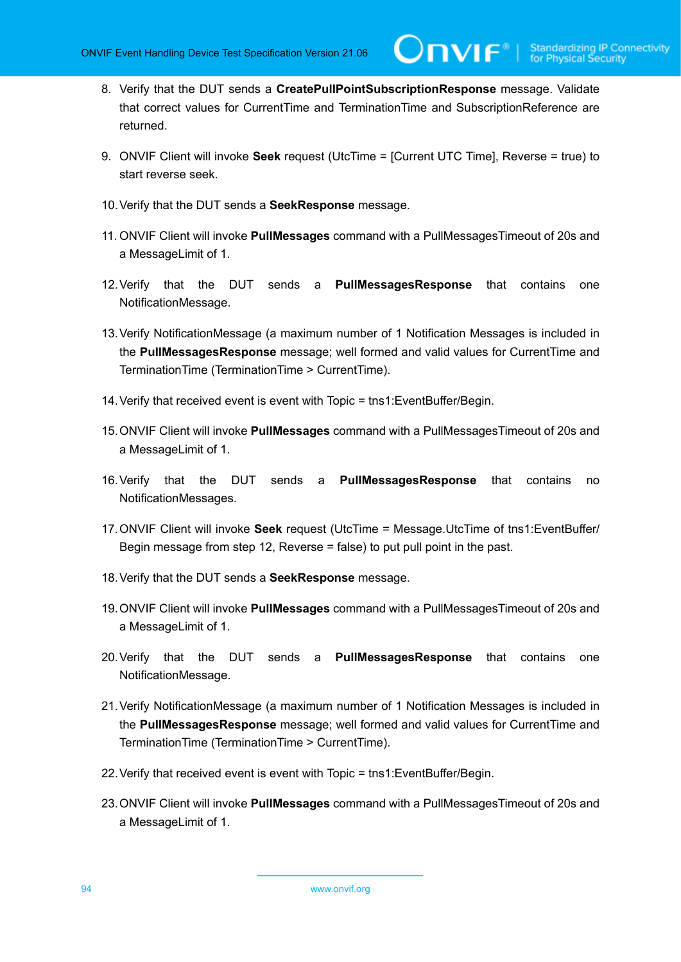- 8. Verify that the DUT sends a **CreatePullPointSubscriptionResponse** message. Validate that correct values for CurrentTime and TerminationTime and SubscriptionReference are returned.
- 9. ONVIF Client will invoke **Seek** request (UtcTime = [Current UTC Time], Reverse = true) to start reverse seek.
- 10.Verify that the DUT sends a **SeekResponse** message.
- 11. ONVIF Client will invoke **PullMessages** command with a PullMessagesTimeout of 20s and a MessageLimit of 1.
- 12.Verify that the DUT sends a **PullMessagesResponse** that contains one NotificationMessage.
- 13.Verify NotificationMessage (a maximum number of 1 Notification Messages is included in the **PullMessagesResponse** message; well formed and valid values for CurrentTime and TerminationTime (TerminationTime > CurrentTime).
- 14.Verify that received event is event with Topic = tns1:EventBuffer/Begin.
- 15.ONVIF Client will invoke **PullMessages** command with a PullMessagesTimeout of 20s and a MessageLimit of 1.
- 16.Verify that the DUT sends a **PullMessagesResponse** that contains no NotificationMessages.
- 17.ONVIF Client will invoke **Seek** request (UtcTime = Message.UtcTime of tns1:EventBuffer/ Begin message from step 12, Reverse = false) to put pull point in the past.
- 18.Verify that the DUT sends a **SeekResponse** message.
- 19.ONVIF Client will invoke **PullMessages** command with a PullMessagesTimeout of 20s and a MessageLimit of 1.
- 20.Verify that the DUT sends a **PullMessagesResponse** that contains one NotificationMessage.
- 21.Verify NotificationMessage (a maximum number of 1 Notification Messages is included in the **PullMessagesResponse** message; well formed and valid values for CurrentTime and TerminationTime (TerminationTime > CurrentTime).
- 22.Verify that received event is event with Topic = tns1:EventBuffer/Begin.
- 23.ONVIF Client will invoke **PullMessages** command with a PullMessagesTimeout of 20s and a MessageLimit of 1.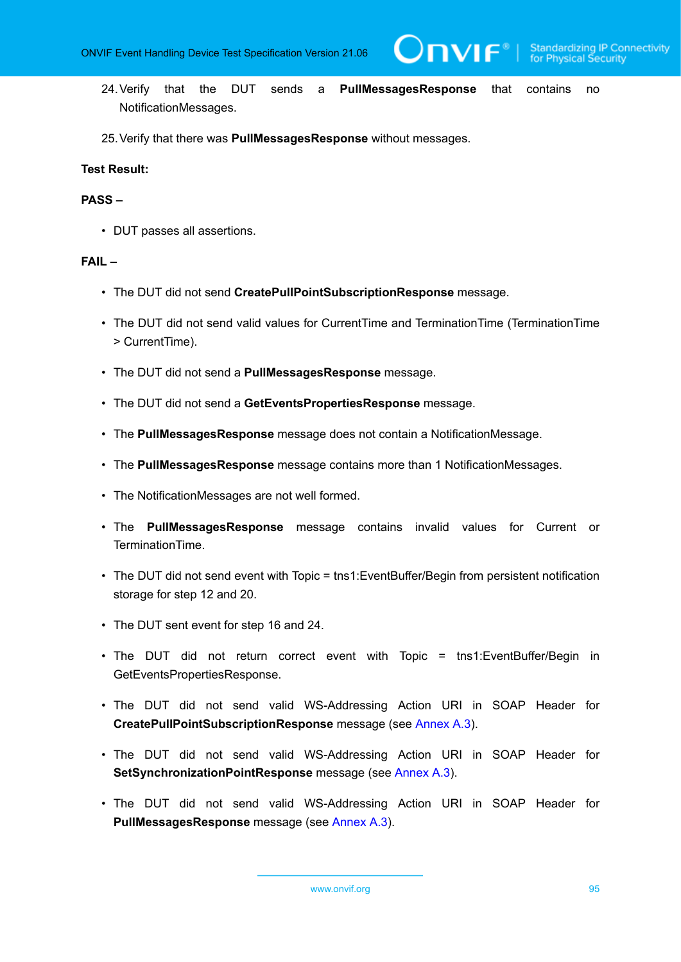WE®

- 24.Verify that the DUT sends a **PullMessagesResponse** that contains no NotificationMessages.
- 25.Verify that there was **PullMessagesResponse** without messages.

# **Test Result:**

#### **PASS –**

• DUT passes all assertions.

#### **FAIL –**

- The DUT did not send **CreatePullPointSubscriptionResponse** message.
- The DUT did not send valid values for CurrentTime and TerminationTime (TerminationTime > CurrentTime).
- The DUT did not send a **PullMessagesResponse** message.
- The DUT did not send a **GetEventsPropertiesResponse** message.
- The **PullMessagesResponse** message does not contain a NotificationMessage.
- The **PullMessagesResponse** message contains more than 1 NotificationMessages.
- The NotificationMessages are not well formed.
- The **PullMessagesResponse** message contains invalid values for Current or TerminationTime.
- The DUT did not send event with Topic = tns1: Event Buffer/Begin from persistent notification storage for step 12 and 20.
- The DUT sent event for step 16 and 24.
- The DUT did not return correct event with Topic = tns1:EventBuffer/Begin in GetEventsPropertiesResponse.
- The DUT did not send valid WS-Addressing Action URI in SOAP Header for **CreatePullPointSubscriptionResponse** message (see [Annex A.3\)](#page-135-0).
- The DUT did not send valid WS-Addressing Action URI in SOAP Header for **SetSynchronizationPointResponse** message (see [Annex A.3\)](#page-135-0).
- The DUT did not send valid WS-Addressing Action URI in SOAP Header for **PullMessagesResponse** message (see [Annex A.3\)](#page-135-0).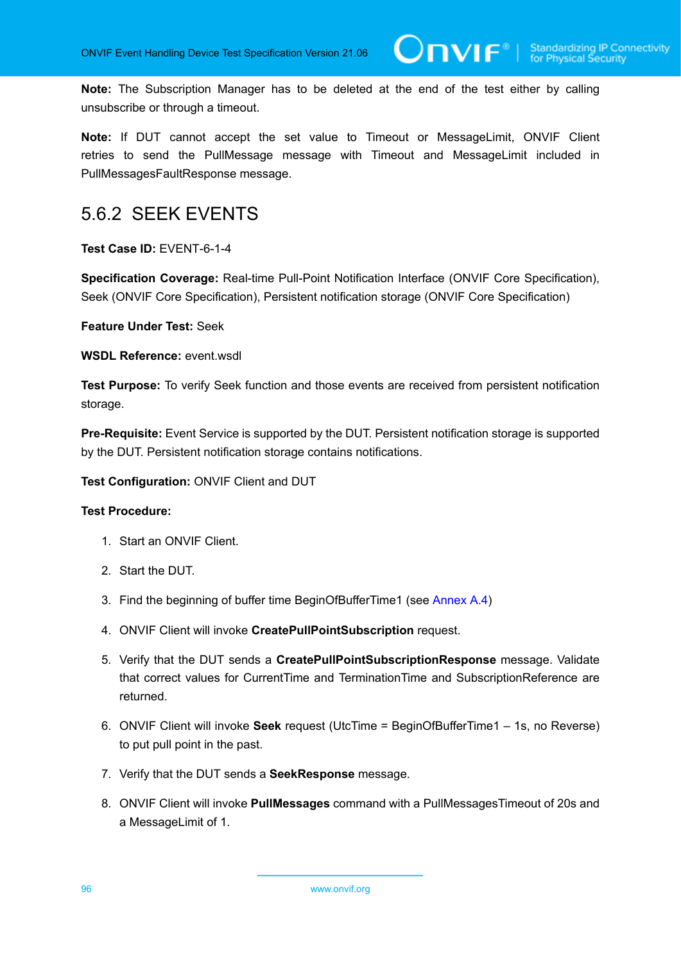**Note:** The Subscription Manager has to be deleted at the end of the test either by calling unsubscribe or through a timeout.

**Note:** If DUT cannot accept the set value to Timeout or MessageLimit, ONVIF Client retries to send the PullMessage message with Timeout and MessageLimit included in PullMessagesFaultResponse message.

# 5.6.2 SEEK EVENTS

**Test Case ID:** EVENT-6-1-4

**Specification Coverage:** Real-time Pull-Point Notification Interface (ONVIF Core Specification), Seek (ONVIF Core Specification), Persistent notification storage (ONVIF Core Specification)

**Feature Under Test:** Seek

**WSDL Reference:** event.wsdl

**Test Purpose:** To verify Seek function and those events are received from persistent notification storage.

**Pre-Requisite:** Event Service is supported by the DUT. Persistent notification storage is supported by the DUT. Persistent notification storage contains notifications.

**Test Configuration:** ONVIF Client and DUT

- 1. Start an ONVIF Client.
- 2. Start the DUT.
- 3. Find the beginning of buffer time BeginOfBufferTime1 (see [Annex A.4\)](#page-137-1)
- 4. ONVIF Client will invoke **CreatePullPointSubscription** request.
- 5. Verify that the DUT sends a **CreatePullPointSubscriptionResponse** message. Validate that correct values for CurrentTime and TerminationTime and SubscriptionReference are returned.
- 6. ONVIF Client will invoke **Seek** request (UtcTime = BeginОfBufferTime1 1s, no Reverse) to put pull point in the past.
- 7. Verify that the DUT sends a **SeekResponse** message.
- 8. ONVIF Client will invoke **PullMessages** command with a PullMessagesTimeout of 20s and a MessageLimit of 1.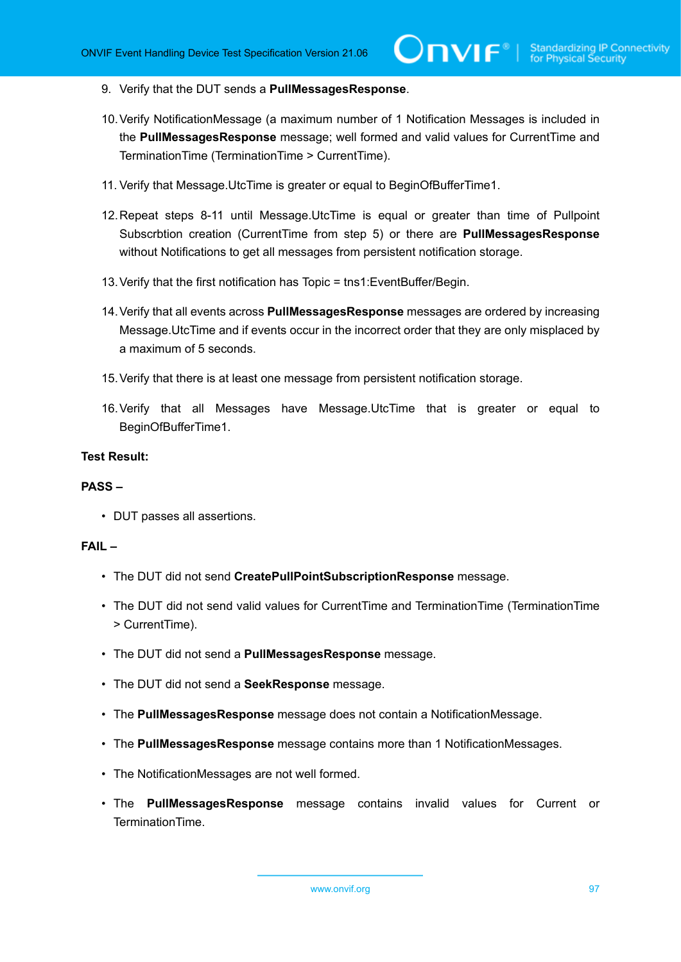- 9. Verify that the DUT sends a **PullMessagesResponse**.
- 10.Verify NotificationMessage (a maximum number of 1 Notification Messages is included in the **PullMessagesResponse** message; well formed and valid values for CurrentTime and TerminationTime (TerminationTime > CurrentTime).
- 11. Verify that Message.UtcTime is greater or equal to BeginОfBufferTime1.
- 12.Repeat steps 8-11 until Message.UtcTime is equal or greater than time of Pullpoint Subscrbtion creation (CurrentTime from step 5) or there are **PullMessagesResponse** without Notifications to get all messages from persistent notification storage.
- 13.Verify that the first notification has Topic = tns1:EventBuffer/Begin.
- 14.Verify that all events across **PullMessagesResponse** messages are ordered by increasing Message.UtcTime and if events occur in the incorrect order that they are only misplaced by a maximum of 5 seconds.
- 15.Verify that there is at least one message from persistent notification storage.
- 16.Verify that all Messages have Message.UtcTime that is greater or equal to BeginОfBufferTime1.

# **PASS –**

• DUT passes all assertions.

# **FAIL –**

- The DUT did not send **CreatePullPointSubscriptionResponse** message.
- The DUT did not send valid values for CurrentTime and TerminationTime (TerminationTime > CurrentTime).
- The DUT did not send a **PullMessagesResponse** message.
- The DUT did not send a **SeekResponse** message.
- The **PullMessagesResponse** message does not contain a NotificationMessage.
- The **PullMessagesResponse** message contains more than 1 NotificationMessages.
- The NotificationMessages are not well formed.
- The **PullMessagesResponse** message contains invalid values for Current or TerminationTime.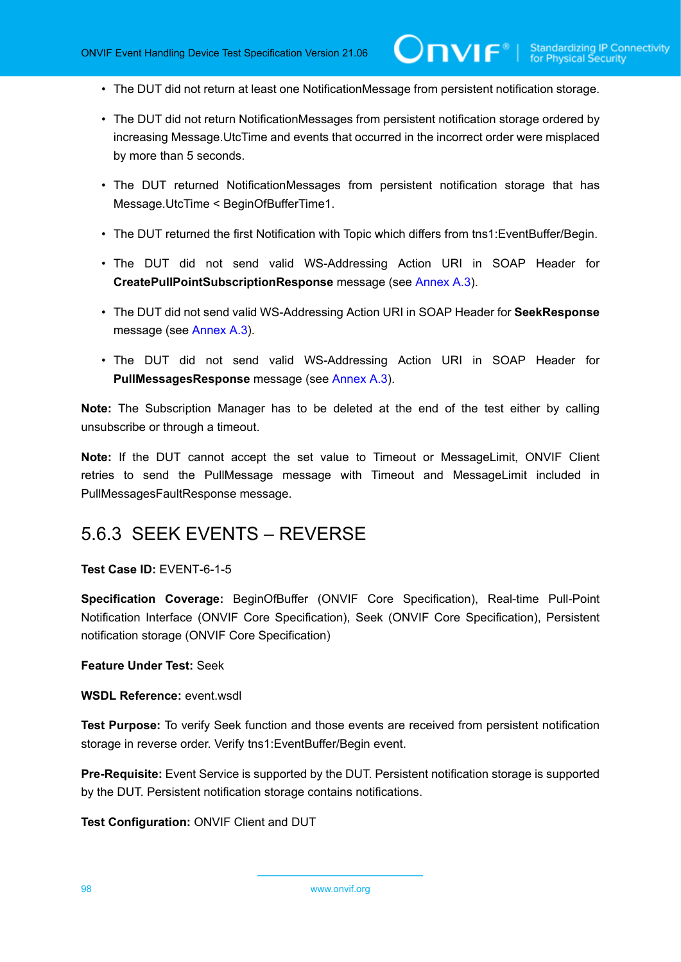- The DUT did not return at least one NotificationMessage from persistent notification storage.
- The DUT did not return NotificationMessages from persistent notification storage ordered by increasing Message.UtcTime and events that occurred in the incorrect order were misplaced by more than 5 seconds.
- The DUT returned NotificationMessages from persistent notification storage that has Message.UtcTime < BeginОfBufferTime1.
- The DUT returned the first Notification with Topic which differs from tns1:EventBuffer/Begin.
- The DUT did not send valid WS-Addressing Action URI in SOAP Header for **CreatePullPointSubscriptionResponse** message (see [Annex A.3\)](#page-135-0).
- The DUT did not send valid WS-Addressing Action URI in SOAP Header for **SeekResponse** message (see [Annex A.3](#page-135-0)).
- The DUT did not send valid WS-Addressing Action URI in SOAP Header for **PullMessagesResponse** message (see [Annex A.3\)](#page-135-0).

**Note:** The Subscription Manager has to be deleted at the end of the test either by calling unsubscribe or through a timeout.

**Note:** If the DUT cannot accept the set value to Timeout or MessageLimit, ONVIF Client retries to send the PullMessage message with Timeout and MessageLimit included in PullMessagesFaultResponse message.

# 5.6.3 SEEK EVENTS – REVERSE

# **Test Case ID:** EVENT-6-1-5

**Specification Coverage:** BeginOfBuffer (ONVIF Core Specification), Real-time Pull-Point Notification Interface (ONVIF Core Specification), Seek (ONVIF Core Specification), Persistent notification storage (ONVIF Core Specification)

#### **Feature Under Test:** Seek

#### **WSDL Reference:** event.wsdl

**Test Purpose:** To verify Seek function and those events are received from persistent notification storage in reverse order. Verify tns1:EventBuffer/Begin event.

**Pre-Requisite:** Event Service is supported by the DUT. Persistent notification storage is supported by the DUT. Persistent notification storage contains notifications.

**Test Configuration:** ONVIF Client and DUT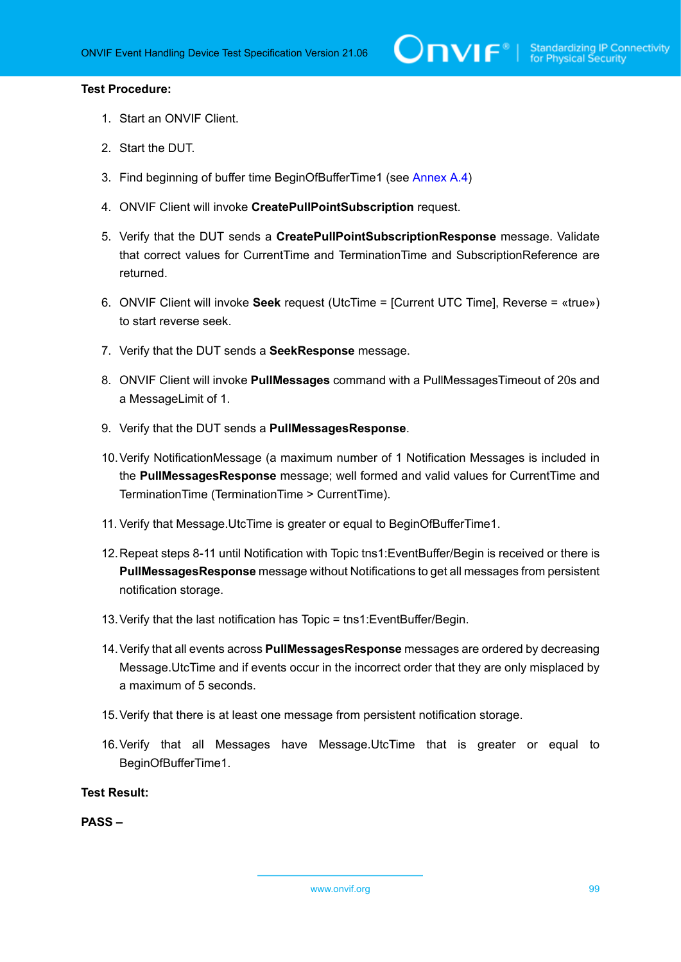### **Test Procedure:**

- 1. Start an ONVIF Client.
- 2. Start the DUT.
- 3. Find beginning of buffer time BeginOfBufferTime1 (see [Annex A.4](#page-137-1))
- 4. ONVIF Client will invoke **CreatePullPointSubscription** request.
- 5. Verify that the DUT sends a **CreatePullPointSubscriptionResponse** message. Validate that correct values for CurrentTime and TerminationTime and SubscriptionReference are returned.
- 6. ONVIF Client will invoke **Seek** request (UtcTime = [Current UTC Time], Reverse = «true») to start reverse seek.
- 7. Verify that the DUT sends a **SeekResponse** message.
- 8. ONVIF Client will invoke **PullMessages** command with a PullMessagesTimeout of 20s and a MessageLimit of 1.
- 9. Verify that the DUT sends a **PullMessagesResponse**.
- 10.Verify NotificationMessage (a maximum number of 1 Notification Messages is included in the **PullMessagesResponse** message; well formed and valid values for CurrentTime and TerminationTime (TerminationTime > CurrentTime).
- 11. Verify that Message.UtcTime is greater or equal to BeginОfBufferTime1.
- 12.Repeat steps 8-11 until Notification with Topic tns1:EventBuffer/Begin is received or there is **PullMessagesResponse** message without Notifications to get all messages from persistent notification storage.
- 13.Verify that the last notification has Topic = tns1:EventBuffer/Begin.
- 14.Verify that all events across **PullMessagesResponse** messages are ordered by decreasing Message.UtcTime and if events occur in the incorrect order that they are only misplaced by a maximum of 5 seconds.
- 15.Verify that there is at least one message from persistent notification storage.
- 16.Verify that all Messages have Message.UtcTime that is greater or equal to BeginОfBufferTime1.

**Test Result:**

**PASS –**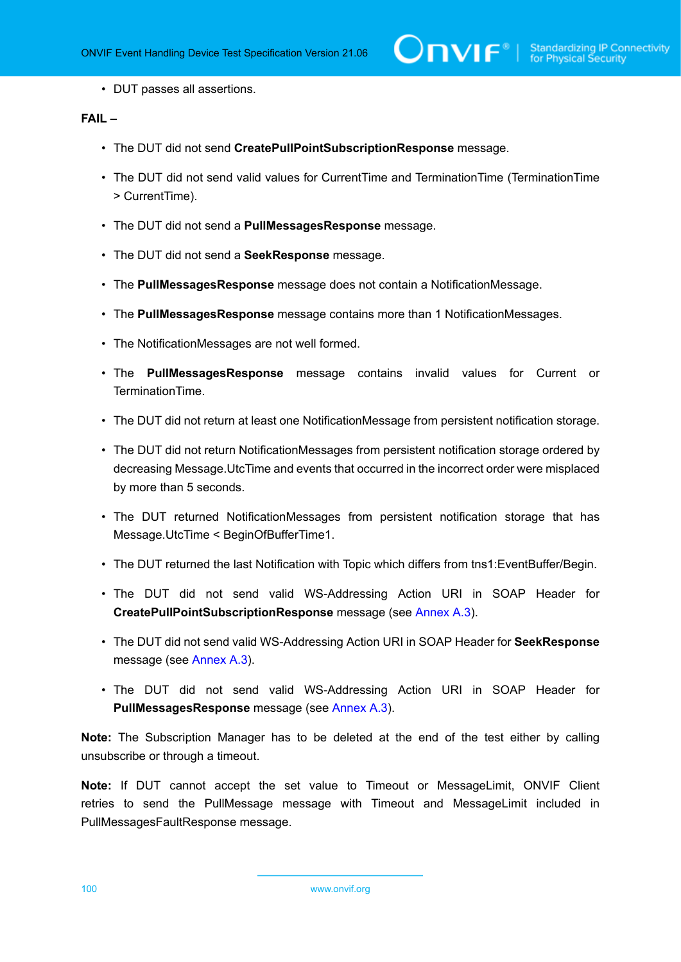• DUT passes all assertions.

# **FAIL –**

- The DUT did not send **CreatePullPointSubscriptionResponse** message.
- The DUT did not send valid values for CurrentTime and TerminationTime (TerminationTime > CurrentTime).
- The DUT did not send a **PullMessagesResponse** message.
- The DUT did not send a **SeekResponse** message.
- The **PullMessagesResponse** message does not contain a NotificationMessage.
- The **PullMessagesResponse** message contains more than 1 NotificationMessages.
- The NotificationMessages are not well formed.
- The **PullMessagesResponse** message contains invalid values for Current or TerminationTime.
- The DUT did not return at least one NotificationMessage from persistent notification storage.
- The DUT did not return NotificationMessages from persistent notification storage ordered by decreasing Message.UtcTime and events that occurred in the incorrect order were misplaced by more than 5 seconds.
- The DUT returned NotificationMessages from persistent notification storage that has Message.UtcTime < BeginОfBufferTime1.
- The DUT returned the last Notification with Topic which differs from tns1:EventBuffer/Begin.
- The DUT did not send valid WS-Addressing Action URI in SOAP Header for **CreatePullPointSubscriptionResponse** message (see [Annex A.3\)](#page-135-0).
- The DUT did not send valid WS-Addressing Action URI in SOAP Header for **SeekResponse** message (see [Annex A.3](#page-135-0)).
- The DUT did not send valid WS-Addressing Action URI in SOAP Header for **PullMessagesResponse** message (see [Annex A.3\)](#page-135-0).

**Note:** The Subscription Manager has to be deleted at the end of the test either by calling unsubscribe or through a timeout.

**Note:** If DUT cannot accept the set value to Timeout or MessageLimit, ONVIF Client retries to send the PullMessage message with Timeout and MessageLimit included in PullMessagesFaultResponse message.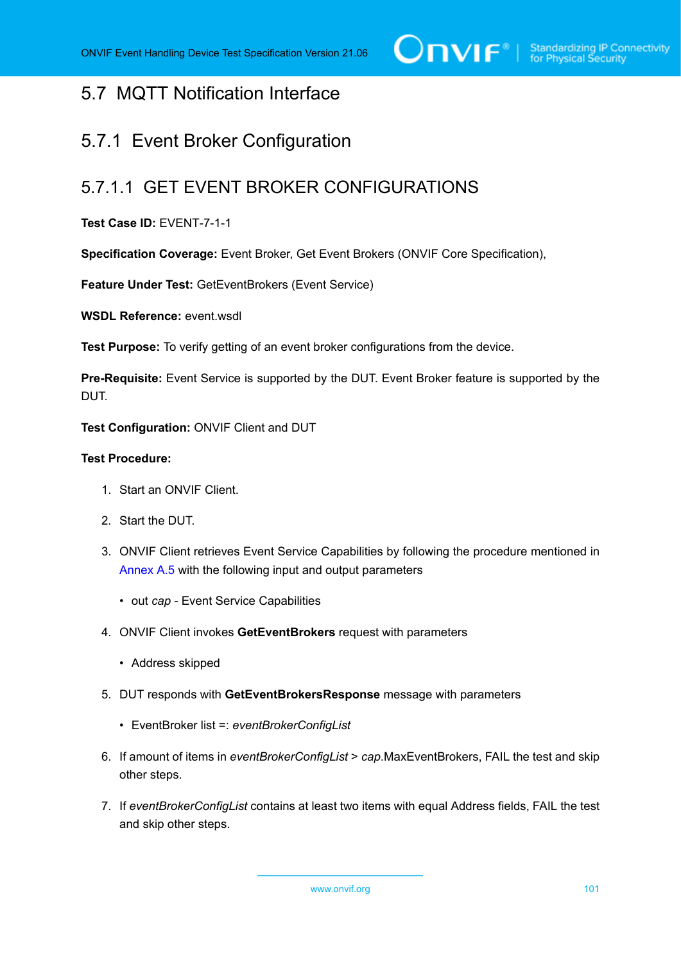# 5.7 MQTT Notification Interface

# 5.7.1 Event Broker Configuration

# 5.7.1.1 GET EVENT BROKER CONFIGURATIONS

# **Test Case ID:** EVENT-7-1-1

**Specification Coverage:** Event Broker, Get Event Brokers (ONVIF Core Specification),

**Feature Under Test:** GetEventBrokers (Event Service)

**WSDL Reference:** event.wsdl

**Test Purpose:** To verify getting of an event broker configurations from the device.

**Pre-Requisite:** Event Service is supported by the DUT. Event Broker feature is supported by the DUT.

**Test Configuration:** ONVIF Client and DUT

# **Test Procedure:**

- 1. Start an ONVIF Client.
- 2. Start the DUT.
- 3. ONVIF Client retrieves Event Service Capabilities by following the procedure mentioned in [Annex A.5](#page-137-0) with the following input and output parameters
	- out *cap* Event Service Capabilities
- 4. ONVIF Client invokes **GetEventBrokers** request with parameters
	- Address skipped
- 5. DUT responds with **GetEventBrokersResponse** message with parameters
	- EventBroker list =: *eventBrokerConfigList*
- 6. If amount of items in *eventBrokerConfigList* > *cap*.MaxEventBrokers, FAIL the test and skip other steps.
- 7. If *eventBrokerConfigList* contains at least two items with equal Address fields, FAIL the test and skip other steps.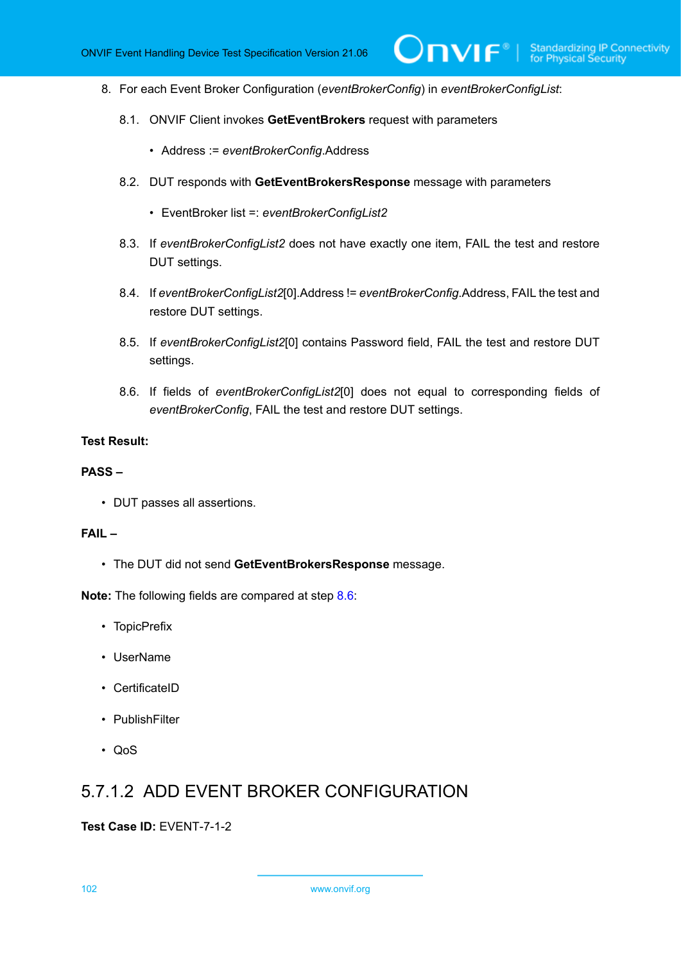- 8. For each Event Broker Configuration (*eventBrokerConfig*) in *eventBrokerConfigList*:
	- 8.1. ONVIF Client invokes **GetEventBrokers** request with parameters
		- Address := *eventBrokerConfig*.Address
	- 8.2. DUT responds with **GetEventBrokersResponse** message with parameters
		- EventBroker list =: *eventBrokerConfigList2*
	- 8.3. If *eventBrokerConfigList2* does not have exactly one item, FAIL the test and restore DUT settings.
	- 8.4. If *eventBrokerConfigList2*[0].Address != *eventBrokerConfig*.Address, FAIL the test and restore DUT settings.
	- 8.5. If *eventBrokerConfigList2*[0] contains Password field, FAIL the test and restore DUT settings.
	- 8.6. If fields of *eventBrokerConfigList2*[0] does not equal to corresponding fields of *eventBrokerConfig*, FAIL the test and restore DUT settings.

#### <span id="page-101-0"></span>**PASS –**

• DUT passes all assertions.

#### **FAIL –**

• The DUT did not send **GetEventBrokersResponse** message.

**Note:** The following fields are compared at step [8.6](#page-101-0):

- TopicPrefix
- UserName
- CertificateID
- PublishFilter
- QoS

# 5.7.1.2 ADD EVENT BROKER CONFIGURATION

#### **Test Case ID:** EVENT-7-1-2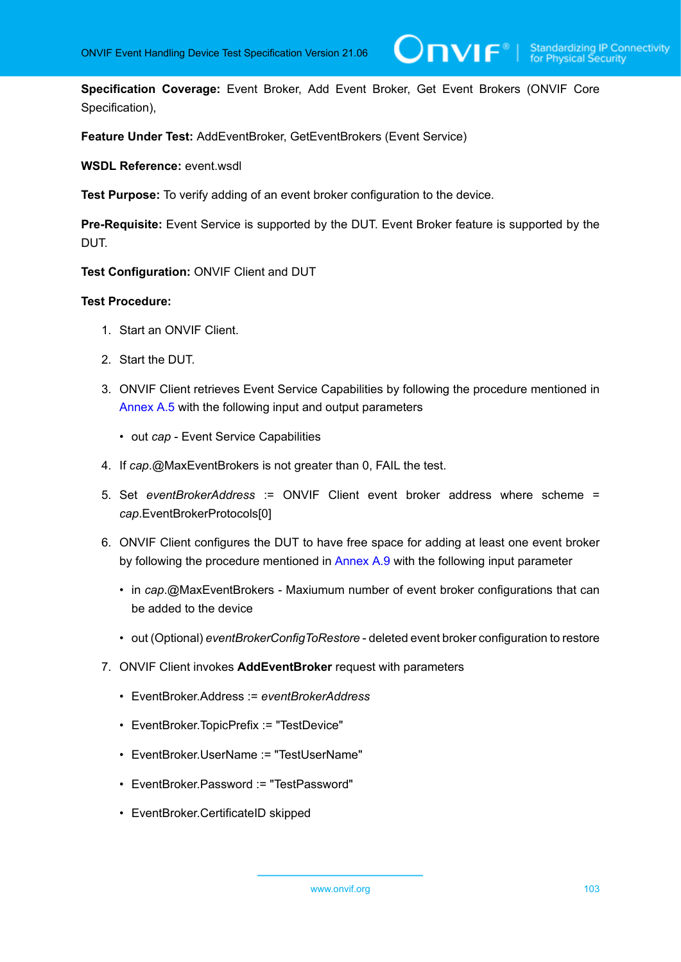**Specification Coverage:** Event Broker, Add Event Broker, Get Event Brokers (ONVIF Core Specification),

**Feature Under Test:** AddEventBroker, GetEventBrokers (Event Service)

**WSDL Reference:** event.wsdl

**Test Purpose:** To verify adding of an event broker configuration to the device.

**Pre-Requisite:** Event Service is supported by the DUT. Event Broker feature is supported by the DUT.

**Test Configuration:** ONVIF Client and DUT

- 1. Start an ONVIF Client.
- 2. Start the DUT.
- 3. ONVIF Client retrieves Event Service Capabilities by following the procedure mentioned in [Annex A.5](#page-137-0) with the following input and output parameters
	- out *cap* Event Service Capabilities
- 4. If *cap*.@MaxEventBrokers is not greater than 0, FAIL the test.
- 5. Set *eventBrokerAddress* := ONVIF Client event broker address where scheme = *cap*.EventBrokerProtocols[0]
- 6. ONVIF Client configures the DUT to have free space for adding at least one event broker by following the procedure mentioned in [Annex A.9](#page-140-0) with the following input parameter
	- in *cap*.@MaxEventBrokers Maxiumum number of event broker configurations that can be added to the device
	- out (Optional) *eventBrokerConfigToRestore* deleted event broker configuration to restore
- 7. ONVIF Client invokes **AddEventBroker** request with parameters
	- EventBroker.Address := *eventBrokerAddress*
	- EventBroker.TopicPrefix := "TestDevice"
	- EventBroker.UserName := "TestUserName"
	- EventBroker.Password := "TestPassword"
	- EventBroker.CertificateID skipped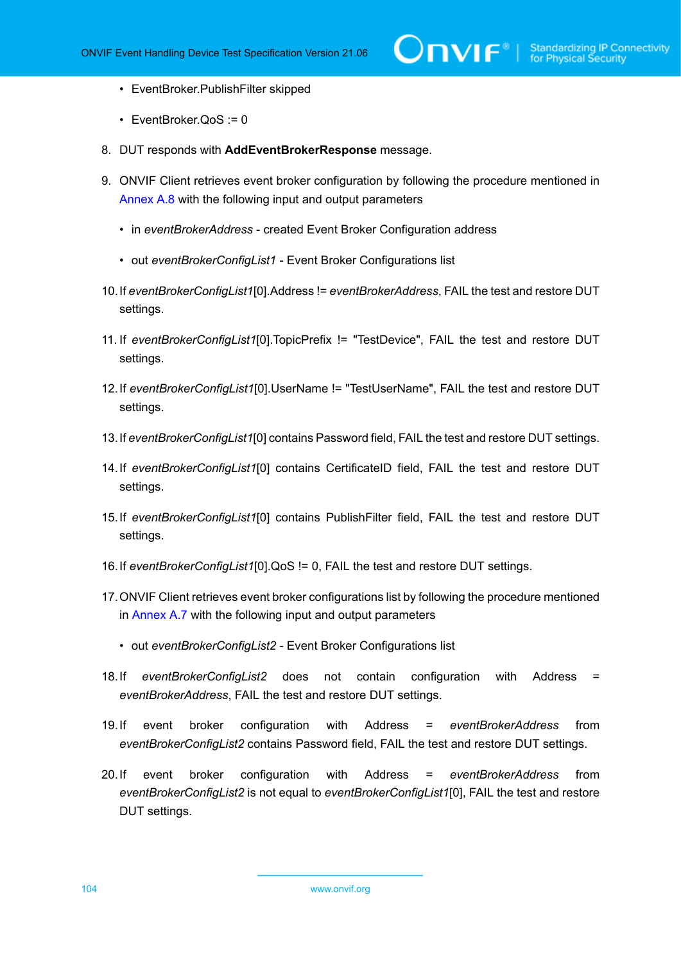- EventBroker.PublishFilter skipped
- EventBroker.QoS := 0
- 8. DUT responds with **AddEventBrokerResponse** message.
- 9. ONVIF Client retrieves event broker configuration by following the procedure mentioned in [Annex A.8](#page-139-0) with the following input and output parameters
	- in *eventBrokerAddress* created Event Broker Configuration address
	- out *eventBrokerConfigList1* Event Broker Configurations list
- 10.If *eventBrokerConfigList1*[0].Address != *eventBrokerAddress*, FAIL the test and restore DUT settings.
- 11. If *eventBrokerConfigList1*[0].TopicPrefix != "TestDevice", FAIL the test and restore DUT settings.
- 12.If *eventBrokerConfigList1*[0].UserName != "TestUserName", FAIL the test and restore DUT settings.
- 13.If *eventBrokerConfigList1*[0] contains Password field, FAIL the test and restore DUT settings.
- 14.If *eventBrokerConfigList1*[0] contains CertificateID field, FAIL the test and restore DUT settings.
- 15.If *eventBrokerConfigList1*[0] contains PublishFilter field, FAIL the test and restore DUT settings.
- 16.If *eventBrokerConfigList1*[0].QoS != 0, FAIL the test and restore DUT settings.
- 17.ONVIF Client retrieves event broker configurations list by following the procedure mentioned in [Annex A.7](#page-139-1) with the following input and output parameters
	- out *eventBrokerConfigList2* Event Broker Configurations list
- 18.If *eventBrokerConfigList2* does not contain configuration with Address = *eventBrokerAddress*, FAIL the test and restore DUT settings.
- 19.If event broker configuration with Address = *eventBrokerAddress* from *eventBrokerConfigList2* contains Password field, FAIL the test and restore DUT settings.
- <span id="page-103-0"></span>20.If event broker configuration with Address = *eventBrokerAddress* from *eventBrokerConfigList2* is not equal to *eventBrokerConfigList1*[0], FAIL the test and restore DUT settings.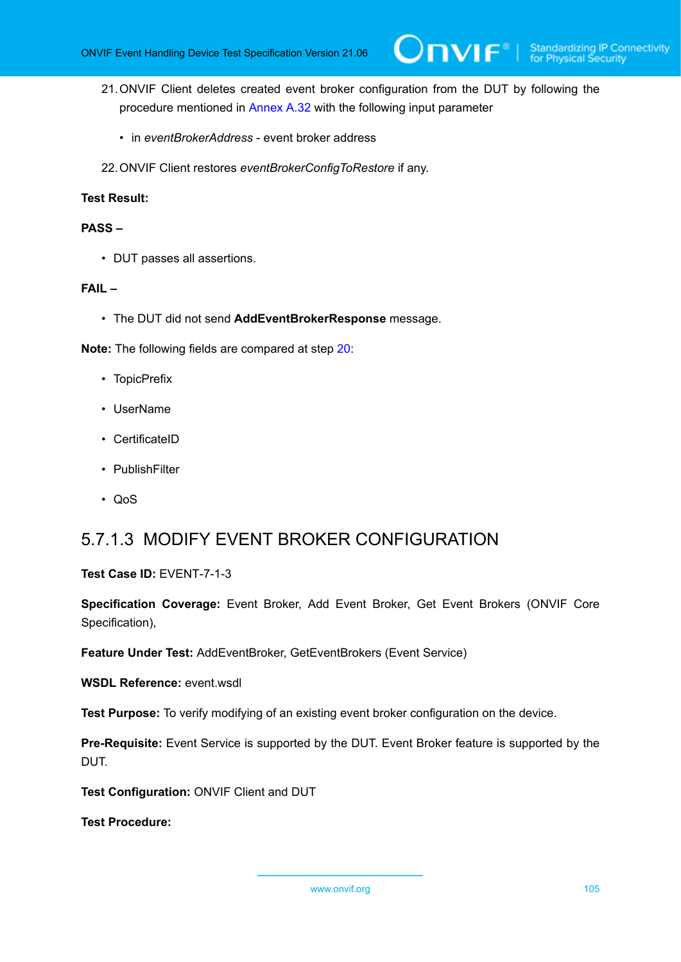- 21.ONVIF Client deletes created event broker configuration from the DUT by following the procedure mentioned in [Annex A.32](#page-163-0) with the following input parameter
	- in *eventBrokerAddress* event broker address
- 22.ONVIF Client restores *eventBrokerConfigToRestore* if any.

## **PASS –**

• DUT passes all assertions.

### **FAIL –**

• The DUT did not send **AddEventBrokerResponse** message.

**Note:** The following fields are compared at step [20](#page-103-0):

- TopicPrefix
- UserName
- CertificateID
- PublishFilter
- QoS

# 5.7.1.3 MODIFY EVENT BROKER CONFIGURATION

# **Test Case ID:** EVENT-7-1-3

**Specification Coverage:** Event Broker, Add Event Broker, Get Event Brokers (ONVIF Core Specification),

**Feature Under Test:** AddEventBroker, GetEventBrokers (Event Service)

**WSDL Reference:** event.wsdl

**Test Purpose:** To verify modifying of an existing event broker configuration on the device.

**Pre-Requisite:** Event Service is supported by the DUT. Event Broker feature is supported by the DUT.

**Test Configuration:** ONVIF Client and DUT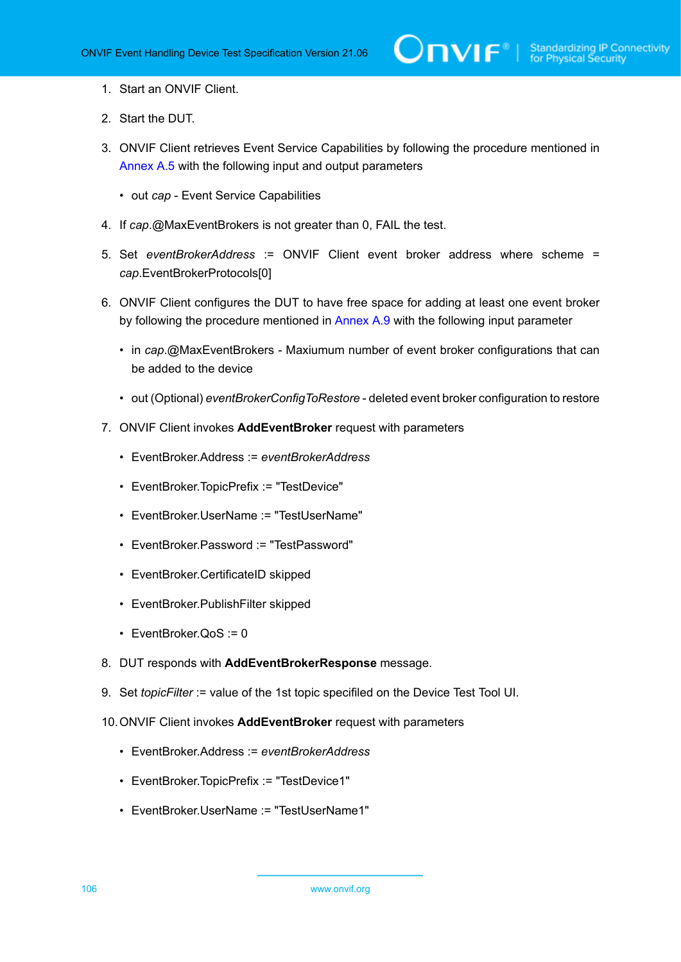- 1. Start an ONVIF Client.
- 2. Start the DUT.
- 3. ONVIF Client retrieves Event Service Capabilities by following the procedure mentioned in [Annex A.5](#page-137-0) with the following input and output parameters
	- out *cap* Event Service Capabilities
- 4. If *cap*.@MaxEventBrokers is not greater than 0, FAIL the test.
- 5. Set *eventBrokerAddress* := ONVIF Client event broker address where scheme = *cap*.EventBrokerProtocols[0]
- 6. ONVIF Client configures the DUT to have free space for adding at least one event broker by following the procedure mentioned in [Annex A.9](#page-140-0) with the following input parameter
	- in *cap*.@MaxEventBrokers Maxiumum number of event broker configurations that can be added to the device
	- out (Optional) *eventBrokerConfigToRestore* deleted event broker configuration to restore
- 7. ONVIF Client invokes **AddEventBroker** request with parameters
	- EventBroker.Address := *eventBrokerAddress*
	- EventBroker.TopicPrefix := "TestDevice"
	- EventBroker.UserName := "TestUserName"
	- EventBroker.Password := "TestPassword"
	- EventBroker.CertificateID skipped
	- EventBroker.PublishFilter skipped
	- EventBroker.QoS := 0
- 8. DUT responds with **AddEventBrokerResponse** message.
- 9. Set *topicFilter* := value of the 1st topic specifiled on the Device Test Tool UI.
- 10.ONVIF Client invokes **AddEventBroker** request with parameters
	- EventBroker.Address := *eventBrokerAddress*
	- EventBroker.TopicPrefix := "TestDevice1"
	- EventBroker.UserName := "TestUserName1"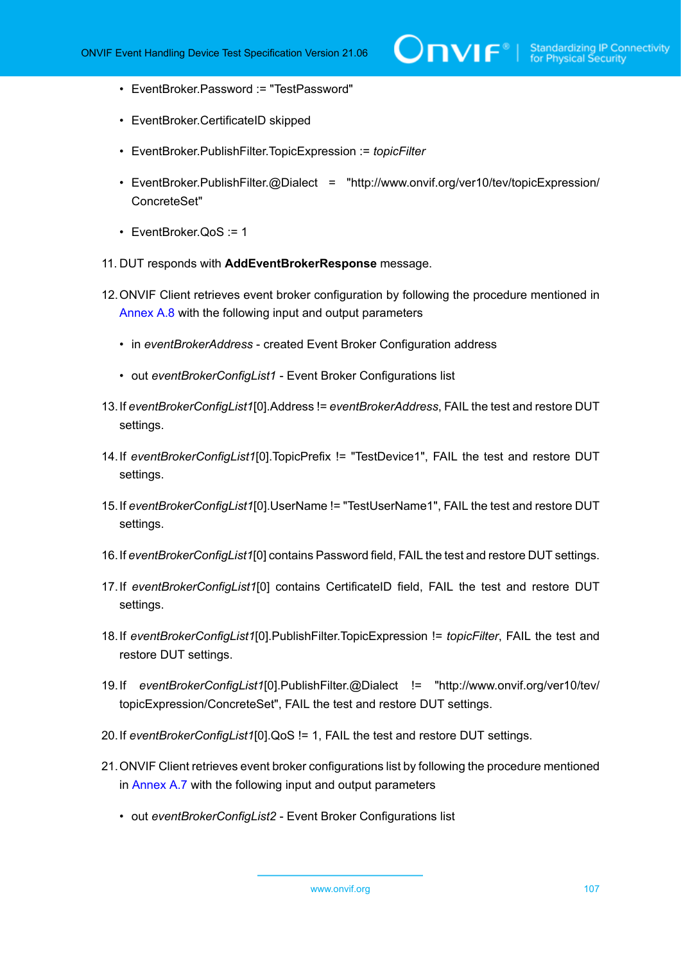- EventBroker.Password := "TestPassword"
- EventBroker.CertificateID skipped
- EventBroker.PublishFilter.TopicExpression := *topicFilter*
- EventBroker.PublishFilter.@Dialect = "http://www.onvif.org/ver10/tev/topicExpression/ ConcreteSet"
- EventBroker.QoS := 1
- 11. DUT responds with **AddEventBrokerResponse** message.
- 12.ONVIF Client retrieves event broker configuration by following the procedure mentioned in [Annex A.8](#page-139-0) with the following input and output parameters
	- in *eventBrokerAddress* created Event Broker Configuration address
	- out *eventBrokerConfigList1* Event Broker Configurations list
- 13.If *eventBrokerConfigList1*[0].Address != *eventBrokerAddress*, FAIL the test and restore DUT settings.
- 14.If *eventBrokerConfigList1*[0].TopicPrefix != "TestDevice1", FAIL the test and restore DUT settings.
- 15.If *eventBrokerConfigList1*[0].UserName != "TestUserName1", FAIL the test and restore DUT settings.
- 16.If *eventBrokerConfigList1*[0] contains Password field, FAIL the test and restore DUT settings.
- 17.If *eventBrokerConfigList1*[0] contains CertificateID field, FAIL the test and restore DUT settings.
- 18.If *eventBrokerConfigList1*[0].PublishFilter.TopicExpression != *topicFilter*, FAIL the test and restore DUT settings.
- 19.If *eventBrokerConfigList1*[0].PublishFilter.@Dialect != "http://www.onvif.org/ver10/tev/ topicExpression/ConcreteSet", FAIL the test and restore DUT settings.
- 20.If *eventBrokerConfigList1*[0].QoS != 1, FAIL the test and restore DUT settings.
- 21.ONVIF Client retrieves event broker configurations list by following the procedure mentioned in [Annex A.7](#page-139-1) with the following input and output parameters
	- out *eventBrokerConfigList2* Event Broker Configurations list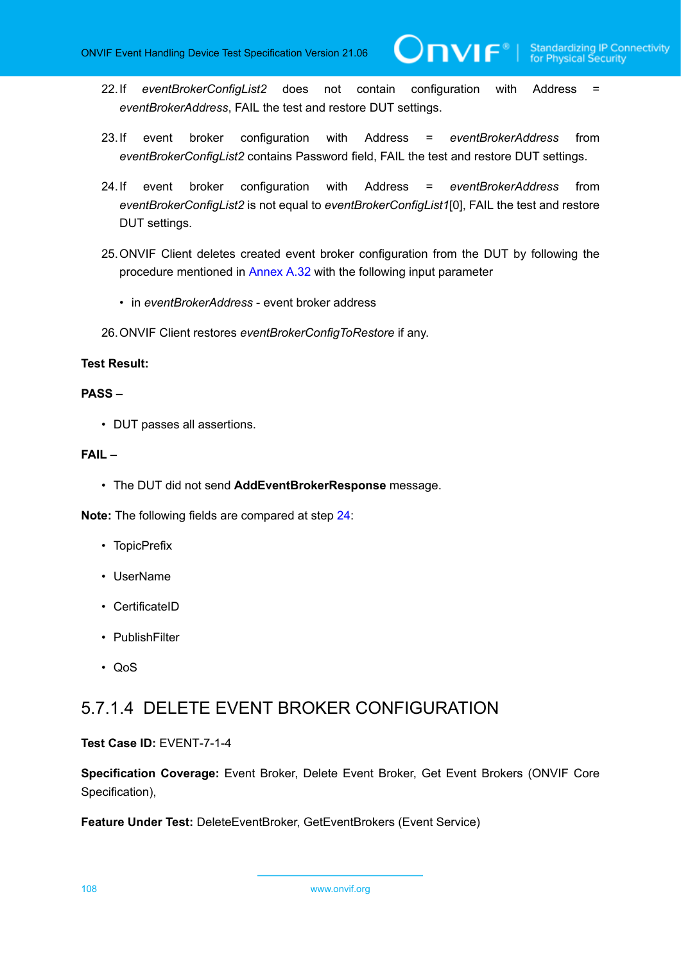**TVIF**®

- 22.If *eventBrokerConfigList2* does not contain configuration with Address = *eventBrokerAddress*, FAIL the test and restore DUT settings.
- 23.If event broker configuration with Address = *eventBrokerAddress* from *eventBrokerConfigList2* contains Password field, FAIL the test and restore DUT settings.
- <span id="page-107-0"></span>24.If event broker configuration with Address = *eventBrokerAddress* from *eventBrokerConfigList2* is not equal to *eventBrokerConfigList1*[0], FAIL the test and restore DUT settings.
- 25.ONVIF Client deletes created event broker configuration from the DUT by following the procedure mentioned in [Annex A.32](#page-163-0) with the following input parameter
	- in *eventBrokerAddress* event broker address
- 26.ONVIF Client restores *eventBrokerConfigToRestore* if any.

### **Test Result:**

#### **PASS –**

• DUT passes all assertions.

### **FAIL –**

• The DUT did not send **AddEventBrokerResponse** message.

**Note:** The following fields are compared at step [24](#page-107-0):

- TopicPrefix
- UserName
- CertificateID
- PublishFilter
- QoS

# 5.7.1.4 DELETE EVENT BROKER CONFIGURATION

#### **Test Case ID:** EVENT-7-1-4

**Specification Coverage:** Event Broker, Delete Event Broker, Get Event Brokers (ONVIF Core Specification),

**Feature Under Test:** DeleteEventBroker, GetEventBrokers (Event Service)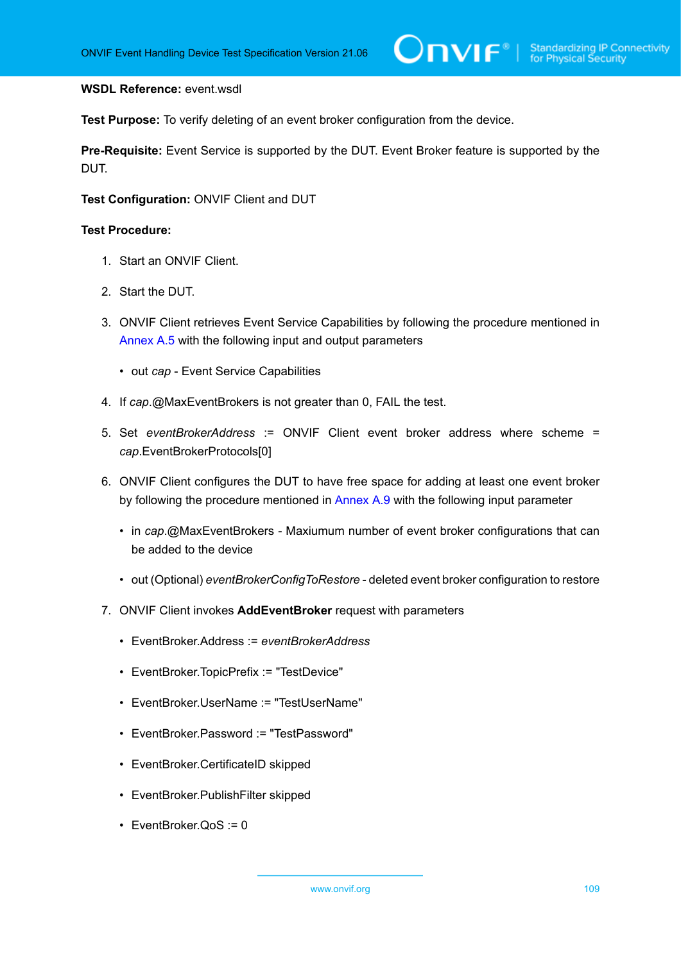### **WSDL Reference:** event.wsdl

**Test Purpose:** To verify deleting of an event broker configuration from the device.

**Pre-Requisite:** Event Service is supported by the DUT. Event Broker feature is supported by the DUT.

**Test Configuration:** ONVIF Client and DUT

- 1. Start an ONVIF Client.
- 2. Start the DUT.
- 3. ONVIF Client retrieves Event Service Capabilities by following the procedure mentioned in [Annex A.5](#page-137-0) with the following input and output parameters
	- out *cap* Event Service Capabilities
- 4. If *cap*.@MaxEventBrokers is not greater than 0, FAIL the test.
- 5. Set *eventBrokerAddress* := ONVIF Client event broker address where scheme = *cap*.EventBrokerProtocols[0]
- 6. ONVIF Client configures the DUT to have free space for adding at least one event broker by following the procedure mentioned in [Annex A.9](#page-140-0) with the following input parameter
	- in *cap*.@MaxEventBrokers Maxiumum number of event broker configurations that can be added to the device
	- out (Optional) *eventBrokerConfigToRestore* deleted event broker configuration to restore
- 7. ONVIF Client invokes **AddEventBroker** request with parameters
	- EventBroker.Address := *eventBrokerAddress*
	- EventBroker.TopicPrefix := "TestDevice"
	- EventBroker.UserName := "TestUserName"
	- EventBroker.Password := "TestPassword"
	- EventBroker.CertificateID skipped
	- EventBroker.PublishFilter skipped
	- EventBroker.QoS := 0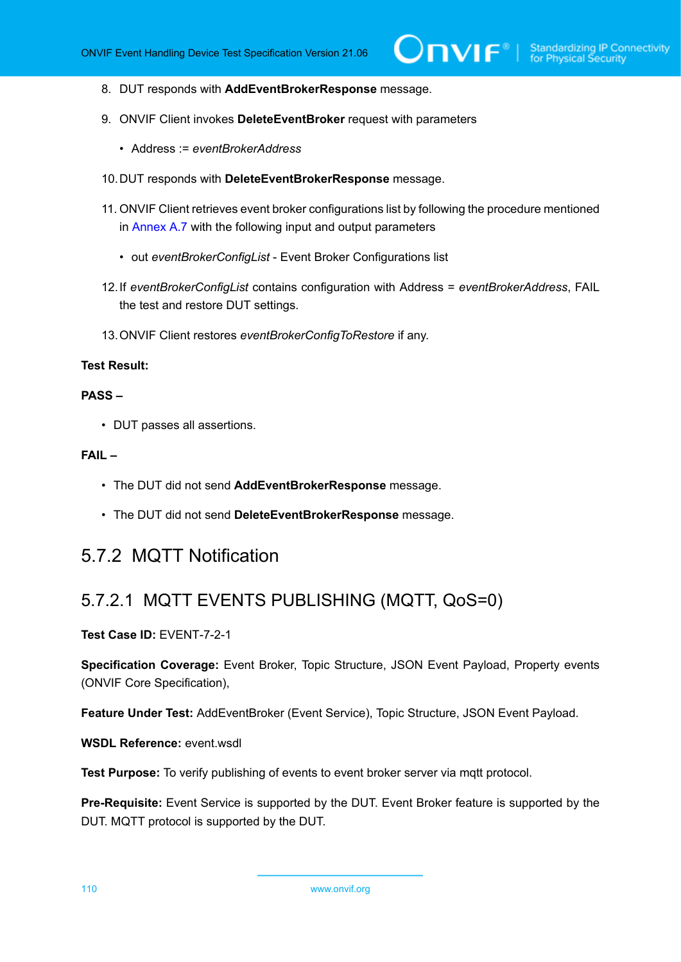- 8. DUT responds with **AddEventBrokerResponse** message.
- 9. ONVIF Client invokes **DeleteEventBroker** request with parameters
	- Address := *eventBrokerAddress*
- 10.DUT responds with **DeleteEventBrokerResponse** message.
- 11. ONVIF Client retrieves event broker configurations list by following the procedure mentioned in [Annex A.7](#page-139-0) with the following input and output parameters
	- out *eventBrokerConfigList* Event Broker Configurations list
- 12.If *eventBrokerConfigList* contains configuration with Address = *eventBrokerAddress*, FAIL the test and restore DUT settings.
- 13.ONVIF Client restores *eventBrokerConfigToRestore* if any.

## **PASS –**

• DUT passes all assertions.

## **FAIL –**

- The DUT did not send **AddEventBrokerResponse** message.
- The DUT did not send **DeleteEventBrokerResponse** message.

## 5.7.2 MQTT Notification

## 5.7.2.1 MQTT EVENTS PUBLISHING (MQTT, QoS=0)

## **Test Case ID:** EVENT-7-2-1

**Specification Coverage:** Event Broker, Topic Structure, JSON Event Payload, Property events (ONVIF Core Specification),

**Feature Under Test:** AddEventBroker (Event Service), Topic Structure, JSON Event Payload.

**WSDL Reference:** event.wsdl

**Test Purpose:** To verify publishing of events to event broker server via matt protocol.

**Pre-Requisite:** Event Service is supported by the DUT. Event Broker feature is supported by the DUT. MQTT protocol is supported by the DUT.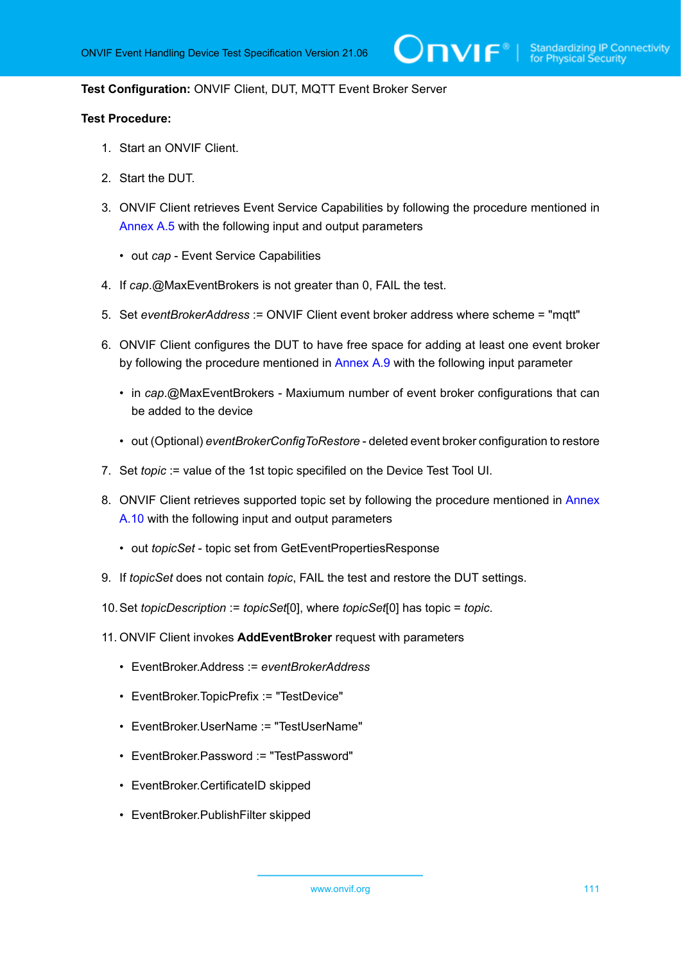## **Test Configuration:** ONVIF Client, DUT, MQTT Event Broker Server

- 1. Start an ONVIF Client.
- 2. Start the DUT.
- 3. ONVIF Client retrieves Event Service Capabilities by following the procedure mentioned in [Annex A.5](#page-137-0) with the following input and output parameters
	- out *cap* Event Service Capabilities
- 4. If *cap*.@MaxEventBrokers is not greater than 0, FAIL the test.
- 5. Set *eventBrokerAddress* := ONVIF Client event broker address where scheme = "mqtt"
- 6. ONVIF Client configures the DUT to have free space for adding at least one event broker by following the procedure mentioned in [Annex A.9](#page-140-0) with the following input parameter
	- in *cap*.@MaxEventBrokers Maxiumum number of event broker configurations that can be added to the device
	- out (Optional) *eventBrokerConfigToRestore* deleted event broker configuration to restore
- 7. Set *topic* := value of the 1st topic specifiled on the Device Test Tool UI.
- 8. ONVIF Client retrieves supported topic set by following the procedure mentioned in [Annex](#page-141-0) [A.10](#page-141-0) with the following input and output parameters
	- out *topicSet* topic set from GetEventPropertiesResponse
- 9. If *topicSet* does not contain *topic*, FAIL the test and restore the DUT settings.
- 10.Set *topicDescription* := *topicSet*[0], where *topicSet*[0] has topic = *topic*.
- 11. ONVIF Client invokes **AddEventBroker** request with parameters
	- EventBroker.Address := *eventBrokerAddress*
	- EventBroker.TopicPrefix := "TestDevice"
	- EventBroker.UserName := "TestUserName"
	- EventBroker.Password := "TestPassword"
	- EventBroker.CertificateID skipped
	- EventBroker.PublishFilter skipped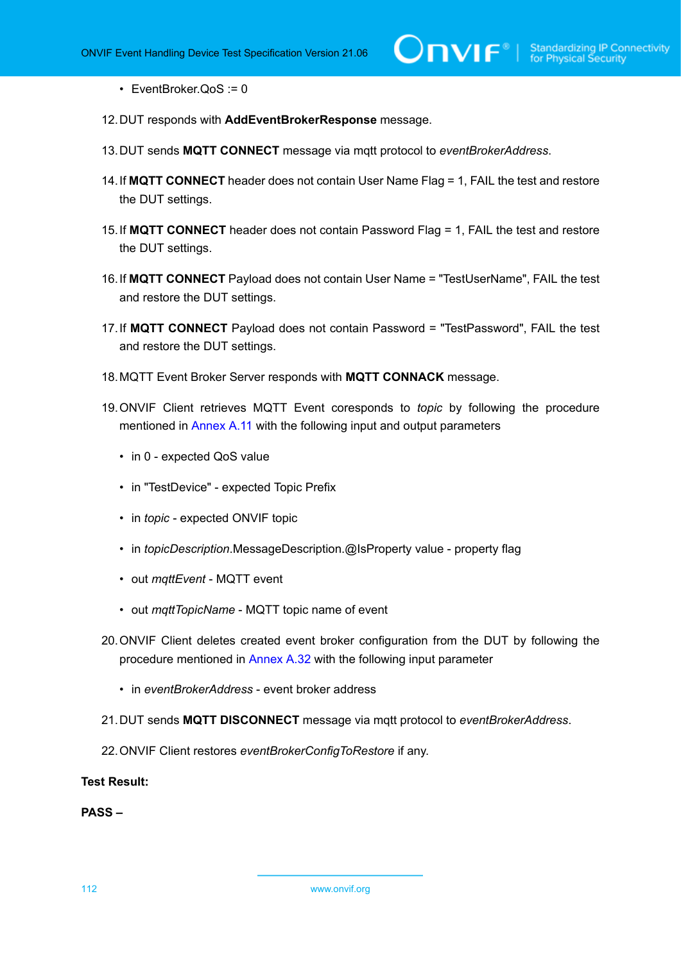• EventBroker.QoS := 0

- 12.DUT responds with **AddEventBrokerResponse** message.
- 13.DUT sends **MQTT CONNECT** message via mqtt protocol to *eventBrokerAddress*.
- 14.If **MQTT CONNECT** header does not contain User Name Flag = 1, FAIL the test and restore the DUT settings.
- 15.If **MQTT CONNECT** header does not contain Password Flag = 1, FAIL the test and restore the DUT settings.
- 16.If **MQTT CONNECT** Payload does not contain User Name = "TestUserName", FAIL the test and restore the DUT settings.
- 17.If **MQTT CONNECT** Payload does not contain Password = "TestPassword", FAIL the test and restore the DUT settings.
- 18.MQTT Event Broker Server responds with **MQTT CONNACK** message.
- 19.ONVIF Client retrieves MQTT Event coresponds to *topic* by following the procedure mentioned in [Annex](#page-142-0) A.11 with the following input and output parameters
	- in 0 expected QoS value
	- in "TestDevice" expected Topic Prefix
	- in *topic* expected ONVIF topic
	- in *topicDescription*.MessageDescription.@IsProperty value property flag
	- out *mqttEvent* MQTT event
	- out *mqttTopicName* MQTT topic name of event
- 20.ONVIF Client deletes created event broker configuration from the DUT by following the procedure mentioned in [Annex A.32](#page-163-0) with the following input parameter
	- in *eventBrokerAddress* event broker address
- 21.DUT sends **MQTT DISCONNECT** message via mqtt protocol to *eventBrokerAddress*.
- 22.ONVIF Client restores *eventBrokerConfigToRestore* if any.

**Test Result:**

**PASS –**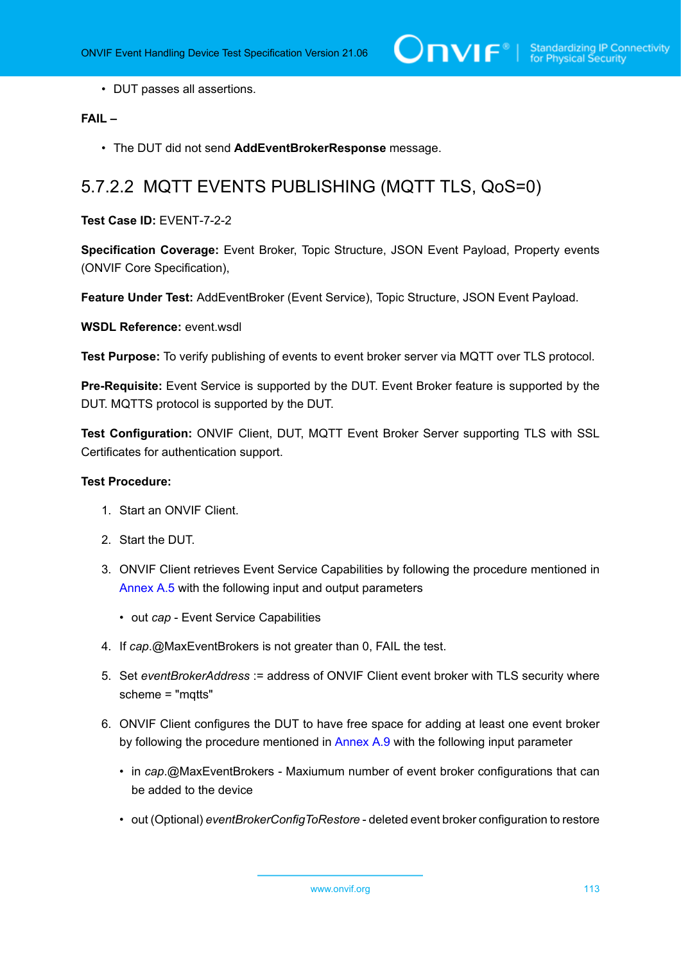• DUT passes all assertions.

## **FAIL –**

• The DUT did not send **AddEventBrokerResponse** message.

## 5.7.2.2 MQTT EVENTS PUBLISHING (MQTT TLS, QoS=0)

**Test Case ID:** EVENT-7-2-2

**Specification Coverage:** Event Broker, Topic Structure, JSON Event Payload, Property events (ONVIF Core Specification),

**Feature Under Test:** AddEventBroker (Event Service), Topic Structure, JSON Event Payload.

**WSDL Reference:** event.wsdl

**Test Purpose:** To verify publishing of events to event broker server via MQTT over TLS protocol.

**Pre-Requisite:** Event Service is supported by the DUT. Event Broker feature is supported by the DUT. MQTTS protocol is supported by the DUT.

**Test Configuration:** ONVIF Client, DUT, MQTT Event Broker Server supporting TLS with SSL Certificates for authentication support.

- 1. Start an ONVIF Client.
- 2. Start the DUT.
- 3. ONVIF Client retrieves Event Service Capabilities by following the procedure mentioned in [Annex A.5](#page-137-0) with the following input and output parameters
	- out *cap* Event Service Capabilities
- 4. If *cap*.@MaxEventBrokers is not greater than 0, FAIL the test.
- 5. Set *eventBrokerAddress* := address of ONVIF Client event broker with TLS security where scheme = "mqtts"
- 6. ONVIF Client configures the DUT to have free space for adding at least one event broker by following the procedure mentioned in [Annex A.9](#page-140-0) with the following input parameter
	- in *cap*.@MaxEventBrokers Maxiumum number of event broker configurations that can be added to the device
	- out (Optional) *eventBrokerConfigToRestore* deleted event broker configuration to restore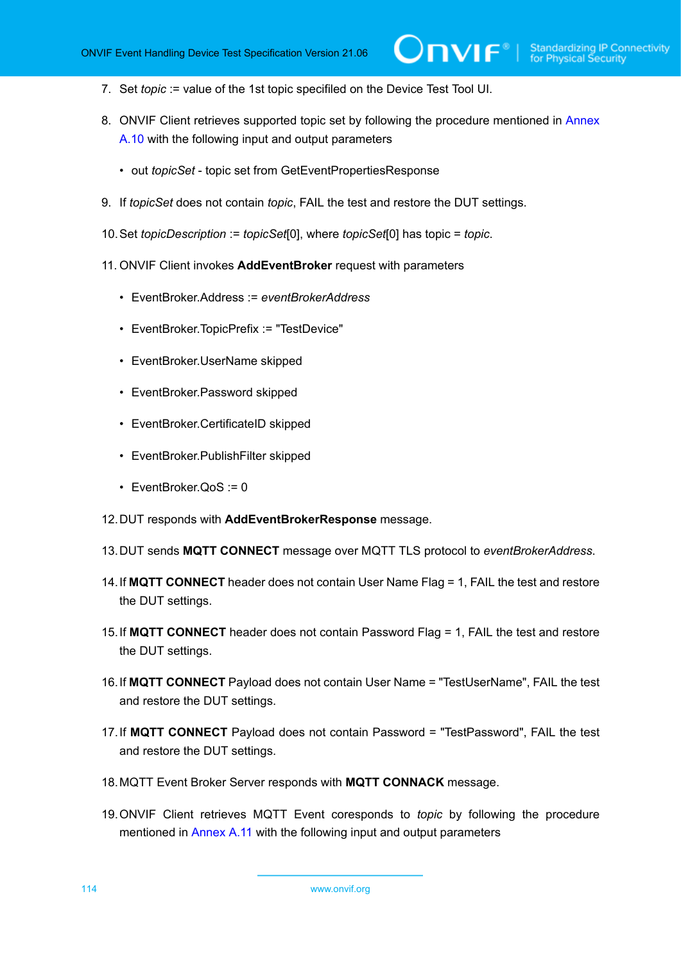- 7. Set *topic* := value of the 1st topic specifiled on the Device Test Tool UI.
- 8. ONVIF Client retrieves supported topic set by following the procedure mentioned in [Annex](#page-141-0) [A.10](#page-141-0) with the following input and output parameters
	- out *topicSet* topic set from GetEventPropertiesResponse
- 9. If *topicSet* does not contain *topic*, FAIL the test and restore the DUT settings.
- 10.Set *topicDescription* := *topicSet*[0], where *topicSet*[0] has topic = *topic*.
- 11. ONVIF Client invokes **AddEventBroker** request with parameters
	- EventBroker.Address := *eventBrokerAddress*
	- EventBroker.TopicPrefix := "TestDevice"
	- EventBroker.UserName skipped
	- EventBroker.Password skipped
	- EventBroker.CertificateID skipped
	- EventBroker.PublishFilter skipped
	- EventBroker.QoS := 0
- 12.DUT responds with **AddEventBrokerResponse** message.
- 13.DUT sends **MQTT CONNECT** message over MQTT TLS protocol to *eventBrokerAddress*.
- 14.If **MQTT CONNECT** header does not contain User Name Flag = 1, FAIL the test and restore the DUT settings.
- 15.If **MQTT CONNECT** header does not contain Password Flag = 1, FAIL the test and restore the DUT settings.
- 16.If **MQTT CONNECT** Payload does not contain User Name = "TestUserName", FAIL the test and restore the DUT settings.
- 17.If **MQTT CONNECT** Payload does not contain Password = "TestPassword", FAIL the test and restore the DUT settings.
- 18.MQTT Event Broker Server responds with **MQTT CONNACK** message.
- 19.ONVIF Client retrieves MQTT Event coresponds to *topic* by following the procedure mentioned in [Annex](#page-142-0) A.11 with the following input and output parameters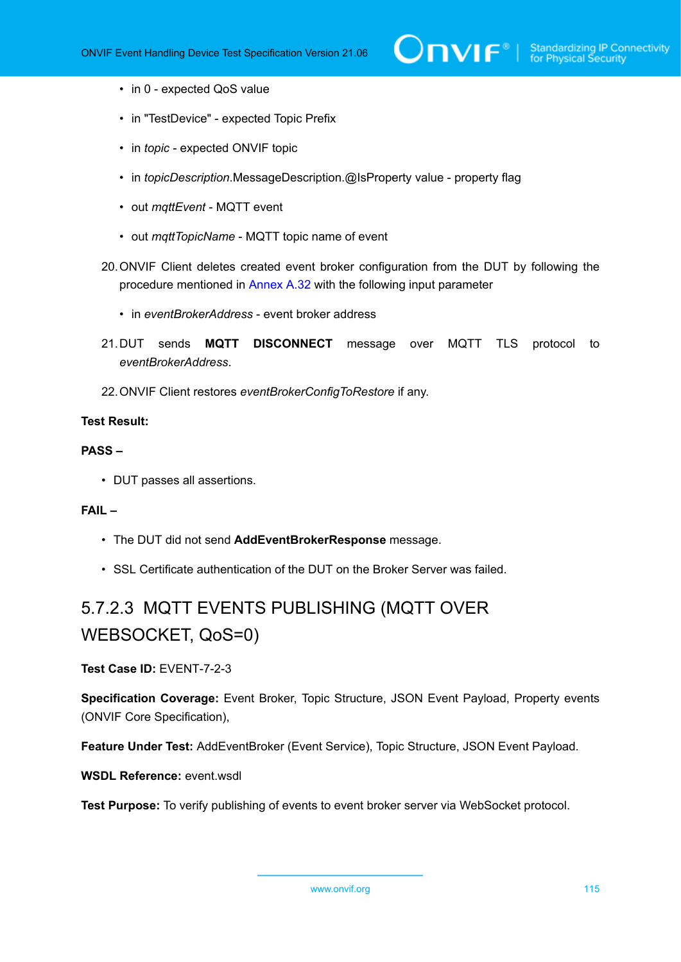- in 0 expected QoS value
- in "TestDevice" expected Topic Prefix
- in *topic* expected ONVIF topic
- in *topicDescription*.MessageDescription.@IsProperty value property flag
- out *mqttEvent* MQTT event
- out *mqttTopicName* MQTT topic name of event
- 20.ONVIF Client deletes created event broker configuration from the DUT by following the procedure mentioned in [Annex A.32](#page-163-0) with the following input parameter
	- in *eventBrokerAddress* event broker address
- 21.DUT sends **MQTT DISCONNECT** message over MQTT TLS protocol to *eventBrokerAddress*.
- 22.ONVIF Client restores *eventBrokerConfigToRestore* if any.

### **PASS –**

• DUT passes all assertions.

## **FAIL –**

- The DUT did not send **AddEventBrokerResponse** message.
- SSL Certificate authentication of the DUT on the Broker Server was failed.

## 5.7.2.3 MQTT EVENTS PUBLISHING (MQTT OVER WEBSOCKET, QoS=0)

**Test Case ID:** EVENT-7-2-3

**Specification Coverage:** Event Broker, Topic Structure, JSON Event Payload, Property events (ONVIF Core Specification),

**Feature Under Test:** AddEventBroker (Event Service), Topic Structure, JSON Event Payload.

## **WSDL Reference:** event.wsdl

Test Purpose: To verify publishing of events to event broker server via WebSocket protocol.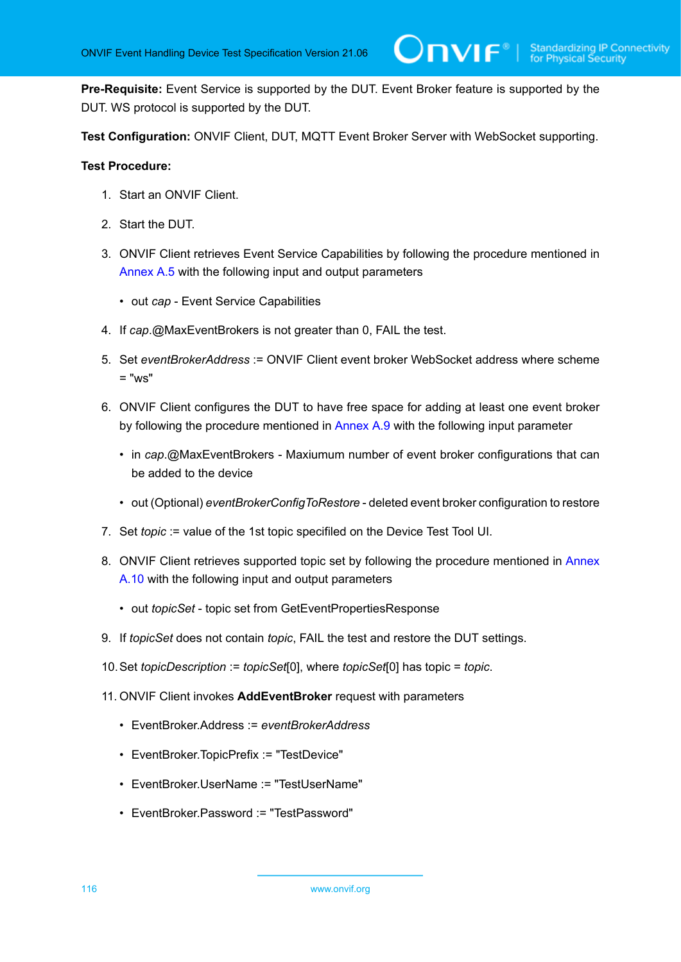**Pre-Requisite:** Event Service is supported by the DUT. Event Broker feature is supported by the DUT. WS protocol is supported by the DUT.

**Test Configuration:** ONVIF Client, DUT, MQTT Event Broker Server with WebSocket supporting.

- 1. Start an ONVIF Client.
- 2. Start the DUT.
- 3. ONVIF Client retrieves Event Service Capabilities by following the procedure mentioned in [Annex A.5](#page-137-0) with the following input and output parameters
	- out *cap* Event Service Capabilities
- 4. If *cap*.@MaxEventBrokers is not greater than 0, FAIL the test.
- 5. Set *eventBrokerAddress* := ONVIF Client event broker WebSocket address where scheme  $=$  "ws"
- 6. ONVIF Client configures the DUT to have free space for adding at least one event broker by following the procedure mentioned in [Annex A.9](#page-140-0) with the following input parameter
	- in *cap*.@MaxEventBrokers Maxiumum number of event broker configurations that can be added to the device
	- out (Optional) *eventBrokerConfigToRestore* deleted event broker configuration to restore
- 7. Set *topic* := value of the 1st topic specifiled on the Device Test Tool UI.
- 8. ONVIF Client retrieves supported topic set by following the procedure mentioned in [Annex](#page-141-0) [A.10](#page-141-0) with the following input and output parameters
	- out *topicSet* topic set from GetEventPropertiesResponse
- 9. If *topicSet* does not contain *topic*, FAIL the test and restore the DUT settings.
- 10.Set *topicDescription* := *topicSet*[0], where *topicSet*[0] has topic = *topic*.
- 11. ONVIF Client invokes **AddEventBroker** request with parameters
	- EventBroker.Address := *eventBrokerAddress*
	- EventBroker.TopicPrefix := "TestDevice"
	- EventBroker.UserName := "TestUserName"
	- EventBroker.Password := "TestPassword"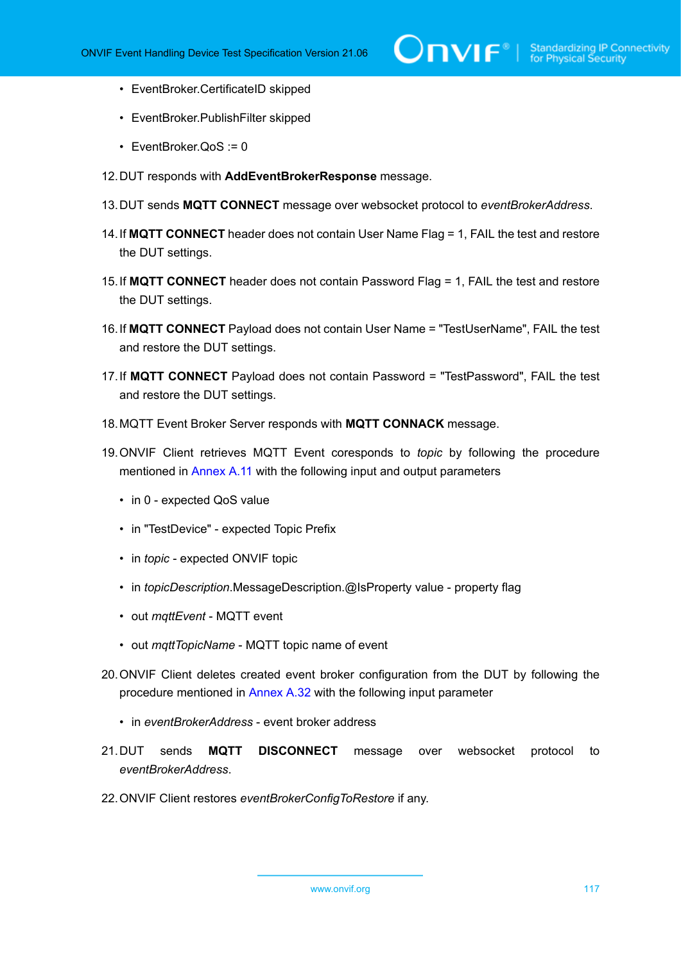- EventBroker.CertificateID skipped
- EventBroker.PublishFilter skipped
- EventBroker.QoS := 0
- 12.DUT responds with **AddEventBrokerResponse** message.
- 13.DUT sends **MQTT CONNECT** message over websocket protocol to *eventBrokerAddress*.
- 14.If **MQTT CONNECT** header does not contain User Name Flag = 1, FAIL the test and restore the DUT settings.
- 15.If **MQTT CONNECT** header does not contain Password Flag = 1, FAIL the test and restore the DUT settings.
- 16.If **MQTT CONNECT** Payload does not contain User Name = "TestUserName", FAIL the test and restore the DUT settings.
- 17.If **MQTT CONNECT** Payload does not contain Password = "TestPassword", FAIL the test and restore the DUT settings.
- 18.MQTT Event Broker Server responds with **MQTT CONNACK** message.
- 19.ONVIF Client retrieves MQTT Event coresponds to *topic* by following the procedure mentioned in [Annex](#page-142-0) A.11 with the following input and output parameters
	- in 0 expected QoS value
	- in "TestDevice" expected Topic Prefix
	- in *topic* expected ONVIF topic
	- in *topicDescription*.MessageDescription.@IsProperty value property flag
	- out *mqttEvent* MQTT event
	- out *mqttTopicName* MQTT topic name of event
- 20.ONVIF Client deletes created event broker configuration from the DUT by following the procedure mentioned in [Annex A.32](#page-163-0) with the following input parameter
	- in *eventBrokerAddress* event broker address
- 21.DUT sends **MQTT DISCONNECT** message over websocket protocol to *eventBrokerAddress*.
- 22.ONVIF Client restores *eventBrokerConfigToRestore* if any.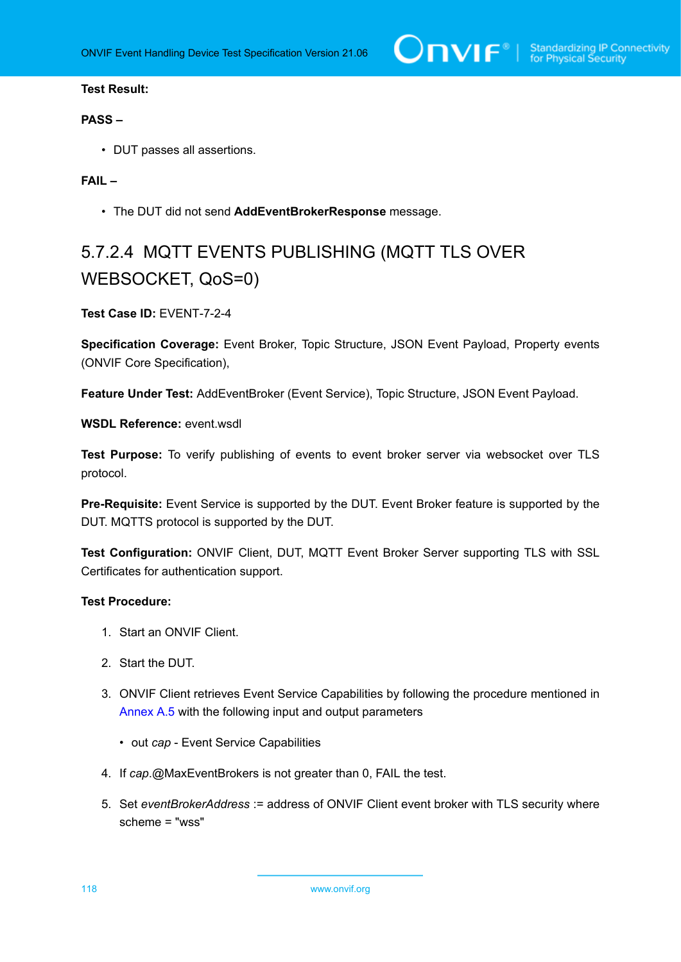## **PASS –**

• DUT passes all assertions.

## **FAIL –**

• The DUT did not send **AddEventBrokerResponse** message.

## 5.7.2.4 MQTT EVENTS PUBLISHING (MQTT TLS OVER WEBSOCKET, QoS=0)

## **Test Case ID:** EVENT-7-2-4

**Specification Coverage:** Event Broker, Topic Structure, JSON Event Payload, Property events (ONVIF Core Specification),

**Feature Under Test:** AddEventBroker (Event Service), Topic Structure, JSON Event Payload.

**WSDL Reference:** event wsdl

**Test Purpose:** To verify publishing of events to event broker server via websocket over TLS protocol.

**Pre-Requisite:** Event Service is supported by the DUT. Event Broker feature is supported by the DUT. MQTTS protocol is supported by the DUT.

**Test Configuration:** ONVIF Client, DUT, MQTT Event Broker Server supporting TLS with SSL Certificates for authentication support.

- 1. Start an ONVIF Client.
- 2. Start the DUT.
- 3. ONVIF Client retrieves Event Service Capabilities by following the procedure mentioned in [Annex A.5](#page-137-0) with the following input and output parameters
	- out *cap* Event Service Capabilities
- 4. If *cap*.@MaxEventBrokers is not greater than 0, FAIL the test.
- 5. Set *eventBrokerAddress* := address of ONVIF Client event broker with TLS security where scheme = "wss"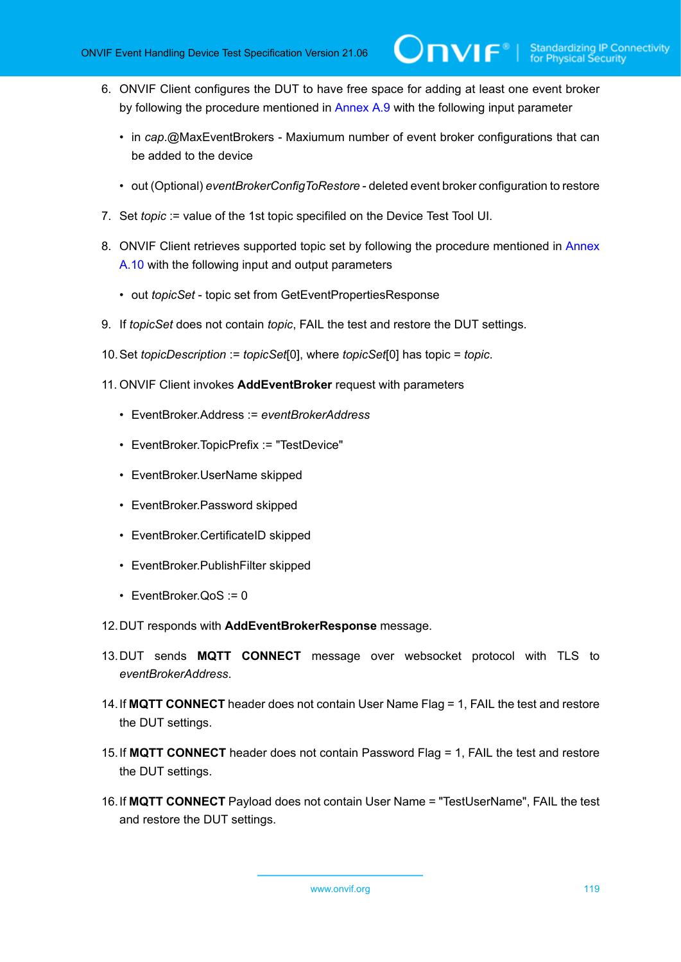- 6. ONVIF Client configures the DUT to have free space for adding at least one event broker by following the procedure mentioned in [Annex A.9](#page-140-0) with the following input parameter
	- in *cap*.@MaxEventBrokers Maxiumum number of event broker configurations that can be added to the device
	- out (Optional) *eventBrokerConfigToRestore* deleted event broker configuration to restore
- 7. Set *topic* := value of the 1st topic specifiled on the Device Test Tool UI.
- 8. ONVIF Client retrieves supported topic set by following the procedure mentioned in [Annex](#page-141-0) [A.10](#page-141-0) with the following input and output parameters
	- out *topicSet* topic set from GetEventPropertiesResponse
- 9. If *topicSet* does not contain *topic*, FAIL the test and restore the DUT settings.
- 10.Set *topicDescription* := *topicSet*[0], where *topicSet*[0] has topic = *topic*.
- 11. ONVIF Client invokes **AddEventBroker** request with parameters
	- EventBroker.Address := *eventBrokerAddress*
	- EventBroker.TopicPrefix := "TestDevice"
	- EventBroker.UserName skipped
	- EventBroker.Password skipped
	- EventBroker.CertificateID skipped
	- EventBroker.PublishFilter skipped
	- EventBroker. $QoS := 0$
- 12.DUT responds with **AddEventBrokerResponse** message.
- 13.DUT sends **MQTT CONNECT** message over websocket protocol with TLS to *eventBrokerAddress*.
- 14.If **MQTT CONNECT** header does not contain User Name Flag = 1, FAIL the test and restore the DUT settings.
- 15.If **MQTT CONNECT** header does not contain Password Flag = 1, FAIL the test and restore the DUT settings.
- 16.If **MQTT CONNECT** Payload does not contain User Name = "TestUserName", FAIL the test and restore the DUT settings.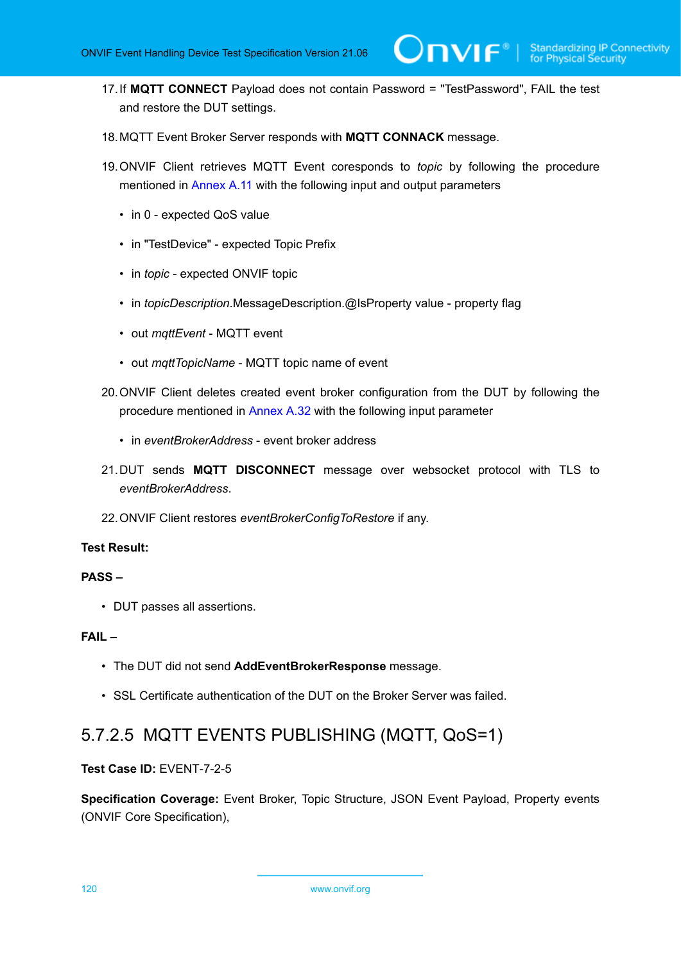- 17.If **MQTT CONNECT** Payload does not contain Password = "TestPassword", FAIL the test and restore the DUT settings.
- 18.MQTT Event Broker Server responds with **MQTT CONNACK** message.
- 19.ONVIF Client retrieves MQTT Event coresponds to *topic* by following the procedure mentioned in [Annex](#page-142-0) A.11 with the following input and output parameters
	- in 0 expected QoS value
	- in "TestDevice" expected Topic Prefix
	- in *topic* expected ONVIF topic
	- in *topicDescription*.MessageDescription.@IsProperty value property flag
	- out *mqttEvent* MQTT event
	- out *mqttTopicName* MQTT topic name of event
- 20.ONVIF Client deletes created event broker configuration from the DUT by following the procedure mentioned in [Annex A.32](#page-163-0) with the following input parameter
	- in *eventBrokerAddress* event broker address
- 21.DUT sends **MQTT DISCONNECT** message over websocket protocol with TLS to *eventBrokerAddress*.
- 22.ONVIF Client restores *eventBrokerConfigToRestore* if any.

### **PASS –**

• DUT passes all assertions.

## **FAIL –**

- The DUT did not send **AddEventBrokerResponse** message.
- SSL Certificate authentication of the DUT on the Broker Server was failed.

## 5.7.2.5 MQTT EVENTS PUBLISHING (MQTT, QoS=1)

## **Test Case ID:** EVENT-7-2-5

**Specification Coverage:** Event Broker, Topic Structure, JSON Event Payload, Property events (ONVIF Core Specification),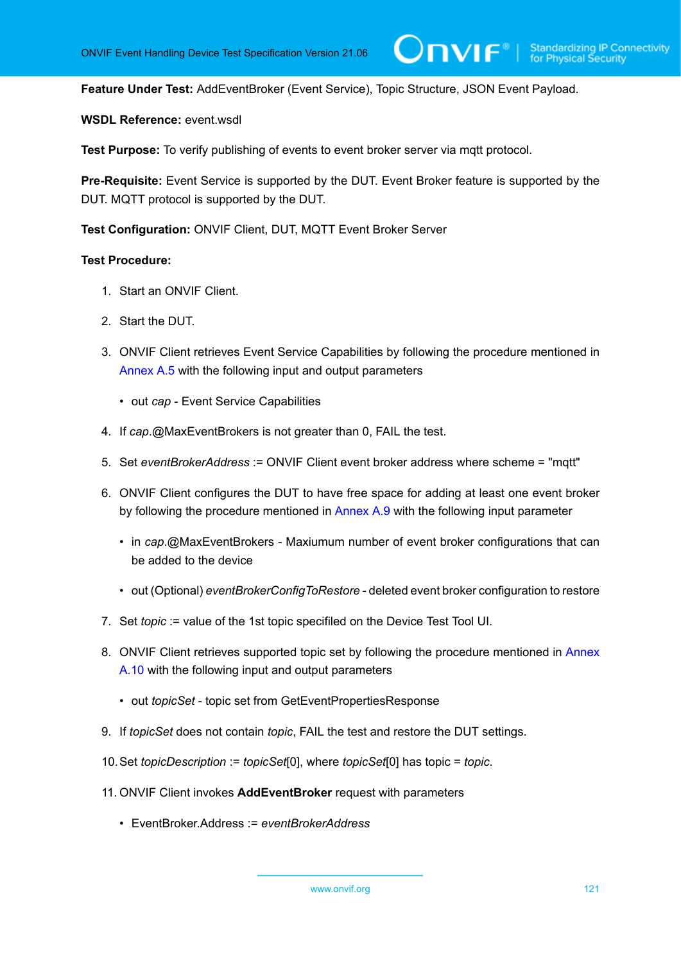**Feature Under Test:** AddEventBroker (Event Service), Topic Structure, JSON Event Payload.

**WSDL Reference:** event.wsdl

**Test Purpose:** To verify publishing of events to event broker server via mqtt protocol.

**Pre-Requisite:** Event Service is supported by the DUT. Event Broker feature is supported by the DUT. MQTT protocol is supported by the DUT.

**Test Configuration:** ONVIF Client, DUT, MQTT Event Broker Server

- 1. Start an ONVIF Client.
- 2. Start the DUT.
- 3. ONVIF Client retrieves Event Service Capabilities by following the procedure mentioned in [Annex A.5](#page-137-0) with the following input and output parameters
	- out *cap* Event Service Capabilities
- 4. If *cap*.@MaxEventBrokers is not greater than 0, FAIL the test.
- 5. Set *eventBrokerAddress* := ONVIF Client event broker address where scheme = "mqtt"
- 6. ONVIF Client configures the DUT to have free space for adding at least one event broker by following the procedure mentioned in [Annex A.9](#page-140-0) with the following input parameter
	- in *cap*.@MaxEventBrokers Maxiumum number of event broker configurations that can be added to the device
	- out (Optional) *eventBrokerConfigToRestore* deleted event broker configuration to restore
- 7. Set *topic* := value of the 1st topic specifiled on the Device Test Tool UI.
- 8. ONVIF Client retrieves supported topic set by following the procedure mentioned in [Annex](#page-141-0) [A.10](#page-141-0) with the following input and output parameters
	- out *topicSet* topic set from GetEventPropertiesResponse
- 9. If *topicSet* does not contain *topic*, FAIL the test and restore the DUT settings.
- 10.Set *topicDescription* := *topicSet*[0], where *topicSet*[0] has topic = *topic*.
- 11. ONVIF Client invokes **AddEventBroker** request with parameters
	- EventBroker.Address := *eventBrokerAddress*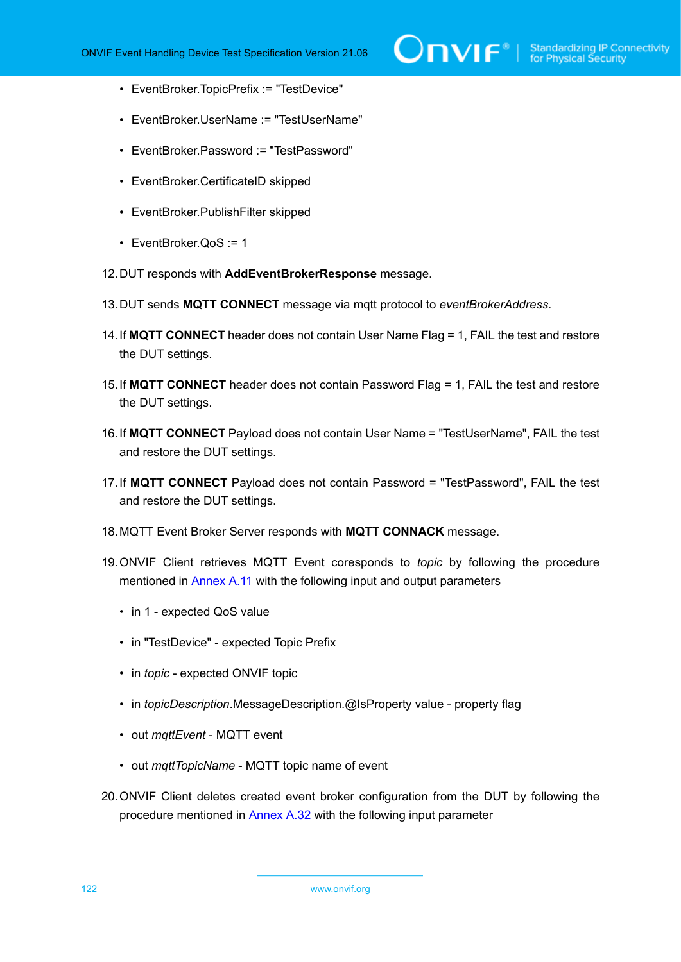- EventBroker.TopicPrefix := "TestDevice"
- EventBroker.UserName := "TestUserName"
- EventBroker.Password := "TestPassword"
- EventBroker.CertificateID skipped
- EventBroker.PublishFilter skipped
- EventBroker.QoS := 1
- 12.DUT responds with **AddEventBrokerResponse** message.
- 13.DUT sends **MQTT CONNECT** message via mqtt protocol to *eventBrokerAddress*.
- 14.If **MQTT CONNECT** header does not contain User Name Flag = 1, FAIL the test and restore the DUT settings.
- 15.If **MQTT CONNECT** header does not contain Password Flag = 1, FAIL the test and restore the DUT settings.
- 16.If **MQTT CONNECT** Payload does not contain User Name = "TestUserName", FAIL the test and restore the DUT settings.
- 17.If **MQTT CONNECT** Payload does not contain Password = "TestPassword", FAIL the test and restore the DUT settings.
- 18.MQTT Event Broker Server responds with **MQTT CONNACK** message.
- 19.ONVIF Client retrieves MQTT Event coresponds to *topic* by following the procedure mentioned in [Annex](#page-142-0) A.11 with the following input and output parameters
	- in 1 expected QoS value
	- in "TestDevice" expected Topic Prefix
	- in *topic* expected ONVIF topic
	- in *topicDescription*.MessageDescription.@IsProperty value property flag
	- out *mqttEvent* MQTT event
	- out *mqttTopicName* MQTT topic name of event
- 20.ONVIF Client deletes created event broker configuration from the DUT by following the procedure mentioned in [Annex A.32](#page-163-0) with the following input parameter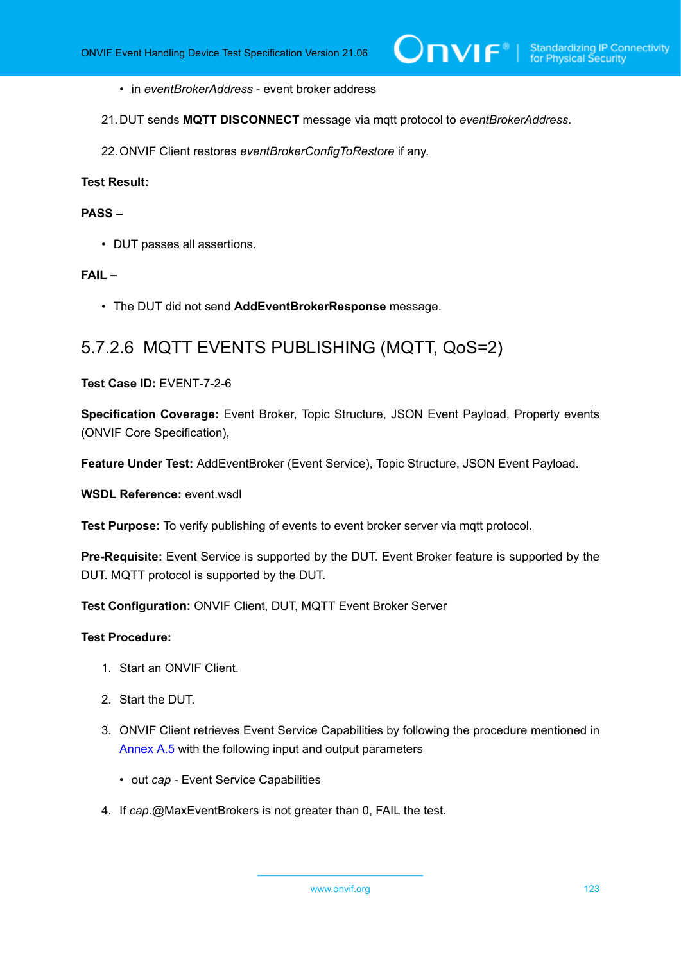- in *eventBrokerAddress* event broker address
- 21.DUT sends **MQTT DISCONNECT** message via mqtt protocol to *eventBrokerAddress*.
- 22.ONVIF Client restores *eventBrokerConfigToRestore* if any.

## **PASS –**

• DUT passes all assertions.

## **FAIL –**

• The DUT did not send **AddEventBrokerResponse** message.

## 5.7.2.6 MQTT EVENTS PUBLISHING (MQTT, QoS=2)

## **Test Case ID:** EVENT-7-2-6

**Specification Coverage:** Event Broker, Topic Structure, JSON Event Payload, Property events (ONVIF Core Specification),

**Feature Under Test:** AddEventBroker (Event Service), Topic Structure, JSON Event Payload.

### **WSDL Reference:** event.wsdl

**Test Purpose:** To verify publishing of events to event broker server via mqtt protocol.

**Pre-Requisite:** Event Service is supported by the DUT. Event Broker feature is supported by the DUT. MQTT protocol is supported by the DUT.

**Test Configuration:** ONVIF Client, DUT, MQTT Event Broker Server

- 1. Start an ONVIF Client.
- 2. Start the DUT.
- 3. ONVIF Client retrieves Event Service Capabilities by following the procedure mentioned in [Annex A.5](#page-137-0) with the following input and output parameters
	- out *cap* Event Service Capabilities
- 4. If *cap*.@MaxEventBrokers is not greater than 0, FAIL the test.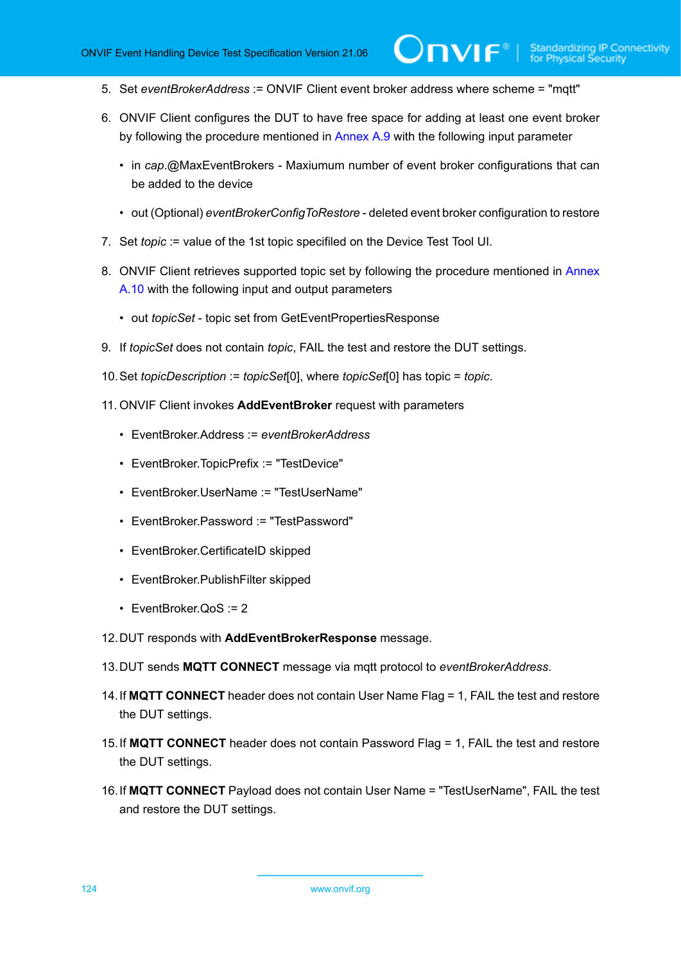- 5. Set *eventBrokerAddress* := ONVIF Client event broker address where scheme = "mqtt"
- 6. ONVIF Client configures the DUT to have free space for adding at least one event broker by following the procedure mentioned in [Annex A.9](#page-140-0) with the following input parameter

 $\mathsf{D}\mathbf{N}\mathsf{I}\mathsf{F}^\ast$ l

- in *cap*.@MaxEventBrokers Maxiumum number of event broker configurations that can be added to the device
- out (Optional) *eventBrokerConfigToRestore* deleted event broker configuration to restore
- 7. Set *topic* := value of the 1st topic specifiled on the Device Test Tool UI.
- 8. ONVIF Client retrieves supported topic set by following the procedure mentioned in [Annex](#page-141-0) [A.10](#page-141-0) with the following input and output parameters
	- out *topicSet* topic set from GetEventPropertiesResponse
- 9. If *topicSet* does not contain *topic*, FAIL the test and restore the DUT settings.
- 10.Set *topicDescription* := *topicSet*[0], where *topicSet*[0] has topic = *topic*.
- 11. ONVIF Client invokes **AddEventBroker** request with parameters
	- EventBroker.Address := *eventBrokerAddress*
	- EventBroker.TopicPrefix := "TestDevice"
	- EventBroker.UserName := "TestUserName"
	- EventBroker.Password := "TestPassword"
	- EventBroker.CertificateID skipped
	- EventBroker.PublishFilter skipped
	- EventBroker.QoS := 2
- 12.DUT responds with **AddEventBrokerResponse** message.
- 13.DUT sends **MQTT CONNECT** message via mqtt protocol to *eventBrokerAddress*.
- 14.If **MQTT CONNECT** header does not contain User Name Flag = 1, FAIL the test and restore the DUT settings.
- 15.If **MQTT CONNECT** header does not contain Password Flag = 1, FAIL the test and restore the DUT settings.
- 16.If **MQTT CONNECT** Payload does not contain User Name = "TestUserName", FAIL the test and restore the DUT settings.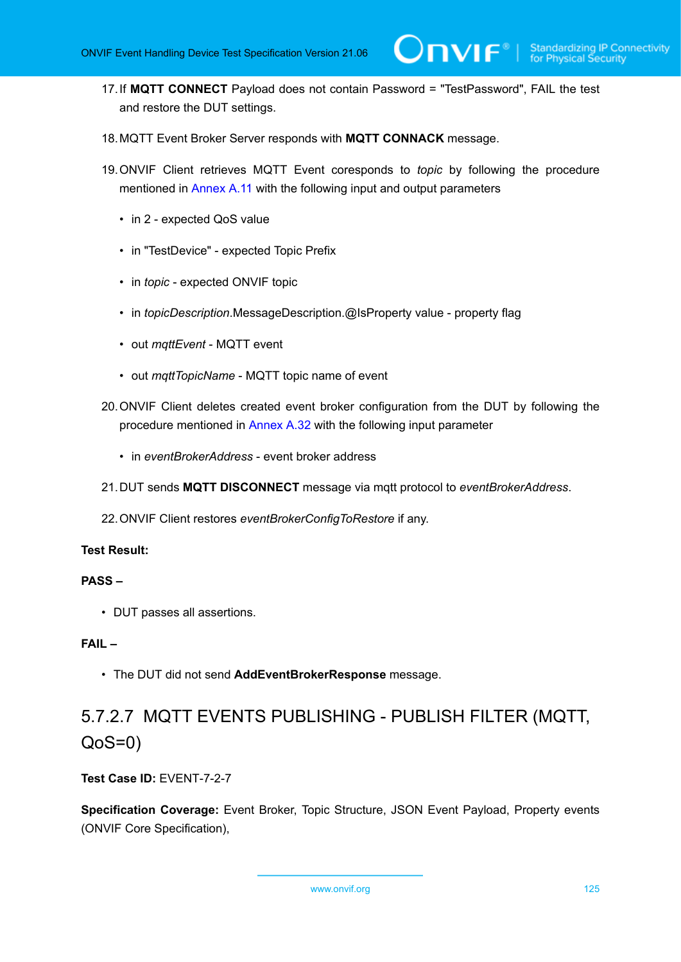- 17.If **MQTT CONNECT** Payload does not contain Password = "TestPassword", FAIL the test and restore the DUT settings.
- 18.MQTT Event Broker Server responds with **MQTT CONNACK** message.
- 19.ONVIF Client retrieves MQTT Event coresponds to *topic* by following the procedure mentioned in [Annex](#page-142-0) A.11 with the following input and output parameters
	- in 2 expected QoS value
	- in "TestDevice" expected Topic Prefix
	- in *topic* expected ONVIF topic
	- in *topicDescription*.MessageDescription.@IsProperty value property flag
	- out *mqttEvent* MQTT event
	- out *mqttTopicName* MQTT topic name of event
- 20.ONVIF Client deletes created event broker configuration from the DUT by following the procedure mentioned in [Annex A.32](#page-163-0) with the following input parameter
	- in *eventBrokerAddress* event broker address
- 21.DUT sends **MQTT DISCONNECT** message via mqtt protocol to *eventBrokerAddress*.
- 22.ONVIF Client restores *eventBrokerConfigToRestore* if any.

### **PASS –**

• DUT passes all assertions.

## **FAIL –**

• The DUT did not send **AddEventBrokerResponse** message.

## 5.7.2.7 MQTT EVENTS PUBLISHING - PUBLISH FILTER (MQTT, QoS=0)

## **Test Case ID:** EVENT-7-2-7

**Specification Coverage:** Event Broker, Topic Structure, JSON Event Payload, Property events (ONVIF Core Specification),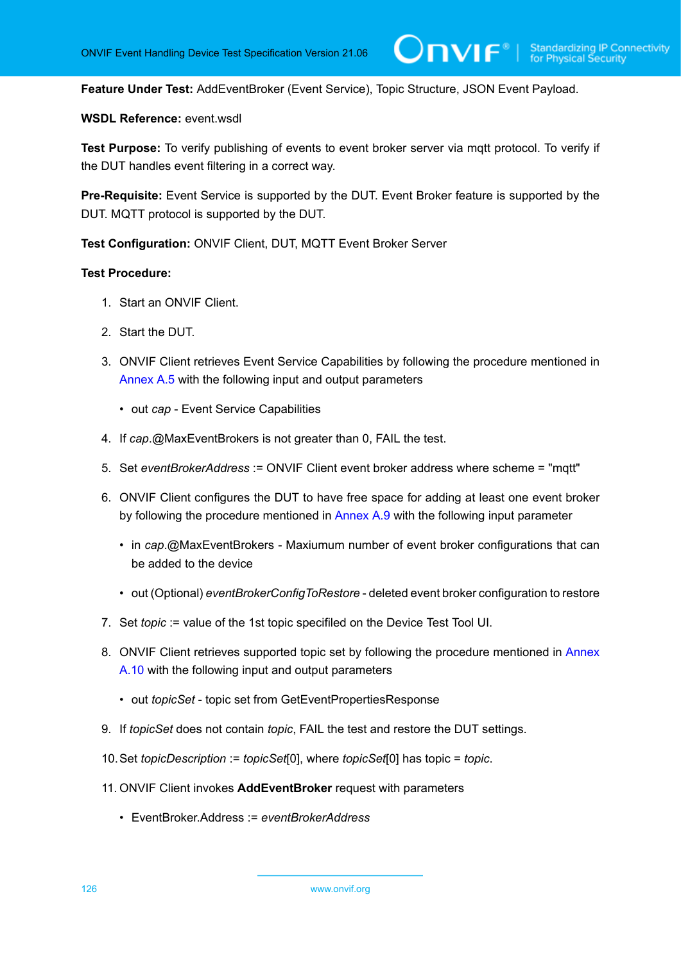**Feature Under Test:** AddEventBroker (Event Service), Topic Structure, JSON Event Payload.

## **WSDL Reference:** event.wsdl

Test Purpose: To verify publishing of events to event broker server via mqtt protocol. To verify if the DUT handles event filtering in a correct way.

**Pre-Requisite:** Event Service is supported by the DUT. Event Broker feature is supported by the DUT. MQTT protocol is supported by the DUT.

**Test Configuration:** ONVIF Client, DUT, MQTT Event Broker Server

- 1. Start an ONVIF Client.
- 2. Start the DUT.
- 3. ONVIF Client retrieves Event Service Capabilities by following the procedure mentioned in [Annex A.5](#page-137-0) with the following input and output parameters
	- out *cap* Event Service Capabilities
- 4. If *cap*.@MaxEventBrokers is not greater than 0, FAIL the test.
- 5. Set *eventBrokerAddress* := ONVIF Client event broker address where scheme = "mqtt"
- 6. ONVIF Client configures the DUT to have free space for adding at least one event broker by following the procedure mentioned in [Annex A.9](#page-140-0) with the following input parameter
	- in *cap*.@MaxEventBrokers Maxiumum number of event broker configurations that can be added to the device
	- out (Optional) *eventBrokerConfigToRestore* deleted event broker configuration to restore
- 7. Set *topic* := value of the 1st topic specifiled on the Device Test Tool UI.
- 8. ONVIF Client retrieves supported topic set by following the procedure mentioned in [Annex](#page-141-0) [A.10](#page-141-0) with the following input and output parameters
	- out *topicSet* topic set from GetEventPropertiesResponse
- 9. If *topicSet* does not contain *topic*, FAIL the test and restore the DUT settings.
- 10.Set *topicDescription* := *topicSet*[0], where *topicSet*[0] has topic = *topic*.
- 11. ONVIF Client invokes **AddEventBroker** request with parameters
	- EventBroker.Address := *eventBrokerAddress*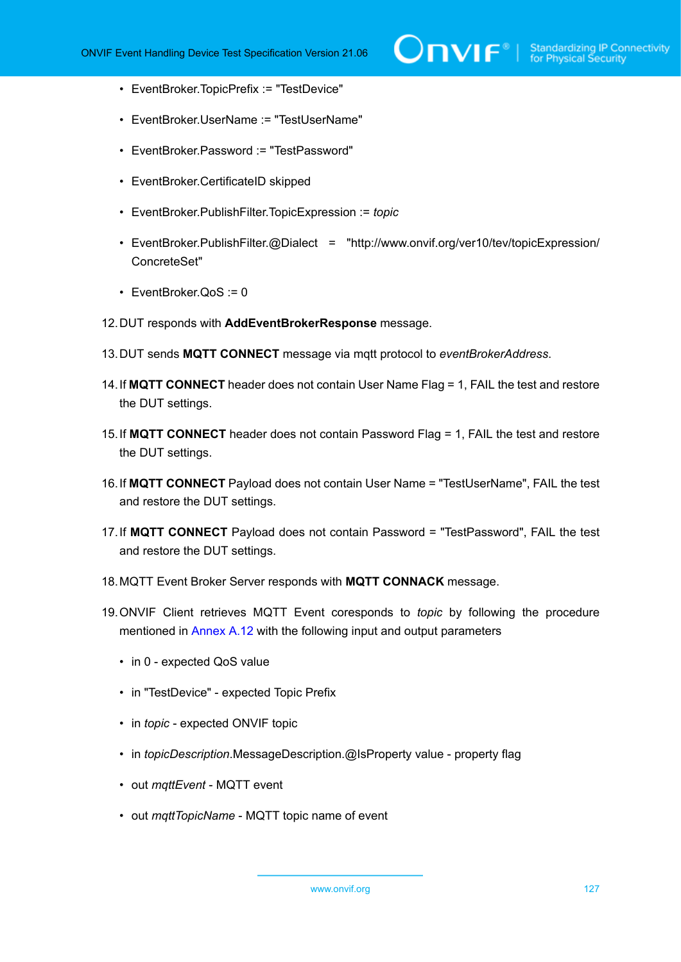- EventBroker.TopicPrefix := "TestDevice"
- EventBroker.UserName := "TestUserName"
- EventBroker.Password := "TestPassword"
- EventBroker.CertificateID skipped
- EventBroker.PublishFilter.TopicExpression := *topic*
- EventBroker.PublishFilter.@Dialect = "http://www.onvif.org/ver10/tev/topicExpression/ ConcreteSet"
- EventBroker.QoS := 0
- 12.DUT responds with **AddEventBrokerResponse** message.
- 13.DUT sends **MQTT CONNECT** message via mqtt protocol to *eventBrokerAddress*.
- 14.If **MQTT CONNECT** header does not contain User Name Flag = 1, FAIL the test and restore the DUT settings.
- 15.If **MQTT CONNECT** header does not contain Password Flag = 1, FAIL the test and restore the DUT settings.
- 16.If **MQTT CONNECT** Payload does not contain User Name = "TestUserName", FAIL the test and restore the DUT settings.
- 17.If **MQTT CONNECT** Payload does not contain Password = "TestPassword", FAIL the test and restore the DUT settings.
- 18.MQTT Event Broker Server responds with **MQTT CONNACK** message.
- 19.ONVIF Client retrieves MQTT Event coresponds to *topic* by following the procedure mentioned in [Annex A.12](#page-144-0) with the following input and output parameters
	- in 0 expected QoS value
	- in "TestDevice" expected Topic Prefix
	- in *topic* expected ONVIF topic
	- in *topicDescription*.MessageDescription.@IsProperty value property flag
	- out *mqttEvent* MQTT event
	- out *mqttTopicName* MQTT topic name of event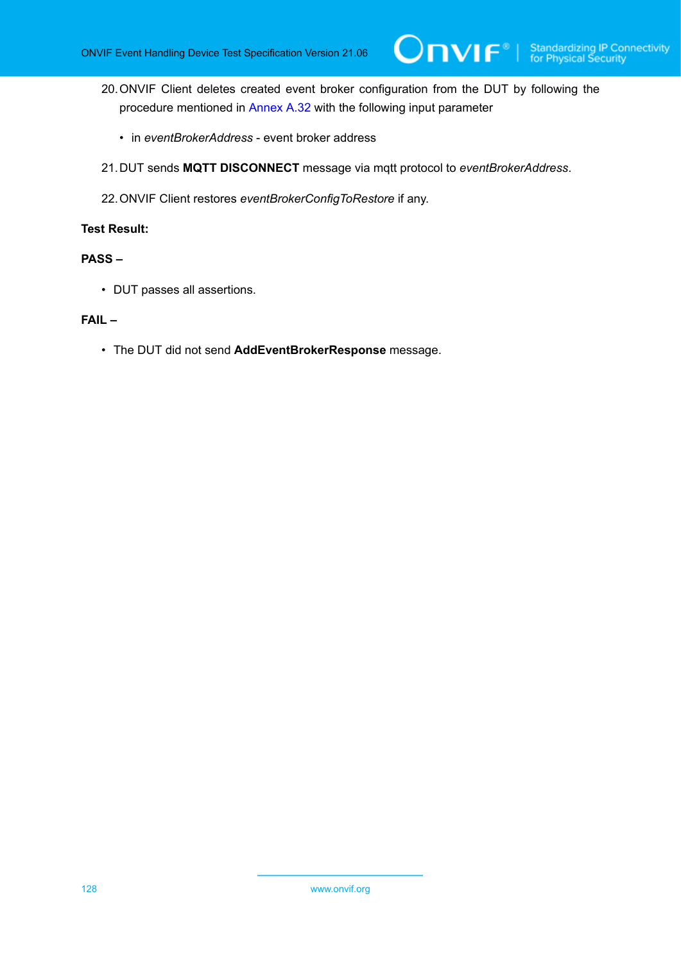- 20.ONVIF Client deletes created event broker configuration from the DUT by following the procedure mentioned in [Annex A.32](#page-163-0) with the following input parameter
	- in *eventBrokerAddress* event broker address
- 21.DUT sends **MQTT DISCONNECT** message via mqtt protocol to *eventBrokerAddress*.
- 22.ONVIF Client restores *eventBrokerConfigToRestore* if any.

## **PASS –**

• DUT passes all assertions.

## **FAIL –**

• The DUT did not send **AddEventBrokerResponse** message.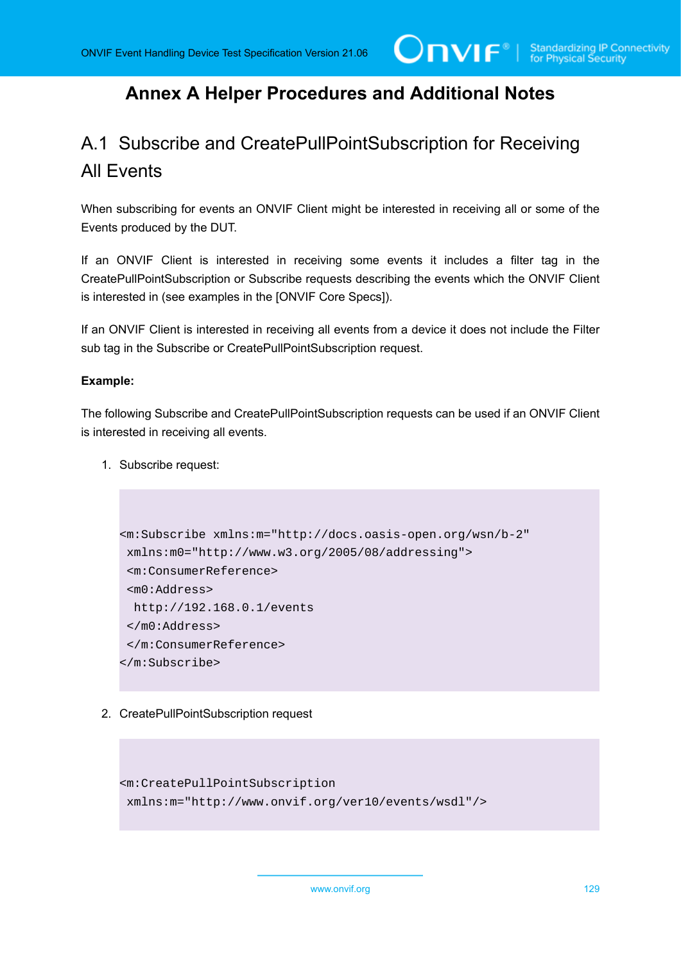## **Annex A Helper Procedures and Additional Notes**

## A.1 Subscribe and CreatePullPointSubscription for Receiving All Events

When subscribing for events an ONVIF Client might be interested in receiving all or some of the Events produced by the DUT.

If an ONVIF Client is interested in receiving some events it includes a filter tag in the CreatePullPointSubscription or Subscribe requests describing the events which the ONVIF Client is interested in (see examples in the [ONVIF Core Specs]).

If an ONVIF Client is interested in receiving all events from a device it does not include the Filter sub tag in the Subscribe or CreatePullPointSubscription request.

## **Example:**

The following Subscribe and CreatePullPointSubscription requests can be used if an ONVIF Client is interested in receiving all events.

1. Subscribe request:

```
<m:Subscribe xmlns:m="http://docs.oasis-open.org/wsn/b-2" 
 xmlns:m0="http://www.w3.org/2005/08/addressing">
  <m:ConsumerReference>
  <m0:Address>
  http://192.168.0.1/events
 </m0:Address>
  </m:ConsumerReference>
</m:Subscribe>
```
2. CreatePullPointSubscription request

```
<m:CreatePullPointSubscription 
 xmlns:m="http://www.onvif.org/ver10/events/wsdl"/>
```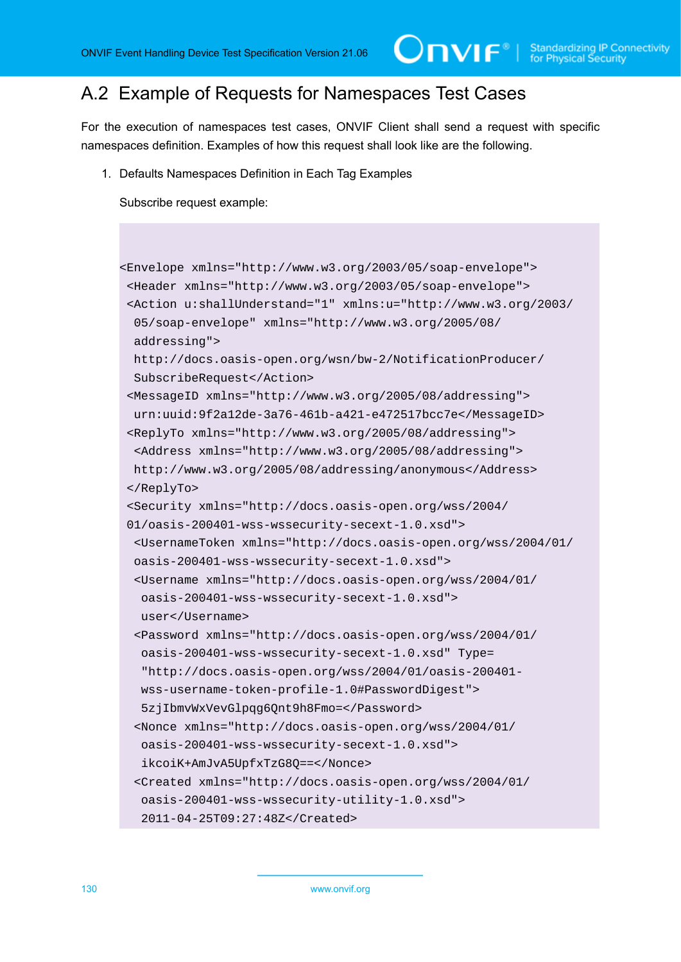## A.2 Example of Requests for Namespaces Test Cases

For the execution of namespaces test cases, ONVIF Client shall send a request with specific namespaces definition. Examples of how this request shall look like are the following.

1. Defaults Namespaces Definition in Each Tag Examples

```
<Envelope xmlns="http://www.w3.org/2003/05/soap-envelope">
 <Header xmlns="http://www.w3.org/2003/05/soap-envelope">
 <Action u:shallUnderstand="1" xmlns:u="http://www.w3.org/2003/
  05/soap-envelope" xmlns="http://www.w3.org/2005/08/
  addressing">
  http://docs.oasis-open.org/wsn/bw-2/NotificationProducer/
  SubscribeRequest</Action>
 <MessageID xmlns="http://www.w3.org/2005/08/addressing">
  urn:uuid:9f2a12de-3a76-461b-a421-e472517bcc7e</MessageID>
 <ReplyTo xmlns="http://www.w3.org/2005/08/addressing">
  <Address xmlns="http://www.w3.org/2005/08/addressing">
  http://www.w3.org/2005/08/addressing/anonymous</Address>
 </ReplyTo>
 <Security xmlns="http://docs.oasis-open.org/wss/2004/
 01/oasis-200401-wss-wssecurity-secext-1.0.xsd">
  <UsernameToken xmlns="http://docs.oasis-open.org/wss/2004/01/
  oasis-200401-wss-wssecurity-secext-1.0.xsd">
  <Username xmlns="http://docs.oasis-open.org/wss/2004/01/
   oasis-200401-wss-wssecurity-secext-1.0.xsd">
   user</Username>
  <Password xmlns="http://docs.oasis-open.org/wss/2004/01/
   oasis-200401-wss-wssecurity-secext-1.0.xsd" Type=
    "http://docs.oasis-open.org/wss/2004/01/oasis-200401-
   wss-username-token-profile-1.0#PasswordDigest">
   5zjIbmvWxVevGlpqg6Qnt9h8Fmo=</Password>
  <Nonce xmlns="http://docs.oasis-open.org/wss/2004/01/
   oasis-200401-wss-wssecurity-secext-1.0.xsd">
   ikcoiK+AmJvA5UpfxTzG8Q==</Nonce>
  <Created xmlns="http://docs.oasis-open.org/wss/2004/01/
   oasis-200401-wss-wssecurity-utility-1.0.xsd">
   2011-04-25T09:27:48Z</Created>
```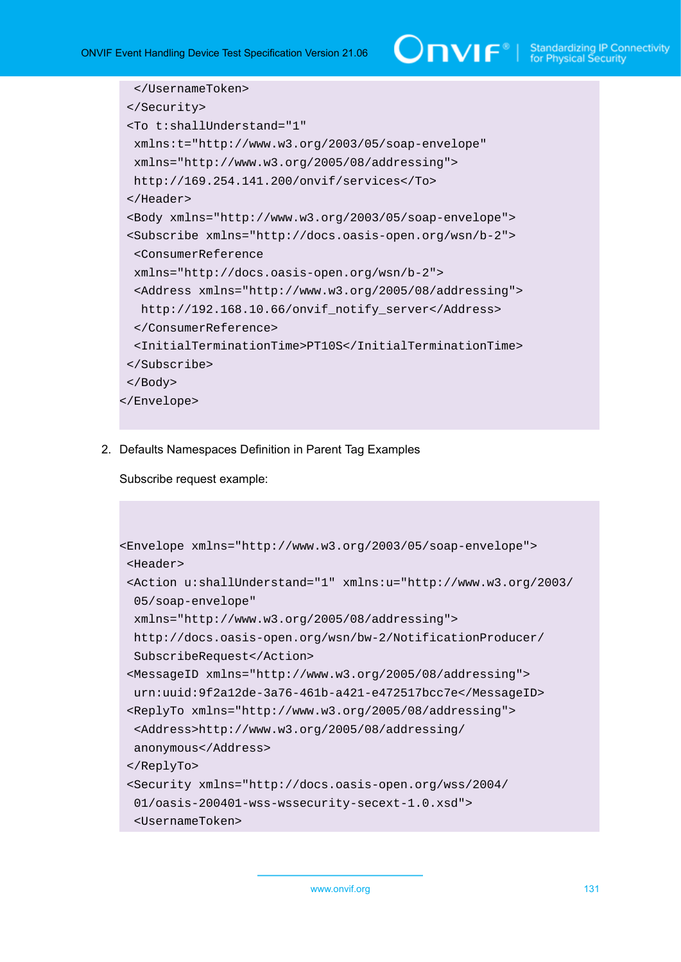```
 </UsernameToken>
  </Security>
  <To t:shallUnderstand="1" 
  xmlns:t="http://www.w3.org/2003/05/soap-envelope" 
  xmlns="http://www.w3.org/2005/08/addressing">
  http://169.254.141.200/onvif/services</To>
  </Header>
  <Body xmlns="http://www.w3.org/2003/05/soap-envelope">
  <Subscribe xmlns="http://docs.oasis-open.org/wsn/b-2">
  <ConsumerReference 
  xmlns="http://docs.oasis-open.org/wsn/b-2">
  <Address xmlns="http://www.w3.org/2005/08/addressing">
   http://192.168.10.66/onvif_notify_server</Address>
  </ConsumerReference>
   <InitialTerminationTime>PT10S</InitialTerminationTime>
  </Subscribe>
 </Body>
</Envelope>
```
2. Defaults Namespaces Definition in Parent Tag Examples

```
<Envelope xmlns="http://www.w3.org/2003/05/soap-envelope">
 <Header>
 <Action u:shallUnderstand="1" xmlns:u="http://www.w3.org/2003/
  05/soap-envelope" 
  xmlns="http://www.w3.org/2005/08/addressing">
  http://docs.oasis-open.org/wsn/bw-2/NotificationProducer/
  SubscribeRequest</Action>
 <MessageID xmlns="http://www.w3.org/2005/08/addressing">
  urn:uuid:9f2a12de-3a76-461b-a421-e472517bcc7e</MessageID>
 <ReplyTo xmlns="http://www.w3.org/2005/08/addressing">
  <Address>http://www.w3.org/2005/08/addressing/
  anonymous</Address>
 </ReplyTo>
 <Security xmlns="http://docs.oasis-open.org/wss/2004/
  01/oasis-200401-wss-wssecurity-secext-1.0.xsd">
  <UsernameToken>
```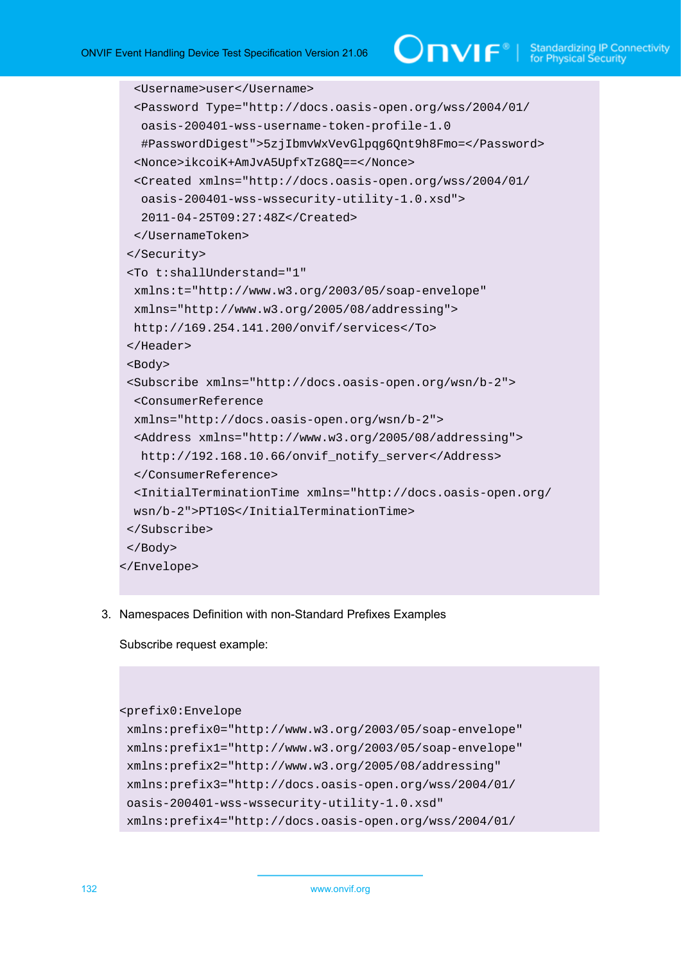```
 <Username>user</Username>
   <Password Type="http://docs.oasis-open.org/wss/2004/01/
   oasis-200401-wss-username-token-profile-1.0
   #PasswordDigest">5zjIbmvWxVevGlpqg6Qnt9h8Fmo=</Password>
   <Nonce>ikcoiK+AmJvA5UpfxTzG8Q==</Nonce>
   <Created xmlns="http://docs.oasis-open.org/wss/2004/01/
   oasis-200401-wss-wssecurity-utility-1.0.xsd">
    2011-04-25T09:27:48Z</Created>
  </UsernameToken>
  </Security>
  <To t:shallUnderstand="1" 
  xmlns:t="http://www.w3.org/2003/05/soap-envelope" 
  xmlns="http://www.w3.org/2005/08/addressing">
  http://169.254.141.200/onvif/services</To>
  </Header>
  <Body>
  <Subscribe xmlns="http://docs.oasis-open.org/wsn/b-2">
  <ConsumerReference 
  xmlns="http://docs.oasis-open.org/wsn/b-2">
  <Address xmlns="http://www.w3.org/2005/08/addressing">
   http://192.168.10.66/onvif_notify_server</Address>
  </ConsumerReference>
   <InitialTerminationTime xmlns="http://docs.oasis-open.org/
  wsn/b-2">PT10S</InitialTerminationTime>
  </Subscribe>
  </Body>
</Envelope>
```
3. Namespaces Definition with non-Standard Prefixes Examples

```
<prefix0:Envelope
 xmlns:prefix0="http://www.w3.org/2003/05/soap-envelope"
 xmlns:prefix1="http://www.w3.org/2003/05/soap-envelope"
 xmlns:prefix2="http://www.w3.org/2005/08/addressing"
 xmlns:prefix3="http://docs.oasis-open.org/wss/2004/01/
 oasis-200401-wss-wssecurity-utility-1.0.xsd"
 xmlns:prefix4="http://docs.oasis-open.org/wss/2004/01/
```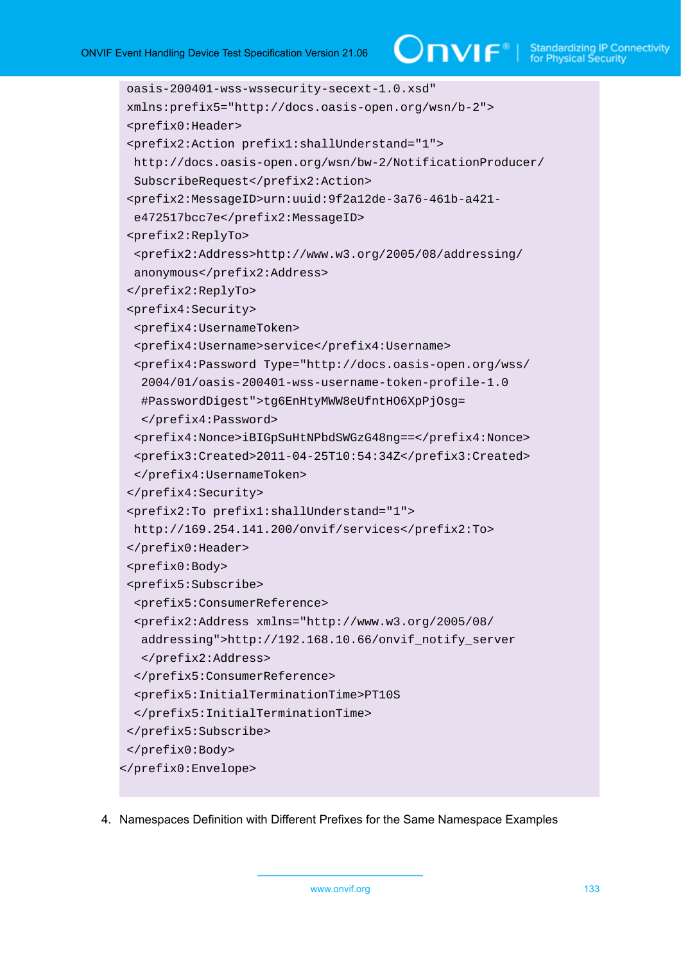# $\bigcirc$  MVIF  $^{\circ}$  | Standardizing IP Connectivity

```
 oasis-200401-wss-wssecurity-secext-1.0.xsd"
 xmlns:prefix5="http://docs.oasis-open.org/wsn/b-2">
  <prefix0:Header>
  <prefix2:Action prefix1:shallUnderstand="1">
  http://docs.oasis-open.org/wsn/bw-2/NotificationProducer/
  SubscribeRequest</prefix2:Action>
  <prefix2:MessageID>urn:uuid:9f2a12de-3a76-461b-a421-
   e472517bcc7e</prefix2:MessageID>
  <prefix2:ReplyTo>
  <prefix2:Address>http://www.w3.org/2005/08/addressing/
  anonymous</prefix2:Address>
  </prefix2:ReplyTo>
  <prefix4:Security>
   <prefix4:UsernameToken>
   <prefix4:Username>service</prefix4:Username>
   <prefix4:Password Type="http://docs.oasis-open.org/wss/
   2004/01/oasis-200401-wss-username-token-profile-1.0
   #PasswordDigest">tg6EnHtyMWW8eUfntHO6XpPjOsg=
    </prefix4:Password>
   <prefix4:Nonce>iBIGpSuHtNPbdSWGzG48ng==</prefix4:Nonce>
   <prefix3:Created>2011-04-25T10:54:34Z</prefix3:Created>
   </prefix4:UsernameToken>
  </prefix4:Security>
  <prefix2:To prefix1:shallUnderstand="1">
  http://169.254.141.200/onvif/services</prefix2:To>
  </prefix0:Header>
  <prefix0:Body>
  <prefix5:Subscribe>
   <prefix5:ConsumerReference>
   <prefix2:Address xmlns="http://www.w3.org/2005/08/
   addressing">http://192.168.10.66/onvif_notify_server
    </prefix2:Address>
  </prefix5:ConsumerReference>
   <prefix5:InitialTerminationTime>PT10S
  </prefix5:InitialTerminationTime>
  </prefix5:Subscribe>
  </prefix0:Body>
</prefix0:Envelope>
```
4. Namespaces Definition with Different Prefixes for the Same Namespace Examples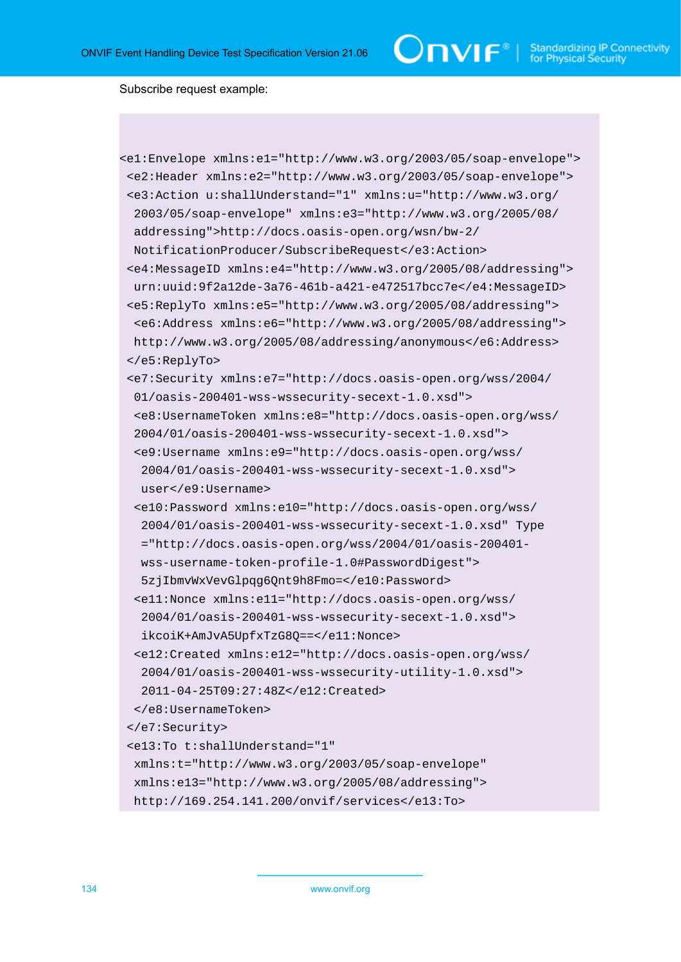$\bigcirc$   $\blacksquare$   $\blacksquare$   $\blacksquare$   $\blacksquare$  Standardizing IP Connectivity

```
<e1:Envelope xmlns:e1="http://www.w3.org/2003/05/soap-envelope">
 <e2:Header xmlns:e2="http://www.w3.org/2003/05/soap-envelope">
 <e3:Action u:shallUnderstand="1" xmlns:u="http://www.w3.org/
  2003/05/soap-envelope" xmlns:e3="http://www.w3.org/2005/08/
  addressing">http://docs.oasis-open.org/wsn/bw-2/
  NotificationProducer/SubscribeRequest</e3:Action>
 <e4:MessageID xmlns:e4="http://www.w3.org/2005/08/addressing">
  urn:uuid:9f2a12de-3a76-461b-a421-e472517bcc7e</e4:MessageID>
 <e5:ReplyTo xmlns:e5="http://www.w3.org/2005/08/addressing">
  <e6:Address xmlns:e6="http://www.w3.org/2005/08/addressing">
  http://www.w3.org/2005/08/addressing/anonymous</e6:Address>
 </e5:ReplyTo>
 <e7:Security xmlns:e7="http://docs.oasis-open.org/wss/2004/
  01/oasis-200401-wss-wssecurity-secext-1.0.xsd">
  <e8:UsernameToken xmlns:e8="http://docs.oasis-open.org/wss/
  2004/01/oasis-200401-wss-wssecurity-secext-1.0.xsd">
  <e9:Username xmlns:e9="http://docs.oasis-open.org/wss/
   2004/01/oasis-200401-wss-wssecurity-secext-1.0.xsd">
  user</e9:Username>
  <e10:Password xmlns:e10="http://docs.oasis-open.org/wss/
   2004/01/oasis-200401-wss-wssecurity-secext-1.0.xsd" Type
   ="http://docs.oasis-open.org/wss/2004/01/oasis-200401-
   wss-username-token-profile-1.0#PasswordDigest">
   5zjIbmvWxVevGlpqg6Qnt9h8Fmo=</e10:Password>
  <e11:Nonce xmlns:e11="http://docs.oasis-open.org/wss/
   2004/01/oasis-200401-wss-wssecurity-secext-1.0.xsd">
   ikcoiK+AmJvA5UpfxTzG8Q==</e11:Nonce>
  <e12:Created xmlns:e12="http://docs.oasis-open.org/wss/
   2004/01/oasis-200401-wss-wssecurity-utility-1.0.xsd">
   2011-04-25T09:27:48Z</e12:Created>
  </e8:UsernameToken>
 </e7:Security>
 <e13:To t:shallUnderstand="1" 
  xmlns:t="http://www.w3.org/2003/05/soap-envelope" 
  xmlns:e13="http://www.w3.org/2005/08/addressing">
  http://169.254.141.200/onvif/services</e13:To>
```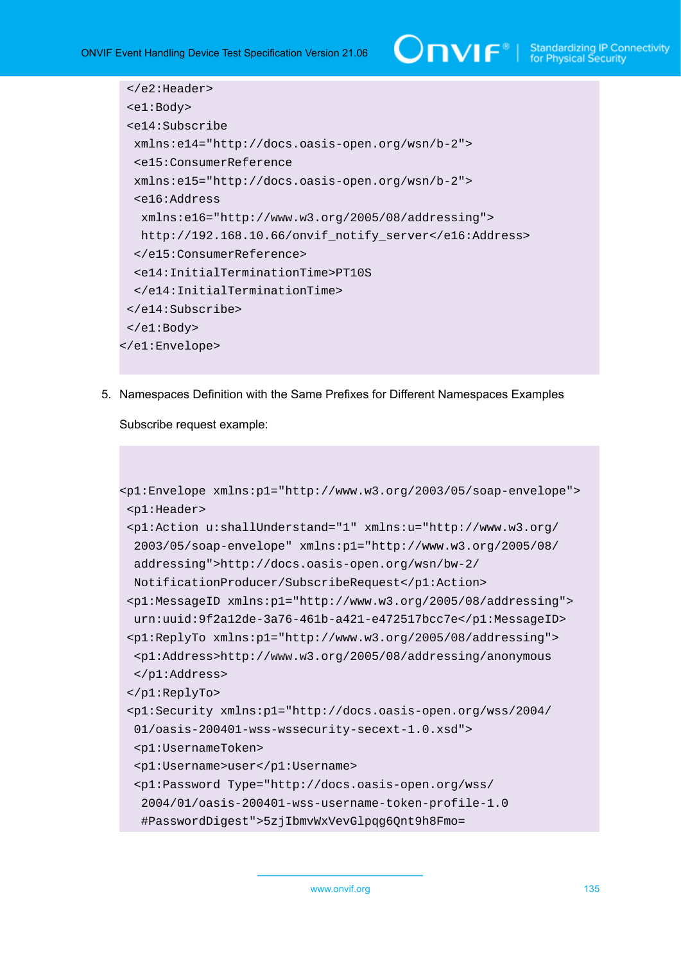# $\sum_{\text{IVIF}^{\circ} | \text{Standardizing IP Connectivity}}$

```
 </e2:Header>
  <e1:Body>
  <e14:Subscribe 
  xmlns:e14="http://docs.oasis-open.org/wsn/b-2">
  <e15:ConsumerReference 
  xmlns:e15="http://docs.oasis-open.org/wsn/b-2">
   <e16:Address 
   xmlns:e16="http://www.w3.org/2005/08/addressing">
   http://192.168.10.66/onvif_notify_server</e16:Address>
  </e15:ConsumerReference>
   <e14:InitialTerminationTime>PT10S
  </e14:InitialTerminationTime>
  </e14:Subscribe>
 </e1:Body>
</e1:Envelope>
```
5. Namespaces Definition with the Same Prefixes for Different Namespaces Examples

```
<p1:Envelope xmlns:p1="http://www.w3.org/2003/05/soap-envelope">
 <p1:Header>
 <p1:Action u:shallUnderstand="1" xmlns:u="http://www.w3.org/
  2003/05/soap-envelope" xmlns:p1="http://www.w3.org/2005/08/
  addressing">http://docs.oasis-open.org/wsn/bw-2/
  NotificationProducer/SubscribeRequest</p1:Action>
 <p1:MessageID xmlns:p1="http://www.w3.org/2005/08/addressing">
  urn:uuid:9f2a12de-3a76-461b-a421-e472517bcc7e</p1:MessageID>
 <p1:ReplyTo xmlns:p1="http://www.w3.org/2005/08/addressing">
  <p1:Address>http://www.w3.org/2005/08/addressing/anonymous
  </p1:Address>
 </p1:ReplyTo>
 <p1:Security xmlns:p1="http://docs.oasis-open.org/wss/2004/
  01/oasis-200401-wss-wssecurity-secext-1.0.xsd">
  <p1:UsernameToken>
  <p1:Username>user</p1:Username>
  <p1:Password Type="http://docs.oasis-open.org/wss/
   2004/01/oasis-200401-wss-username-token-profile-1.0
   #PasswordDigest">5zjIbmvWxVevGlpqg6Qnt9h8Fmo=
```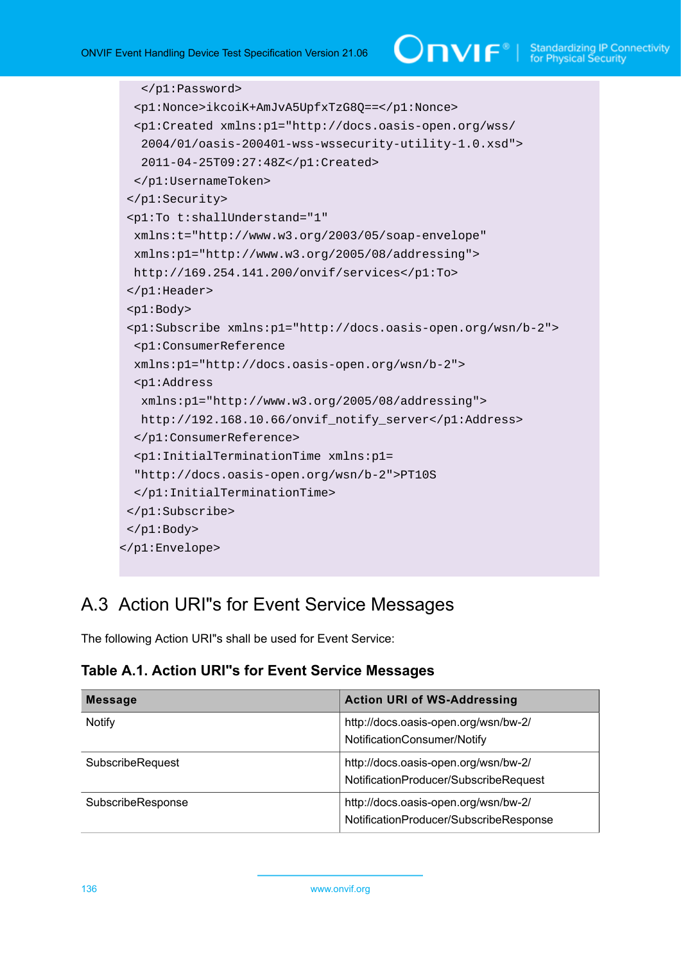```
 </p1:Password>
   <p1:Nonce>ikcoiK+AmJvA5UpfxTzG8Q==</p1:Nonce>
   <p1:Created xmlns:p1="http://docs.oasis-open.org/wss/
    2004/01/oasis-200401-wss-wssecurity-utility-1.0.xsd">
    2011-04-25T09:27:48Z</p1:Created>
  </p1:UsernameToken>
  </p1:Security>
  <p1:To t:shallUnderstand="1" 
  xmlns:t="http://www.w3.org/2003/05/soap-envelope" 
  xmlns:p1="http://www.w3.org/2005/08/addressing">
  http://169.254.141.200/onvif/services</p1:To>
  </p1:Header>
  <p1:Body>
  <p1:Subscribe xmlns:p1="http://docs.oasis-open.org/wsn/b-2">
  <p1:ConsumerReference 
  xmlns:p1="http://docs.oasis-open.org/wsn/b-2">
  <p1:Address 
   xmlns:p1="http://www.w3.org/2005/08/addressing">
  http://192.168.10.66/onvif_notify_server</p1:Address>
   </p1:ConsumerReference>
  <p1:InitialTerminationTime xmlns:p1=
   "http://docs.oasis-open.org/wsn/b-2">PT10S
   </p1:InitialTerminationTime>
  </p1:Subscribe>
 </p1:Body>
</p1:Envelope>
```
## A.3 Action URI"s for Event Service Messages

The following Action URI"s shall be used for Event Service:

**Table A.1. Action URI"s for Event Service Messages**

| <b>Message</b>          | <b>Action URI of WS-Addressing</b>                                             |
|-------------------------|--------------------------------------------------------------------------------|
| <b>Notify</b>           | http://docs.oasis-open.org/wsn/bw-2/<br>NotificationConsumer/Notify            |
| <b>SubscribeRequest</b> | http://docs.oasis-open.org/wsn/bw-2/<br>NotificationProducer/SubscribeRequest  |
| SubscribeResponse       | http://docs.oasis-open.org/wsn/bw-2/<br>NotificationProducer/SubscribeResponse |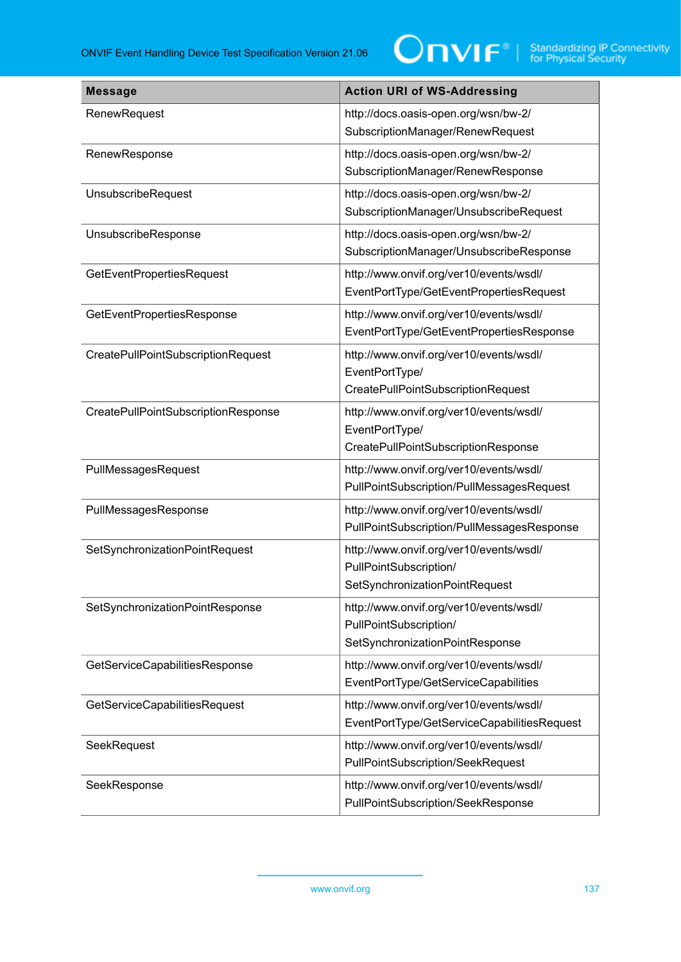| <b>Message</b>                      | <b>Action URI of WS-Addressing</b>                                                                   |
|-------------------------------------|------------------------------------------------------------------------------------------------------|
| RenewRequest                        | http://docs.oasis-open.org/wsn/bw-2/<br>SubscriptionManager/RenewRequest                             |
| RenewResponse                       | http://docs.oasis-open.org/wsn/bw-2/<br>SubscriptionManager/RenewResponse                            |
| UnsubscribeRequest                  | http://docs.oasis-open.org/wsn/bw-2/<br>SubscriptionManager/UnsubscribeRequest                       |
| UnsubscribeResponse                 | http://docs.oasis-open.org/wsn/bw-2/<br>SubscriptionManager/UnsubscribeResponse                      |
| <b>GetEventPropertiesRequest</b>    | http://www.onvif.org/ver10/events/wsdl/<br>EventPortType/GetEventPropertiesRequest                   |
| GetEventPropertiesResponse          | http://www.onvif.org/ver10/events/wsdl/<br>EventPortType/GetEventPropertiesResponse                  |
| CreatePullPointSubscriptionRequest  | http://www.onvif.org/ver10/events/wsdl/<br>EventPortType/<br>CreatePullPointSubscriptionRequest      |
| CreatePullPointSubscriptionResponse | http://www.onvif.org/ver10/events/wsdl/<br>EventPortType/<br>CreatePullPointSubscriptionResponse     |
| PullMessagesRequest                 | http://www.onvif.org/ver10/events/wsdl/<br>PullPointSubscription/PullMessagesRequest                 |
| PullMessagesResponse                | http://www.onvif.org/ver10/events/wsdl/<br>PullPointSubscription/PullMessagesResponse                |
| SetSynchronizationPointRequest      | http://www.onvif.org/ver10/events/wsdl/<br>PullPointSubscription/<br>SetSynchronizationPointRequest  |
| SetSynchronizationPointResponse     | http://www.onvif.org/ver10/events/wsdl/<br>PullPointSubscription/<br>SetSynchronizationPointResponse |
| GetServiceCapabilitiesResponse      | http://www.onvif.org/ver10/events/wsdl/<br>EventPortType/GetServiceCapabilities                      |
| GetServiceCapabilitiesRequest       | http://www.onvif.org/ver10/events/wsdl/<br>EventPortType/GetServiceCapabilitiesRequest               |
| SeekRequest                         | http://www.onvif.org/ver10/events/wsdl/<br>PullPointSubscription/SeekRequest                         |
| SeekResponse                        | http://www.onvif.org/ver10/events/wsdl/<br>PullPointSubscription/SeekResponse                        |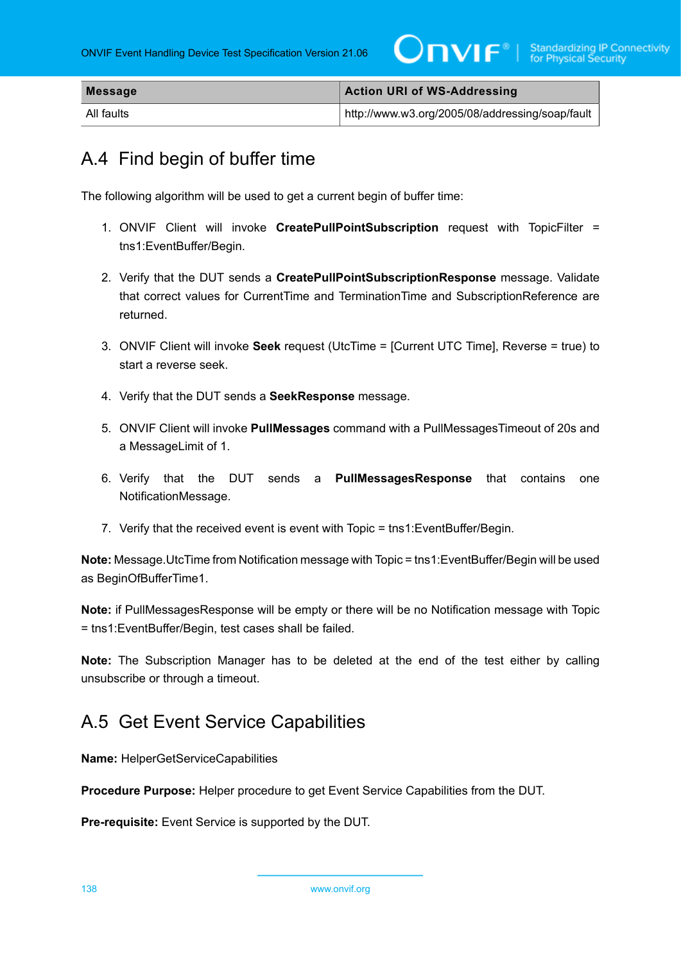| <b>Message</b> | <b>Action URI of WS-Addressing</b>              |
|----------------|-------------------------------------------------|
| All faults     | http://www.w3.org/2005/08/addressing/soap/fault |

## A.4 Find begin of buffer time

The following algorithm will be used to get a current begin of buffer time:

- 1. ONVIF Client will invoke **CreatePullPointSubscription** request with TopicFilter = tns1:EventBuffer/Begin.
- 2. Verify that the DUT sends a **CreatePullPointSubscriptionResponse** message. Validate that correct values for CurrentTime and TerminationTime and SubscriptionReference are returned.
- 3. ONVIF Client will invoke **Seek** request (UtcTime = [Current UTC Time], Reverse = true) to start a reverse seek.
- 4. Verify that the DUT sends a **SeekResponse** message.
- 5. ONVIF Client will invoke **PullMessages** command with a PullMessagesTimeout of 20s and a MessageLimit of 1.
- 6. Verify that the DUT sends a **PullMessagesResponse** that contains one NotificationMessage.
- 7. Verify that the received event is event with Topic = tns1:EventBuffer/Begin.

**Note:** Message.UtcTime from Notification message with Topic = tns1:EventBuffer/Begin will be used as BeginOfBufferTime1.

**Note:** if PullMessagesResponse will be empty or there will be no Notification message with Topic = tns1:EventBuffer/Begin, test cases shall be failed.

**Note:** The Subscription Manager has to be deleted at the end of the test either by calling unsubscribe or through a timeout.

## <span id="page-137-0"></span>A.5 Get Event Service Capabilities

**Name:** HelperGetServiceCapabilities

**Procedure Purpose:** Helper procedure to get Event Service Capabilities from the DUT.

**Pre-requisite:** Event Service is supported by the DUT.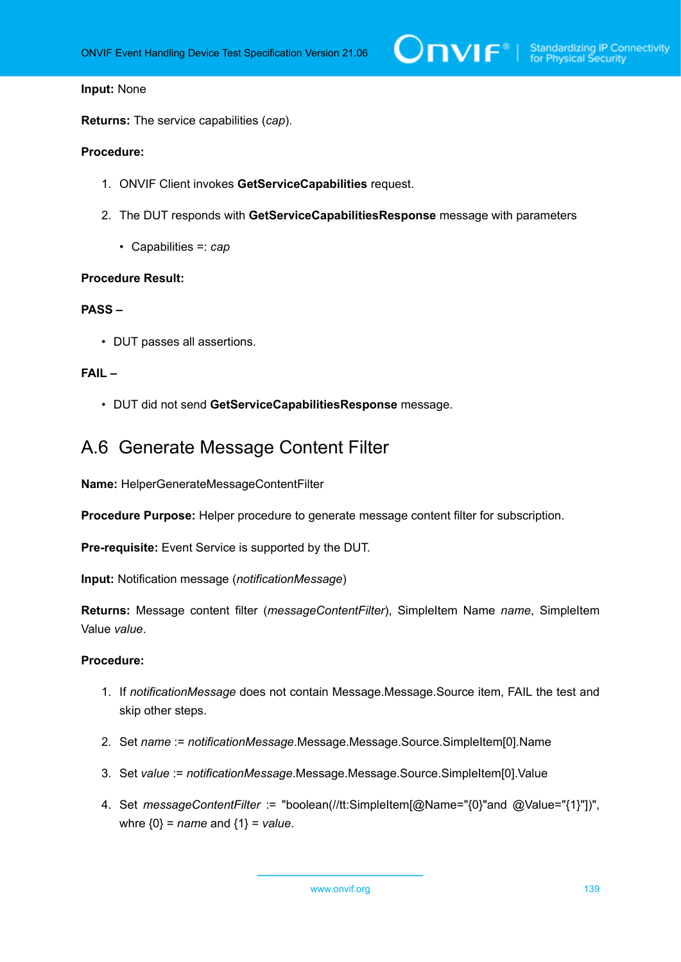### **Input:** None

**Returns:** The service capabilities (*cap*).

### **Procedure:**

- 1. ONVIF Client invokes **GetServiceCapabilities** request.
- 2. The DUT responds with **GetServiceCapabilitiesResponse** message with parameters
	- Capabilities =: *cap*

### **Procedure Result:**

## **PASS –**

• DUT passes all assertions.

## **FAIL –**

• DUT did not send **GetServiceCapabilitiesResponse** message.

## A.6 Generate Message Content Filter

**Name:** HelperGenerateMessageContentFilter

**Procedure Purpose:** Helper procedure to generate message content filter for subscription.

**Pre-requisite:** Event Service is supported by the DUT.

**Input:** Notification message (*notificationMessage*)

**Returns:** Message content filter (*messageContentFilter*), SimpleItem Name *name*, SimpleItem Value *value*.

- 1. If *notificationMessage* does not contain Message.Message.Source item, FAIL the test and skip other steps.
- 2. Set *name* := *notificationMessage*.Message.Message.Source.SimpleItem[0].Name
- 3. Set *value* := *notificationMessage*.Message.Message.Source.SimpleItem[0].Value
- 4. Set *messageContentFilter* := "boolean(//tt:SimpleItem[@Name="{0}"and @Value="{1}"])", whre {0} = *name* and {1} = *value*.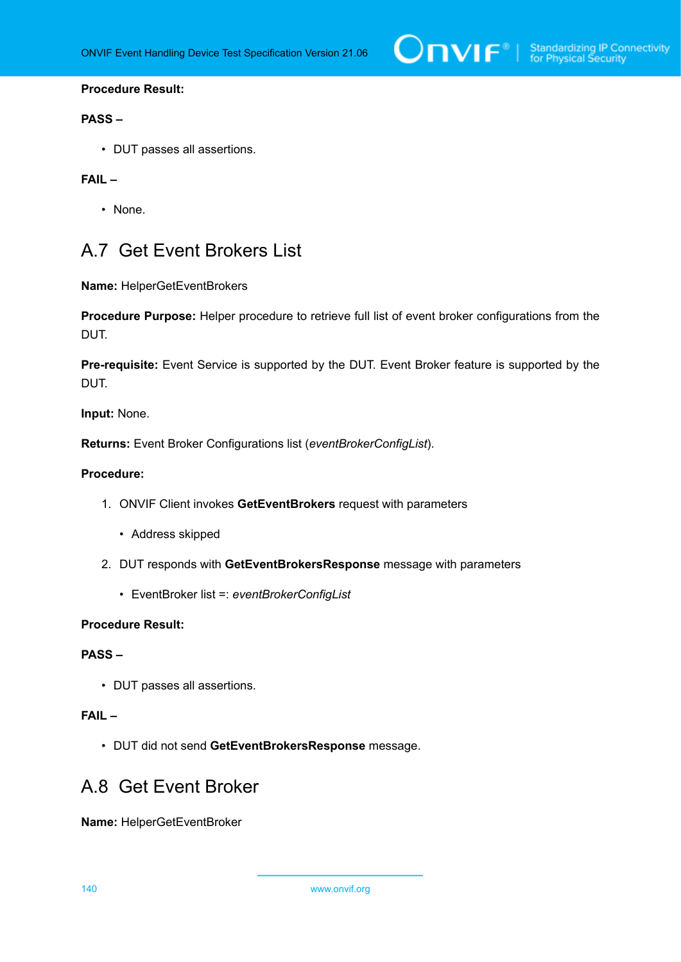## **Procedure Result:**

## **PASS –**

• DUT passes all assertions.

## **FAIL –**

• None.

## <span id="page-139-0"></span>A.7 Get Event Brokers List

**Name:** HelperGetEventBrokers

**Procedure Purpose:** Helper procedure to retrieve full list of event broker configurations from the DUT.

**Pre-requisite:** Event Service is supported by the DUT. Event Broker feature is supported by the DUT.

**Input:** None.

**Returns:** Event Broker Configurations list (*eventBrokerConfigList*).

## **Procedure:**

- 1. ONVIF Client invokes **GetEventBrokers** request with parameters
	- Address skipped
- 2. DUT responds with **GetEventBrokersResponse** message with parameters
	- EventBroker list =: *eventBrokerConfigList*

## **Procedure Result:**

## **PASS –**

• DUT passes all assertions.

## **FAIL –**

• DUT did not send **GetEventBrokersResponse** message.

## A.8 Get Event Broker

**Name:** HelperGetEventBroker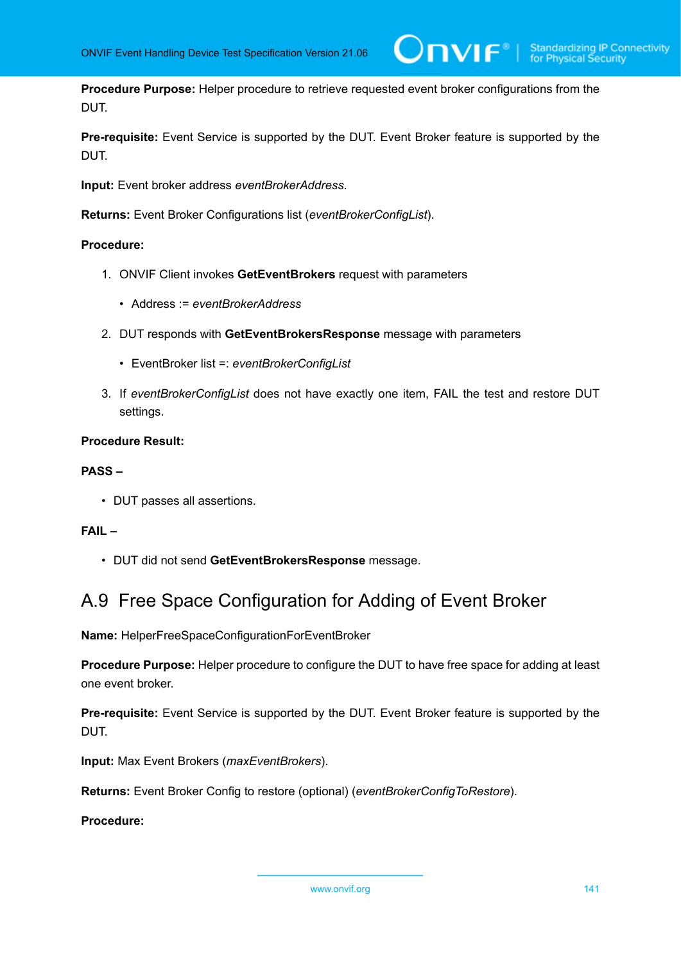**Procedure Purpose:** Helper procedure to retrieve requested event broker configurations from the DUT.

 $\mathsf{D}\mathbf{N}\mathsf{I}\mathsf{F}^*$ l

**Pre-requisite:** Event Service is supported by the DUT. Event Broker feature is supported by the DUT.

**Input:** Event broker address *eventBrokerAddress*.

**Returns:** Event Broker Configurations list (*eventBrokerConfigList*).

## **Procedure:**

- 1. ONVIF Client invokes **GetEventBrokers** request with parameters
	- Address := *eventBrokerAddress*
- 2. DUT responds with **GetEventBrokersResponse** message with parameters
	- EventBroker list =: *eventBrokerConfigList*
- 3. If *eventBrokerConfigList* does not have exactly one item, FAIL the test and restore DUT settings.

## **Procedure Result:**

### **PASS –**

• DUT passes all assertions.

## **FAIL –**

• DUT did not send **GetEventBrokersResponse** message.

## <span id="page-140-0"></span>A.9 Free Space Configuration for Adding of Event Broker

**Name:** HelperFreeSpaceConfigurationForEventBroker

**Procedure Purpose:** Helper procedure to configure the DUT to have free space for adding at least one event broker.

**Pre-requisite:** Event Service is supported by the DUT. Event Broker feature is supported by the DUT.

**Input:** Max Event Brokers (*maxEventBrokers*).

**Returns:** Event Broker Config to restore (optional) (*eventBrokerConfigToRestore*).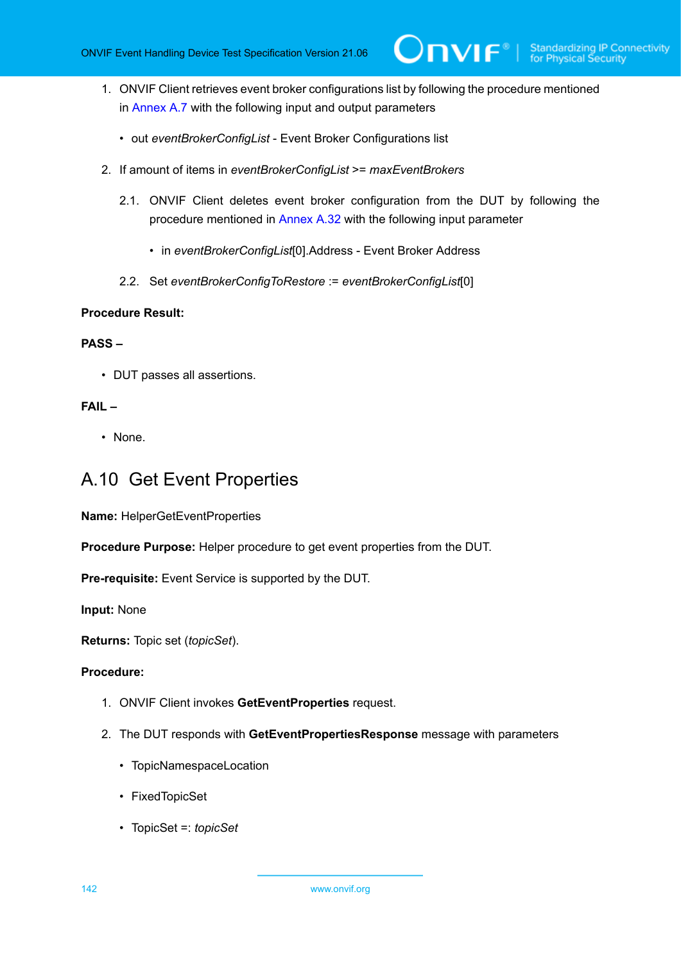1. ONVIF Client retrieves event broker configurations list by following the procedure mentioned in [Annex A.7](#page-139-0) with the following input and output parameters

Onvıғ®

- out *eventBrokerConfigList* Event Broker Configurations list
- 2. If amount of items in *eventBrokerConfigList* >= *maxEventBrokers*
	- 2.1. ONVIF Client deletes event broker configuration from the DUT by following the procedure mentioned in [Annex A.32](#page-163-0) with the following input parameter
		- in *eventBrokerConfigList*[0].Address Event Broker Address
	- 2.2. Set *eventBrokerConfigToRestore* := *eventBrokerConfigList*[0]

## **Procedure Result:**

## **PASS –**

• DUT passes all assertions.

## **FAIL –**

• None.

## <span id="page-141-0"></span>A.10 Get Event Properties

**Name:** HelperGetEventProperties

**Procedure Purpose:** Helper procedure to get event properties from the DUT.

**Pre-requisite:** Event Service is supported by the DUT.

**Input:** None

**Returns:** Topic set (*topicSet*).

- 1. ONVIF Client invokes **GetEventProperties** request.
- 2. The DUT responds with **GetEventPropertiesResponse** message with parameters
	- TopicNamespaceLocation
	- FixedTopicSet
	- TopicSet =: *topicSet*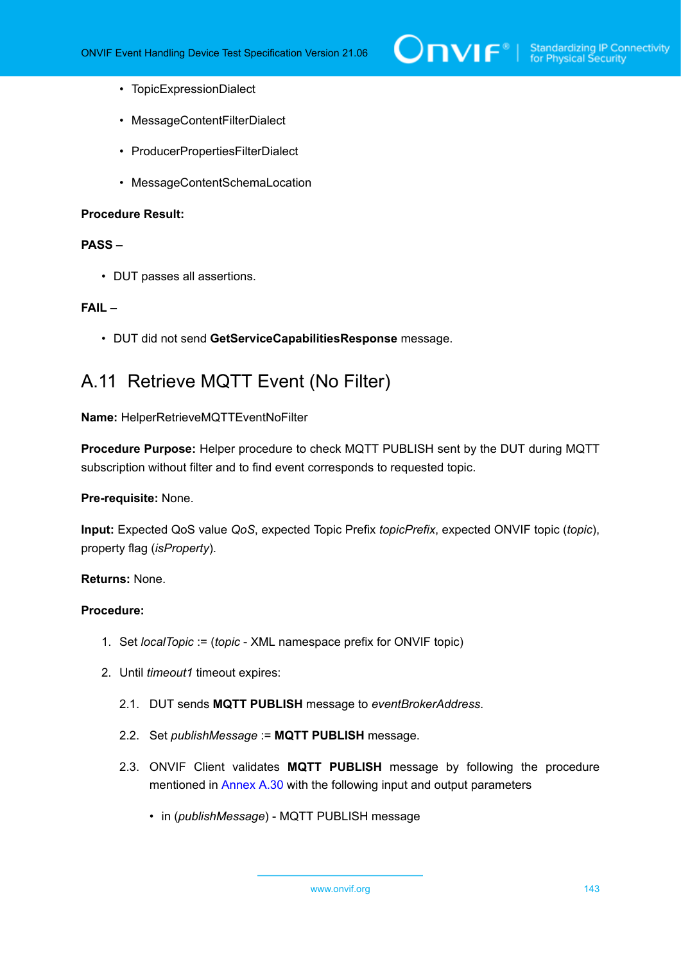

- TopicExpressionDialect
- MessageContentFilterDialect
- ProducerPropertiesFilterDialect
- MessageContentSchemaLocation

### **Procedure Result:**

## **PASS –**

• DUT passes all assertions.

## **FAIL –**

• DUT did not send **GetServiceCapabilitiesResponse** message.

## <span id="page-142-0"></span>A.11 Retrieve MQTT Event (No Filter)

**Name:** HelperRetrieveMQTTEventNoFilter

**Procedure Purpose:** Helper procedure to check MQTT PUBLISH sent by the DUT during MQTT subscription without filter and to find event corresponds to requested topic.

## **Pre-requisite:** None.

**Input:** Expected QoS value *QoS*, expected Topic Prefix *topicPrefix*, expected ONVIF topic (*topic*), property flag (*isProperty*).

### **Returns:** None.

- 1. Set *localTopic* := (*topic* XML namespace prefix for ONVIF topic)
- 2. Until *timeout1* timeout expires:
	- 2.1. DUT sends **MQTT PUBLISH** message to *eventBrokerAddress*.
	- 2.2. Set *publishMessage* := **MQTT PUBLISH** message.
	- 2.3. ONVIF Client validates **MQTT PUBLISH** message by following the procedure mentioned in [Annex A.30](#page-162-0) with the following input and output parameters
		- in (*publishMessage*) MQTT PUBLISH message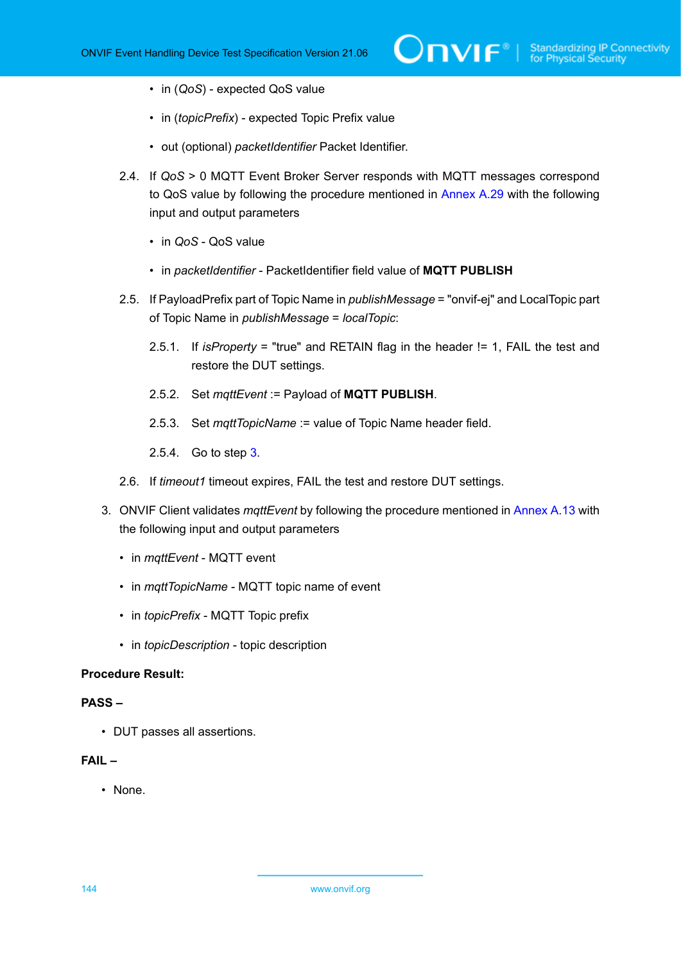- in (*QoS*) expected QoS value
- in (*topicPrefix*) expected Topic Prefix value
- out (optional) *packetIdentifier* Packet Identifier.
- 2.4. If *QoS* > 0 MQTT Event Broker Server responds with MQTT messages correspond to QoS value by following the procedure mentioned in [Annex A.29](#page-161-0) with the following input and output parameters
	- in *QoS* QoS value
	- in *packetIdentifier* PacketIdentifier field value of **MQTT PUBLISH**
- 2.5. If PayloadPrefix part of Topic Name in *publishMessage* = "onvif-ej" and LocalTopic part of Topic Name in *publishMessage* = *localTopic*:
	- 2.5.1. If *isProperty* = "true" and RETAIN flag in the header != 1, FAIL the test and restore the DUT settings.
	- 2.5.2. Set *mqttEvent* := Payload of **MQTT PUBLISH**.
	- 2.5.3. Set *mqttTopicName* := value of Topic Name header field.
	- 2.5.4. Go to step [3.](#page-143-0)
- 2.6. If *timeout1* timeout expires, FAIL the test and restore DUT settings.
- <span id="page-143-0"></span>3. ONVIF Client validates *mqttEvent* by following the procedure mentioned in [Annex A.13](#page-145-0) with the following input and output parameters
	- in *mqttEvent* MQTT event
	- in *mqttTopicName* MQTT topic name of event
	- in *topicPrefix* MQTT Topic prefix
	- in *topicDescription* topic description

## **Procedure Result:**

### **PASS –**

• DUT passes all assertions.

## **FAIL –**

• None.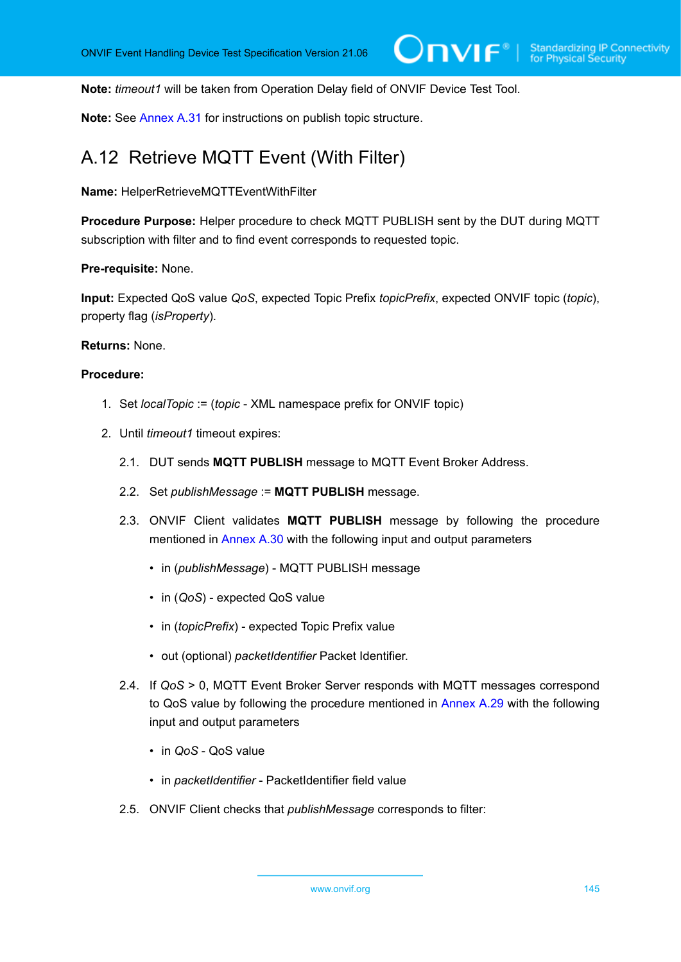**Note:** *timeout1* will be taken from Operation Delay field of ONVIF Device Test Tool.

**Note:** See [Annex A.31](#page-163-0) for instructions on publish topic structure.

## A.12 Retrieve MQTT Event (With Filter)

**Name:** HelperRetrieveMQTTEventWithFilter

**Procedure Purpose:** Helper procedure to check MQTT PUBLISH sent by the DUT during MQTT subscription with filter and to find event corresponds to requested topic.

**Pre-requisite:** None.

**Input:** Expected QoS value *QoS*, expected Topic Prefix *topicPrefix*, expected ONVIF topic (*topic*), property flag (*isProperty*).

**Returns:** None.

- 1. Set *localTopic* := (*topic* XML namespace prefix for ONVIF topic)
- 2. Until *timeout1* timeout expires:
	- 2.1. DUT sends **MQTT PUBLISH** message to MQTT Event Broker Address.
	- 2.2. Set *publishMessage* := **MQTT PUBLISH** message.
	- 2.3. ONVIF Client validates **MQTT PUBLISH** message by following the procedure mentioned in [Annex A.30](#page-162-0) with the following input and output parameters
		- in (*publishMessage*) MQTT PUBLISH message
		- in (*QoS*) expected QoS value
		- in (*topicPrefix*) expected Topic Prefix value
		- out (optional) *packetIdentifier* Packet Identifier.
	- 2.4. If *QoS* > 0, MQTT Event Broker Server responds with MQTT messages correspond to QoS value by following the procedure mentioned in [Annex A.29](#page-161-0) with the following input and output parameters
		- in *QoS* QoS value
		- in *packetIdentifier* PacketIdentifier field value
	- 2.5. ONVIF Client checks that *publishMessage* corresponds to filter: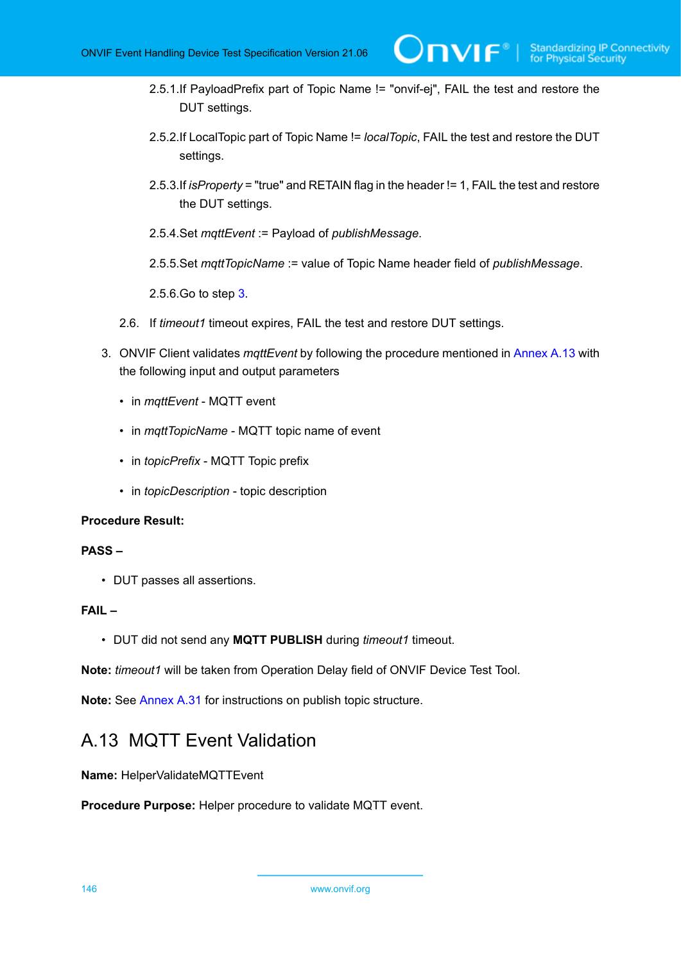- 2.5.1.If PayloadPrefix part of Topic Name != "onvif-ej", FAIL the test and restore the DUT settings.
- 2.5.2.If LocalTopic part of Topic Name != *localTopic*, FAIL the test and restore the DUT settings.
- 2.5.3.If *isProperty* = "true" and RETAIN flag in the header != 1, FAIL the test and restore the DUT settings.
- 2.5.4.Set *mqttEvent* := Payload of *publishMessage*.
- 2.5.5.Set *mqttTopicName* := value of Topic Name header field of *publishMessage*.

2.5.6.Go to step [3](#page-145-0).

- 2.6. If *timeout1* timeout expires, FAIL the test and restore DUT settings.
- <span id="page-145-0"></span>3. ONVIF Client validates *mqttEvent* by following the procedure mentioned in [Annex A.13](#page-145-1) with the following input and output parameters
	- in *mqttEvent* MQTT event
	- in *mqttTopicName* MQTT topic name of event
	- in *topicPrefix* MQTT Topic prefix
	- in *topicDescription* topic description

### **Procedure Result:**

### **PASS –**

• DUT passes all assertions.

### **FAIL –**

• DUT did not send any **MQTT PUBLISH** during *timeout1* timeout.

**Note:** *timeout1* will be taken from Operation Delay field of ONVIF Device Test Tool.

<span id="page-145-1"></span>**Note:** See [Annex A.31](#page-163-0) for instructions on publish topic structure.

## A.13 MQTT Event Validation

### **Name:** HelperValidateMQTTEvent

**Procedure Purpose:** Helper procedure to validate MQTT event.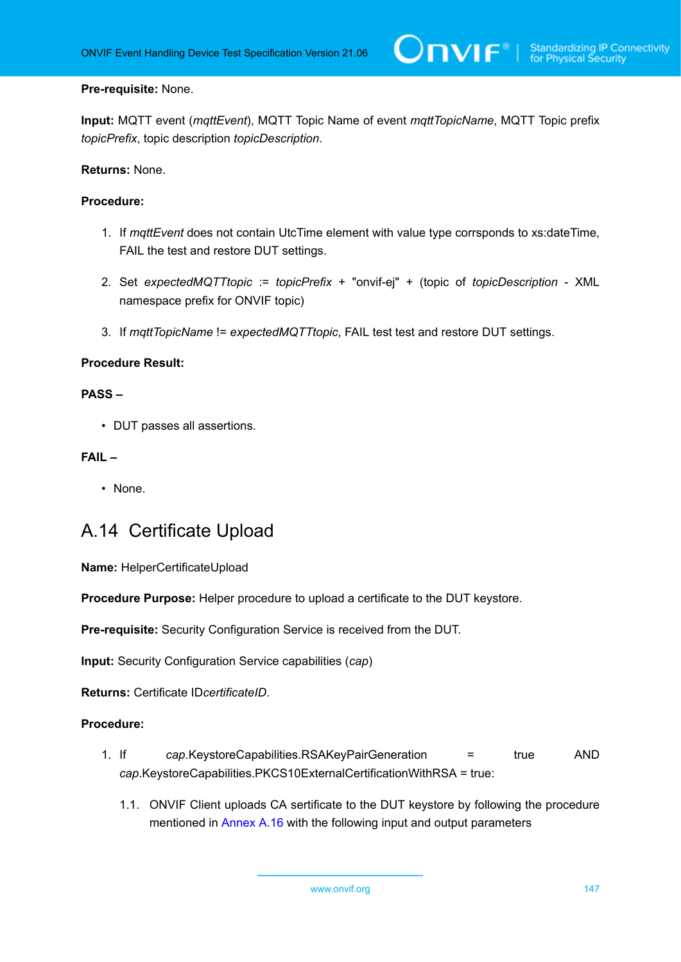### **Pre-requisite:** None.

**Input:** MQTT event (*mqttEvent*), MQTT Topic Name of event *mqttTopicName*, MQTT Topic prefix *topicPrefix*, topic description *topicDescription*.

**Returns:** None.

### **Procedure:**

- 1. If *mqttEvent* does not contain UtcTime element with value type corrsponds to xs:dateTime, FAIL the test and restore DUT settings.
- 2. Set *expectedMQTTtopic* := *topicPrefix* + "onvif-ej" + (topic of *topicDescription* XML namespace prefix for ONVIF topic)
- 3. If *mqttTopicName* != *expectedMQTTtopic*, FAIL test test and restore DUT settings.

### **Procedure Result:**

### **PASS –**

• DUT passes all assertions.

### **FAIL –**

• None.

## A.14 Certificate Upload

**Name:** HelperCertificateUpload

**Procedure Purpose:** Helper procedure to upload a certificate to the DUT keystore.

**Pre-requisite:** Security Configuration Service is received from the DUT.

**Input:** Security Configuration Service capabilities (*cap*)

**Returns:** Certificate ID*certificateID*.

- 1. If *cap*.KeystoreCapabilities.RSAKeyPairGeneration = true AND *cap*.KeystoreCapabilities.PKCS10ExternalCertificationWithRSA = true:
	- 1.1. ONVIF Client uploads CA sertificate to the DUT keystore by following the procedure mentioned in [Annex A.16](#page-148-0) with the following input and output parameters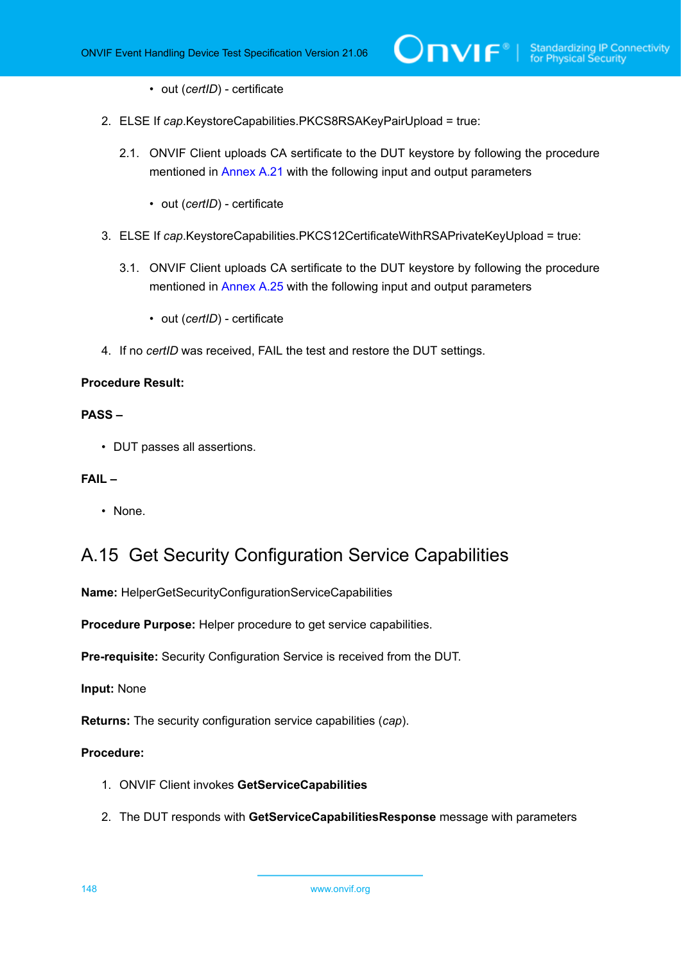- out (*certID*) certificate
- 2. ELSE If *cap*.KeystoreCapabilities.PKCS8RSAKeyPairUpload = true:
	- 2.1. ONVIF Client uploads CA sertificate to the DUT keystore by following the procedure mentioned in [Annex A.21](#page-153-0) with the following input and output parameters
		- out (*certID*) certificate
- 3. ELSE If *cap*.KeystoreCapabilities.PKCS12CertificateWithRSAPrivateKeyUpload = true:
	- 3.1. ONVIF Client uploads CA sertificate to the DUT keystore by following the procedure mentioned in [Annex A.25](#page-157-0) with the following input and output parameters
		- out (*certID*) certificate
- 4. If no *certID* was received, FAIL the test and restore the DUT settings.

### **PASS –**

• DUT passes all assertions.

### **FAIL –**

• None.

# <span id="page-147-0"></span>A.15 Get Security Configuration Service Capabilities

**Name:** HelperGetSecurityConfigurationServiceCapabilities

**Procedure Purpose:** Helper procedure to get service capabilities.

**Pre-requisite:** Security Configuration Service is received from the DUT.

**Input:** None

**Returns:** The security configuration service capabilities (*cap*).

- 1. ONVIF Client invokes **GetServiceCapabilities**
- 2. The DUT responds with **GetServiceCapabilitiesResponse** message with parameters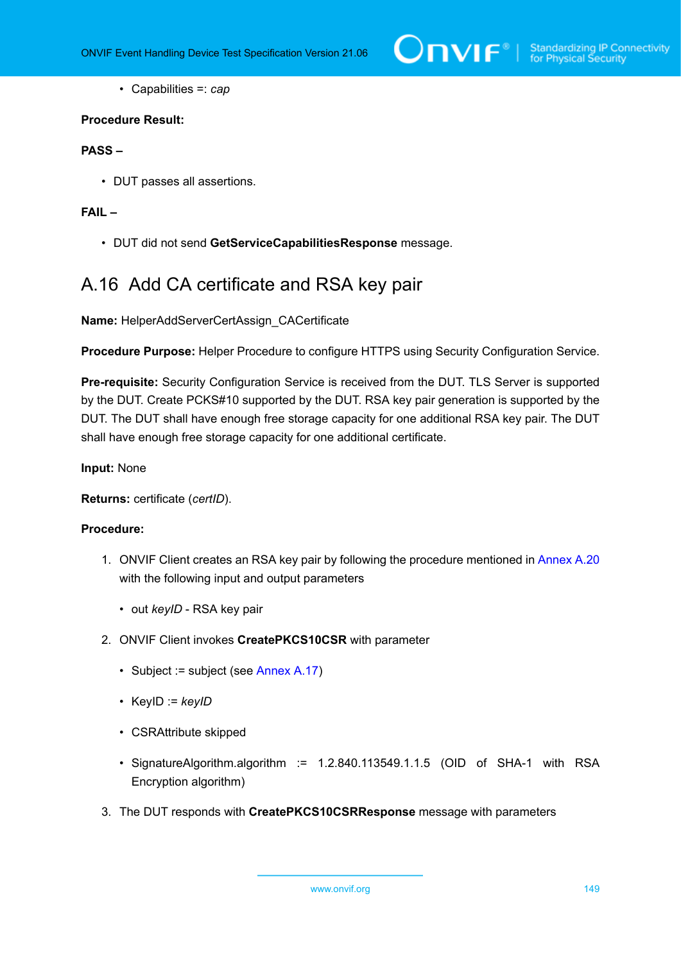• Capabilities =: *cap*

### **Procedure Result:**

### **PASS –**

• DUT passes all assertions.

### **FAIL –**

• DUT did not send **GetServiceCapabilitiesResponse** message.

# <span id="page-148-0"></span>A.16 Add CA certificate and RSA key pair

**Name:** HelperAddServerCertAssign\_CACertificate

**Procedure Purpose:** Helper Procedure to configure HTTPS using Security Configuration Service.

**Pre-requisite:** Security Configuration Service is received from the DUT. TLS Server is supported by the DUT. Create PCKS#10 supported by the DUT. RSA key pair generation is supported by the DUT. The DUT shall have enough free storage capacity for one additional RSA key pair. The DUT shall have enough free storage capacity for one additional certificate.

### **Input:** None

**Returns:** certificate (*certID*).

- 1. ONVIF Client creates an RSA key pair by following the procedure mentioned in [Annex A.20](#page-152-0) with the following input and output parameters
	- out *keyID* RSA key pair
- 2. ONVIF Client invokes **CreatePKCS10CSR** with parameter
	- Subject := subject (see [Annex A.17\)](#page-150-0)
	- KeyID := *keyID*
	- CSRAttribute skipped
	- SignatureAlgorithm.algorithm := 1.2.840.113549.1.1.5 (OID of SHA-1 with RSA Encryption algorithm)
- 3. The DUT responds with **CreatePKCS10CSRResponse** message with parameters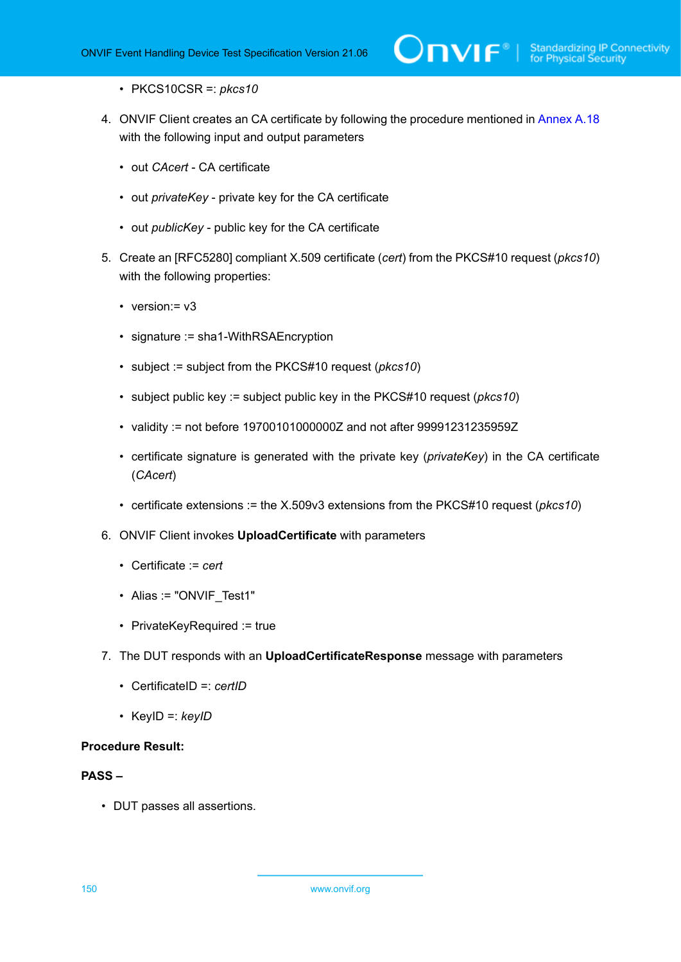- PKCS10CSR =: *pkcs10*
- 4. ONVIF Client creates an CA certificate by following the procedure mentioned in [Annex A.18](#page-150-1) with the following input and output parameters
	- out *CAcert* CA certificate
	- out *privateKey* private key for the CA certificate
	- out *publicKey* public key for the CA certificate
- 5. Create an [RFC5280] compliant X.509 certificate (*cert*) from the PKCS#10 request (*pkcs10*) with the following properties:
	- version: = v3
	- signature := sha1-WithRSAEncryption
	- subject := subject from the PKCS#10 request (*pkcs10*)
	- subject public key := subject public key in the PKCS#10 request (*pkcs10*)
	- validity := not before 19700101000000Z and not after 99991231235959Z
	- certificate signature is generated with the private key (*privateKey*) in the CA certificate (*CAcert*)
	- certificate extensions := the X.509v3 extensions from the PKCS#10 request (*pkcs10*)
- 6. ONVIF Client invokes **UploadCertificate** with parameters
	- Certificate := *cert*
	- Alias := "ONVIF Test1"
	- PrivateKeyRequired := true
- 7. The DUT responds with an **UploadCertificateResponse** message with parameters
	- CertificateID =: *certID*
	- KeyID =: *keyID*

### **PASS –**

• DUT passes all assertions.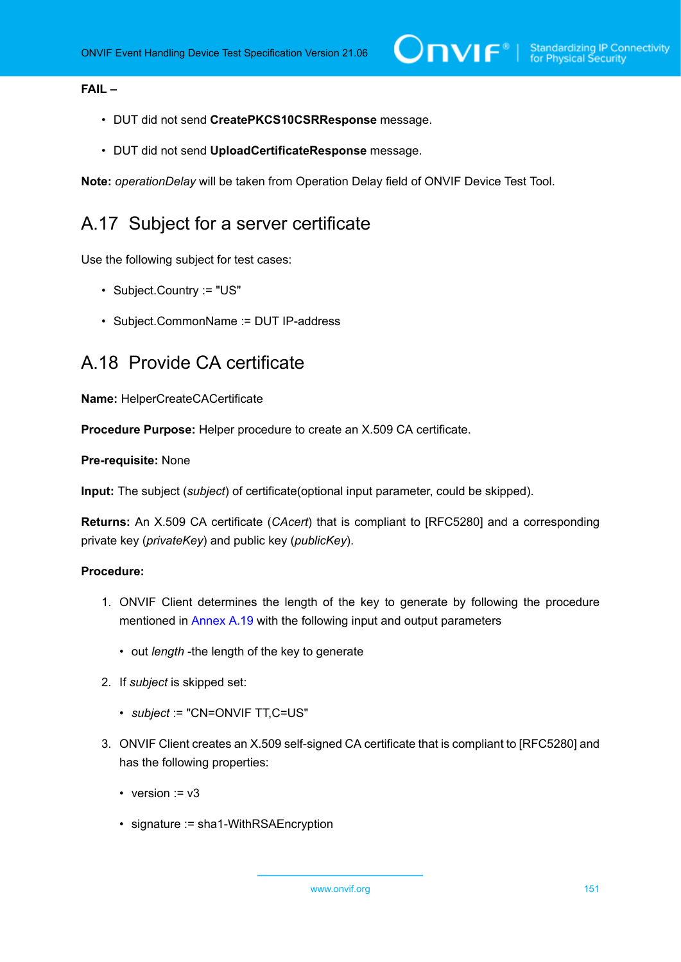### **FAIL –**

- DUT did not send **CreatePKCS10CSRResponse** message.
- DUT did not send **UploadCertificateResponse** message.

<span id="page-150-0"></span>**Note:** *operationDelay* will be taken from Operation Delay field of ONVIF Device Test Tool.

# A.17 Subject for a server certificate

Use the following subject for test cases:

- Subject.Country := "US"
- Subject.CommonName := DUT IP-address

## <span id="page-150-1"></span>A.18 Provide CA certificate

**Name:** HelperCreateCACertificate

**Procedure Purpose:** Helper procedure to create an X.509 CA certificate.

### **Pre-requisite:** None

**Input:** The subject (*subject*) of certificate(optional input parameter, could be skipped).

**Returns:** An X.509 CA certificate (*CAcert*) that is compliant to [RFC5280] and a corresponding private key (*privateKey*) and public key (*publicKey*).

- 1. ONVIF Client determines the length of the key to generate by following the procedure mentioned in [Annex A.19](#page-151-0) with the following input and output parameters
	- out *length* -the length of the key to generate
- 2. If *subject* is skipped set:
	- *subject* := "CN=ONVIF TT,C=US"
- 3. ONVIF Client creates an X.509 self-signed CA certificate that is compliant to [RFC5280] and has the following properties:
	- version  $= v3$
	- signature := sha1-WithRSAEncryption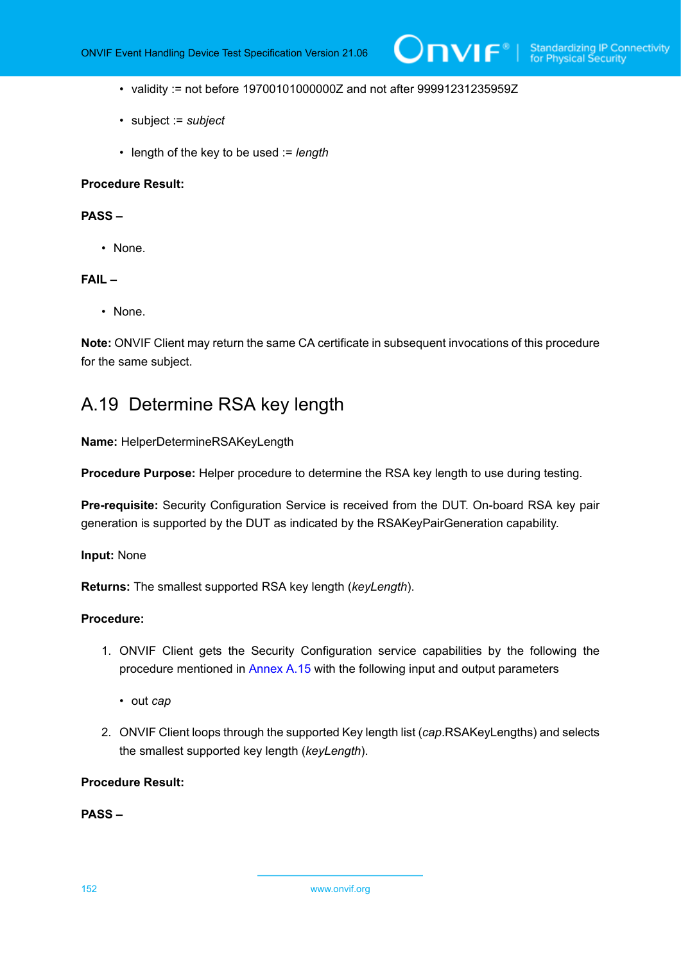- validity := not before 19700101000000Z and not after 99991231235959Z
- subject := *subject*
- length of the key to be used := *length*

### **PASS –**

• None.

### **FAIL –**

• None.

**Note:** ONVIF Client may return the same CA certificate in subsequent invocations of this procedure for the same subject.

## <span id="page-151-0"></span>A.19 Determine RSA key length

**Name:** HelperDetermineRSAKeyLength

**Procedure Purpose:** Helper procedure to determine the RSA key length to use during testing.

**Pre-requisite:** Security Configuration Service is received from the DUT. On-board RSA key pair generation is supported by the DUT as indicated by the RSAKeyPairGeneration capability.

**Input:** None

**Returns:** The smallest supported RSA key length (*keyLength*).

### **Procedure:**

- 1. ONVIF Client gets the Security Configuration service capabilities by the following the procedure mentioned in [Annex A.15](#page-147-0) with the following input and output parameters
	- out *cap*
- 2. ONVIF Client loops through the supported Key length list (*cap*.RSAKeyLengths) and selects the smallest supported key length (*keyLength*).

### **Procedure Result:**

**PASS –**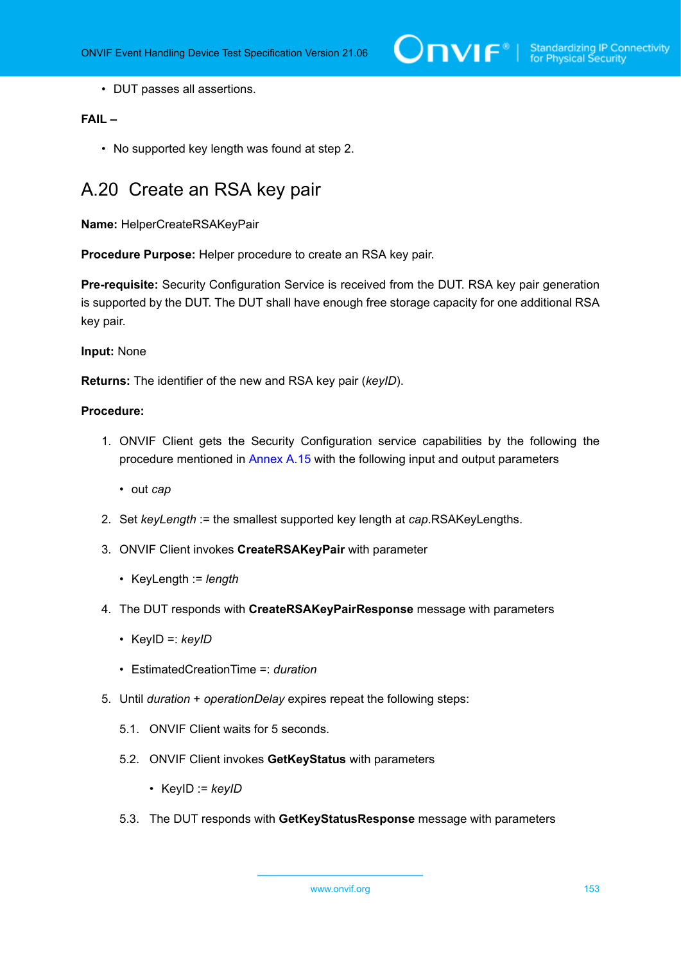$\sum_{i} \prod_{j} \big\{ \big\}^{\mathbb{R}} \big| \sum_{i}^{\mathbb{S}}$  Standardizing IP Connectivity

• DUT passes all assertions.

### **FAIL –**

• No supported key length was found at step 2.

## <span id="page-152-0"></span>A.20 Create an RSA key pair

**Name:** HelperCreateRSAKeyPair

**Procedure Purpose:** Helper procedure to create an RSA key pair.

**Pre-requisite:** Security Configuration Service is received from the DUT. RSA key pair generation is supported by the DUT. The DUT shall have enough free storage capacity for one additional RSA key pair.

### **Input:** None

**Returns:** The identifier of the new and RSA key pair (*keyID*).

- 1. ONVIF Client gets the Security Configuration service capabilities by the following the procedure mentioned in [Annex A.15](#page-147-0) with the following input and output parameters
	- out *cap*
- 2. Set *keyLength* := the smallest supported key length at *cap*.RSAKeyLengths.
- 3. ONVIF Client invokes **CreateRSAKeyPair** with parameter
	- KeyLength := *length*
- 4. The DUT responds with **CreateRSAKeyPairResponse** message with parameters
	- KeyID =: *keyID*
	- EstimatedCreationTime =: *duration*
- <span id="page-152-1"></span>5. Until *duration* + *operationDelay* expires repeat the following steps:
	- 5.1. ONVIF Client waits for 5 seconds.
	- 5.2. ONVIF Client invokes **GetKeyStatus** with parameters
		- KeyID := *keyID*
	- 5.3. The DUT responds with **GetKeyStatusResponse** message with parameters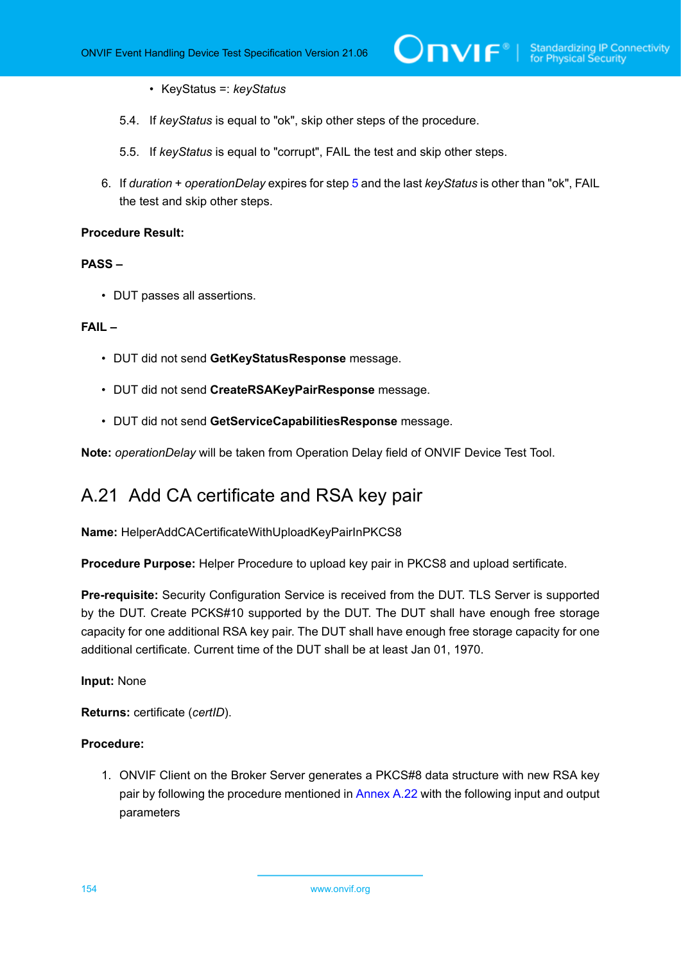- KeyStatus =: *keyStatus*
- 5.4. If *keyStatus* is equal to "ok", skip other steps of the procedure.
- 5.5. If *keyStatus* is equal to "corrupt", FAIL the test and skip other steps.
- 6. If *duration* + *operationDelay* expires for step [5](#page-152-1) and the last *keyStatus* is other than "ok", FAIL the test and skip other steps.

### **PASS –**

• DUT passes all assertions.

### **FAIL –**

- DUT did not send **GetKeyStatusResponse** message.
- DUT did not send **CreateRSAKeyPairResponse** message.
- DUT did not send **GetServiceCapabilitiesResponse** message.

<span id="page-153-0"></span>**Note:** *operationDelay* will be taken from Operation Delay field of ONVIF Device Test Tool.

# A.21 Add CA certificate and RSA key pair

**Name:** HelperAddCACertificateWithUploadKeyPairInPKCS8

**Procedure Purpose:** Helper Procedure to upload key pair in PKCS8 and upload sertificate.

**Pre-requisite:** Security Configuration Service is received from the DUT. TLS Server is supported by the DUT. Create PCKS#10 supported by the DUT. The DUT shall have enough free storage capacity for one additional RSA key pair. The DUT shall have enough free storage capacity for one additional certificate. Current time of the DUT shall be at least Jan 01, 1970.

### **Input:** None

**Returns:** certificate (*certID*).

### **Procedure:**

1. ONVIF Client on the Broker Server generates a PKCS#8 data structure with new RSA key pair by following the procedure mentioned in [Annex A.22](#page-155-0) with the following input and output parameters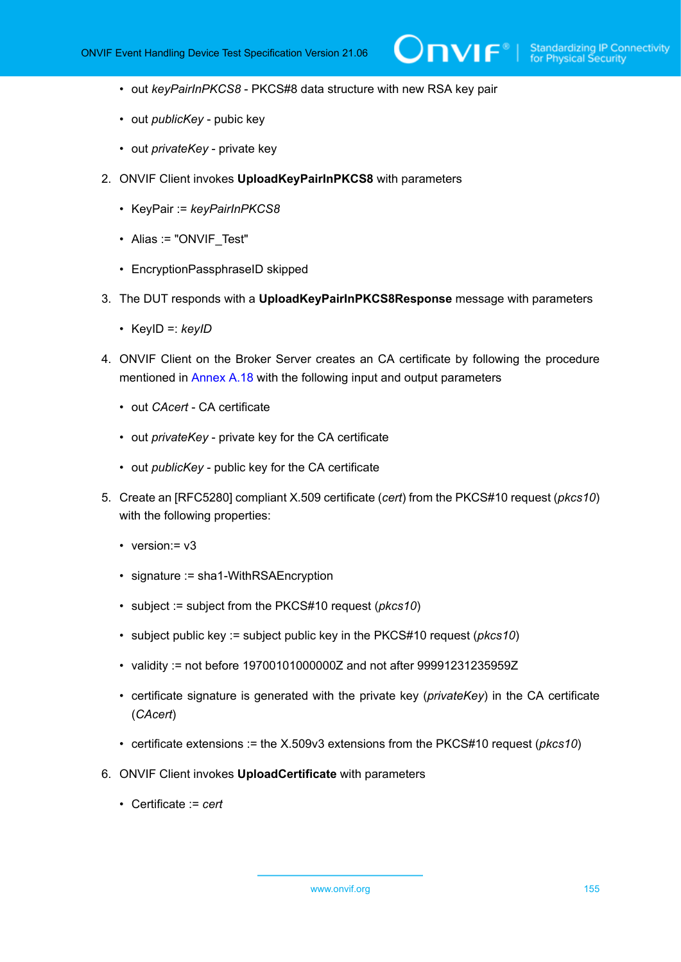- out *keyPairInPKCS8* PKCS#8 data structure with new RSA key pair
- out *publicKey* pubic key
- out *privateKey* private key
- 2. ONVIF Client invokes **UploadKeyPairInPKCS8** with parameters
	- KeyPair := *keyPairInPKCS8*
	- Alias := "ONVIF\_Test"
	- EncryptionPassphraseID skipped
- 3. The DUT responds with a **UploadKeyPairInPKCS8Response** message with parameters
	- KeyID =: *keyID*
- 4. ONVIF Client on the Broker Server creates an CA certificate by following the procedure mentioned in [Annex A.18](#page-150-1) with the following input and output parameters
	- out *CAcert* CA certificate
	- out *privateKey* private key for the CA certificate
	- out *publicKey* public key for the CA certificate
- 5. Create an [RFC5280] compliant X.509 certificate (*cert*) from the PKCS#10 request (*pkcs10*) with the following properties:
	- version:= $v3$
	- signature := sha1-WithRSAEncryption
	- subject := subject from the PKCS#10 request (*pkcs10*)
	- subject public key := subject public key in the PKCS#10 request (*pkcs10*)
	- validity := not before 19700101000000Z and not after 99991231235959Z
	- certificate signature is generated with the private key (*privateKey*) in the CA certificate (*CAcert*)
	- certificate extensions := the X.509v3 extensions from the PKCS#10 request (*pkcs10*)
- 6. ONVIF Client invokes **UploadCertificate** with parameters
	- Certificate := *cert*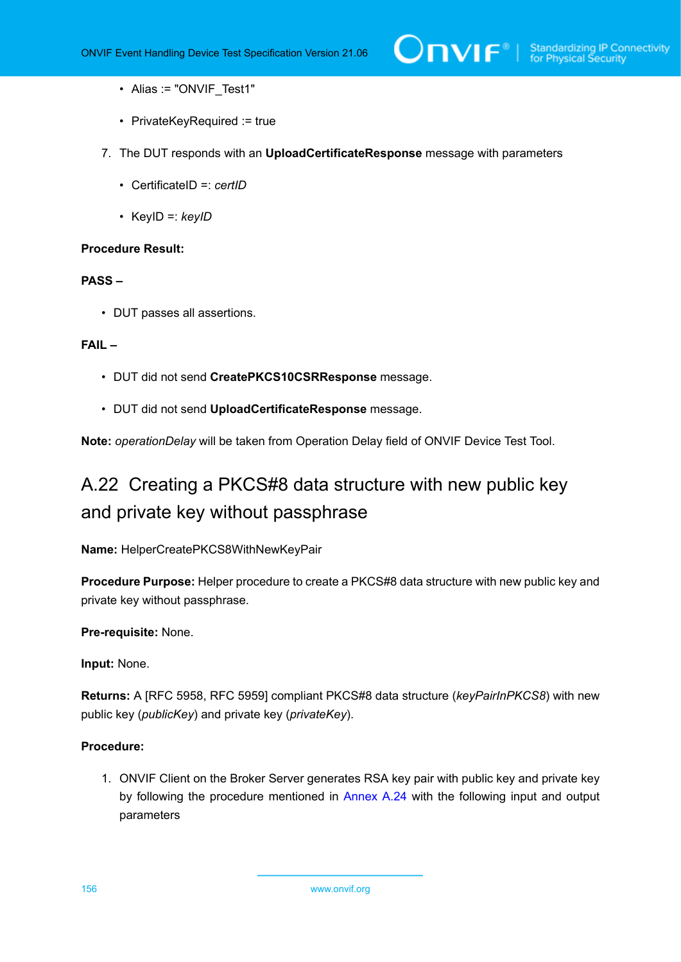- Alias := "ONVIF Test1"
- PrivateKeyRequired := true
- 7. The DUT responds with an **UploadCertificateResponse** message with parameters
	- CertificateID =: *certID*
	- KeyID =: *keyID*

### **PASS –**

• DUT passes all assertions.

### **FAIL –**

- DUT did not send **CreatePKCS10CSRResponse** message.
- DUT did not send **UploadCertificateResponse** message.

<span id="page-155-0"></span>**Note:** *operationDelay* will be taken from Operation Delay field of ONVIF Device Test Tool.

# A.22 Creating a PKCS#8 data structure with new public key and private key without passphrase

**Name:** HelperCreatePKCS8WithNewKeyPair

**Procedure Purpose:** Helper procedure to create a PKCS#8 data structure with new public key and private key without passphrase.

### **Pre-requisite:** None.

**Input:** None.

**Returns:** A [RFC 5958, RFC 5959] compliant PKCS#8 data structure (*keyPairInPKCS8*) with new public key (*publicKey*) and private key (*privateKey*).

### **Procedure:**

1. ONVIF Client on the Broker Server generates RSA key pair with public key and private key by following the procedure mentioned in [Annex A.24](#page-157-1) with the following input and output parameters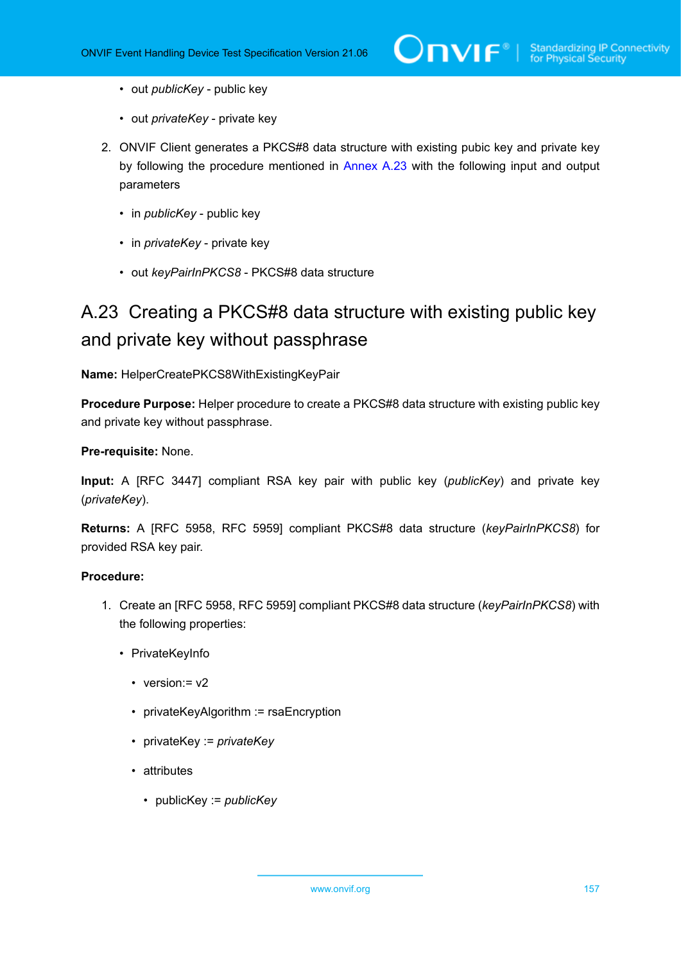- out *publicKey* public key
- out *privateKey* private key
- 2. ONVIF Client generates a PKCS#8 data structure with existing pubic key and private key by following the procedure mentioned in [Annex A.23](#page-156-0) with the following input and output parameters
	- in *publicKey* public key
	- in *privateKey* private key
	- out *keyPairInPKCS8* PKCS#8 data structure

# <span id="page-156-0"></span>A.23 Creating a PKCS#8 data structure with existing public key and private key without passphrase

### **Name:** HelperCreatePKCS8WithExistingKeyPair

**Procedure Purpose:** Helper procedure to create a PKCS#8 data structure with existing public key and private key without passphrase.

### **Pre-requisite:** None.

**Input:** A [RFC 3447] compliant RSA key pair with public key (*publicKey*) and private key (*privateKey*).

**Returns:** A [RFC 5958, RFC 5959] compliant PKCS#8 data structure (*keyPairInPKCS8*) for provided RSA key pair.

- 1. Create an [RFC 5958, RFC 5959] compliant PKCS#8 data structure (*keyPairInPKCS8*) with the following properties:
	- PrivateKeyInfo
		- version: = v2
		- privateKeyAlgorithm := rsaEncryption
		- privateKey := *privateKey*
		- attributes
			- publicKey := *publicKey*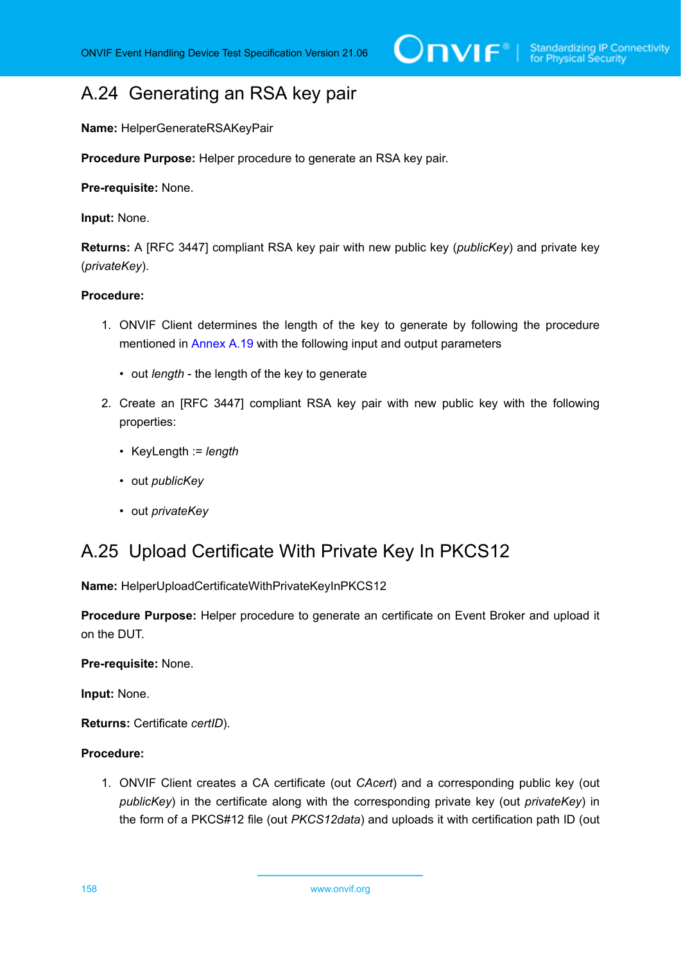# <span id="page-157-1"></span>A.24 Generating an RSA key pair

**Name:** HelperGenerateRSAKeyPair

**Procedure Purpose:** Helper procedure to generate an RSA key pair.

**Pre-requisite:** None.

**Input:** None.

**Returns:** A [RFC 3447] compliant RSA key pair with new public key (*publicKey*) and private key (*privateKey*).

### **Procedure:**

- 1. ONVIF Client determines the length of the key to generate by following the procedure mentioned in [Annex A.19](#page-151-0) with the following input and output parameters
	- out *length* the length of the key to generate
- 2. Create an [RFC 3447] compliant RSA key pair with new public key with the following properties:
	- KeyLength := *length*
	- out *publicKey*
	- out *privateKey*

## <span id="page-157-0"></span>A.25 Upload Certificate With Private Key In PKCS12

**Name:** HelperUploadCertificateWithPrivateKeyInPKCS12

**Procedure Purpose:** Helper procedure to generate an certificate on Event Broker and upload it on the DUT.

**Pre-requisite:** None.

**Input:** None.

**Returns:** Certificate *certID*).

### **Procedure:**

1. ONVIF Client creates a CA certificate (out *CAcert*) and a corresponding public key (out *publicKey*) in the certificate along with the corresponding private key (out *privateKey*) in the form of a PKCS#12 file (out *PKCS12data*) and uploads it with certification path ID (out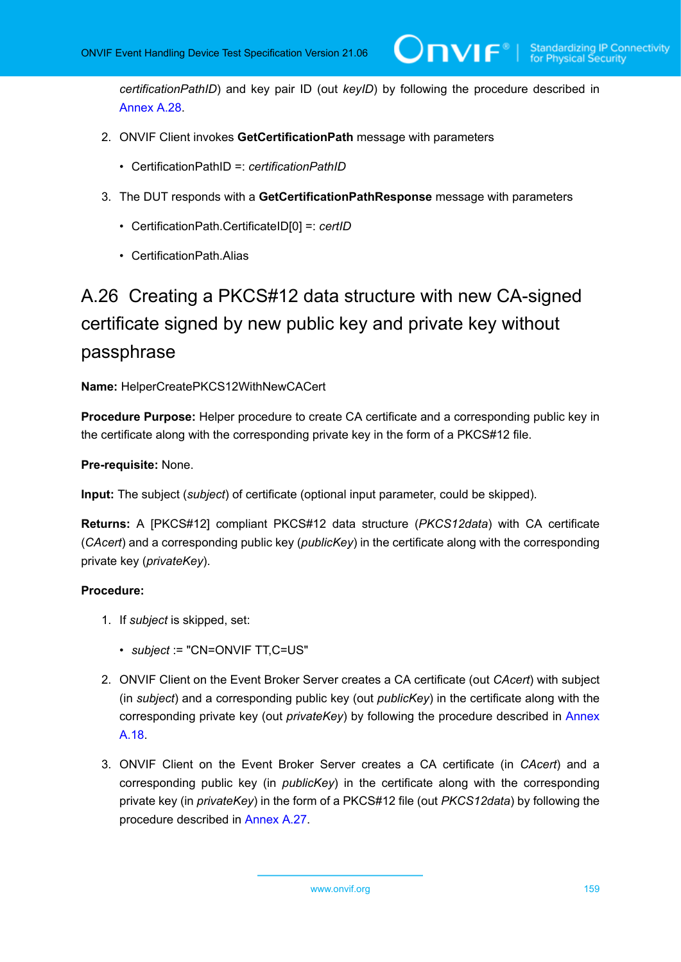*certificationPathID*) and key pair ID (out *keyID*) by following the procedure described in [Annex A.28.](#page-160-0)

- 2. ONVIF Client invokes **GetCertificationPath** message with parameters
	- CertificationPathID =: *certificationPathID*
- 3. The DUT responds with a **GetCertificationPathResponse** message with parameters
	- CertificationPath.CertificateID[0] =: *certID*
	- CertificationPath.Alias

# <span id="page-158-0"></span>A.26 Creating a PKCS#12 data structure with new CA-signed certificate signed by new public key and private key without passphrase

### **Name:** HelperCreatePKCS12WithNewCACert

**Procedure Purpose:** Helper procedure to create CA certificate and a corresponding public key in the certificate along with the corresponding private key in the form of a PKCS#12 file.

**Pre-requisite:** None.

**Input:** The subject (*subject*) of certificate (optional input parameter, could be skipped).

**Returns:** A [PKCS#12] compliant PKCS#12 data structure (*PKCS12data*) with CA certificate (*CAcert*) and a corresponding public key (*publicKey*) in the certificate along with the corresponding private key (*privateKey*).

- 1. If *subject* is skipped, set:
	- *subject* := "CN=ONVIF TT,C=US"
- 2. ONVIF Client on the Event Broker Server creates a CA certificate (out *CAcert*) with subject (in *subject*) and a corresponding public key (out *publicKey*) in the certificate along with the corresponding private key (out *privateKey*) by following the procedure described in [Annex](#page-150-1) [A.18](#page-150-1).
- 3. ONVIF Client on the Event Broker Server creates a CA certificate (in *CAcert*) and a corresponding public key (in *publicKey*) in the certificate along with the corresponding private key (in *privateKey*) in the form of a PKCS#12 file (out *PKCS12data*) by following the procedure described in [Annex A.27](#page-159-0).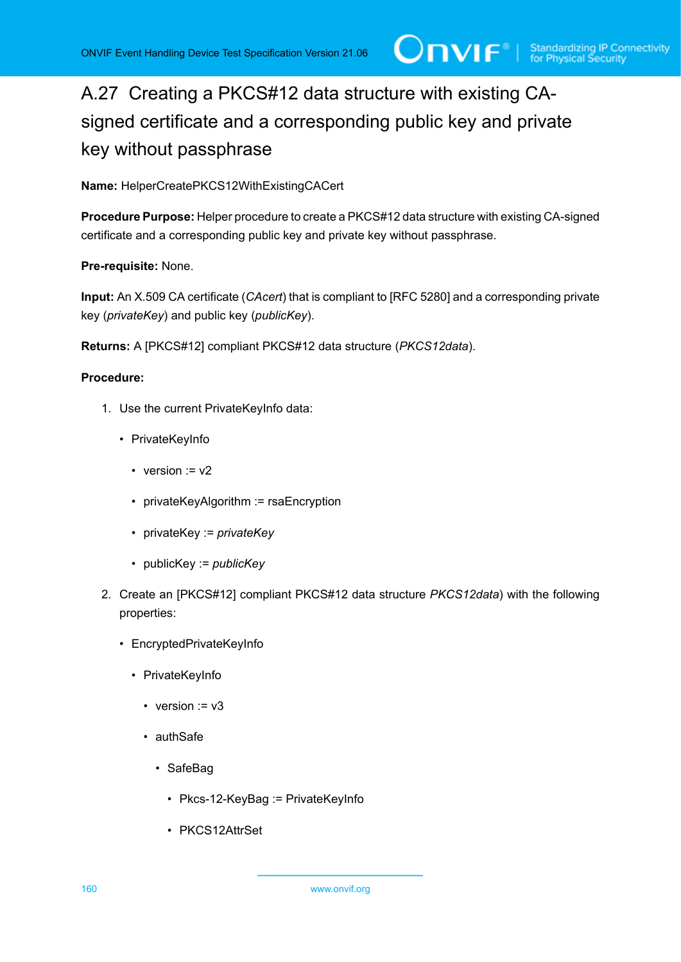# <span id="page-159-0"></span>A.27 Creating a PKCS#12 data structure with existing CAsigned certificate and a corresponding public key and private key without passphrase

**Name:** HelperCreatePKCS12WithExistingCACert

**Procedure Purpose:** Helper procedure to create a PKCS#12 data structure with existing CA-signed certificate and a corresponding public key and private key without passphrase.

### **Pre-requisite:** None.

**Input:** An X.509 CA certificate (*CAcert*) that is compliant to [RFC 5280] and a corresponding private key (*privateKey*) and public key (*publicKey*).

**Returns:** A [PKCS#12] compliant PKCS#12 data structure (*PKCS12data*).

- 1. Use the current PrivateKeyInfo data:
	- PrivateKeyInfo
		- version  $v = v2$
		- privateKeyAlgorithm := rsaEncryption
		- privateKey := *privateKey*
		- publicKey := *publicKey*
- 2. Create an [PKCS#12] compliant PKCS#12 data structure *PKCS12data*) with the following properties:
	- EncryptedPrivateKeyInfo
		- PrivateKeyInfo
			- version  $:= v3$
			- authSafe
				- SafeBag
					- Pkcs-12-KeyBag := PrivateKeyInfo
					- PKCS12AttrSet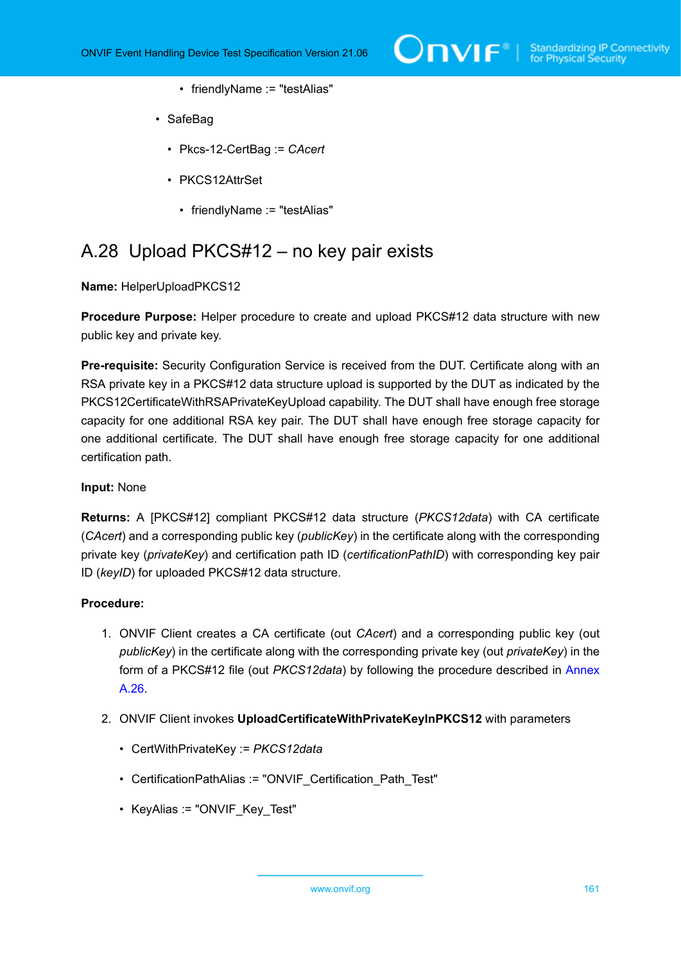- friendlyName := "testAlias"
- SafeBag
	- Pkcs-12-CertBag := *CAcert*
	- PKCS12AttrSet
		- friendlyName := "testAlias"

## <span id="page-160-0"></span>A.28 Upload PKCS#12 – no key pair exists

**Name:** HelperUploadPKCS12

**Procedure Purpose:** Helper procedure to create and upload PKCS#12 data structure with new public key and private key.

**Pre-requisite:** Security Configuration Service is received from the DUT. Certificate along with an RSA private key in a PKCS#12 data structure upload is supported by the DUT as indicated by the PKCS12CertificateWithRSAPrivateKeyUpload capability. The DUT shall have enough free storage capacity for one additional RSA key pair. The DUT shall have enough free storage capacity for one additional certificate. The DUT shall have enough free storage capacity for one additional certification path.

### **Input:** None

**Returns:** A [PKCS#12] compliant PKCS#12 data structure (*PKCS12data*) with CA certificate (*CAcert*) and a corresponding public key (*publicKey*) in the certificate along with the corresponding private key (*privateKey*) and certification path ID (*certificationPathID*) with corresponding key pair ID (*keyID*) for uploaded PKCS#12 data structure.

- 1. ONVIF Client creates a CA certificate (out *CAcert*) and a corresponding public key (out *publicKey*) in the certificate along with the corresponding private key (out *privateKey*) in the form of a PKCS#12 file (out *PKCS12data*) by following the procedure described in [Annex](#page-158-0) [A.26](#page-158-0).
- 2. ONVIF Client invokes **UploadCertificateWithPrivateKeyInPKCS12** with parameters
	- CertWithPrivateKey := *PKCS12data*
	- CertificationPathAlias := "ONVIF Certification Path Test"
	- KeyAlias := "ONVIF Key Test"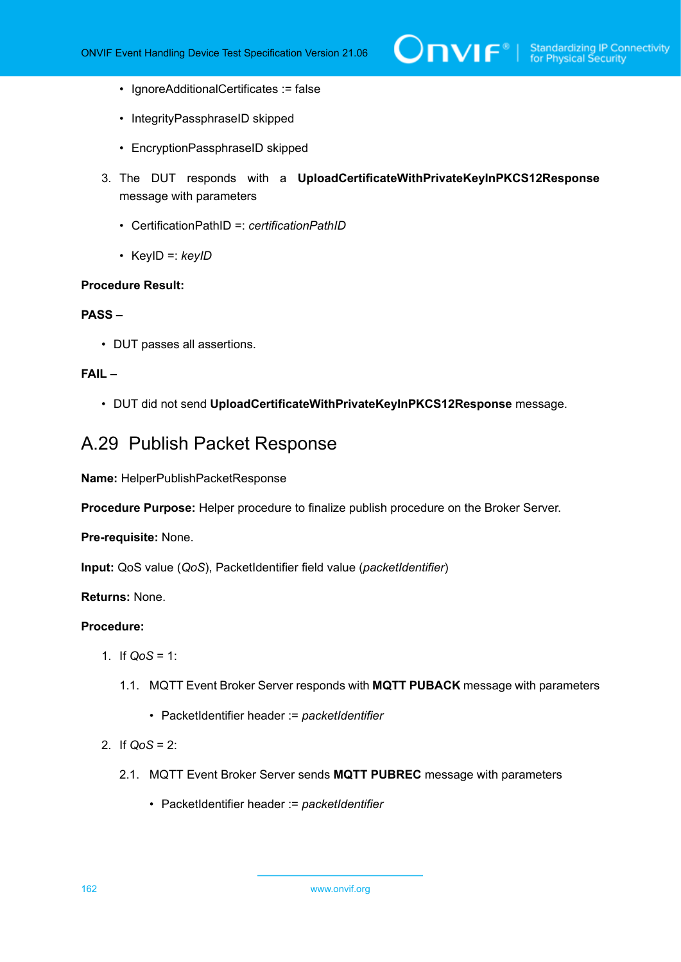- IgnoreAdditionalCertificates := false
- IntegrityPassphraseID skipped
- EncryptionPassphraseID skipped
- 3. The DUT responds with a **UploadCertificateWithPrivateKeyInPKCS12Response** message with parameters
	- CertificationPathID =: *certificationPathID*
	- KeyID =: *keyID*

### **PASS –**

• DUT passes all assertions.

### **FAIL –**

• DUT did not send **UploadCertificateWithPrivateKeyInPKCS12Response** message.

## <span id="page-161-0"></span>A.29 Publish Packet Response

**Name:** HelperPublishPacketResponse

**Procedure Purpose:** Helper procedure to finalize publish procedure on the Broker Server.

### **Pre-requisite:** None.

**Input:** QoS value (*QoS*), PacketIdentifier field value (*packetIdentifier*)

### **Returns:** None.

- 1. If *QoS* = 1:
	- 1.1. MQTT Event Broker Server responds with **MQTT PUBACK** message with parameters
		- PacketIdentifier header := *packetIdentifier*
- 2. If *QoS* = 2:
	- 2.1. MQTT Event Broker Server sends **MQTT PUBREC** message with parameters
		- PacketIdentifier header := *packetIdentifier*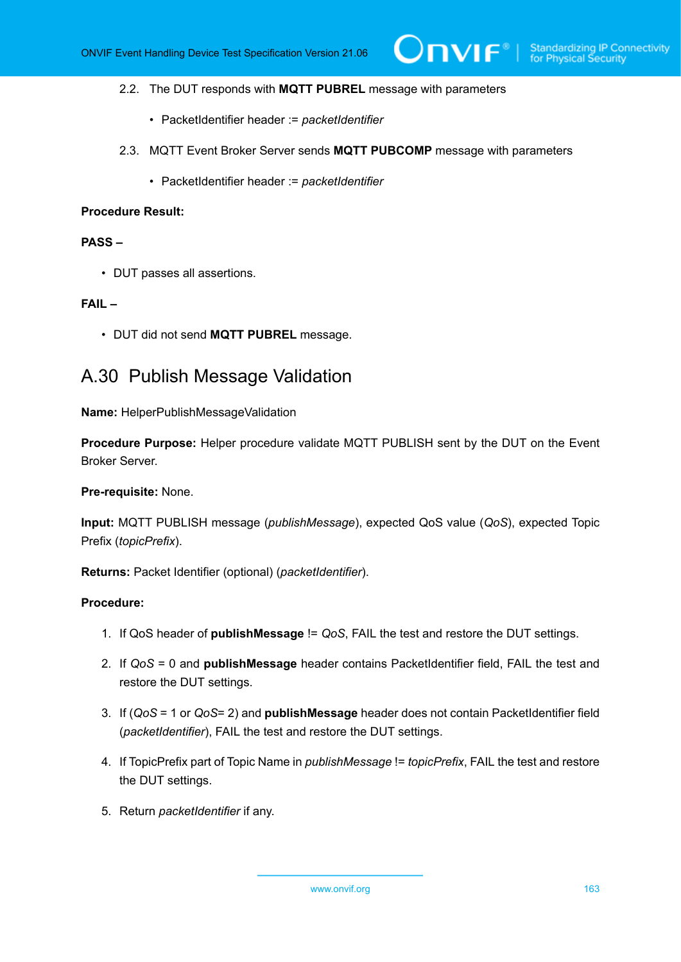### 2.2. The DUT responds with **MQTT PUBREL** message with parameters

- PacketIdentifier header := *packetIdentifier*
- 2.3. MQTT Event Broker Server sends **MQTT PUBCOMP** message with parameters
	- PacketIdentifier header := *packetIdentifier*

### **Procedure Result:**

### **PASS –**

• DUT passes all assertions.

### **FAIL –**

• DUT did not send **MQTT PUBREL** message.

## <span id="page-162-0"></span>A.30 Publish Message Validation

**Name:** HelperPublishMessageValidation

**Procedure Purpose:** Helper procedure validate MQTT PUBLISH sent by the DUT on the Event Broker Server.

### **Pre-requisite:** None.

**Input:** MQTT PUBLISH message (*publishMessage*), expected QoS value (*QoS*), expected Topic Prefix (*topicPrefix*).

**Returns:** Packet Identifier (optional) (*packetIdentifier*).

- 1. If QoS header of **publishMessage** != *QoS*, FAIL the test and restore the DUT settings.
- 2. If *QoS* = 0 and **publishMessage** header contains PacketIdentifier field, FAIL the test and restore the DUT settings.
- 3. If (*QoS* = 1 or *QoS*= 2) and **publishMessage** header does not contain PacketIdentifier field (*packetIdentifier*), FAIL the test and restore the DUT settings.
- 4. If TopicPrefix part of Topic Name in *publishMessage* != *topicPrefix*, FAIL the test and restore the DUT settings.
- 5. Return *packetIdentifier* if any.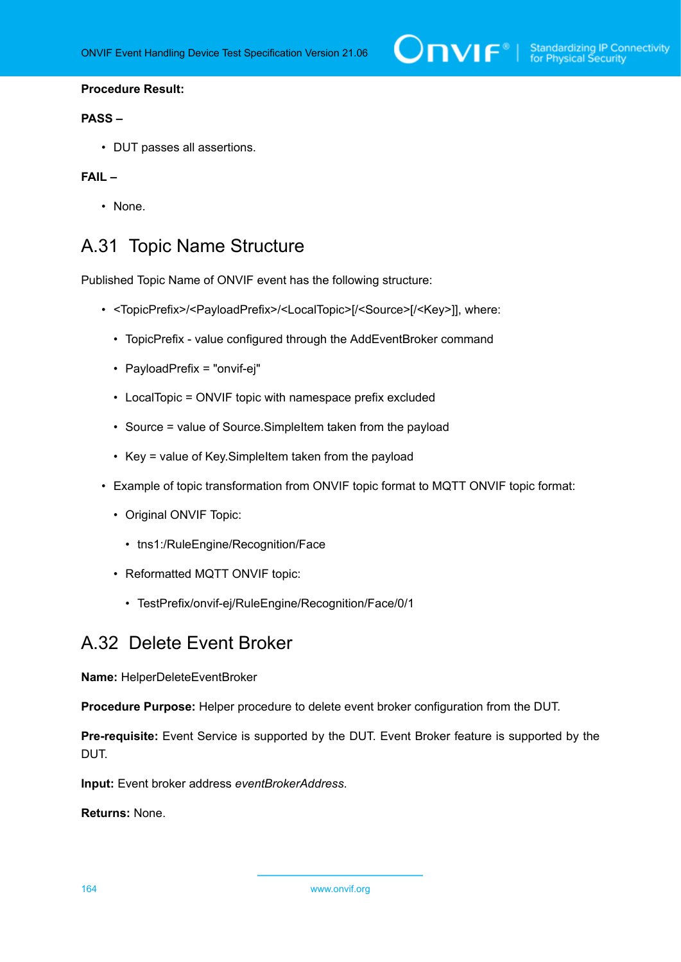### **PASS –**

• DUT passes all assertions.

## **FAIL –**

• None.

# <span id="page-163-0"></span>A.31 Topic Name Structure

Published Topic Name of ONVIF event has the following structure:

- <TopicPrefix>/<PayloadPrefix>/<LocalTopic>[/<Source>[/<Key>]], where:
	- TopicPrefix value configured through the AddEventBroker command
	- PayloadPrefix = "onvif-ej"
	- LocalTopic = ONVIF topic with namespace prefix excluded
	- Source = value of Source.SimpleItem taken from the payload
	- Key = value of Key.SimpleItem taken from the payload
- Example of topic transformation from ONVIF topic format to MQTT ONVIF topic format:
	- Original ONVIF Topic:
		- tns1:/RuleEngine/Recognition/Face
	- Reformatted MQTT ONVIF topic:
		- TestPrefix/onvif-ej/RuleEngine/Recognition/Face/0/1

## A.32 Delete Event Broker

**Name:** HelperDeleteEventBroker

**Procedure Purpose:** Helper procedure to delete event broker configuration from the DUT.

**Pre-requisite:** Event Service is supported by the DUT. Event Broker feature is supported by the DUT.

**Input:** Event broker address *eventBrokerAddress*.

**Returns:** None.